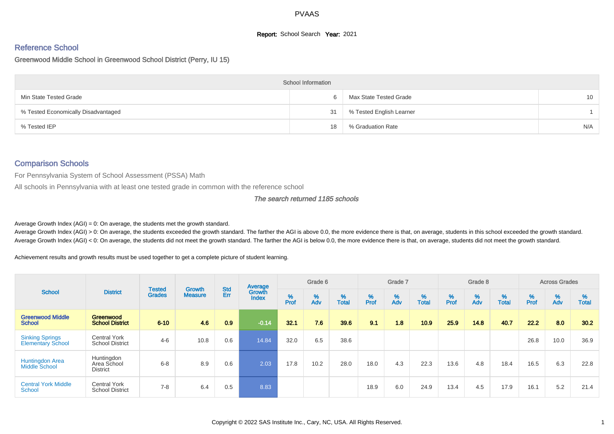## **Report:** School Search **Year:** 2021

### Reference School

Greenwood Middle School in Greenwood School District (Perry, IU 15)

|                                     | <b>School Information</b> |                          |     |
|-------------------------------------|---------------------------|--------------------------|-----|
| Min State Tested Grade              | 6                         | Max State Tested Grade   | 10  |
| % Tested Economically Disadvantaged | 31                        | % Tested English Learner |     |
| % Tested IEP                        | 18                        | % Graduation Rate        | N/A |

# Comparison Schools

For Pennsylvania System of School Assessment (PSSA) Math

All schools in Pennsylvania with at least one tested grade in common with the reference school

#### The search returned 1185 schools

Average Growth Index  $(AGI) = 0$ : On average, the students met the growth standard.

Average Growth Index (AGI) > 0: On average, the students exceeded the growth standard. The farther the AGI is above 0.0, the more evidence there is that, on average, students in this school exceeded the growth standard. Average Growth Index (AGI) < 0: On average, the students did not meet the growth standard. The farther the AGI is below 0.0, the more evidence there is that, on average, students did not meet the growth standard.

Achievement results and growth results must be used together to get a complete picture of student learning.

|                                                    |                                               |                                | <b>Growth</b>  |                   | Average                |           | Grade 6  |                   |           | Grade 7  |                   |           | Grade 8  |                   |           | <b>Across Grades</b> |                   |
|----------------------------------------------------|-----------------------------------------------|--------------------------------|----------------|-------------------|------------------------|-----------|----------|-------------------|-----------|----------|-------------------|-----------|----------|-------------------|-----------|----------------------|-------------------|
| <b>School</b>                                      | <b>District</b>                               | <b>Tested</b><br><b>Grades</b> | <b>Measure</b> | <b>Std</b><br>Err | Growth<br><b>Index</b> | %<br>Prof | %<br>Adv | %<br><b>Total</b> | %<br>Prof | %<br>Adv | %<br><b>Total</b> | %<br>Prof | %<br>Adv | %<br><b>Total</b> | %<br>Prof | %<br>Adv             | %<br><b>Total</b> |
| <b>Greenwood Middle</b><br><b>School</b>           | Greenwood<br><b>School District</b>           | $6 - 10$                       | 4.6            | 0.9               | $-0.14$                | 32.1      | 7.6      | 39.6              | 9.1       | 1.8      | 10.9              | 25.9      | 14.8     | 40.7              | 22.2      | 8.0                  | 30.2              |
| <b>Sinking Springs</b><br><b>Elementary School</b> | <b>Central York</b><br><b>School District</b> | $4 - 6$                        | 10.8           | 0.6               | 14.84                  | 32.0      | 6.5      | 38.6              |           |          |                   |           |          |                   | 26.8      | 10.0                 | 36.9              |
| <b>Huntingdon Area</b><br><b>Middle School</b>     | Huntingdon<br>Area School<br><b>District</b>  | $6 - 8$                        | 8.9            | 0.6               | 2.03                   | 17.8      | 10.2     | 28.0              | 18.0      | 4.3      | 22.3              | 13.6      | 4.8      | 18.4              | 16.5      | 6.3                  | 22.8              |
| <b>Central York Middle</b><br>School               | <b>Central York</b><br><b>School District</b> | $7 - 8$                        | 6.4            | 0.5               | 8.83                   |           |          |                   | 18.9      | 6.0      | 24.9              | 13.4      | 4.5      | 17.9              | 16.1      | 5.2                  | 21.4              |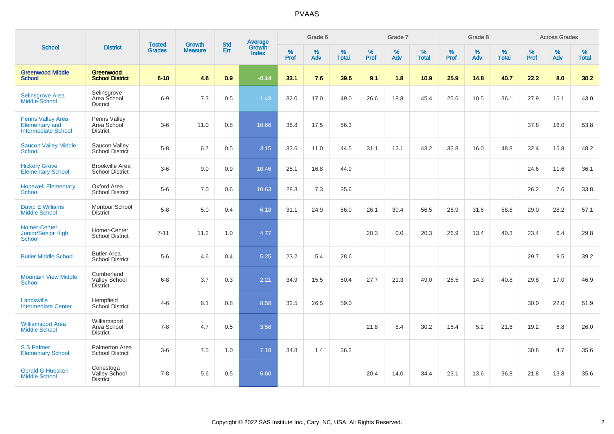|                                                                                 |                                                       |                                | <b>Growth</b>  | <b>Std</b> |                                          |                  | Grade 6  |                   |           | Grade 7  |                   |           | Grade 8     |                   |           | <b>Across Grades</b> |                   |
|---------------------------------------------------------------------------------|-------------------------------------------------------|--------------------------------|----------------|------------|------------------------------------------|------------------|----------|-------------------|-----------|----------|-------------------|-----------|-------------|-------------------|-----------|----------------------|-------------------|
| <b>School</b>                                                                   | <b>District</b>                                       | <b>Tested</b><br><b>Grades</b> | <b>Measure</b> | Err        | <b>Average</b><br>Growth<br><b>Index</b> | %<br><b>Prof</b> | %<br>Adv | %<br><b>Total</b> | %<br>Prof | %<br>Adv | %<br><b>Total</b> | %<br>Prof | $\%$<br>Adv | %<br><b>Total</b> | %<br>Prof | $\%$<br>Adv          | %<br><b>Total</b> |
| <b>Greenwood Middle</b><br><b>School</b>                                        | Greenwood<br><b>School District</b>                   | $6 - 10$                       | 4.6            | 0.9        | $-0.14$                                  | 32.1             | 7.6      | 39.6              | 9.1       | 1.8      | 10.9              | 25.9      | 14.8        | 40.7              | 22.2      | 8.0                  | 30.2              |
| <b>Selinsgrove Area</b><br><b>Middle School</b>                                 | Selinsgrove<br>Area School<br><b>District</b>         | $6-9$                          | 7.3            | 0.5        | 1.48                                     | 32.0             | 17.0     | 49.0              | 26.6      | 18.8     | 45.4              | 25.6      | 10.5        | 36.1              | 27.9      | 15.1                 | 43.0              |
| <b>Penns Valley Area</b><br><b>Elementary and</b><br><b>Intermediate School</b> | Penns Valley<br>Area School<br><b>District</b>        | $3-6$                          | 11.0           | 0.8        | 10.66                                    | 38.8             | 17.5     | 56.3              |           |          |                   |           |             |                   | 37.8      | 16.0                 | 53.8              |
| <b>Saucon Valley Middle</b><br>School                                           | Saucon Valley<br>School District                      | $5-8$                          | 6.7            | 0.5        | 3.15                                     | 33.6             | 11.0     | 44.5              | 31.1      | 12.1     | 43.2              | 32.8      | 16.0        | 48.8              | 32.4      | 15.8                 | 48.2              |
| <b>Hickory Grove</b><br><b>Elementary School</b>                                | <b>Brookville Area</b><br><b>School District</b>      | $3-6$                          | 9.0            | 0.9        | 10.46                                    | 28.1             | 16.8     | 44.9              |           |          |                   |           |             |                   | 24.6      | 11.6                 | 36.1              |
| <b>Hopewell Elementary</b><br>School                                            | Oxford Area<br><b>School District</b>                 | $5-6$                          | 7.0            | 0.6        | 10.63                                    | 28.3             | 7.3      | 35.6              |           |          |                   |           |             |                   | 26.2      | 7.6                  | 33.8              |
| <b>David E Williams</b><br><b>Middle School</b>                                 | Montour School<br><b>District</b>                     | $5-8$                          | 5.0            | 0.4        | 6.18                                     | 31.1             | 24.9     | 56.0              | 26.1      | 30.4     | 56.5              | 26.9      | 31.6        | 58.6              | 29.0      | 28.2                 | 57.1              |
| <b>Homer-Center</b><br><b>Junior/Senior High</b><br><b>School</b>               | Homer-Center<br><b>School District</b>                | $7 - 11$                       | 11.2           | 1.0        | 4.77                                     |                  |          |                   | 20.3      | 0.0      | 20.3              | 26.9      | 13.4        | 40.3              | 23.4      | 6.4                  | 29.8              |
| <b>Butler Middle School</b>                                                     | <b>Butler Area</b><br><b>School District</b>          | $5-6$                          | 4.6            | 0.4        | 5.25                                     | 23.2             | 5.4      | 28.6              |           |          |                   |           |             |                   | 29.7      | 9.5                  | 39.2              |
| <b>Mountain View Middle</b><br>School                                           | Cumberland<br><b>Valley School</b><br><b>District</b> | $6 - 8$                        | 3.7            | 0.3        | 2.21                                     | 34.9             | 15.5     | 50.4              | 27.7      | 21.3     | 49.0              | 26.5      | 14.3        | 40.8              | 29.8      | 17.0                 | 46.9              |
| Landisville<br><b>Intermediate Center</b>                                       | Hempfield<br>School District                          | $4 - 6$                        | 8.1            | 0.8        | 8.58                                     | 32.5             | 26.5     | 59.0              |           |          |                   |           |             |                   | 30.0      | 22.0                 | 51.9              |
| <b>Williamsport Area</b><br><b>Middle School</b>                                | Williamsport<br>Area School<br><b>District</b>        | $7 - 8$                        | 4.7            | 0.5        | 3.58                                     |                  |          |                   | 21.8      | 8.4      | 30.2              | 16.4      | 5.2         | 21.6              | 19.2      | 6.8                  | 26.0              |
| <b>S S Palmer</b><br><b>Elementary School</b>                                   | Palmerton Area<br><b>School District</b>              | $3-6$                          | 7.5            | 1.0        | 7.18                                     | 34.8             | 1.4      | 36.2              |           |          |                   |           |             |                   | 30.8      | 4.7                  | 35.6              |
| <b>Gerald G Huesken</b><br><b>Middle School</b>                                 | Conestoga<br>Valley School<br><b>District</b>         | $7 - 8$                        | 5.6            | 0.5        | 6.60                                     |                  |          |                   | 20.4      | 14.0     | 34.4              | 23.1      | 13.6        | 36.8              | 21.8      | 13.8                 | 35.6              |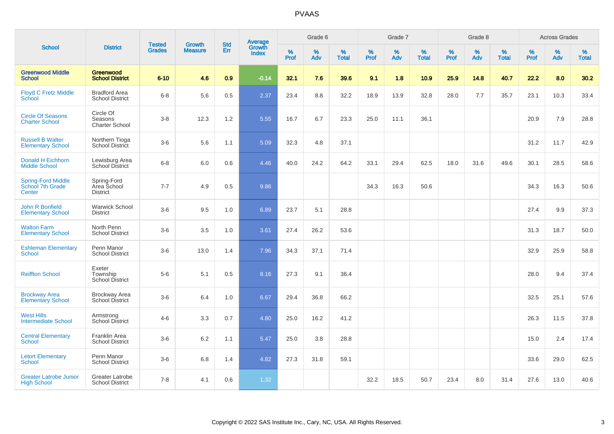|                                                         |                                                  |                                |                                 | <b>Std</b> |                                          |           | Grade 6  |                   |           | Grade 7  |                   |           | Grade 8  |                   |              | <b>Across Grades</b> |                   |
|---------------------------------------------------------|--------------------------------------------------|--------------------------------|---------------------------------|------------|------------------------------------------|-----------|----------|-------------------|-----------|----------|-------------------|-----------|----------|-------------------|--------------|----------------------|-------------------|
| <b>School</b>                                           | <b>District</b>                                  | <b>Tested</b><br><b>Grades</b> | <b>Growth</b><br><b>Measure</b> | Err        | <b>Average</b><br>Growth<br><b>Index</b> | %<br>Prof | %<br>Adv | %<br><b>Total</b> | %<br>Prof | %<br>Adv | %<br><b>Total</b> | %<br>Prof | %<br>Adv | %<br><b>Total</b> | $\%$<br>Prof | %<br>Adv             | %<br><b>Total</b> |
| <b>Greenwood Middle</b><br><b>School</b>                | Greenwood<br><b>School District</b>              | $6 - 10$                       | 4.6                             | 0.9        | $-0.14$                                  | 32.1      | 7.6      | 39.6              | 9.1       | 1.8      | 10.9              | 25.9      | 14.8     | 40.7              | 22.2         | 8.0                  | 30.2              |
| <b>Floyd C Fretz Middle</b><br>School                   | <b>Bradford Area</b><br><b>School District</b>   | $6 - 8$                        | 5.6                             | 0.5        | 2.37                                     | 23.4      | 8.8      | 32.2              | 18.9      | 13.9     | 32.8              | 28.0      | 7.7      | 35.7              | 23.1         | 10.3                 | 33.4              |
| <b>Circle Of Seasons</b><br><b>Charter School</b>       | Circle Of<br>Seasons<br><b>Charter School</b>    | $3-8$                          | 12.3                            | 1.2        | 5.55                                     | 16.7      | 6.7      | 23.3              | 25.0      | 11.1     | 36.1              |           |          |                   | 20.9         | 7.9                  | 28.8              |
| <b>Russell B Walter</b><br><b>Elementary School</b>     | Northern Tioga<br><b>School District</b>         | $3-6$                          | 5.6                             | 1.1        | 5.09                                     | 32.3      | 4.8      | 37.1              |           |          |                   |           |          |                   | 31.2         | 11.7                 | 42.9              |
| <b>Donald H Eichhorn</b><br><b>Middle School</b>        | Lewisburg Area<br>School District                | $6 - 8$                        | 6.0                             | 0.6        | 4.46                                     | 40.0      | 24.2     | 64.2              | 33.1      | 29.4     | 62.5              | 18.0      | 31.6     | 49.6              | 30.1         | 28.5                 | 58.6              |
| <b>Spring-Ford Middle</b><br>School 7th Grade<br>Center | Spring-Ford<br>Area School<br><b>District</b>    | $7 - 7$                        | 4.9                             | 0.5        | 9.86                                     |           |          |                   | 34.3      | 16.3     | 50.6              |           |          |                   | 34.3         | 16.3                 | 50.6              |
| John R Bonfield<br><b>Elementary School</b>             | <b>Warwick School</b><br><b>District</b>         | $3-6$                          | 9.5                             | 1.0        | 6.89                                     | 23.7      | 5.1      | 28.8              |           |          |                   |           |          |                   | 27.4         | 9.9                  | 37.3              |
| <b>Walton Farm</b><br><b>Elementary School</b>          | North Penn<br><b>School District</b>             | $3-6$                          | 3.5                             | 1.0        | 3.61                                     | 27.4      | 26.2     | 53.6              |           |          |                   |           |          |                   | 31.3         | 18.7                 | 50.0              |
| <b>Eshleman Elementary</b><br>School                    | Penn Manor<br><b>School District</b>             | $3-6$                          | 13.0                            | 1.4        | 7.96                                     | 34.3      | 37.1     | 71.4              |           |          |                   |           |          |                   | 32.9         | 25.9                 | 58.8              |
| <b>Reiffton School</b>                                  | Exeter<br>Township<br>School District            | $5-6$                          | 5.1                             | 0.5        | 8.16                                     | 27.3      | 9.1      | 36.4              |           |          |                   |           |          |                   | 28.0         | 9.4                  | 37.4              |
| <b>Brockway Area</b><br><b>Elementary School</b>        | <b>Brockway Area</b><br><b>School District</b>   | $3-6$                          | 6.4                             | 1.0        | 6.67                                     | 29.4      | 36.8     | 66.2              |           |          |                   |           |          |                   | 32.5         | 25.1                 | 57.6              |
| <b>West Hills</b><br><b>Intermediate School</b>         | Armstrong<br><b>School District</b>              | $4 - 6$                        | 3.3                             | 0.7        | 4.80                                     | 25.0      | 16.2     | 41.2              |           |          |                   |           |          |                   | 26.3         | 11.5                 | 37.8              |
| <b>Central Elementary</b><br><b>School</b>              | Franklin Area<br><b>School District</b>          | $3-6$                          | 6.2                             | 1.1        | 5.47                                     | 25.0      | 3.8      | 28.8              |           |          |                   |           |          |                   | 15.0         | 2.4                  | 17.4              |
| <b>Letort Elementary</b><br><b>School</b>               | Penn Manor<br><b>School District</b>             | $3-6$                          | 6.8                             | 1.4        | 4.82                                     | 27.3      | 31.8     | 59.1              |           |          |                   |           |          |                   | 33.6         | 29.0                 | 62.5              |
| <b>Greater Latrobe Junior</b><br><b>High School</b>     | <b>Greater Latrobe</b><br><b>School District</b> | $7 - 8$                        | 4.1                             | 0.6        | 1.32                                     |           |          |                   | 32.2      | 18.5     | 50.7              | 23.4      | 8.0      | 31.4              | 27.6         | 13.0                 | 40.6              |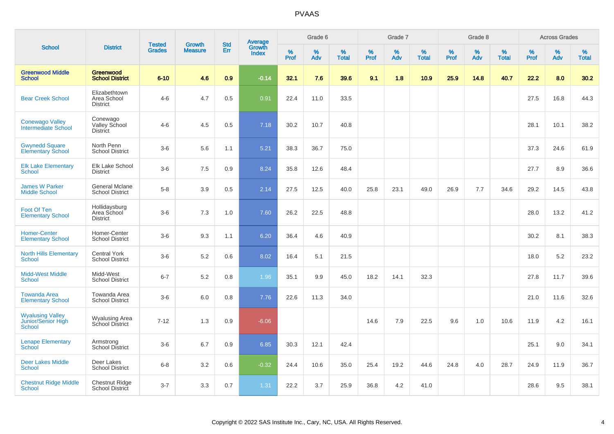|                                                         |                                                 |                                | <b>Growth</b>  | <b>Std</b> |                                          |                  | Grade 6     |                   |                  | Grade 7     |                   |           | Grade 8  |                   |                  | <b>Across Grades</b> |                   |
|---------------------------------------------------------|-------------------------------------------------|--------------------------------|----------------|------------|------------------------------------------|------------------|-------------|-------------------|------------------|-------------|-------------------|-----------|----------|-------------------|------------------|----------------------|-------------------|
| <b>School</b>                                           | <b>District</b>                                 | <b>Tested</b><br><b>Grades</b> | <b>Measure</b> | Err        | <b>Average</b><br>Growth<br><b>Index</b> | %<br><b>Prof</b> | $\%$<br>Adv | %<br><b>Total</b> | %<br><b>Prof</b> | $\%$<br>Adv | %<br><b>Total</b> | %<br>Prof | %<br>Adv | %<br><b>Total</b> | %<br><b>Prof</b> | $\%$<br>Adv          | %<br><b>Total</b> |
| <b>Greenwood Middle</b><br><b>School</b>                | Greenwood<br><b>School District</b>             | $6 - 10$                       | 4.6            | 0.9        | $-0.14$                                  | 32.1             | 7.6         | 39.6              | 9.1              | 1.8         | 10.9              | 25.9      | 14.8     | 40.7              | 22.2             | 8.0                  | 30.2              |
| <b>Bear Creek School</b>                                | Elizabethtown<br>Area School<br><b>District</b> | $4 - 6$                        | 4.7            | 0.5        | 0.91                                     | 22.4             | 11.0        | 33.5              |                  |             |                   |           |          |                   | 27.5             | 16.8                 | 44.3              |
| <b>Conewago Valley</b><br>Intermediate School           | Conewago<br>Valley School<br><b>District</b>    | $4-6$                          | 4.5            | 0.5        | 7.18                                     | 30.2             | 10.7        | 40.8              |                  |             |                   |           |          |                   | 28.1             | 10.1                 | 38.2              |
| <b>Gwynedd Square</b><br><b>Elementary School</b>       | North Penn<br><b>School District</b>            | $3-6$                          | 5.6            | 1.1        | 5.21                                     | 38.3             | 36.7        | 75.0              |                  |             |                   |           |          |                   | 37.3             | 24.6                 | 61.9              |
| <b>Elk Lake Elementary</b><br><b>School</b>             | Elk Lake School<br><b>District</b>              | $3-6$                          | 7.5            | 0.9        | 8.24                                     | 35.8             | 12.6        | 48.4              |                  |             |                   |           |          |                   | 27.7             | 8.9                  | 36.6              |
| <b>James W Parker</b><br><b>Middle School</b>           | <b>General Mclane</b><br><b>School District</b> | $5 - 8$                        | 3.9            | 0.5        | 2.14                                     | 27.5             | 12.5        | 40.0              | 25.8             | 23.1        | 49.0              | 26.9      | 7.7      | 34.6              | 29.2             | 14.5                 | 43.8              |
| Foot Of Ten<br><b>Elementary School</b>                 | Hollidaysburg<br>Area School<br><b>District</b> | $3-6$                          | 7.3            | 1.0        | 7.60                                     | 26.2             | 22.5        | 48.8              |                  |             |                   |           |          |                   | 28.0             | 13.2                 | 41.2              |
| <b>Homer-Center</b><br><b>Elementary School</b>         | Homer-Center<br><b>School District</b>          | $3-6$                          | 9.3            | 1.1        | 6.20                                     | 36.4             | 4.6         | 40.9              |                  |             |                   |           |          |                   | 30.2             | 8.1                  | 38.3              |
| <b>North Hills Elementary</b><br><b>School</b>          | <b>Central York</b><br><b>School District</b>   | $3-6$                          | 5.2            | 0.6        | 8.02                                     | 16.4             | 5.1         | 21.5              |                  |             |                   |           |          |                   | 18.0             | 5.2                  | 23.2              |
| <b>Midd-West Middle</b><br><b>School</b>                | Midd-West<br><b>School District</b>             | $6 - 7$                        | 5.2            | 0.8        | 1.96                                     | 35.1             | 9.9         | 45.0              | 18.2             | 14.1        | 32.3              |           |          |                   | 27.8             | 11.7                 | 39.6              |
| <b>Towanda Area</b><br><b>Elementary School</b>         | Towanda Area<br><b>School District</b>          | $3-6$                          | 6.0            | 0.8        | 7.76                                     | 22.6             | 11.3        | 34.0              |                  |             |                   |           |          |                   | 21.0             | 11.6                 | 32.6              |
| <b>Wyalusing Valley</b><br>Junior/Senior High<br>School | Wyalusing Area<br>School District               | $7 - 12$                       | 1.3            | 0.9        | $-6.06$                                  |                  |             |                   | 14.6             | 7.9         | 22.5              | 9.6       | 1.0      | 10.6              | 11.9             | 4.2                  | 16.1              |
| <b>Lenape Elementary</b><br><b>School</b>               | Armstrong<br>School District                    | $3-6$                          | 6.7            | 0.9        | 6.85                                     | 30.3             | 12.1        | 42.4              |                  |             |                   |           |          |                   | 25.1             | 9.0                  | 34.1              |
| <b>Deer Lakes Middle</b><br>School                      | Deer Lakes<br><b>School District</b>            | $6 - 8$                        | 3.2            | 0.6        | $-0.32$                                  | 24.4             | 10.6        | 35.0              | 25.4             | 19.2        | 44.6              | 24.8      | 4.0      | 28.7              | 24.9             | 11.9                 | 36.7              |
| <b>Chestnut Ridge Middle</b><br><b>School</b>           | <b>Chestnut Ridge</b><br>School District        | $3 - 7$                        | 3.3            | 0.7        | 1.31                                     | 22.2             | 3.7         | 25.9              | 36.8             | 4.2         | 41.0              |           |          |                   | 28.6             | 9.5                  | 38.1              |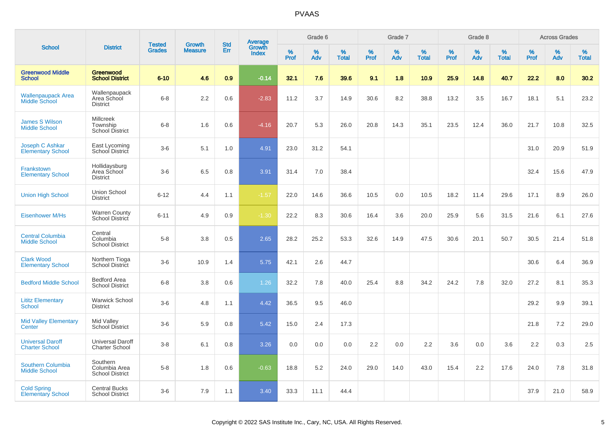|                                                  |                                                        |                                |                                 | <b>Std</b> |                                          |           | Grade 6  |                   |           | Grade 7  |                   |           | Grade 8  |                   |           | <b>Across Grades</b> |                   |
|--------------------------------------------------|--------------------------------------------------------|--------------------------------|---------------------------------|------------|------------------------------------------|-----------|----------|-------------------|-----------|----------|-------------------|-----------|----------|-------------------|-----------|----------------------|-------------------|
| <b>School</b>                                    | <b>District</b>                                        | <b>Tested</b><br><b>Grades</b> | <b>Growth</b><br><b>Measure</b> | Err        | <b>Average</b><br>Growth<br><b>Index</b> | %<br>Prof | %<br>Adv | %<br><b>Total</b> | %<br>Prof | %<br>Adv | %<br><b>Total</b> | %<br>Prof | %<br>Adv | %<br><b>Total</b> | %<br>Prof | %<br>Adv             | %<br><b>Total</b> |
| <b>Greenwood Middle</b><br><b>School</b>         | Greenwood<br><b>School District</b>                    | $6 - 10$                       | 4.6                             | 0.9        | $-0.14$                                  | 32.1      | 7.6      | 39.6              | 9.1       | 1.8      | 10.9              | 25.9      | 14.8     | 40.7              | 22.2      | 8.0                  | 30.2              |
| <b>Wallenpaupack Area</b><br>Middle School       | Wallenpaupack<br>Area School<br><b>District</b>        | $6 - 8$                        | 2.2                             | 0.6        | $-2.83$                                  | 11.2      | 3.7      | 14.9              | 30.6      | 8.2      | 38.8              | 13.2      | 3.5      | 16.7              | 18.1      | 5.1                  | 23.2              |
| <b>James S Wilson</b><br><b>Middle School</b>    | <b>Millcreek</b><br>Township<br><b>School District</b> | $6 - 8$                        | 1.6                             | 0.6        | $-4.16$                                  | 20.7      | 5.3      | 26.0              | 20.8      | 14.3     | 35.1              | 23.5      | 12.4     | 36.0              | 21.7      | 10.8                 | 32.5              |
| Joseph C Ashkar<br><b>Elementary School</b>      | East Lycoming<br>School District                       | $3-6$                          | 5.1                             | 1.0        | 4.91                                     | 23.0      | 31.2     | 54.1              |           |          |                   |           |          |                   | 31.0      | 20.9                 | 51.9              |
| Frankstown<br><b>Elementary School</b>           | Hollidaysburg<br>Area School<br><b>District</b>        | $3-6$                          | 6.5                             | 0.8        | 3.91                                     | 31.4      | 7.0      | 38.4              |           |          |                   |           |          |                   | 32.4      | 15.6                 | 47.9              |
| <b>Union High School</b>                         | <b>Union School</b><br><b>District</b>                 | $6 - 12$                       | 4.4                             | 1.1        | $-1.57$                                  | 22.0      | 14.6     | 36.6              | 10.5      | 0.0      | 10.5              | 18.2      | 11.4     | 29.6              | 17.1      | 8.9                  | 26.0              |
| <b>Eisenhower M/Hs</b>                           | <b>Warren County</b><br>School District                | $6 - 11$                       | 4.9                             | 0.9        | $-1.30$                                  | 22.2      | 8.3      | 30.6              | 16.4      | 3.6      | 20.0              | 25.9      | 5.6      | 31.5              | 21.6      | 6.1                  | 27.6              |
| <b>Central Columbia</b><br><b>Middle School</b>  | Central<br>Columbia<br><b>School District</b>          | $5-8$                          | 3.8                             | 0.5        | 2.65                                     | 28.2      | 25.2     | 53.3              | 32.6      | 14.9     | 47.5              | 30.6      | 20.1     | 50.7              | 30.5      | 21.4                 | 51.8              |
| <b>Clark Wood</b><br><b>Elementary School</b>    | Northern Tioga<br>School District                      | $3-6$                          | 10.9                            | 1.4        | 5.75                                     | 42.1      | 2.6      | 44.7              |           |          |                   |           |          |                   | 30.6      | 6.4                  | 36.9              |
| <b>Bedford Middle School</b>                     | Bedford Area<br><b>School District</b>                 | $6 - 8$                        | 3.8                             | 0.6        | 1.26                                     | 32.2      | 7.8      | 40.0              | 25.4      | 8.8      | 34.2              | 24.2      | 7.8      | 32.0              | 27.2      | 8.1                  | 35.3              |
| <b>Lititz Elementary</b><br>School               | <b>Warwick School</b><br><b>District</b>               | $3-6$                          | 4.8                             | 1.1        | 4.42                                     | 36.5      | 9.5      | 46.0              |           |          |                   |           |          |                   | 29.2      | 9.9                  | 39.1              |
| <b>Mid Valley Elementary</b><br>Center           | Mid Valley<br><b>School District</b>                   | $3-6$                          | 5.9                             | 0.8        | 5.42                                     | 15.0      | 2.4      | 17.3              |           |          |                   |           |          |                   | 21.8      | 7.2                  | 29.0              |
| <b>Universal Daroff</b><br><b>Charter School</b> | <b>Universal Daroff</b><br><b>Charter School</b>       | $3-8$                          | 6.1                             | 0.8        | 3.26                                     | 0.0       | 0.0      | 0.0               | 2.2       | 0.0      | 2.2               | 3.6       | 0.0      | 3.6               | 2.2       | 0.3                  | 2.5               |
| Southern Columbia<br><b>Middle School</b>        | Southern<br>Columbia Area<br><b>School District</b>    | $5-8$                          | 1.8                             | 0.6        | $-0.63$                                  | 18.8      | 5.2      | 24.0              | 29.0      | 14.0     | 43.0              | 15.4      | 2.2      | 17.6              | 24.0      | 7.8                  | 31.8              |
| <b>Cold Spring</b><br><b>Elementary School</b>   | <b>Central Bucks</b><br><b>School District</b>         | $3-6$                          | 7.9                             | 1.1        | 3.40                                     | 33.3      | 11.1     | 44.4              |           |          |                   |           |          |                   | 37.9      | 21.0                 | 58.9              |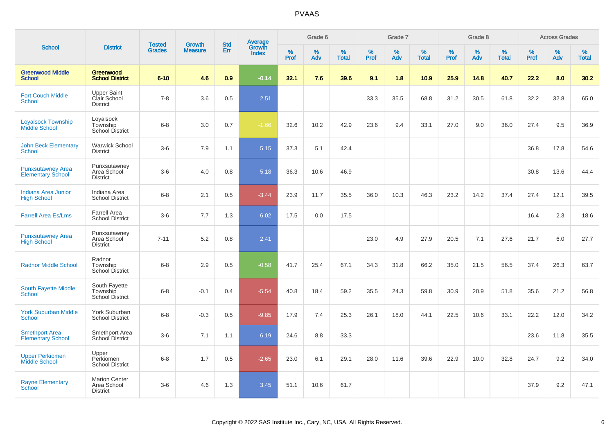|                                                      |                                                        |                                | <b>Growth</b>  | <b>Std</b> |                                          |                  | Grade 6  |                   |           | Grade 7     |                   |              | Grade 8  |                   |                     | <b>Across Grades</b> |                   |
|------------------------------------------------------|--------------------------------------------------------|--------------------------------|----------------|------------|------------------------------------------|------------------|----------|-------------------|-----------|-------------|-------------------|--------------|----------|-------------------|---------------------|----------------------|-------------------|
| <b>School</b>                                        | <b>District</b>                                        | <b>Tested</b><br><b>Grades</b> | <b>Measure</b> | Err        | <b>Average</b><br>Growth<br><b>Index</b> | %<br><b>Prof</b> | %<br>Adv | %<br><b>Total</b> | %<br>Prof | $\%$<br>Adv | %<br><b>Total</b> | $\%$<br>Prof | %<br>Adv | %<br><b>Total</b> | $\%$<br><b>Prof</b> | $\%$<br>Adv          | %<br><b>Total</b> |
| <b>Greenwood Middle</b><br><b>School</b>             | Greenwood<br><b>School District</b>                    | $6 - 10$                       | 4.6            | 0.9        | $-0.14$                                  | 32.1             | 7.6      | 39.6              | 9.1       | 1.8         | 10.9              | 25.9         | 14.8     | 40.7              | 22.2                | 8.0                  | 30.2              |
| <b>Fort Couch Middle</b><br><b>School</b>            | <b>Upper Saint</b><br>Clair School<br><b>District</b>  | $7 - 8$                        | 3.6            | 0.5        | 2.51                                     |                  |          |                   | 33.3      | 35.5        | 68.8              | 31.2         | 30.5     | 61.8              | 32.2                | 32.8                 | 65.0              |
| <b>Loyalsock Township</b><br><b>Middle School</b>    | Loyalsock<br>Township<br>School District               | $6 - 8$                        | 3.0            | 0.7        | $-1.66$                                  | 32.6             | 10.2     | 42.9              | 23.6      | 9.4         | 33.1              | 27.0         | 9.0      | 36.0              | 27.4                | 9.5                  | 36.9              |
| <b>John Beck Elementary</b><br>School                | <b>Warwick School</b><br><b>District</b>               | $3-6$                          | 7.9            | 1.1        | 5.15                                     | 37.3             | 5.1      | 42.4              |           |             |                   |              |          |                   | 36.8                | 17.8                 | 54.6              |
| <b>Punxsutawney Area</b><br><b>Elementary School</b> | Punxsutawney<br>Area School<br><b>District</b>         | $3-6$                          | 4.0            | 0.8        | 5.18                                     | 36.3             | 10.6     | 46.9              |           |             |                   |              |          |                   | 30.8                | 13.6                 | 44.4              |
| Indiana Area Junior<br><b>High School</b>            | Indiana Area<br><b>School District</b>                 | $6 - 8$                        | 2.1            | 0.5        | $-3.44$                                  | 23.9             | 11.7     | 35.5              | 36.0      | 10.3        | 46.3              | 23.2         | 14.2     | 37.4              | 27.4                | 12.1                 | 39.5              |
| <b>Farrell Area Es/Lms</b>                           | <b>Farrell Area</b><br><b>School District</b>          | $3-6$                          | 7.7            | 1.3        | 6.02                                     | 17.5             | 0.0      | 17.5              |           |             |                   |              |          |                   | 16.4                | 2.3                  | 18.6              |
| <b>Punxsutawney Area</b><br><b>High School</b>       | Punxsutawney<br>Area School<br><b>District</b>         | $7 - 11$                       | 5.2            | 0.8        | 2.41                                     |                  |          |                   | 23.0      | 4.9         | 27.9              | 20.5         | 7.1      | 27.6              | 21.7                | 6.0                  | 27.7              |
| <b>Radnor Middle School</b>                          | Radnor<br>Township<br><b>School District</b>           | $6-8$                          | 2.9            | 0.5        | $-0.58$                                  | 41.7             | 25.4     | 67.1              | 34.3      | 31.8        | 66.2              | 35.0         | 21.5     | 56.5              | 37.4                | 26.3                 | 63.7              |
| South Fayette Middle<br><b>School</b>                | South Fayette<br>Township<br>School District           | $6 - 8$                        | $-0.1$         | 0.4        | $-5.54$                                  | 40.8             | 18.4     | 59.2              | 35.5      | 24.3        | 59.8              | 30.9         | 20.9     | 51.8              | 35.6                | 21.2                 | 56.8              |
| <b>York Suburban Middle</b><br><b>School</b>         | York Suburban<br><b>School District</b>                | $6 - 8$                        | $-0.3$         | 0.5        | $-9.85$                                  | 17.9             | 7.4      | 25.3              | 26.1      | 18.0        | 44.1              | 22.5         | 10.6     | 33.1              | 22.2                | 12.0                 | 34.2              |
| <b>Smethport Area</b><br><b>Elementary School</b>    | Smethport Area<br>School District                      | $3-6$                          | 7.1            | 1.1        | 6.19                                     | 24.6             | 8.8      | 33.3              |           |             |                   |              |          |                   | 23.6                | 11.8                 | 35.5              |
| <b>Upper Perkiomen</b><br>Middle School              | Upper<br>Perkiomen<br><b>School District</b>           | $6-8$                          | 1.7            | 0.5        | $-2.65$                                  | 23.0             | 6.1      | 29.1              | 28.0      | 11.6        | 39.6              | 22.9         | 10.0     | 32.8              | 24.7                | 9.2                  | 34.0              |
| <b>Rayne Elementary</b><br><b>School</b>             | <b>Marion Center</b><br>Area School<br><b>District</b> | $3-6$                          | 4.6            | 1.3        | 3.45                                     | 51.1             | 10.6     | 61.7              |           |             |                   |              |          |                   | 37.9                | 9.2                  | 47.1              |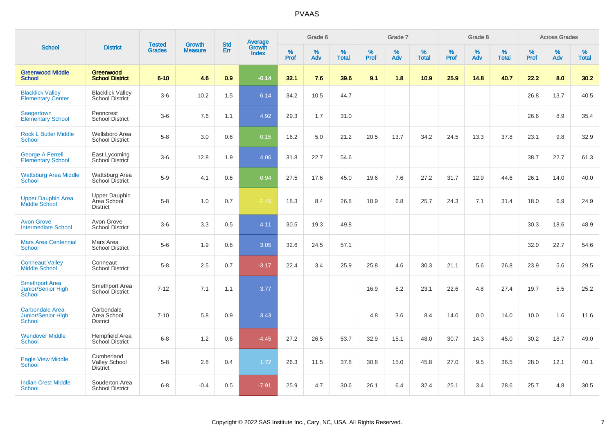|                                                                      |                                                        | <b>Tested</b> | <b>Growth</b>  | <b>Std</b> |                                          |                  | Grade 6  |                   |              | Grade 7  |                   |                  | Grade 8  |                   |                     | <b>Across Grades</b> |                   |
|----------------------------------------------------------------------|--------------------------------------------------------|---------------|----------------|------------|------------------------------------------|------------------|----------|-------------------|--------------|----------|-------------------|------------------|----------|-------------------|---------------------|----------------------|-------------------|
| <b>School</b>                                                        | <b>District</b>                                        | <b>Grades</b> | <b>Measure</b> | Err        | <b>Average</b><br>Growth<br><b>Index</b> | %<br><b>Prof</b> | %<br>Adv | %<br><b>Total</b> | $\%$<br>Prof | %<br>Adv | %<br><b>Total</b> | %<br><b>Prof</b> | %<br>Adv | %<br><b>Total</b> | $\%$<br><b>Prof</b> | $\%$<br>Adv          | %<br><b>Total</b> |
| <b>Greenwood Middle</b><br><b>School</b>                             | Greenwood<br><b>School District</b>                    | $6 - 10$      | 4.6            | 0.9        | $-0.14$                                  | 32.1             | 7.6      | 39.6              | 9.1          | 1.8      | 10.9              | 25.9             | 14.8     | 40.7              | 22.2                | 8.0                  | 30.2              |
| <b>Blacklick Valley</b><br><b>Elementary Center</b>                  | <b>Blacklick Valley</b><br>School District             | $3-6$         | 10.2           | 1.5        | 6.14                                     | 34.2             | 10.5     | 44.7              |              |          |                   |                  |          |                   | 26.8                | 13.7                 | 40.5              |
| Saegertown<br><b>Elementary School</b>                               | Penncrest<br><b>School District</b>                    | $3-6$         | 7.6            | 1.1        | 4.92                                     | 29.3             | 1.7      | 31.0              |              |          |                   |                  |          |                   | 26.6                | 8.9                  | 35.4              |
| Rock L Butler Middle<br><b>School</b>                                | Wellsboro Area<br><b>School District</b>               | $5-8$         | 3.0            | 0.6        | 0.15                                     | 16.2             | 5.0      | 21.2              | 20.5         | 13.7     | 34.2              | 24.5             | 13.3     | 37.8              | 23.1                | 9.8                  | 32.9              |
| <b>George A Ferrell</b><br><b>Elementary School</b>                  | East Lycoming<br>School District                       | $3-6$         | 12.8           | 1.9        | 4.06                                     | 31.8             | 22.7     | 54.6              |              |          |                   |                  |          |                   | 38.7                | 22.7                 | 61.3              |
| <b>Wattsburg Area Middle</b><br>School                               | Wattsburg Area<br><b>School District</b>               | $5-9$         | 4.1            | 0.6        | 0.94                                     | 27.5             | 17.6     | 45.0              | 19.6         | 7.6      | 27.2              | 31.7             | 12.9     | 44.6              | 26.1                | 14.0                 | 40.0              |
| <b>Upper Dauphin Area</b><br><b>Middle School</b>                    | <b>Upper Dauphin</b><br>Area School<br><b>District</b> | $5-8$         | 1.0            | 0.7        | $-1.45$                                  | 18.3             | 8.4      | 26.8              | 18.9         | 6.8      | 25.7              | 24.3             | 7.1      | 31.4              | 18.0                | 6.9                  | 24.9              |
| <b>Avon Grove</b><br><b>Intermediate School</b>                      | Avon Grove<br><b>School District</b>                   | $3-6$         | 3.3            | 0.5        | 4.11                                     | 30.5             | 19.3     | 49.8              |              |          |                   |                  |          |                   | 30.3                | 18.6                 | 48.9              |
| <b>Mars Area Centennial</b><br><b>School</b>                         | Mars Area<br><b>School District</b>                    | $5-6$         | 1.9            | 0.6        | 3.05                                     | 32.6             | 24.5     | 57.1              |              |          |                   |                  |          |                   | 32.0                | 22.7                 | 54.6              |
| <b>Conneaut Valley</b><br><b>Middle School</b>                       | Conneaut<br><b>School District</b>                     | $5 - 8$       | 2.5            | 0.7        | $-3.17$                                  | 22.4             | 3.4      | 25.9              | 25.8         | 4.6      | 30.3              | 21.1             | 5.6      | 26.8              | 23.9                | 5.6                  | 29.5              |
| <b>Smethport Area</b><br>Junior/Senior High<br>School                | Smethport Area<br>School District                      | $7 - 12$      | 7.1            | 1.1        | 3.77                                     |                  |          |                   | 16.9         | 6.2      | 23.1              | 22.6             | 4.8      | 27.4              | 19.7                | 5.5                  | 25.2              |
| <b>Carbondale Area</b><br><b>Junior/Senior High</b><br><b>School</b> | Carbondale<br>Area School<br><b>District</b>           | $7 - 10$      | 5.8            | 0.9        | 3.43                                     |                  |          |                   | 4.8          | 3.6      | 8.4               | 14.0             | 0.0      | 14.0              | 10.0                | 1.6                  | 11.6              |
| <b>Wendover Middle</b><br><b>School</b>                              | Hempfield Area<br><b>School District</b>               | $6 - 8$       | 1.2            | 0.6        | $-4.45$                                  | 27.2             | 26.5     | 53.7              | 32.9         | 15.1     | 48.0              | 30.7             | 14.3     | 45.0              | 30.2                | 18.7                 | 49.0              |
| <b>Eagle View Middle</b><br>School                                   | Cumberland<br><b>Valley School</b><br><b>District</b>  | $5-8$         | 2.8            | 0.4        | 1.72                                     | 26.3             | 11.5     | 37.8              | 30.8         | 15.0     | 45.8              | 27.0             | 9.5      | 36.5              | 28.0                | 12.1                 | 40.1              |
| <b>Indian Crest Middle</b><br>School                                 | Souderton Area<br><b>School District</b>               | $6 - 8$       | $-0.4$         | 0.5        | $-7.91$                                  | 25.9             | 4.7      | 30.6              | 26.1         | 6.4      | 32.4              | 25.1             | 3.4      | 28.6              | 25.7                | 4.8                  | 30.5              |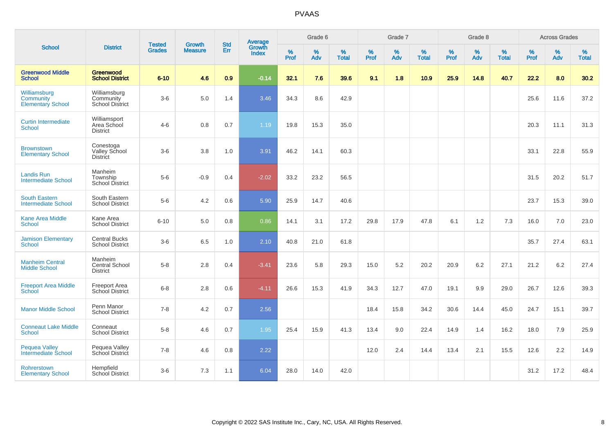|                                                       |                                                      | <b>Tested</b> | <b>Growth</b>  | <b>Std</b> |                                          |                     | Grade 6     |                   |                     | Grade 7  |                   |                     | Grade 8     |                   |              | <b>Across Grades</b> |                   |
|-------------------------------------------------------|------------------------------------------------------|---------------|----------------|------------|------------------------------------------|---------------------|-------------|-------------------|---------------------|----------|-------------------|---------------------|-------------|-------------------|--------------|----------------------|-------------------|
| <b>School</b>                                         | <b>District</b>                                      | <b>Grades</b> | <b>Measure</b> | Err        | <b>Average</b><br>Growth<br><b>Index</b> | $\%$<br><b>Prof</b> | $\%$<br>Adv | %<br><b>Total</b> | $\%$<br><b>Prof</b> | %<br>Adv | %<br><b>Total</b> | $\%$<br><b>Prof</b> | $\%$<br>Adv | %<br><b>Total</b> | $\%$<br>Prof | $\%$<br>Adv          | %<br><b>Total</b> |
| <b>Greenwood Middle</b><br><b>School</b>              | Greenwood<br><b>School District</b>                  | $6 - 10$      | 4.6            | 0.9        | $-0.14$                                  | 32.1                | 7.6         | 39.6              | 9.1                 | 1.8      | 10.9              | 25.9                | 14.8        | 40.7              | 22.2         | 8.0                  | 30.2              |
| Williamsburg<br>Community<br><b>Elementary School</b> | Williamsburg<br>Community<br><b>School District</b>  | $3-6$         | 5.0            | 1.4        | 3.46                                     | 34.3                | 8.6         | 42.9              |                     |          |                   |                     |             |                   | 25.6         | 11.6                 | 37.2              |
| <b>Curtin Intermediate</b><br><b>School</b>           | Williamsport<br>Area School<br><b>District</b>       | $4-6$         | 0.8            | 0.7        | 1.19                                     | 19.8                | 15.3        | 35.0              |                     |          |                   |                     |             |                   | 20.3         | 11.1                 | 31.3              |
| <b>Brownstown</b><br><b>Elementary School</b>         | Conestoga<br><b>Valley School</b><br><b>District</b> | $3-6$         | 3.8            | 1.0        | 3.91                                     | 46.2                | 14.1        | 60.3              |                     |          |                   |                     |             |                   | 33.1         | 22.8                 | 55.9              |
| <b>Landis Run</b><br><b>Intermediate School</b>       | Manheim<br>Township<br><b>School District</b>        | $5-6$         | $-0.9$         | 0.4        | $-2.02$                                  | 33.2                | 23.2        | 56.5              |                     |          |                   |                     |             |                   | 31.5         | 20.2                 | 51.7              |
| <b>South Eastern</b><br><b>Intermediate School</b>    | South Eastern<br><b>School District</b>              | $5-6$         | 4.2            | 0.6        | 5.90                                     | 25.9                | 14.7        | 40.6              |                     |          |                   |                     |             |                   | 23.7         | 15.3                 | 39.0              |
| <b>Kane Area Middle</b><br><b>School</b>              | Kane Area<br><b>School District</b>                  | $6 - 10$      | 5.0            | 0.8        | 0.86                                     | 14.1                | 3.1         | 17.2              | 29.8                | 17.9     | 47.8              | 6.1                 | 1.2         | 7.3               | 16.0         | 7.0                  | 23.0              |
| <b>Jamison Elementary</b><br><b>School</b>            | <b>Central Bucks</b><br><b>School District</b>       | $3-6$         | 6.5            | 1.0        | 2.10                                     | 40.8                | 21.0        | 61.8              |                     |          |                   |                     |             |                   | 35.7         | 27.4                 | 63.1              |
| <b>Manheim Central</b><br><b>Middle School</b>        | Manheim<br>Central School<br><b>District</b>         | $5-8$         | 2.8            | 0.4        | $-3.41$                                  | 23.6                | 5.8         | 29.3              | 15.0                | 5.2      | 20.2              | 20.9                | 6.2         | 27.1              | 21.2         | 6.2                  | 27.4              |
| <b>Freeport Area Middle</b><br><b>School</b>          | <b>Freeport Area</b><br>School District              | $6 - 8$       | 2.8            | 0.6        | $-4.11$                                  | 26.6                | 15.3        | 41.9              | 34.3                | 12.7     | 47.0              | 19.1                | 9.9         | 29.0              | 26.7         | 12.6                 | 39.3              |
| <b>Manor Middle School</b>                            | Penn Manor<br><b>School District</b>                 | $7 - 8$       | $4.2\,$        | 0.7        | 2.56                                     |                     |             |                   | 18.4                | 15.8     | 34.2              | 30.6                | 14.4        | 45.0              | 24.7         | 15.1                 | 39.7              |
| <b>Conneaut Lake Middle</b><br><b>School</b>          | Conneaut<br><b>School District</b>                   | $5-8$         | 4.6            | 0.7        | 1.95                                     | 25.4                | 15.9        | 41.3              | 13.4                | 9.0      | 22.4              | 14.9                | 1.4         | 16.2              | 18.0         | 7.9                  | 25.9              |
| <b>Pequea Valley</b><br>Intermediate School           | Pequea Valley<br>School District                     | $7 - 8$       | 4.6            | 0.8        | 2.22                                     |                     |             |                   | 12.0                | 2.4      | 14.4              | 13.4                | 2.1         | 15.5              | 12.6         | 2.2                  | 14.9              |
| Rohrerstown<br><b>Elementary School</b>               | Hempfield<br><b>School District</b>                  | $3-6$         | 7.3            | 1.1        | 6.04                                     | 28.0                | 14.0        | 42.0              |                     |          |                   |                     |             |                   | 31.2         | 17.2                 | 48.4              |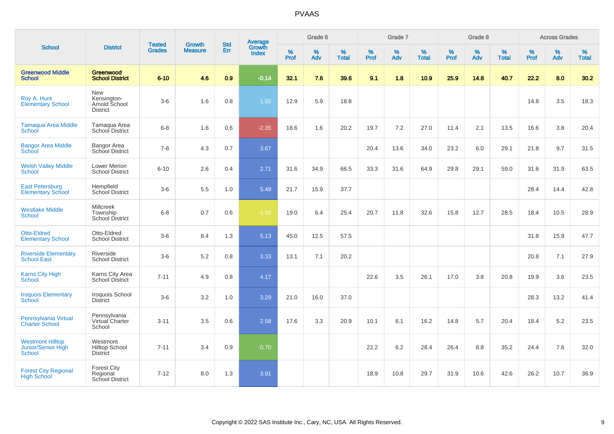|                                                                |                                                          |                                | <b>Growth</b>  | <b>Std</b>       |                                          |           | Grade 6     |                   |           | Grade 7  |                   |           | Grade 8  |                   |              | <b>Across Grades</b> |                   |
|----------------------------------------------------------------|----------------------------------------------------------|--------------------------------|----------------|------------------|------------------------------------------|-----------|-------------|-------------------|-----------|----------|-------------------|-----------|----------|-------------------|--------------|----------------------|-------------------|
| <b>School</b>                                                  | <b>District</b>                                          | <b>Tested</b><br><b>Grades</b> | <b>Measure</b> | Err              | <b>Average</b><br>Growth<br><b>Index</b> | %<br>Prof | $\%$<br>Adv | %<br><b>Total</b> | %<br>Prof | %<br>Adv | %<br><b>Total</b> | %<br>Prof | %<br>Adv | %<br><b>Total</b> | $\%$<br>Prof | $\%$<br>Adv          | %<br><b>Total</b> |
| <b>Greenwood Middle</b><br><b>School</b>                       | Greenwood<br><b>School District</b>                      | $6 - 10$                       | 4.6            | 0.9 <sub>2</sub> | $-0.14$                                  | 32.1      | 7.6         | 39.6              | 9.1       | 1.8      | 10.9              | 25.9      | 14.8     | 40.7              | 22.2         | 8.0                  | 30.2              |
| Roy A. Hunt<br><b>Elementary School</b>                        | New<br>Kensington-<br>Arnold School<br><b>District</b>   | $3-6$                          | 1.6            | 0.8              | 1.92                                     | 12.9      | 5.9         | 18.8              |           |          |                   |           |          |                   | 14.8         | 3.5                  | 18.3              |
| <b>Tamaqua Area Middle</b><br>School                           | Tamagua Area<br>School District                          | $6 - 8$                        | 1.6            | 0.6              | $-2.35$                                  | 18.6      | 1.6         | 20.2              | 19.7      | 7.2      | 27.0              | 11.4      | 2.1      | 13.5              | 16.6         | 3.8                  | 20.4              |
| <b>Bangor Area Middle</b><br>School                            | Bangor Area<br>School District                           | $7 - 8$                        | 4.3            | 0.7              | 3.67                                     |           |             |                   | 20.4      | 13.6     | 34.0              | 23.2      | 6.0      | 29.1              | 21.8         | 9.7                  | 31.5              |
| <b>Welsh Valley Middle</b><br>School                           | <b>Lower Merion</b><br><b>School District</b>            | $6 - 10$                       | 2.6            | 0.4              | 2.71                                     | 31.6      | 34.9        | 66.5              | 33.3      | 31.6     | 64.9              | 29.8      | 29.1     | 59.0              | 31.6         | 31.9                 | 63.5              |
| <b>East Petersburg</b><br><b>Elementary School</b>             | Hempfield<br>School District                             | $3-6$                          | 5.5            | 1.0              | 5.49                                     | 21.7      | 15.9        | 37.7              |           |          |                   |           |          |                   | 28.4         | 14.4                 | 42.8              |
| <b>Westlake Middle</b><br><b>School</b>                        | <b>Millcreek</b><br>Township<br>School District          | $6 - 8$                        | 0.7            | 0.6              | $-1.92$                                  | 19.0      | 6.4         | 25.4              | 20.7      | 11.8     | 32.6              | 15.8      | 12.7     | 28.5              | 18.4         | 10.5                 | 28.9              |
| <b>Otto-Eldred</b><br><b>Elementary School</b>                 | Otto-Eldred<br><b>School District</b>                    | $3-6$                          | 8.4            | 1.3              | 5.13                                     | 45.0      | 12.5        | 57.5              |           |          |                   |           |          |                   | 31.8         | 15.9                 | 47.7              |
| <b>Riverside Elementary</b><br><b>School East</b>              | Riverside<br><b>School District</b>                      | $3-6$                          | 5.2            | 0.8              | 3.33                                     | 13.1      | 7.1         | 20.2              |           |          |                   |           |          |                   | 20.8         | 7.1                  | 27.9              |
| <b>Karns City High</b><br><b>School</b>                        | Karns City Area<br>School District                       | $7 - 11$                       | 4.9            | 0.8              | 4.17                                     |           |             |                   | 22.6      | 3.5      | 26.1              | 17.0      | 3.8      | 20.8              | 19.9         | 3.6                  | 23.5              |
| <b>Iroquois Elementary</b><br><b>School</b>                    | Iroquois School<br><b>District</b>                       | $3-6$                          | 3.2            | 1.0              | 3.29                                     | 21.0      | 16.0        | 37.0              |           |          |                   |           |          |                   | 28.3         | 13.2                 | 41.4              |
| Pennsylvania Virtual<br><b>Charter School</b>                  | Pennsylvania<br>Virtual Charter<br>School                | $3 - 11$                       | 3.5            | 0.6              | 2.58                                     | 17.6      | 3.3         | 20.9              | 10.1      | 6.1      | 16.2              | 14.8      | 5.7      | 20.4              | 18.4         | 5.2                  | 23.5              |
| <b>Westmont Hilltop</b><br>Junior/Senior High<br><b>School</b> | Westmont<br><b>Hilltop School</b><br><b>District</b>     | $7 - 11$                       | 3.4            | 0.9              | $-0.70$                                  |           |             |                   | 22.2      | 6.2      | 28.4              | 26.4      | 8.8      | 35.2              | 24.4         | 7.6                  | 32.0              |
| <b>Forest City Regional</b><br><b>High School</b>              | <b>Forest City</b><br>Regional<br><b>School District</b> | $7 - 12$                       | 8.0            | 1.3              | 3.91                                     |           |             |                   | 18.9      | 10.8     | 29.7              | 31.9      | 10.6     | 42.6              | 26.2         | 10.7                 | 36.9              |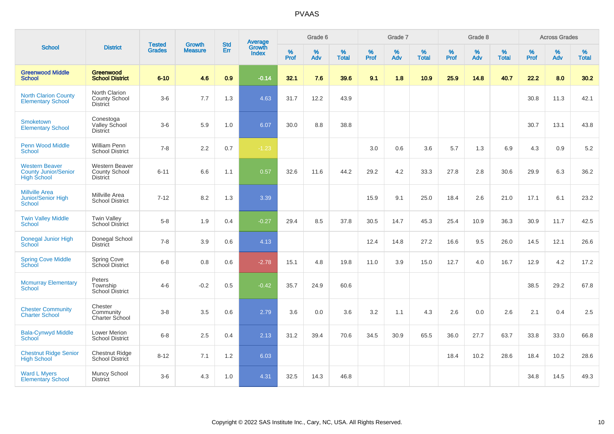|                                                                            |                                                          |                                | <b>Growth</b>  | <b>Std</b> | <b>Average</b><br>Growth |           | Grade 6  |                   |           | Grade 7     |                   |           | Grade 8     |                   |           | <b>Across Grades</b> |                   |
|----------------------------------------------------------------------------|----------------------------------------------------------|--------------------------------|----------------|------------|--------------------------|-----------|----------|-------------------|-----------|-------------|-------------------|-----------|-------------|-------------------|-----------|----------------------|-------------------|
| <b>School</b>                                                              | <b>District</b>                                          | <b>Tested</b><br><b>Grades</b> | <b>Measure</b> | Err        | <b>Index</b>             | %<br>Prof | %<br>Adv | %<br><b>Total</b> | %<br>Prof | $\%$<br>Adv | %<br><b>Total</b> | %<br>Prof | $\%$<br>Adv | %<br><b>Total</b> | %<br>Prof | $\%$<br>Adv          | %<br><b>Total</b> |
| <b>Greenwood Middle</b><br><b>School</b>                                   | Greenwood<br><b>School District</b>                      | $6 - 10$                       | 4.6            | 0.9        | $-0.14$                  | 32.1      | 7.6      | 39.6              | 9.1       | 1.8         | 10.9              | 25.9      | 14.8        | 40.7              | 22.2      | 8.0                  | 30.2              |
| <b>North Clarion County</b><br><b>Elementary School</b>                    | North Clarion<br><b>County School</b><br><b>District</b> | $3-6$                          | 7.7            | 1.3        | 4.63                     | 31.7      | 12.2     | 43.9              |           |             |                   |           |             |                   | 30.8      | 11.3                 | 42.1              |
| Smoketown<br><b>Elementary School</b>                                      | Conestoga<br>Valley School<br><b>District</b>            | $3-6$                          | 5.9            | 1.0        | 6.07                     | 30.0      | 8.8      | 38.8              |           |             |                   |           |             |                   | 30.7      | 13.1                 | 43.8              |
| <b>Penn Wood Middle</b><br><b>School</b>                                   | <b>William Penn</b><br><b>School District</b>            | $7 - 8$                        | 2.2            | 0.7        | $-1.23$                  |           |          |                   | 3.0       | 0.6         | 3.6               | 5.7       | 1.3         | 6.9               | 4.3       | 0.9                  | 5.2               |
| <b>Western Beaver</b><br><b>County Junior/Senior</b><br><b>High School</b> | Western Beaver<br>County School<br><b>District</b>       | $6 - 11$                       | 6.6            | 1.1        | 0.57                     | 32.6      | 11.6     | 44.2              | 29.2      | 4.2         | 33.3              | 27.8      | 2.8         | 30.6              | 29.9      | 6.3                  | 36.2              |
| <b>Millville Area</b><br>Junior/Senior High<br>School                      | Millville Area<br><b>School District</b>                 | $7 - 12$                       | 8.2            | 1.3        | 3.39                     |           |          |                   | 15.9      | 9.1         | 25.0              | 18.4      | 2.6         | 21.0              | 17.1      | 6.1                  | 23.2              |
| <b>Twin Valley Middle</b><br>School                                        | <b>Twin Valley</b><br><b>School District</b>             | $5-8$                          | 1.9            | 0.4        | $-0.27$                  | 29.4      | 8.5      | 37.8              | 30.5      | 14.7        | 45.3              | 25.4      | 10.9        | 36.3              | 30.9      | 11.7                 | 42.5              |
| Donegal Junior High<br>School                                              | Donegal School<br><b>District</b>                        | $7 - 8$                        | 3.9            | 0.6        | 4.13                     |           |          |                   | 12.4      | 14.8        | 27.2              | 16.6      | 9.5         | 26.0              | 14.5      | 12.1                 | 26.6              |
| <b>Spring Cove Middle</b><br>School                                        | <b>Spring Cove</b><br>School District                    | $6 - 8$                        | 0.8            | 0.6        | $-2.78$                  | 15.1      | 4.8      | 19.8              | 11.0      | 3.9         | 15.0              | 12.7      | 4.0         | 16.7              | 12.9      | 4.2                  | 17.2              |
| <b>Mcmurray Elementary</b><br>School                                       | Peters<br>Township<br><b>School District</b>             | $4 - 6$                        | $-0.2$         | 0.5        | $-0.42$                  | 35.7      | 24.9     | 60.6              |           |             |                   |           |             |                   | 38.5      | 29.2                 | 67.8              |
| <b>Chester Community</b><br><b>Charter School</b>                          | Chester<br>Community<br>Charter School                   | $3-8$                          | 3.5            | 0.6        | 2.79                     | 3.6       | 0.0      | 3.6               | 3.2       | 1.1         | 4.3               | 2.6       | 0.0         | 2.6               | 2.1       | 0.4                  | 2.5               |
| <b>Bala-Cynwyd Middle</b><br>School                                        | Lower Merion<br><b>School District</b>                   | $6 - 8$                        | 2.5            | 0.4        | 2.13                     | 31.2      | 39.4     | 70.6              | 34.5      | 30.9        | 65.5              | 36.0      | 27.7        | 63.7              | 33.8      | 33.0                 | 66.8              |
| <b>Chestnut Ridge Senior</b><br><b>High School</b>                         | Chestnut Ridge<br>School District                        | $8 - 12$                       | 7.1            | 1.2        | 6.03                     |           |          |                   |           |             |                   | 18.4      | 10.2        | 28.6              | 18.4      | 10.2                 | 28.6              |
| <b>Ward L Myers</b><br><b>Elementary School</b>                            | Muncy School<br><b>District</b>                          | $3-6$                          | 4.3            | 1.0        | 4.31                     | 32.5      | 14.3     | 46.8              |           |             |                   |           |             |                   | 34.8      | 14.5                 | 49.3              |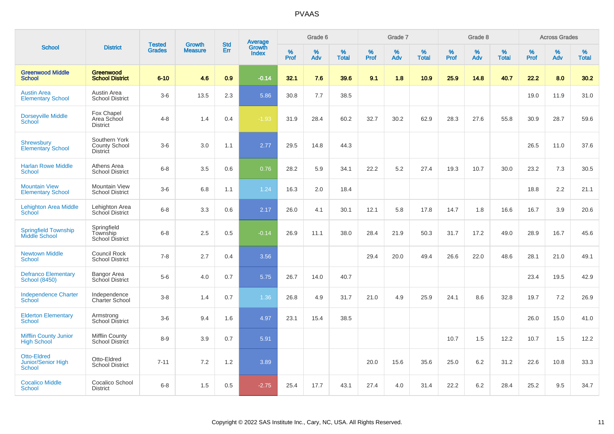|                                                           |                                                          |                                |                                 | <b>Std</b> |                                          |           | Grade 6  |                   |           | Grade 7     |                   |           | Grade 8  |                   |           | <b>Across Grades</b> |                   |
|-----------------------------------------------------------|----------------------------------------------------------|--------------------------------|---------------------------------|------------|------------------------------------------|-----------|----------|-------------------|-----------|-------------|-------------------|-----------|----------|-------------------|-----------|----------------------|-------------------|
| <b>School</b>                                             | <b>District</b>                                          | <b>Tested</b><br><b>Grades</b> | <b>Growth</b><br><b>Measure</b> | Err        | <b>Average</b><br>Growth<br><b>Index</b> | %<br>Prof | %<br>Adv | %<br><b>Total</b> | %<br>Prof | $\%$<br>Adv | %<br><b>Total</b> | %<br>Prof | %<br>Adv | %<br><b>Total</b> | %<br>Prof | $\%$<br>Adv          | %<br><b>Total</b> |
| <b>Greenwood Middle</b><br><b>School</b>                  | Greenwood<br><b>School District</b>                      | $6 - 10$                       | 4.6                             | 0.9        | $-0.14$                                  | 32.1      | 7.6      | 39.6              | 9.1       | 1.8         | 10.9              | 25.9      | 14.8     | 40.7              | 22.2      | 8.0                  | 30.2              |
| <b>Austin Area</b><br><b>Elementary School</b>            | Austin Area<br><b>School District</b>                    | $3-6$                          | 13.5                            | 2.3        | 5.86                                     | 30.8      | 7.7      | 38.5              |           |             |                   |           |          |                   | 19.0      | 11.9                 | 31.0              |
| <b>Dorseyville Middle</b><br>School                       | Fox Chapel<br>Area School<br><b>District</b>             | $4 - 8$                        | 1.4                             | 0.4        | $-1.93$                                  | 31.9      | 28.4     | 60.2              | 32.7      | 30.2        | 62.9              | 28.3      | 27.6     | 55.8              | 30.9      | 28.7                 | 59.6              |
| <b>Shrewsbury</b><br>Elementary School                    | Southern York<br><b>County School</b><br><b>District</b> | $3-6$                          | 3.0                             | 1.1        | 2.77                                     | 29.5      | 14.8     | 44.3              |           |             |                   |           |          |                   | 26.5      | 11.0                 | 37.6              |
| <b>Harlan Rowe Middle</b><br>School                       | Athens Area<br><b>School District</b>                    | $6 - 8$                        | 3.5                             | 0.6        | 0.76                                     | 28.2      | 5.9      | 34.1              | 22.2      | 5.2         | 27.4              | 19.3      | 10.7     | 30.0              | 23.2      | 7.3                  | 30.5              |
| <b>Mountain View</b><br><b>Elementary School</b>          | Mountain View<br><b>School District</b>                  | $3-6$                          | 6.8                             | 1.1        | 1.24                                     | 16.3      | 2.0      | 18.4              |           |             |                   |           |          |                   | 18.8      | 2.2                  | 21.1              |
| <b>Lehighton Area Middle</b><br><b>School</b>             | Lehighton Area<br>School District                        | $6 - 8$                        | 3.3                             | 0.6        | 2.17                                     | 26.0      | 4.1      | 30.1              | 12.1      | 5.8         | 17.8              | 14.7      | 1.8      | 16.6              | 16.7      | 3.9                  | 20.6              |
| <b>Springfield Township</b><br>Middle School              | Springfield<br>Township<br><b>School District</b>        | $6 - 8$                        | 2.5                             | 0.5        | $-0.14$                                  | 26.9      | 11.1     | 38.0              | 28.4      | 21.9        | 50.3              | 31.7      | 17.2     | 49.0              | 28.9      | 16.7                 | 45.6              |
| <b>Newtown Middle</b><br><b>School</b>                    | Council Rock<br><b>School District</b>                   | $7 - 8$                        | 2.7                             | 0.4        | 3.56                                     |           |          |                   | 29.4      | 20.0        | 49.4              | 26.6      | 22.0     | 48.6              | 28.1      | 21.0                 | 49.1              |
| <b>Defranco Elementary</b><br><b>School (8450)</b>        | Bangor Area<br>School District                           | $5-6$                          | 4.0                             | 0.7        | 5.75                                     | 26.7      | 14.0     | 40.7              |           |             |                   |           |          |                   | 23.4      | 19.5                 | 42.9              |
| <b>Independence Charter</b><br>School                     | Independence<br>Charter School                           | $3-8$                          | 1.4                             | 0.7        | 1.36                                     | 26.8      | 4.9      | 31.7              | 21.0      | 4.9         | 25.9              | 24.1      | 8.6      | 32.8              | 19.7      | 7.2                  | 26.9              |
| <b>Elderton Elementary</b><br><b>School</b>               | Armstrong<br><b>School District</b>                      | $3-6$                          | 9.4                             | 1.6        | 4.97                                     | 23.1      | 15.4     | 38.5              |           |             |                   |           |          |                   | 26.0      | 15.0                 | 41.0              |
| <b>Mifflin County Junior</b><br><b>High School</b>        | <b>Mifflin County</b><br><b>School District</b>          | $8 - 9$                        | 3.9                             | 0.7        | 5.91                                     |           |          |                   |           |             |                   | 10.7      | 1.5      | 12.2              | 10.7      | 1.5                  | 12.2              |
| <b>Otto-Eldred</b><br>Junior/Senior High<br><b>School</b> | Otto-Eldred<br><b>School District</b>                    | $7 - 11$                       | 7.2                             | 1.2        | 3.89                                     |           |          |                   | 20.0      | 15.6        | 35.6              | 25.0      | 6.2      | 31.2              | 22.6      | 10.8                 | 33.3              |
| <b>Cocalico Middle</b><br><b>School</b>                   | Cocalico School<br><b>District</b>                       | $6 - 8$                        | 1.5                             | 0.5        | $-2.75$                                  | 25.4      | 17.7     | 43.1              | 27.4      | 4.0         | 31.4              | 22.2      | 6.2      | 28.4              | 25.2      | 9.5                  | 34.7              |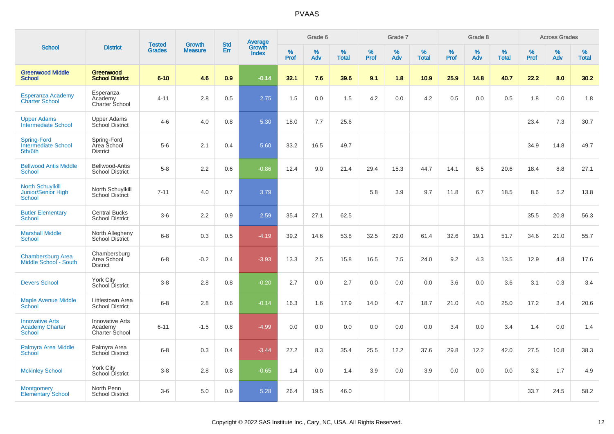|                                                                |                                                     |                                |                                 |                   |                                          |           | Grade 6  |                   |           | Grade 7  |                   |           | Grade 8  |                   |           | <b>Across Grades</b> |                   |
|----------------------------------------------------------------|-----------------------------------------------------|--------------------------------|---------------------------------|-------------------|------------------------------------------|-----------|----------|-------------------|-----------|----------|-------------------|-----------|----------|-------------------|-----------|----------------------|-------------------|
| <b>School</b>                                                  | <b>District</b>                                     | <b>Tested</b><br><b>Grades</b> | <b>Growth</b><br><b>Measure</b> | <b>Std</b><br>Err | <b>Average</b><br>Growth<br><b>Index</b> | %<br>Prof | %<br>Adv | %<br><b>Total</b> | %<br>Prof | %<br>Adv | %<br><b>Total</b> | %<br>Prof | %<br>Adv | %<br><b>Total</b> | %<br>Prof | %<br>Adv             | %<br><b>Total</b> |
| <b>Greenwood Middle</b><br><b>School</b>                       | <b>Greenwood</b><br><b>School District</b>          | $6 - 10$                       | 4.6                             | 0.9               | $-0.14$                                  | 32.1      | 7.6      | 39.6              | 9.1       | 1.8      | 10.9              | 25.9      | 14.8     | 40.7              | 22.2      | 8.0                  | 30.2              |
| Esperanza Academy<br><b>Charter School</b>                     | Esperanza<br>Academy<br>Charter School              | 4-11                           | 2.8                             | 0.5               | 2.75                                     | 1.5       | 0.0      | 1.5               | 4.2       | 0.0      | 4.2               | 0.5       | 0.0      | 0.5               | 1.8       | 0.0                  | 1.8               |
| <b>Upper Adams</b><br><b>Intermediate School</b>               | <b>Upper Adams</b><br>School District               | $4-6$                          | 4.0                             | 0.8               | 5.30                                     | 18.0      | 7.7      | 25.6              |           |          |                   |           |          |                   | 23.4      | 7.3                  | 30.7              |
| <b>Spring-Ford</b><br><b>Intermediate School</b><br>5th/6th    | Spring-Ford<br>Area School<br><b>District</b>       | $5-6$                          | 2.1                             | 0.4               | 5.60                                     | 33.2      | 16.5     | 49.7              |           |          |                   |           |          |                   | 34.9      | 14.8                 | 49.7              |
| <b>Bellwood Antis Middle</b><br><b>School</b>                  | Bellwood-Antis<br><b>School District</b>            | $5-8$                          | 2.2                             | 0.6               | $-0.86$                                  | 12.4      | 9.0      | 21.4              | 29.4      | 15.3     | 44.7              | 14.1      | 6.5      | 20.6              | 18.4      | 8.8                  | 27.1              |
| <b>North Schuylkill</b><br>Junior/Senior High<br><b>School</b> | North Schuylkill<br><b>School District</b>          | $7 - 11$                       | 4.0                             | $0.7\,$           | 3.79                                     |           |          |                   | 5.8       | 3.9      | 9.7               | 11.8      | 6.7      | 18.5              | 8.6       | 5.2                  | 13.8              |
| <b>Butler Elementary</b><br>School                             | <b>Central Bucks</b><br><b>School District</b>      | $3-6$                          | 2.2                             | 0.9               | 2.59                                     | 35.4      | 27.1     | 62.5              |           |          |                   |           |          |                   | 35.5      | 20.8                 | 56.3              |
| <b>Marshall Middle</b><br>School                               | North Allegheny<br>School District                  | $6 - 8$                        | 0.3                             | 0.5               | $-4.19$                                  | 39.2      | 14.6     | 53.8              | 32.5      | 29.0     | 61.4              | 32.6      | 19.1     | 51.7              | 34.6      | 21.0                 | 55.7              |
| <b>Chambersburg Area</b><br>Middle School - South              | Chambersburg<br>Area School<br><b>District</b>      | $6 - 8$                        | $-0.2$                          | 0.4               | $-3.93$                                  | 13.3      | 2.5      | 15.8              | 16.5      | 7.5      | 24.0              | 9.2       | 4.3      | 13.5              | 12.9      | 4.8                  | 17.6              |
| <b>Devers School</b>                                           | York City<br>School District                        | $3 - 8$                        | 2.8                             | 0.8               | $-0.20$                                  | 2.7       | 0.0      | 2.7               | 0.0       | 0.0      | 0.0               | 3.6       | 0.0      | 3.6               | 3.1       | 0.3                  | 3.4               |
| <b>Maple Avenue Middle</b><br>School                           | Littlestown Area<br><b>School District</b>          | $6 - 8$                        | 2.8                             | 0.6               | $-0.14$                                  | 16.3      | 1.6      | 17.9              | 14.0      | 4.7      | 18.7              | 21.0      | 4.0      | 25.0              | 17.2      | 3.4                  | 20.6              |
| <b>Innovative Arts</b><br><b>Academy Charter</b><br>School     | <b>Innovative Arts</b><br>Academy<br>Charter School | $6 - 11$                       | $-1.5$                          | 0.8               | $-4.99$                                  | 0.0       | 0.0      | 0.0               | 0.0       | 0.0      | 0.0               | 3.4       | 0.0      | 3.4               | 1.4       | 0.0                  | 1.4               |
| Palmyra Area Middle<br>School                                  | Palmyra Area<br>School District                     | $6 - 8$                        | 0.3                             | 0.4               | $-3.44$                                  | 27.2      | 8.3      | 35.4              | 25.5      | 12.2     | 37.6              | 29.8      | 12.2     | 42.0              | 27.5      | 10.8                 | 38.3              |
| <b>Mckinley School</b>                                         | <b>York City</b><br>School District                 | $3 - 8$                        | 2.8                             | 0.8               | $-0.65$                                  | 1.4       | 0.0      | 1.4               | 3.9       | 0.0      | 3.9               | 0.0       | 0.0      | 0.0               | 3.2       | 1.7                  | 4.9               |
| <b>Montgomery</b><br><b>Elementary School</b>                  | North Penn<br><b>School District</b>                | $3-6$                          | 5.0                             | 0.9               | 5.28                                     | 26.4      | 19.5     | 46.0              |           |          |                   |           |          |                   | 33.7      | 24.5                 | 58.2              |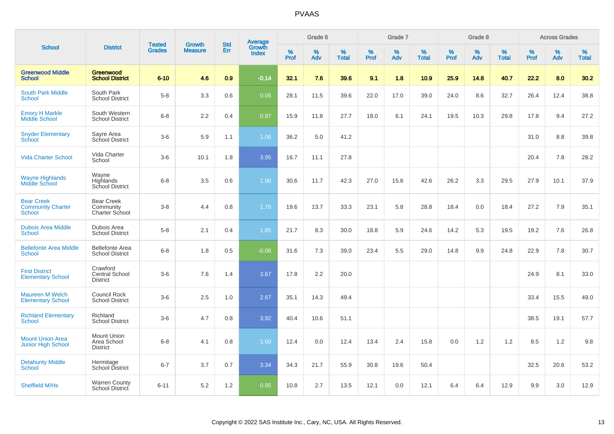|                                                                |                                                      | <b>Tested</b> | <b>Growth</b>  | <b>Std</b> |                                          |           | Grade 6     |                      |                  | Grade 7  |                   |                  | Grade 8     |                   |              | <b>Across Grades</b> |                   |
|----------------------------------------------------------------|------------------------------------------------------|---------------|----------------|------------|------------------------------------------|-----------|-------------|----------------------|------------------|----------|-------------------|------------------|-------------|-------------------|--------------|----------------------|-------------------|
| <b>School</b>                                                  | <b>District</b>                                      | <b>Grades</b> | <b>Measure</b> | Err        | <b>Average</b><br>Growth<br><b>Index</b> | %<br>Prof | $\%$<br>Adv | $\%$<br><b>Total</b> | %<br><b>Prof</b> | %<br>Adv | ℅<br><b>Total</b> | %<br><b>Prof</b> | $\%$<br>Adv | %<br><b>Total</b> | $\%$<br>Prof | $\%$<br>Adv          | %<br><b>Total</b> |
| <b>Greenwood Middle</b><br><b>School</b>                       | Greenwood<br><b>School District</b>                  | $6 - 10$      | 4.6            | 0.9        | $-0.14$                                  | 32.1      | 7.6         | 39.6                 | 9.1              | 1.8      | 10.9              | 25.9             | 14.8        | 40.7              | 22.2         | 8.0                  | 30.2              |
| <b>South Park Middle</b><br><b>School</b>                      | South Park<br><b>School District</b>                 | $5-8$         | 3.3            | 0.6        | 0.05                                     | 28.1      | 11.5        | 39.6                 | 22.0             | 17.0     | 39.0              | 24.0             | 8.6         | 32.7              | 26.4         | 12.4                 | 38.8              |
| <b>Emory H Markle</b><br>Middle School                         | South Western<br><b>School District</b>              | $6 - 8$       | 2.2            | 0.4        | 0.97                                     | 15.9      | 11.8        | 27.7                 | 18.0             | 6.1      | 24.1              | 19.5             | 10.3        | 29.8              | 17.8         | 9.4                  | 27.2              |
| <b>Snyder Elementary</b><br>School                             | Sayre Area<br>School District                        | $3-6$         | 5.9            | 1.1        | 1.06                                     | 36.2      | 5.0         | 41.2                 |                  |          |                   |                  |             |                   | 31.0         | 8.8                  | 39.8              |
| <b>Vida Charter School</b>                                     | Vida Charter<br>School                               | $3-6$         | 10.1           | 1.8        | 3.95                                     | 16.7      | 11.1        | 27.8                 |                  |          |                   |                  |             |                   | 20.4         | 7.8                  | 28.2              |
| <b>Wayne Highlands</b><br>Middle School                        | Wayne<br>Highlands<br>School District                | $6 - 8$       | 3.5            | 0.6        | 1.90                                     | 30.6      | 11.7        | 42.3                 | 27.0             | 15.6     | 42.6              | 26.2             | 3.3         | 29.5              | 27.9         | 10.1                 | 37.9              |
| <b>Bear Creek</b><br><b>Community Charter</b><br><b>School</b> | <b>Bear Creek</b><br>Community<br>Charter School     | $3-8$         | 4.4            | 0.8        | 1.78                                     | 19.6      | 13.7        | 33.3                 | 23.1             | 5.8      | 28.8              | 18.4             | 0.0         | 18.4              | 27.2         | 7.9                  | 35.1              |
| <b>Dubois Area Middle</b><br><b>School</b>                     | Dubois Area<br><b>School District</b>                | $5-8$         | 2.1            | 0.4        | 1.65                                     | 21.7      | 8.3         | 30.0                 | 18.8             | 5.9      | 24.6              | 14.2             | 5.3         | 19.5              | 19.2         | 7.6                  | 26.8              |
| <b>Bellefonte Area Middle</b><br>School                        | <b>Bellefonte Area</b><br><b>School District</b>     | $6 - 8$       | 1.8            | 0.5        | $-0.06$                                  | 31.6      | 7.3         | 39.0                 | 23.4             | 5.5      | 29.0              | 14.8             | 9.9         | 24.8              | 22.9         | 7.8                  | 30.7              |
| <b>First District</b><br><b>Elementary School</b>              | Crawford<br><b>Central School</b><br><b>District</b> | $3-6$         | 7.6            | 1.4        | 3.67                                     | 17.8      | 2.2         | 20.0                 |                  |          |                   |                  |             |                   | 24.9         | 8.1                  | 33.0              |
| <b>Maureen M Welch</b><br><b>Elementary School</b>             | <b>Council Rock</b><br><b>School District</b>        | $3-6$         | 2.5            | 1.0        | 2.67                                     | 35.1      | 14.3        | 49.4                 |                  |          |                   |                  |             |                   | 33.4         | 15.5                 | 49.0              |
| <b>Richland Elementary</b><br><b>School</b>                    | Richland<br><b>School District</b>                   | $3-6$         | 4.7            | 0.8        | 3.92                                     | 40.4      | 10.6        | 51.1                 |                  |          |                   |                  |             |                   | 38.5         | 19.1                 | 57.7              |
| <b>Mount Union Area</b><br><b>Junior High School</b>           | <b>Mount Union</b><br>Area School<br><b>District</b> | $6 - 8$       | 4.1            | 0.8        | 1.60                                     | 12.4      | 0.0         | 12.4                 | 13.4             | 2.4      | 15.8              | 0.0              | 1.2         | 1.2               | 8.5          | 1.2                  | 9.8               |
| <b>Delahunty Middle</b><br><b>School</b>                       | Hermitage<br>School District                         | $6 - 7$       | 3.7            | 0.7        | 3.34                                     | 34.3      | 21.7        | 55.9                 | 30.8             | 19.6     | 50.4              |                  |             |                   | 32.5         | 20.6                 | 53.2              |
| Sheffield M/Hs                                                 | <b>Warren County</b><br>School District              | $6 - 11$      | 5.2            | 1.2        | 0.95                                     | 10.8      | 2.7         | 13.5                 | 12.1             | 0.0      | 12.1              | 6.4              | 6.4         | 12.9              | 9.9          | 3.0                  | 12.9              |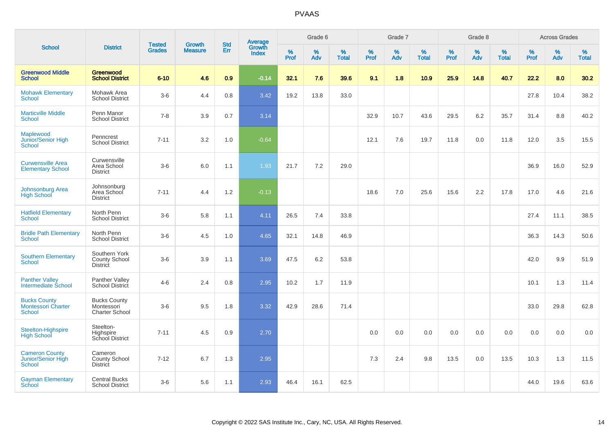|                                                                   |                                                     |                                |                          |                   |                                          |           | Grade 6     |                   |           | Grade 7  |                   |           | Grade 8  |                   |           | <b>Across Grades</b> |                   |
|-------------------------------------------------------------------|-----------------------------------------------------|--------------------------------|--------------------------|-------------------|------------------------------------------|-----------|-------------|-------------------|-----------|----------|-------------------|-----------|----------|-------------------|-----------|----------------------|-------------------|
| <b>School</b>                                                     | <b>District</b>                                     | <b>Tested</b><br><b>Grades</b> | Growth<br><b>Measure</b> | <b>Std</b><br>Err | <b>Average</b><br>Growth<br><b>Index</b> | %<br>Prof | $\%$<br>Adv | %<br><b>Total</b> | %<br>Prof | %<br>Adv | %<br><b>Total</b> | %<br>Prof | %<br>Adv | %<br><b>Total</b> | %<br>Prof | %<br>Adv             | %<br><b>Total</b> |
| <b>Greenwood Middle</b><br><b>School</b>                          | Greenwood<br><b>School District</b>                 | $6 - 10$                       | 4.6                      | 0.9               | $-0.14$                                  | 32.1      | 7.6         | 39.6              | 9.1       | 1.8      | 10.9              | 25.9      | 14.8     | 40.7              | 22.2      | 8.0                  | 30.2              |
| <b>Mohawk Elementary</b><br>School                                | Mohawk Area<br><b>School District</b>               | $3-6$                          | 4.4                      | 0.8               | 3.42                                     | 19.2      | 13.8        | 33.0              |           |          |                   |           |          |                   | 27.8      | 10.4                 | 38.2              |
| <b>Marticville Middle</b><br><b>School</b>                        | Penn Manor<br><b>School District</b>                | $7 - 8$                        | 3.9                      | 0.7               | 3.14                                     |           |             |                   | 32.9      | 10.7     | 43.6              | 29.5      | 6.2      | 35.7              | 31.4      | 8.8                  | 40.2              |
| Maplewood<br>Junior/Senior High<br><b>School</b>                  | Penncrest<br><b>School District</b>                 | $7 - 11$                       | 3.2                      | 1.0               | $-0.64$                                  |           |             |                   | 12.1      | 7.6      | 19.7              | 11.8      | 0.0      | 11.8              | 12.0      | 3.5                  | 15.5              |
| <b>Curwensville Area</b><br><b>Elementary School</b>              | Curwensville<br>Area School<br><b>District</b>      | $3-6$                          | 6.0                      | 1.1               | 1.93                                     | 21.7      | 7.2         | 29.0              |           |          |                   |           |          |                   | 36.9      | 16.0                 | 52.9              |
| <b>Johnsonburg Area</b><br><b>High School</b>                     | Johnsonburg<br>Area School<br><b>District</b>       | $7 - 11$                       | 4.4                      | 1.2               | $-0.13$                                  |           |             |                   | 18.6      | 7.0      | 25.6              | 15.6      | 2.2      | 17.8              | 17.0      | 4.6                  | 21.6              |
| <b>Hatfield Elementary</b><br>School                              | North Penn<br><b>School District</b>                | $3-6$                          | 5.8                      | 1.1               | 4.11                                     | 26.5      | 7.4         | 33.8              |           |          |                   |           |          |                   | 27.4      | 11.1                 | 38.5              |
| <b>Bridle Path Elementary</b><br>School                           | North Penn<br><b>School District</b>                | $3-6$                          | 4.5                      | 1.0               | 4.65                                     | 32.1      | 14.8        | 46.9              |           |          |                   |           |          |                   | 36.3      | 14.3                 | 50.6              |
| <b>Southern Elementary</b><br><b>School</b>                       | Southern York<br>County School<br><b>District</b>   | $3-6$                          | 3.9                      | 1.1               | 3.69                                     | 47.5      | 6.2         | 53.8              |           |          |                   |           |          |                   | 42.0      | 9.9                  | 51.9              |
| <b>Panther Valley</b><br>Intermediate School                      | Panther Valley<br><b>School District</b>            | $4 - 6$                        | 2.4                      | 0.8               | 2.95                                     | 10.2      | 1.7         | 11.9              |           |          |                   |           |          |                   | 10.1      | 1.3                  | 11.4              |
| <b>Bucks County</b><br><b>Montessori Charter</b><br><b>School</b> | <b>Bucks County</b><br>Montessori<br>Charter School | $3-6$                          | 9.5                      | 1.8               | 3.32                                     | 42.9      | 28.6        | 71.4              |           |          |                   |           |          |                   | 33.0      | 29.8                 | 62.8              |
| Steelton-Highspire<br><b>High School</b>                          | Steelton-<br>Highspire<br>School District           | $7 - 11$                       | 4.5                      | 0.9               | 2.70                                     |           |             |                   | 0.0       | 0.0      | 0.0               | 0.0       | 0.0      | 0.0               | 0.0       | 0.0                  | 0.0               |
| <b>Cameron County</b><br>Junior/Senior High<br>School             | Cameron<br>County School<br><b>District</b>         | $7 - 12$                       | 6.7                      | 1.3               | 2.95                                     |           |             |                   | 7.3       | 2.4      | 9.8               | 13.5      | 0.0      | 13.5              | 10.3      | 1.3                  | 11.5              |
| <b>Gayman Elementary</b><br>School                                | <b>Central Bucks</b><br><b>School District</b>      | $3-6$                          | 5.6                      | 1.1               | 2.93                                     | 46.4      | 16.1        | 62.5              |           |          |                   |           |          |                   | 44.0      | 19.6                 | 63.6              |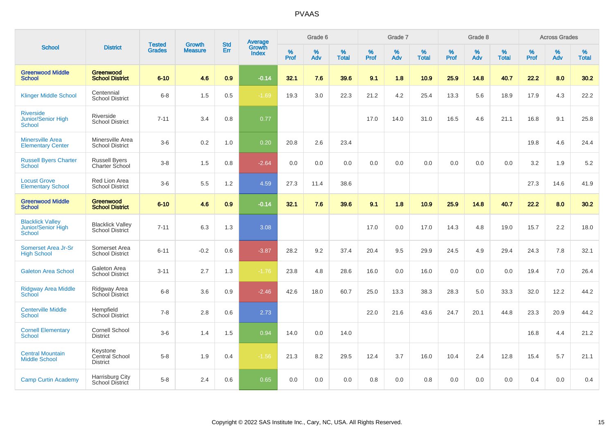|                                                         |                                               |                         | <b>Growth</b>  | <b>Std</b> |                                          |                  | Grade 6  |                   |           | Grade 7     |                   |           | Grade 8  |                   |              | <b>Across Grades</b> |                   |
|---------------------------------------------------------|-----------------------------------------------|-------------------------|----------------|------------|------------------------------------------|------------------|----------|-------------------|-----------|-------------|-------------------|-----------|----------|-------------------|--------------|----------------------|-------------------|
| <b>School</b>                                           | <b>District</b>                               | Tested<br><b>Grades</b> | <b>Measure</b> | Err        | <b>Average</b><br>Growth<br><b>Index</b> | %<br><b>Prof</b> | %<br>Adv | %<br><b>Total</b> | %<br>Prof | $\%$<br>Adv | %<br><b>Total</b> | %<br>Prof | %<br>Adv | %<br><b>Total</b> | $\%$<br>Prof | $\%$<br>Adv          | %<br><b>Total</b> |
| <b>Greenwood Middle</b><br><b>School</b>                | Greenwood<br><b>School District</b>           | $6 - 10$                | 4.6            | 0.9        | $-0.14$                                  | 32.1             | 7.6      | 39.6              | 9.1       | 1.8         | 10.9              | 25.9      | 14.8     | 40.7              | 22.2         | 8.0                  | 30.2              |
| <b>Klinger Middle School</b>                            | Centennial<br><b>School District</b>          | $6 - 8$                 | 1.5            | 0.5        | $-1.69$                                  | 19.3             | 3.0      | 22.3              | 21.2      | 4.2         | 25.4              | 13.3      | 5.6      | 18.9              | 17.9         | 4.3                  | 22.2              |
| <b>Riverside</b><br>Junior/Senior High<br>School        | Riverside<br><b>School District</b>           | $7 - 11$                | 3.4            | 0.8        | 0.77                                     |                  |          |                   | 17.0      | 14.0        | 31.0              | 16.5      | 4.6      | 21.1              | 16.8         | 9.1                  | 25.8              |
| <b>Minersville Area</b><br><b>Elementary Center</b>     | Minersville Area<br><b>School District</b>    | $3-6$                   | 0.2            | 1.0        | 0.20                                     | 20.8             | 2.6      | 23.4              |           |             |                   |           |          |                   | 19.8         | 4.6                  | 24.4              |
| <b>Russell Byers Charter</b><br><b>School</b>           | <b>Russell Byers</b><br>Charter School        | $3 - 8$                 | 1.5            | 0.8        | $-2.64$                                  | 0.0              | 0.0      | 0.0               | 0.0       | 0.0         | 0.0               | 0.0       | 0.0      | 0.0               | 3.2          | 1.9                  | 5.2               |
| <b>Locust Grove</b><br><b>Elementary School</b>         | Red Lion Area<br><b>School District</b>       | $3-6$                   | 5.5            | 1.2        | 4.59                                     | 27.3             | 11.4     | 38.6              |           |             |                   |           |          |                   | 27.3         | 14.6                 | 41.9              |
| <b>Greenwood Middle</b><br><b>School</b>                | Greenwood<br><b>School District</b>           | $6 - 10$                | 4.6            | 0.9        | $-0.14$                                  | 32.1             | 7.6      | 39.6              | 9.1       | 1.8         | 10.9              | 25.9      | 14.8     | 40.7              | 22.2         | 8.0                  | 30.2              |
| <b>Blacklick Valley</b><br>Junior/Senior High<br>School | <b>Blacklick Valley</b><br>School District    | $7 - 11$                | 6.3            | 1.3        | 3.08                                     |                  |          |                   | 17.0      | 0.0         | 17.0              | 14.3      | 4.8      | 19.0              | 15.7         | 2.2                  | 18.0              |
| Somerset Area Jr-Sr<br><b>High School</b>               | Somerset Area<br><b>School District</b>       | $6 - 11$                | $-0.2$         | 0.6        | $-3.87$                                  | 28.2             | 9.2      | 37.4              | 20.4      | 9.5         | 29.9              | 24.5      | 4.9      | 29.4              | 24.3         | 7.8                  | 32.1              |
| <b>Galeton Area School</b>                              | Galeton Area<br><b>School District</b>        | $3 - 11$                | 2.7            | 1.3        | $-1.76$                                  | 23.8             | 4.8      | 28.6              | 16.0      | 0.0         | 16.0              | 0.0       | 0.0      | 0.0               | 19.4         | 7.0                  | 26.4              |
| Ridgway Area Middle<br>School                           | Ridgway Area<br>School District               | $6 - 8$                 | 3.6            | 0.9        | $-2.46$                                  | 42.6             | 18.0     | 60.7              | 25.0      | 13.3        | 38.3              | 28.3      | 5.0      | 33.3              | 32.0         | 12.2                 | 44.2              |
| <b>Centerville Middle</b><br><b>School</b>              | Hempfield<br>School District                  | $7 - 8$                 | 2.8            | 0.6        | 2.73                                     |                  |          |                   | 22.0      | 21.6        | 43.6              | 24.7      | 20.1     | 44.8              | 23.3         | 20.9                 | 44.2              |
| <b>Cornell Elementary</b><br><b>School</b>              | Cornell School<br><b>District</b>             | $3-6$                   | 1.4            | 1.5        | 0.94                                     | 14.0             | 0.0      | 14.0              |           |             |                   |           |          |                   | 16.8         | 4.4                  | 21.2              |
| <b>Central Mountain</b><br><b>Middle School</b>         | Keystone<br>Central School<br><b>District</b> | $5-8$                   | 1.9            | 0.4        | $-1.56$                                  | 21.3             | 8.2      | 29.5              | 12.4      | 3.7         | 16.0              | 10.4      | 2.4      | 12.8              | 15.4         | 5.7                  | 21.1              |
| <b>Camp Curtin Academy</b>                              | Harrisburg City<br><b>School District</b>     | $5-8$                   | 2.4            | 0.6        | 0.65                                     | 0.0              | 0.0      | 0.0               | 0.8       | 0.0         | 0.8               | 0.0       | 0.0      | 0.0               | 0.4          | 0.0                  | 0.4               |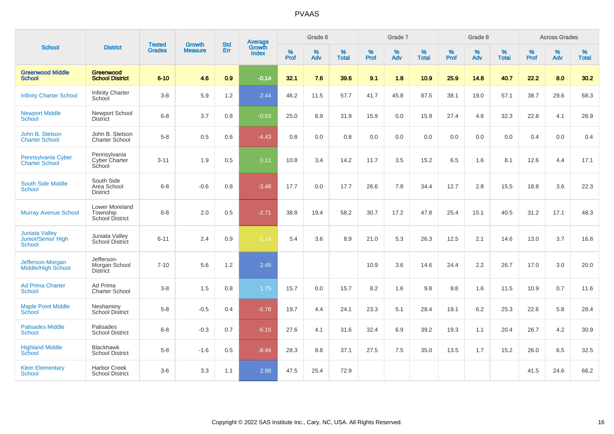|                                                       |                                                |                                |                                 | <b>Std</b> |                                          |                  | Grade 6     |                   |                  | Grade 7     |                   |                     | Grade 8     |                   |                     | <b>Across Grades</b> |                   |
|-------------------------------------------------------|------------------------------------------------|--------------------------------|---------------------------------|------------|------------------------------------------|------------------|-------------|-------------------|------------------|-------------|-------------------|---------------------|-------------|-------------------|---------------------|----------------------|-------------------|
| <b>School</b>                                         | <b>District</b>                                | <b>Tested</b><br><b>Grades</b> | <b>Growth</b><br><b>Measure</b> | Err        | <b>Average</b><br>Growth<br><b>Index</b> | %<br><b>Prof</b> | $\%$<br>Adv | %<br><b>Total</b> | %<br><b>Prof</b> | $\%$<br>Adv | %<br><b>Total</b> | $\%$<br><b>Prof</b> | $\%$<br>Adv | %<br><b>Total</b> | $\%$<br><b>Prof</b> | $\%$<br>Adv          | %<br><b>Total</b> |
| <b>Greenwood Middle</b><br><b>School</b>              | Greenwood<br><b>School District</b>            | $6 - 10$                       | 4.6                             | 0.9        | $-0.14$                                  | 32.1             | 7.6         | 39.6              | 9.1              | 1.8         | 10.9              | 25.9                | 14.8        | 40.7              | 22.2                | 8.0                  | 30.2              |
| <b>Infinity Charter School</b>                        | <b>Infinity Charter</b><br>School              | $3-8$                          | 5.9                             | 1.2        | 2.44                                     | 46.2             | 11.5        | 57.7              | 41.7             | 45.8        | 87.5              | 38.1                | 19.0        | 57.1              | 38.7                | 29.6                 | 68.3              |
| <b>Newport Middle</b><br>School                       | Newport School<br><b>District</b>              | $6 - 8$                        | 3.7                             | 0.8        | $-0.63$                                  | 25.0             | 6.9         | 31.9              | 15.9             | 0.0         | 15.9              | 27.4                | 4.8         | 32.3              | 22.8                | 4.1                  | 26.9              |
| John B. Stetson<br><b>Charter School</b>              | John B. Stetson<br><b>Charter School</b>       | $5-8$                          | 0.5                             | 0.6        | $-4.43$                                  | 0.8              | 0.0         | 0.8               | 0.0              | 0.0         | 0.0               | 0.0                 | 0.0         | 0.0               | 0.4                 | 0.0                  | 0.4               |
| Pennsylvania Cyber<br><b>Charter School</b>           | Pennsylvania<br>Cyber Charter<br>School        | $3 - 11$                       | 1.9                             | 0.5        | 0.11                                     | 10.8             | 3.4         | 14.2              | 11.7             | 3.5         | 15.2              | 6.5                 | 1.6         | 8.1               | 12.6                | 4.4                  | 17.1              |
| <b>South Side Middle</b><br><b>School</b>             | South Side<br>Area School<br><b>District</b>   | $6 - 8$                        | $-0.6$                          | 0.8        | $-3.48$                                  | 17.7             | 0.0         | 17.7              | 26.6             | 7.8         | 34.4              | 12.7                | 2.8         | 15.5              | 18.8                | 3.6                  | 22.3              |
| <b>Murray Avenue School</b>                           | Lower Moreland<br>Township<br>School District  | $6 - 8$                        | 2.0                             | 0.5        | $-2.71$                                  | 38.8             | 19.4        | 58.2              | 30.7             | 17.2        | 47.8              | 25.4                | 15.1        | 40.5              | 31.2                | 17.1                 | 48.3              |
| <b>Juniata Valley</b><br>Junior/Senior High<br>School | Juniata Valley<br>School District              | $6 - 11$                       | 2.4                             | 0.9        | $-1.14$                                  | 5.4              | 3.6         | 8.9               | 21.0             | 5.3         | 26.3              | 12.5                | 2.1         | 14.6              | 13.0                | 3.7                  | 16.8              |
| Jefferson-Morgan<br><b>Middle/High School</b>         | Jefferson-<br>Morgan School<br><b>District</b> | $7 - 10$                       | 5.6                             | 1.2        | 2.45                                     |                  |             |                   | 10.9             | 3.6         | 14.6              | 24.4                | 2.2         | 26.7              | 17.0                | 3.0                  | 20.0              |
| <b>Ad Prima Charter</b><br><b>School</b>              | Ad Prima<br><b>Charter School</b>              | $3-8$                          | 1.5                             | 0.8        | 1.75                                     | 15.7             | 0.0         | 15.7              | 8.2              | 1.6         | 9.8               | 9.8                 | 1.6         | 11.5              | 10.9                | 0.7                  | 11.6              |
| <b>Maple Point Middle</b><br>School                   | Neshaminy<br><b>School District</b>            | $5-8$                          | $-0.5$                          | 0.4        | $-5.78$                                  | 19.7             | 4.4         | 24.1              | 23.3             | 5.1         | 28.4              | 19.1                | 6.2         | 25.3              | 22.6                | 5.8                  | 28.4              |
| <b>Palisades Middle</b><br><b>School</b>              | Palisades<br><b>School District</b>            | $6 - 8$                        | $-0.3$                          | 0.7        | $-6.15$                                  | 27.6             | 4.1         | 31.6              | 32.4             | 6.9         | 39.2              | 19.3                | 1.1         | 20.4              | 26.7                | 4.2                  | 30.9              |
| <b>Highland Middle</b><br>School                      | <b>Blackhawk</b><br><b>School District</b>     | $5-8$                          | $-1.6$                          | 0.5        | $-8.94$                                  | 28.3             | 8.8         | 37.1              | 27.5             | 7.5         | 35.0              | 13.5                | 1.7         | 15.2              | 26.0                | 6.5                  | 32.5              |
| <b>Klein Elementary</b><br>School                     | <b>Harbor Creek</b><br><b>School District</b>  | $3-6$                          | 3.3                             | 1.1        | 2.98                                     | 47.5             | 25.4        | 72.9              |                  |             |                   |                     |             |                   | 41.5                | 24.6                 | 66.2              |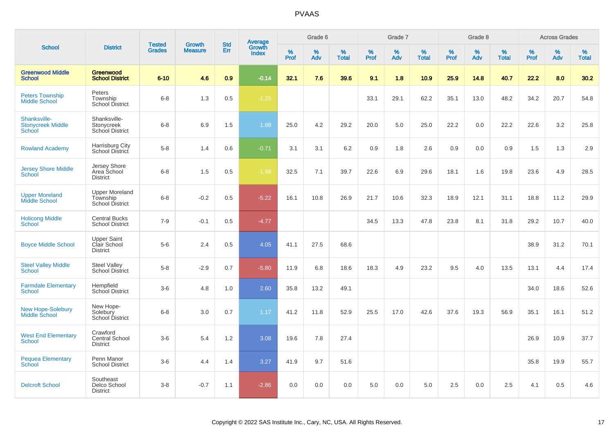|                                                           |                                                       |                                | <b>Growth</b>  | <b>Std</b> |                                          |              | Grade 6     |                   |              | Grade 7  |                   |                  | Grade 8     |                   |              | <b>Across Grades</b> |                   |
|-----------------------------------------------------------|-------------------------------------------------------|--------------------------------|----------------|------------|------------------------------------------|--------------|-------------|-------------------|--------------|----------|-------------------|------------------|-------------|-------------------|--------------|----------------------|-------------------|
| <b>School</b>                                             | <b>District</b>                                       | <b>Tested</b><br><b>Grades</b> | <b>Measure</b> | Err        | <b>Average</b><br>Growth<br><b>Index</b> | $\%$<br>Prof | $\%$<br>Adv | %<br><b>Total</b> | $\%$<br>Prof | %<br>Adv | %<br><b>Total</b> | %<br><b>Prof</b> | $\%$<br>Adv | %<br><b>Total</b> | $\%$<br>Prof | $\%$<br>Adv          | %<br><b>Total</b> |
| <b>Greenwood Middle</b><br><b>School</b>                  | <b>Greenwood</b><br><b>School District</b>            | $6 - 10$                       | 4.6            | 0.9        | $-0.14$                                  | 32.1         | 7.6         | 39.6              | 9.1          | 1.8      | 10.9              | 25.9             | 14.8        | 40.7              | 22.2         | 8.0                  | 30.2              |
| <b>Peters Township</b><br><b>Middle School</b>            | Peters<br>Township<br><b>School District</b>          | $6 - 8$                        | 1.3            | 0.5        | $-1.25$                                  |              |             |                   | 33.1         | 29.1     | 62.2              | 35.1             | 13.0        | 48.2              | 34.2         | 20.7                 | 54.8              |
| Shanksville-<br><b>Stonycreek Middle</b><br><b>School</b> | Shanksville-<br>Stonycreek<br>School District         | $6 - 8$                        | 6.9            | 1.5        | 1.88                                     | 25.0         | 4.2         | 29.2              | 20.0         | 5.0      | 25.0              | 22.2             | 0.0         | 22.2              | 22.6         | 3.2                  | 25.8              |
| <b>Rowland Academy</b>                                    | Harrisburg City<br>School District                    | $5-8$                          | 1.4            | 0.6        | $-0.71$                                  | 3.1          | 3.1         | 6.2               | 0.9          | 1.8      | 2.6               | 0.9              | 0.0         | 0.9               | 1.5          | 1.3                  | 2.9               |
| <b>Jersey Shore Middle</b><br>School                      | Jersey Shore<br>Area School<br><b>District</b>        | $6 - 8$                        | 1.5            | 0.5        | $-1.98$                                  | 32.5         | 7.1         | 39.7              | 22.6         | 6.9      | 29.6              | 18.1             | 1.6         | 19.8              | 23.6         | 4.9                  | 28.5              |
| <b>Upper Moreland</b><br>Middle School                    | <b>Upper Moreland</b><br>Township<br>School District  | $6 - 8$                        | $-0.2$         | 0.5        | $-5.22$                                  | 16.1         | 10.8        | 26.9              | 21.7         | 10.6     | 32.3              | 18.9             | 12.1        | 31.1              | 18.8         | 11.2                 | 29.9              |
| <b>Holicong Middle</b><br><b>School</b>                   | <b>Central Bucks</b><br><b>School District</b>        | $7 - 9$                        | $-0.1$         | 0.5        | $-4.77$                                  |              |             |                   | 34.5         | 13.3     | 47.8              | 23.8             | 8.1         | 31.8              | 29.2         | 10.7                 | 40.0              |
| <b>Boyce Middle School</b>                                | <b>Upper Saint</b><br>Clair School<br><b>District</b> | $5-6$                          | 2.4            | 0.5        | 4.05                                     | 41.1         | 27.5        | 68.6              |              |          |                   |                  |             |                   | 38.9         | 31.2                 | 70.1              |
| <b>Steel Valley Middle</b><br><b>School</b>               | <b>Steel Valley</b><br><b>School District</b>         | $5-8$                          | $-2.9$         | 0.7        | $-5.80$                                  | 11.9         | 6.8         | 18.6              | 18.3         | 4.9      | 23.2              | 9.5              | 4.0         | 13.5              | 13.1         | 4.4                  | 17.4              |
| <b>Farmdale Elementary</b><br><b>School</b>               | Hempfield<br><b>School District</b>                   | $3-6$                          | 4.8            | 1.0        | 2.60                                     | 35.8         | 13.2        | 49.1              |              |          |                   |                  |             |                   | 34.0         | 18.6                 | 52.6              |
| <b>New Hope-Solebury</b><br>Middle School                 | New Hope-<br>Solebury<br><b>School District</b>       | $6 - 8$                        | 3.0            | 0.7        | 1.17                                     | 41.2         | 11.8        | 52.9              | 25.5         | 17.0     | 42.6              | 37.6             | 19.3        | 56.9              | 35.1         | 16.1                 | 51.2              |
| <b>West End Elementary</b><br><b>School</b>               | Crawford<br><b>Central School</b><br><b>District</b>  | $3-6$                          | 5.4            | 1.2        | 3.08                                     | 19.6         | 7.8         | 27.4              |              |          |                   |                  |             |                   | 26.9         | 10.9                 | 37.7              |
| <b>Pequea Elementary</b><br>School                        | Penn Manor<br><b>School District</b>                  | $3-6$                          | 4.4            | 1.4        | 3.27                                     | 41.9         | 9.7         | 51.6              |              |          |                   |                  |             |                   | 35.8         | 19.9                 | 55.7              |
| <b>Delcroft School</b>                                    | Southeast<br>Delco School<br><b>District</b>          | $3-8$                          | $-0.7$         | 1.1        | $-2.86$                                  | 0.0          | 0.0         | 0.0               | 5.0          | 0.0      | 5.0               | 2.5              | 0.0         | 2.5               | 4.1          | 0.5                  | 4.6               |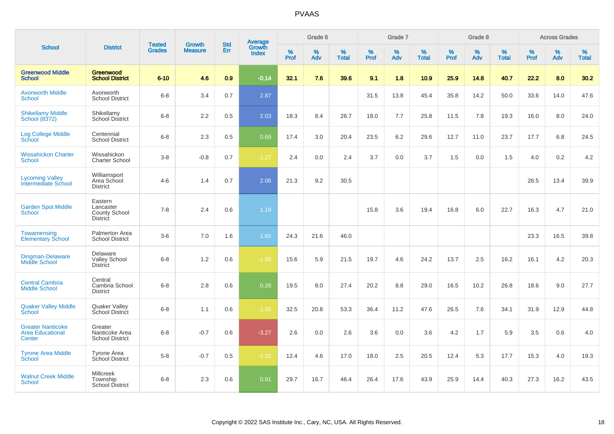|                                                               |                                                          | <b>Tested</b> | Growth         | <b>Std</b> |                                          |                  | Grade 6  |                   |           | Grade 7  |                   |           | Grade 8  |                   |           | <b>Across Grades</b> |                   |
|---------------------------------------------------------------|----------------------------------------------------------|---------------|----------------|------------|------------------------------------------|------------------|----------|-------------------|-----------|----------|-------------------|-----------|----------|-------------------|-----------|----------------------|-------------------|
| <b>School</b>                                                 | <b>District</b>                                          | <b>Grades</b> | <b>Measure</b> | Err        | <b>Average</b><br>Growth<br><b>Index</b> | %<br><b>Prof</b> | %<br>Adv | %<br><b>Total</b> | %<br>Prof | %<br>Adv | %<br><b>Total</b> | %<br>Prof | %<br>Adv | %<br><b>Total</b> | %<br>Prof | $\%$<br>Adv          | %<br><b>Total</b> |
| <b>Greenwood Middle</b><br><b>School</b>                      | Greenwood<br><b>School District</b>                      | $6 - 10$      | 4.6            | 0.9        | $-0.14$                                  | 32.1             | 7.6      | 39.6              | 9.1       | 1.8      | 10.9              | 25.9      | 14.8     | 40.7              | 22.2      | 8.0                  | 30.2              |
| <b>Avonworth Middle</b><br><b>School</b>                      | Avonworth<br><b>School District</b>                      | $6 - 8$       | 3.4            | 0.7        | 2.87                                     |                  |          |                   | 31.5      | 13.8     | 45.4              | 35.8      | 14.2     | 50.0              | 33.6      | 14.0                 | 47.6              |
| <b>Shikellamy Middle</b><br>School (8372)                     | Shikellamy<br><b>School District</b>                     | $6 - 8$       | 2.2            | 0.5        | 2.03                                     | 18.3             | 8.4      | 26.7              | 18.0      | 7.7      | 25.8              | 11.5      | 7.8      | 19.3              | 16.0      | 8.0                  | 24.0              |
| <b>Log College Middle</b><br>School                           | Centennial<br><b>School District</b>                     | $6 - 8$       | 2.3            | 0.5        | 0.69                                     | 17.4             | 3.0      | 20.4              | 23.5      | 6.2      | 29.6              | 12.7      | 11.0     | 23.7              | 17.7      | 6.8                  | 24.5              |
| <b>Wissahickon Charter</b><br>School                          | Wissahickon<br><b>Charter School</b>                     | $3 - 8$       | $-0.8$         | 0.7        | $-1.27$                                  | 2.4              | 0.0      | 2.4               | 3.7       | 0.0      | 3.7               | 1.5       | 0.0      | 1.5               | 4.0       | 0.2                  | 4.2               |
| <b>Lycoming Valley</b><br>Intermediate School                 | Williamsport<br>Area School<br><b>District</b>           | $4 - 6$       | 1.4            | 0.7        | 2.06                                     | 21.3             | 9.2      | 30.5              |           |          |                   |           |          |                   | 26.5      | 13.4                 | 39.9              |
| <b>Garden Spot Middle</b><br>School                           | Eastern<br>Lancaster<br>County School<br><b>District</b> | $7 - 8$       | 2.4            | 0.6        | 1.19                                     |                  |          |                   | 15.8      | 3.6      | 19.4              | 16.8      | 6.0      | 22.7              | 16.3      | 4.7                  | 21.0              |
| Towamensing<br><b>Elementary School</b>                       | Palmerton Area<br><b>School District</b>                 | $3-6$         | 7.0            | 1.6        | 1.65                                     | 24.3             | 21.6     | 46.0              |           |          |                   |           |          |                   | 23.3      | 16.5                 | 39.8              |
| <b>Dingman-Delaware</b><br><b>Middle School</b>               | Delaware<br><b>Valley School</b><br><b>District</b>      | $6 - 8$       | 1.2            | 0.6        | $-1.09$                                  | 15.6             | 5.9      | 21.5              | 19.7      | 4.6      | 24.2              | 13.7      | 2.5      | 16.2              | 16.1      | 4.2                  | 20.3              |
| <b>Central Cambria</b><br><b>Middle School</b>                | Central<br>Cambria School<br><b>District</b>             | $6 - 8$       | 2.8            | 0.6        | 0.28                                     | 19.5             | 8.0      | 27.4              | 20.2      | 8.8      | 29.0              | 16.5      | 10.2     | 26.8              | 18.6      | 9.0                  | 27.7              |
| <b>Quaker Valley Middle</b><br><b>School</b>                  | Quaker Valley<br>School District                         | $6 - 8$       | 1.1            | 0.6        | $-1.55$                                  | 32.5             | 20.8     | 53.3              | 36.4      | 11.2     | 47.6              | 26.5      | 7.6      | 34.1              | 31.9      | 12.9                 | 44.8              |
| <b>Greater Nanticoke</b><br><b>Area Educational</b><br>Center | Greater<br>Nanticoke Area<br><b>School District</b>      | $6 - 8$       | $-0.7$         | 0.6        | $-3.27$                                  | 2.6              | 0.0      | 2.6               | 3.6       | 0.0      | 3.6               | 4.2       | 1.7      | 5.9               | 3.5       | 0.6                  | 4.0               |
| <b>Tyrone Area Middle</b><br>School                           | <b>Tyrone Area</b><br>School District                    | $5 - 8$       | $-0.7$         | 0.5        | $-1.32$                                  | 12.4             | 4.6      | 17.0              | 18.0      | 2.5      | 20.5              | 12.4      | 5.3      | 17.7              | 15.3      | 4.0                  | 19.3              |
| <b>Walnut Creek Middle</b><br>School                          | <b>Millcreek</b><br>Township<br>School District          | $6 - 8$       | 2.3            | 0.6        | 0.91                                     | 29.7             | 16.7     | 46.4              | 26.4      | 17.6     | 43.9              | 25.9      | 14.4     | 40.3              | 27.3      | 16.2                 | 43.5              |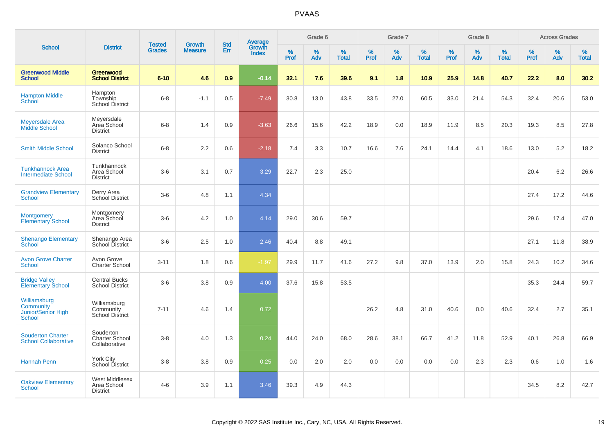|                                                                  |                                                     |                                | <b>Growth</b>  | <b>Std</b> |                                   |                     | Grade 6     |                   |                     | Grade 7     |                   |              | Grade 8     |                   |              | <b>Across Grades</b> |                   |
|------------------------------------------------------------------|-----------------------------------------------------|--------------------------------|----------------|------------|-----------------------------------|---------------------|-------------|-------------------|---------------------|-------------|-------------------|--------------|-------------|-------------------|--------------|----------------------|-------------------|
| <b>School</b>                                                    | <b>District</b>                                     | <b>Tested</b><br><b>Grades</b> | <b>Measure</b> | Err        | Average<br>Growth<br><b>Index</b> | $\%$<br><b>Prof</b> | $\%$<br>Adv | %<br><b>Total</b> | $\%$<br><b>Prof</b> | $\%$<br>Adv | %<br><b>Total</b> | $\%$<br>Prof | $\%$<br>Adv | %<br><b>Total</b> | $\%$<br>Prof | $\%$<br>Adv          | %<br><b>Total</b> |
| <b>Greenwood Middle</b><br><b>School</b>                         | Greenwood<br><b>School District</b>                 | $6 - 10$                       | 4.6            | 0.9        | $-0.14$                           | 32.1                | 7.6         | 39.6              | 9.1                 | 1.8         | 10.9              | 25.9         | 14.8        | 40.7              | 22.2         | 8.0                  | 30.2              |
| <b>Hampton Middle</b><br>School                                  | Hampton<br>Township<br>School District              | $6 - 8$                        | $-1.1$         | 0.5        | $-7.49$                           | 30.8                | 13.0        | 43.8              | 33.5                | 27.0        | 60.5              | 33.0         | 21.4        | 54.3              | 32.4         | 20.6                 | 53.0              |
| <b>Meyersdale Area</b><br>Middle School                          | Meyersdale<br>Area School<br><b>District</b>        | $6 - 8$                        | 1.4            | 0.9        | $-3.63$                           | 26.6                | 15.6        | 42.2              | 18.9                | 0.0         | 18.9              | 11.9         | 8.5         | 20.3              | 19.3         | 8.5                  | 27.8              |
| <b>Smith Middle School</b>                                       | Solanco School<br><b>District</b>                   | $6 - 8$                        | 2.2            | 0.6        | $-2.18$                           | 7.4                 | 3.3         | 10.7              | 16.6                | 7.6         | 24.1              | 14.4         | 4.1         | 18.6              | 13.0         | 5.2                  | 18.2              |
| <b>Tunkhannock Area</b><br><b>Intermediate School</b>            | Tunkhannock<br>Area School<br><b>District</b>       | $3-6$                          | 3.1            | 0.7        | 3.29                              | 22.7                | 2.3         | 25.0              |                     |             |                   |              |             |                   | 20.4         | 6.2                  | 26.6              |
| <b>Grandview Elementary</b><br><b>School</b>                     | Derry Area<br>School District                       | $3-6$                          | 4.8            | 1.1        | 4.34                              |                     |             |                   |                     |             |                   |              |             |                   | 27.4         | 17.2                 | 44.6              |
| <b>Montgomery</b><br><b>Elementary School</b>                    | Montgomery<br>Area School<br><b>District</b>        | $3-6$                          | 4.2            | 1.0        | 4.14                              | 29.0                | 30.6        | 59.7              |                     |             |                   |              |             |                   | 29.6         | 17.4                 | 47.0              |
| <b>Shenango Elementary</b><br><b>School</b>                      | Shenango Area<br>School District                    | $3-6$                          | 2.5            | 1.0        | 2.46                              | 40.4                | 8.8         | 49.1              |                     |             |                   |              |             |                   | 27.1         | 11.8                 | 38.9              |
| <b>Avon Grove Charter</b><br><b>School</b>                       | Avon Grove<br><b>Charter School</b>                 | $3 - 11$                       | 1.8            | 0.6        | $-1.97$                           | 29.9                | 11.7        | 41.6              | 27.2                | 9.8         | 37.0              | 13.9         | 2.0         | 15.8              | 24.3         | 10.2                 | 34.6              |
| <b>Bridge Valley</b><br><b>Elementary School</b>                 | <b>Central Bucks</b><br><b>School District</b>      | $3-6$                          | 3.8            | $0.9\,$    | 4.00                              | 37.6                | 15.8        | 53.5              |                     |             |                   |              |             |                   | 35.3         | 24.4                 | 59.7              |
| Williamsburg<br>Community<br>Junior/Senior High<br><b>School</b> | Williamsburg<br>Community<br><b>School District</b> | $7 - 11$                       | 4.6            | 1.4        | 0.72                              |                     |             |                   | 26.2                | 4.8         | 31.0              | 40.6         | 0.0         | 40.6              | 32.4         | 2.7                  | 35.1              |
| <b>Souderton Charter</b><br><b>School Collaborative</b>          | Souderton<br><b>Charter School</b><br>Collaborative | $3 - 8$                        | 4.0            | 1.3        | 0.24                              | 44.0                | 24.0        | 68.0              | 28.6                | 38.1        | 66.7              | 41.2         | 11.8        | 52.9              | 40.1         | 26.8                 | 66.9              |
| <b>Hannah Penn</b>                                               | York City<br>School District                        | $3 - 8$                        | 3.8            | 0.9        | 0.25                              | 0.0                 | 2.0         | 2.0               | 0.0                 | 0.0         | 0.0               | 0.0          | 2.3         | 2.3               | 0.6          | 1.0                  | 1.6               |
| <b>Oakview Elementary</b><br><b>School</b>                       | West Middlesex<br>Area School<br><b>District</b>    | $4 - 6$                        | 3.9            | 1.1        | 3.46                              | 39.3                | 4.9         | 44.3              |                     |             |                   |              |             |                   | 34.5         | 8.2                  | 42.7              |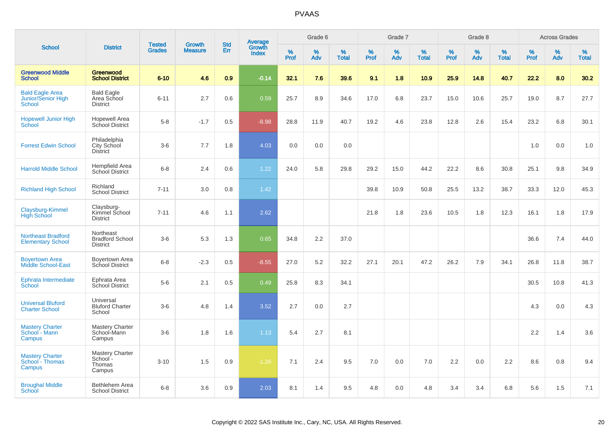|                                                        |                                                        |                                |                                 |                   |                                          |                  | Grade 6     |                   |              | Grade 7     |                      |              | Grade 8  |                   |              | <b>Across Grades</b> |                   |
|--------------------------------------------------------|--------------------------------------------------------|--------------------------------|---------------------------------|-------------------|------------------------------------------|------------------|-------------|-------------------|--------------|-------------|----------------------|--------------|----------|-------------------|--------------|----------------------|-------------------|
| <b>School</b>                                          | <b>District</b>                                        | <b>Tested</b><br><b>Grades</b> | <b>Growth</b><br><b>Measure</b> | <b>Std</b><br>Err | <b>Average</b><br>Growth<br><b>Index</b> | %<br><b>Prof</b> | $\%$<br>Adv | %<br><b>Total</b> | $\%$<br>Prof | $\%$<br>Adv | $\%$<br><b>Total</b> | $\%$<br>Prof | %<br>Adv | %<br><b>Total</b> | $\%$<br>Prof | $\%$<br>Adv          | %<br><b>Total</b> |
| <b>Greenwood Middle</b><br><b>School</b>               | Greenwood<br><b>School District</b>                    | $6 - 10$                       | 4.6                             | 0.9               | $-0.14$                                  | 32.1             | 7.6         | 39.6              | 9.1          | 1.8         | 10.9                 | 25.9         | 14.8     | 40.7              | 22.2         | 8.0                  | 30.2              |
| <b>Bald Eagle Area</b><br>Junior/Senior High<br>School | <b>Bald Eagle</b><br>Area School<br><b>District</b>    | $6 - 11$                       | 2.7                             | 0.6               | 0.59                                     | 25.7             | 8.9         | 34.6              | 17.0         | 6.8         | 23.7                 | 15.0         | 10.6     | 25.7              | 19.0         | 8.7                  | 27.7              |
| <b>Hopewell Junior High</b><br>School                  | <b>Hopewell Area</b><br>School District                | $5-8$                          | $-1.7$                          | 0.5               | $-8.98$                                  | 28.8             | 11.9        | 40.7              | 19.2         | 4.6         | 23.8                 | 12.8         | 2.6      | 15.4              | 23.2         | 6.8                  | 30.1              |
| <b>Forrest Edwin School</b>                            | Philadelphia<br>City School<br><b>District</b>         | $3-6$                          | 7.7                             | 1.8               | 4.03                                     | 0.0              | 0.0         | 0.0               |              |             |                      |              |          |                   | 1.0          | 0.0                  | 1.0               |
| <b>Harrold Middle School</b>                           | Hempfield Area<br>School District                      | $6 - 8$                        | 2.4                             | 0.6               | 1.22                                     | 24.0             | 5.8         | 29.8              | 29.2         | 15.0        | 44.2                 | 22.2         | 8.6      | 30.8              | 25.1         | 9.8                  | 34.9              |
| <b>Richland High School</b>                            | Richland<br><b>School District</b>                     | $7 - 11$                       | 3.0                             | 0.8               | 1.42                                     |                  |             |                   | 39.8         | 10.9        | 50.8                 | 25.5         | 13.2     | 38.7              | 33.3         | 12.0                 | 45.3              |
| Claysburg-Kimmel<br><b>High School</b>                 | Claysburg-<br>Kimmel School<br><b>District</b>         | $7 - 11$                       | 4.6                             | 1.1               | 2.62                                     |                  |             |                   | 21.8         | 1.8         | 23.6                 | 10.5         | 1.8      | 12.3              | 16.1         | 1.8                  | 17.9              |
| <b>Northeast Bradford</b><br><b>Elementary School</b>  | Northeast<br><b>Bradford School</b><br><b>District</b> | $3 - 6$                        | 5.3                             | 1.3               | 0.65                                     | 34.8             | 2.2         | 37.0              |              |             |                      |              |          |                   | 36.6         | 7.4                  | 44.0              |
| <b>Boyertown Area</b><br><b>Middle School-East</b>     | Boyertown Area<br>School District                      | $6 - 8$                        | $-2.3$                          | 0.5               | $-8.55$                                  | 27.0             | 5.2         | 32.2              | 27.1         | 20.1        | 47.2                 | 26.2         | 7.9      | 34.1              | 26.8         | 11.8                 | 38.7              |
| Ephrata Intermediate<br>School                         | Ephrata Area<br>School District                        | $5-6$                          | 2.1                             | 0.5               | 0.49                                     | 25.8             | 8.3         | 34.1              |              |             |                      |              |          |                   | 30.5         | 10.8                 | 41.3              |
| <b>Universal Bluford</b><br><b>Charter School</b>      | Universal<br><b>Bluford Charter</b><br>School          | $3-6$                          | 4.8                             | 1.4               | 3.52                                     | 2.7              | 0.0         | 2.7               |              |             |                      |              |          |                   | 4.3          | 0.0                  | 4.3               |
| <b>Mastery Charter</b><br>School - Mann<br>Campus      | Mastery Charter<br>School-Mann<br>Campus               | $3-6$                          | 1.8                             | 1.6               | 1.13                                     | 5.4              | 2.7         | 8.1               |              |             |                      |              |          |                   | 2.2          | 1.4                  | 3.6               |
| <b>Mastery Charter</b><br>School - Thomas<br>Campus    | <b>Mastery Charter</b><br>School -<br>Thomas<br>Campus | $3 - 10$                       | 1.5                             | 0.9               | $-1.26$                                  | 7.1              | 2.4         | 9.5               | 7.0          | 0.0         | 7.0                  | 2.2          | 0.0      | 2.2               | 8.6          | 0.8                  | 9.4               |
| <b>Broughal Middle</b><br>School                       | Bethlehem Area<br><b>School District</b>               | $6 - 8$                        | 3.6                             | 0.9               | 2.03                                     | 8.1              | 1.4         | 9.5               | 4.8          | 0.0         | 4.8                  | 3.4          | 3.4      | 6.8               | 5.6          | 1.5                  | 7.1               |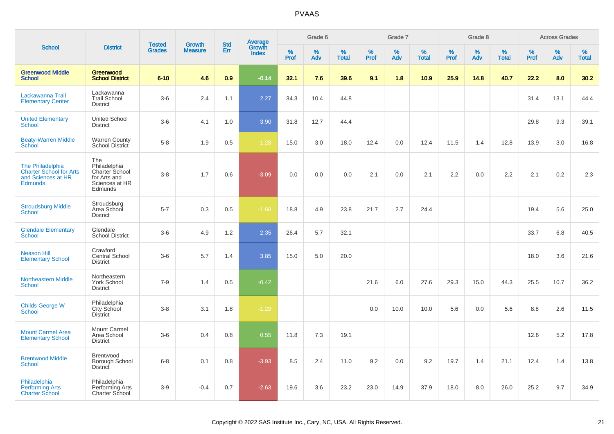|                                                                                                   |                                                                                    |                                |                                 | <b>Std</b> |                                          |                  | Grade 6     |                   |           | Grade 7     |                   |           | Grade 8  |                   |              | <b>Across Grades</b> |                   |
|---------------------------------------------------------------------------------------------------|------------------------------------------------------------------------------------|--------------------------------|---------------------------------|------------|------------------------------------------|------------------|-------------|-------------------|-----------|-------------|-------------------|-----------|----------|-------------------|--------------|----------------------|-------------------|
| <b>School</b>                                                                                     | <b>District</b>                                                                    | <b>Tested</b><br><b>Grades</b> | <b>Growth</b><br><b>Measure</b> | Err        | <b>Average</b><br>Growth<br><b>Index</b> | %<br><b>Prof</b> | $\%$<br>Adv | %<br><b>Total</b> | %<br>Prof | $\%$<br>Adv | %<br><b>Total</b> | %<br>Prof | %<br>Adv | %<br><b>Total</b> | $\%$<br>Prof | $\%$<br>Adv          | %<br><b>Total</b> |
| <b>Greenwood Middle</b><br><b>School</b>                                                          | Greenwood<br><b>School District</b>                                                | $6 - 10$                       | 4.6                             | 0.9        | $-0.14$                                  | 32.1             | 7.6         | 39.6              | 9.1       | 1.8         | 10.9              | 25.9      | 14.8     | 40.7              | 22.2         | 8.0                  | 30.2              |
| Lackawanna Trail<br><b>Elementary Center</b>                                                      | Lackawanna<br><b>Trail School</b><br><b>District</b>                               | $3-6$                          | 2.4                             | 1.1        | 2.27                                     | 34.3             | 10.4        | 44.8              |           |             |                   |           |          |                   | 31.4         | 13.1                 | 44.4              |
| <b>United Elementary</b><br><b>School</b>                                                         | <b>United School</b><br><b>District</b>                                            | $3-6$                          | 4.1                             | 1.0        | 3.90                                     | 31.8             | 12.7        | 44.4              |           |             |                   |           |          |                   | 29.8         | 9.3                  | 39.1              |
| <b>Beaty-Warren Middle</b><br>School                                                              | <b>Warren County</b><br>School District                                            | $5-8$                          | 1.9                             | 0.5        | $-1.28$                                  | 15.0             | 3.0         | 18.0              | 12.4      | 0.0         | 12.4              | 11.5      | 1.4      | 12.8              | 13.9         | 3.0                  | 16.8              |
| <b>The Philadelphia</b><br><b>Charter School for Arts</b><br>and Sciences at HR<br><b>Edmunds</b> | The<br>Philadelphia<br>Charter School<br>for Arts and<br>Sciences at HR<br>Edmunds | $3-8$                          | 1.7                             | 0.6        | $-3.09$                                  | 0.0              | 0.0         | 0.0               | 2.1       | 0.0         | 2.1               | 2.2       | 0.0      | 2.2               | 2.1          | 0.2                  | 2.3               |
| <b>Stroudsburg Middle</b><br>School                                                               | Stroudsburg<br>Area School<br><b>District</b>                                      | $5 - 7$                        | 0.3                             | 0.5        | $-1.60$                                  | 18.8             | 4.9         | 23.8              | 21.7      | 2.7         | 24.4              |           |          |                   | 19.4         | 5.6                  | 25.0              |
| <b>Glendale Elementary</b><br><b>School</b>                                                       | Glendale<br><b>School District</b>                                                 | $3-6$                          | 4.9                             | 1.2        | 2.35                                     | 26.4             | 5.7         | 32.1              |           |             |                   |           |          |                   | 33.7         | 6.8                  | 40.5              |
| <b>Neason Hill</b><br><b>Elementary School</b>                                                    | Crawford<br>Central School<br><b>District</b>                                      | $3-6$                          | 5.7                             | 1.4        | 3.85                                     | 15.0             | 5.0         | 20.0              |           |             |                   |           |          |                   | 18.0         | 3.6                  | 21.6              |
| <b>Northeastern Middle</b><br><b>School</b>                                                       | Northeastern<br>York School<br><b>District</b>                                     | $7-9$                          | 1.4                             | 0.5        | $-0.42$                                  |                  |             |                   | 21.6      | 6.0         | 27.6              | 29.3      | 15.0     | 44.3              | 25.5         | 10.7                 | 36.2              |
| <b>Childs George W</b><br><b>School</b>                                                           | Philadelphia<br>City School<br><b>District</b>                                     | $3-8$                          | 3.1                             | 1.8        | $-1.29$                                  |                  |             |                   | 0.0       | 10.0        | 10.0              | 5.6       | 0.0      | 5.6               | 8.8          | 2.6                  | 11.5              |
| <b>Mount Carmel Area</b><br><b>Elementary School</b>                                              | <b>Mount Carmel</b><br>Area School<br><b>District</b>                              | $3-6$                          | 0.4                             | 0.8        | 0.55                                     | 11.8             | 7.3         | 19.1              |           |             |                   |           |          |                   | 12.6         | 5.2                  | 17.8              |
| <b>Brentwood Middle</b><br><b>School</b>                                                          | Brentwood<br>Borough School<br><b>District</b>                                     | $6 - 8$                        | 0.1                             | 0.8        | $-3.93$                                  | 8.5              | 2.4         | 11.0              | 9.2       | 0.0         | 9.2               | 19.7      | 1.4      | 21.1              | 12.4         | 1.4                  | 13.8              |
| Philadelphia<br><b>Performing Arts</b><br><b>Charter School</b>                                   | Philadelphia<br>Performing Arts<br><b>Charter School</b>                           | $3-9$                          | $-0.4$                          | 0.7        | $-2.63$                                  | 19.6             | 3.6         | 23.2              | 23.0      | 14.9        | 37.9              | 18.0      | 8.0      | 26.0              | 25.2         | 9.7                  | 34.9              |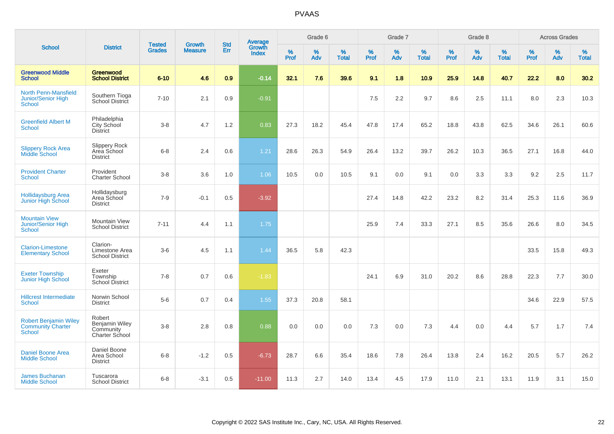|                                                                    |                                                         |                                | <b>Growth</b>  | <b>Std</b> | <b>Average</b><br>Growth |                  | Grade 6  |                   |           | Grade 7  |                   |           | Grade 8  |                   |           | <b>Across Grades</b> |                   |
|--------------------------------------------------------------------|---------------------------------------------------------|--------------------------------|----------------|------------|--------------------------|------------------|----------|-------------------|-----------|----------|-------------------|-----------|----------|-------------------|-----------|----------------------|-------------------|
| <b>School</b>                                                      | <b>District</b>                                         | <b>Tested</b><br><b>Grades</b> | <b>Measure</b> | Err        | <b>Index</b>             | %<br><b>Prof</b> | %<br>Adv | %<br><b>Total</b> | %<br>Prof | %<br>Adv | %<br><b>Total</b> | %<br>Prof | %<br>Adv | %<br><b>Total</b> | %<br>Prof | $\%$<br>Adv          | %<br><b>Total</b> |
| <b>Greenwood Middle</b><br><b>School</b>                           | Greenwood<br><b>School District</b>                     | $6 - 10$                       | 4.6            | 0.9        | $-0.14$                  | 32.1             | 7.6      | 39.6              | 9.1       | 1.8      | 10.9              | 25.9      | 14.8     | 40.7              | 22.2      | 8.0                  | 30.2              |
| <b>North Penn-Mansfield</b><br>Junior/Senior High<br><b>School</b> | Southern Tioga<br>School District                       | $7 - 10$                       | 2.1            | 0.9        | $-0.91$                  |                  |          |                   | 7.5       | 2.2      | 9.7               | 8.6       | 2.5      | 11.1              | 8.0       | 2.3                  | 10.3              |
| <b>Greenfield Albert M</b><br><b>School</b>                        | Philadelphia<br>City School<br>District                 | $3-8$                          | 4.7            | 1.2        | 0.83                     | 27.3             | 18.2     | 45.4              | 47.8      | 17.4     | 65.2              | 18.8      | 43.8     | 62.5              | 34.6      | 26.1                 | 60.6              |
| <b>Slippery Rock Area</b><br><b>Middle School</b>                  | <b>Slippery Rock</b><br>Area School<br><b>District</b>  | $6 - 8$                        | 2.4            | 0.6        | 1.21                     | 28.6             | 26.3     | 54.9              | 26.4      | 13.2     | 39.7              | 26.2      | 10.3     | 36.5              | 27.1      | 16.8                 | 44.0              |
| <b>Provident Charter</b><br>School                                 | Provident<br><b>Charter School</b>                      | $3 - 8$                        | 3.6            | 1.0        | 1.06                     | 10.5             | 0.0      | 10.5              | 9.1       | 0.0      | 9.1               | 0.0       | 3.3      | 3.3               | 9.2       | 2.5                  | 11.7              |
| <b>Hollidaysburg Area</b><br>Junior High School                    | Hollidaysburg<br>Area School<br><b>District</b>         | $7 - 9$                        | $-0.1$         | 0.5        | $-3.92$                  |                  |          |                   | 27.4      | 14.8     | 42.2              | 23.2      | 8.2      | 31.4              | 25.3      | 11.6                 | 36.9              |
| <b>Mountain View</b><br><b>Junior/Senior High</b><br><b>School</b> | <b>Mountain View</b><br><b>School District</b>          | $7 - 11$                       | 4.4            | 1.1        | 1.75                     |                  |          |                   | 25.9      | 7.4      | 33.3              | 27.1      | 8.5      | 35.6              | 26.6      | 8.0                  | 34.5              |
| <b>Clarion-Limestone</b><br><b>Elementary School</b>               | Clarion-<br>Limestone Area<br><b>School District</b>    | $3-6$                          | 4.5            | 1.1        | 1.44                     | 36.5             | 5.8      | 42.3              |           |          |                   |           |          |                   | 33.5      | 15.8                 | 49.3              |
| <b>Exeter Township</b><br>Junior High School                       | Exeter<br>Township<br><b>School District</b>            | $7 - 8$                        | 0.7            | 0.6        | $-1.83$                  |                  |          |                   | 24.1      | 6.9      | 31.0              | 20.2      | 8.6      | 28.8              | 22.3      | 7.7                  | 30.0              |
| <b>Hillcrest Intermediate</b><br>School                            | Norwin School<br><b>District</b>                        | $5-6$                          | 0.7            | 0.4        | 1.55                     | 37.3             | 20.8     | 58.1              |           |          |                   |           |          |                   | 34.6      | 22.9                 | 57.5              |
| <b>Robert Benjamin Wiley</b><br><b>Community Charter</b><br>School | Robert<br>Benjamin Wiley<br>Community<br>Charter School | $3-8$                          | 2.8            | 0.8        | 0.88                     | 0.0              | 0.0      | 0.0               | 7.3       | 0.0      | 7.3               | 4.4       | 0.0      | 4.4               | 5.7       | 1.7                  | 7.4               |
| <b>Daniel Boone Area</b><br><b>Middle School</b>                   | Daniel Boone<br>Area School<br><b>District</b>          | $6 - 8$                        | $-1.2$         | 0.5        | $-6.73$                  | 28.7             | 6.6      | 35.4              | 18.6      | 7.8      | 26.4              | 13.8      | 2.4      | 16.2              | 20.5      | 5.7                  | 26.2              |
| <b>James Buchanan</b><br><b>Middle School</b>                      | Tuscarora<br><b>School District</b>                     | $6 - 8$                        | $-3.1$         | 0.5        | $-11.00$                 | 11.3             | 2.7      | 14.0              | 13.4      | 4.5      | 17.9              | 11.0      | 2.1      | 13.1              | 11.9      | 3.1                  | 15.0              |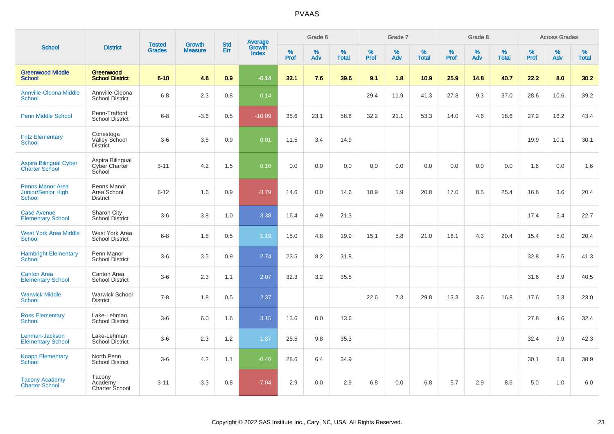|                                                                |                                                    |                                | <b>Growth</b>  | <b>Std</b>       |                                          |                  | Grade 6     |                   |              | Grade 7  |                   |           | Grade 8  |                   |              | <b>Across Grades</b> |                   |
|----------------------------------------------------------------|----------------------------------------------------|--------------------------------|----------------|------------------|------------------------------------------|------------------|-------------|-------------------|--------------|----------|-------------------|-----------|----------|-------------------|--------------|----------------------|-------------------|
| <b>School</b>                                                  | <b>District</b>                                    | <b>Tested</b><br><b>Grades</b> | <b>Measure</b> | Err              | <b>Average</b><br>Growth<br><b>Index</b> | %<br><b>Prof</b> | $\%$<br>Adv | %<br><b>Total</b> | $\%$<br>Prof | %<br>Adv | %<br><b>Total</b> | %<br>Prof | %<br>Adv | %<br><b>Total</b> | $\%$<br>Prof | $\%$<br>Adv          | %<br><b>Total</b> |
| <b>Greenwood Middle</b><br><b>School</b>                       | Greenwood<br><b>School District</b>                | $6 - 10$                       | 4.6            | 0.9 <sub>2</sub> | $-0.14$                                  | 32.1             | 7.6         | 39.6              | 9.1          | 1.8      | 10.9              | 25.9      | 14.8     | 40.7              | 22.2         | 8.0                  | 30.2              |
| <b>Annville-Cleona Middle</b><br><b>School</b>                 | Annville-Cleona<br><b>School District</b>          | $6 - 8$                        | 2.3            | 0.8              | 0.14                                     |                  |             |                   | 29.4         | 11.9     | 41.3              | 27.8      | 9.3      | 37.0              | 28.6         | 10.6                 | 39.2              |
| <b>Penn Middle School</b>                                      | Penn-Trafford<br><b>School District</b>            | $6 - 8$                        | $-3.6$         | 0.5              | $-10.09$                                 | 35.6             | 23.1        | 58.8              | 32.2         | 21.1     | 53.3              | 14.0      | 4.6      | 18.6              | 27.2         | 16.2                 | 43.4              |
| <b>Fritz Elementary</b><br><b>School</b>                       | Conestoga<br>Valley School<br><b>District</b>      | $3-6$                          | 3.5            | 0.9              | 0.01                                     | 11.5             | 3.4         | 14.9              |              |          |                   |           |          |                   | 19.9         | 10.1                 | 30.1              |
| <b>Aspira Bilingual Cyber</b><br><b>Charter School</b>         | Aspira Bilingual<br><b>Cyber Charter</b><br>School | $3 - 11$                       | 4.2            | 1.5              | 0.16                                     | 0.0              | 0.0         | 0.0               | 0.0          | 0.0      | 0.0               | 0.0       | 0.0      | 0.0               | 1.6          | 0.0                  | 1.6               |
| <b>Penns Manor Area</b><br>Junior/Senior High<br><b>School</b> | Penns Manor<br>Area School<br><b>District</b>      | $6 - 12$                       | 1.6            | 0.9              | $-3.79$                                  | 14.6             | 0.0         | 14.6              | 18.9         | 1.9      | 20.8              | 17.0      | 8.5      | 25.4              | 16.8         | 3.6                  | 20.4              |
| <b>Case Avenue</b><br><b>Elementary School</b>                 | Sharon City<br><b>School District</b>              | $3-6$                          | 3.8            | 1.0              | 3.38                                     | 16.4             | 4.9         | 21.3              |              |          |                   |           |          |                   | 17.4         | 5.4                  | 22.7              |
| <b>West York Area Middle</b><br><b>School</b>                  | West York Area<br><b>School District</b>           | $6 - 8$                        | 1.8            | 0.5              | 1.19                                     | 15.0             | 4.8         | 19.9              | 15.1         | 5.8      | 21.0              | 16.1      | 4.3      | 20.4              | 15.4         | 5.0                  | 20.4              |
| <b>Hambright Elementary</b><br>School                          | Penn Manor<br><b>School District</b>               | $3-6$                          | 3.5            | 0.9              | 2.74                                     | 23.5             | 8.2         | 31.8              |              |          |                   |           |          |                   | 32.8         | 8.5                  | 41.3              |
| <b>Canton Area</b><br><b>Elementary School</b>                 | Canton Area<br><b>School District</b>              | $3-6$                          | 2.3            | 1.1              | 2.07                                     | 32.3             | 3.2         | 35.5              |              |          |                   |           |          |                   | 31.6         | 8.9                  | 40.5              |
| <b>Warwick Middle</b><br><b>School</b>                         | <b>Warwick School</b><br><b>District</b>           | $7 - 8$                        | 1.8            | 0.5              | 2.37                                     |                  |             |                   | 22.6         | 7.3      | 29.8              | 13.3      | 3.6      | 16.8              | 17.6         | 5.3                  | 23.0              |
| <b>Ross Elementary</b><br><b>School</b>                        | Lake-Lehman<br><b>School District</b>              | $3-6$                          | 6.0            | 1.6              | 3.15                                     | 13.6             | 0.0         | 13.6              |              |          |                   |           |          |                   | 27.8         | 4.6                  | 32.4              |
| Lehman-Jackson<br><b>Elementary School</b>                     | Lake-Lehman<br><b>School District</b>              | $3-6$                          | 2.3            | 1.2              | 1.87                                     | 25.5             | 9.8         | 35.3              |              |          |                   |           |          |                   | 32.4         | 9.9                  | 42.3              |
| <b>Knapp Elementary</b><br><b>School</b>                       | North Penn<br><b>School District</b>               | $3-6$                          | 4.2            | 1.1              | $-0.46$                                  | 28.6             | 6.4         | 34.9              |              |          |                   |           |          |                   | 30.1         | 8.8                  | 38.9              |
| <b>Tacony Academy</b><br><b>Charter School</b>                 | Tacony<br>Academy<br>Charter School                | $3 - 11$                       | $-3.3$         | 0.8              | $-7.04$                                  | 2.9              | 0.0         | 2.9               | 6.8          | 0.0      | 6.8               | 5.7       | 2.9      | 8.6               | 5.0          | 1.0                  | 6.0               |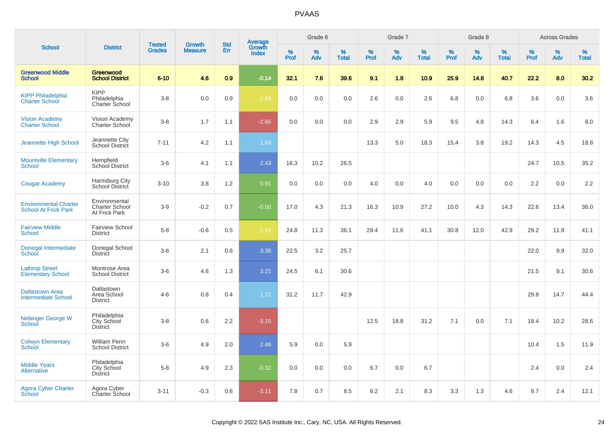|                                                             |                                                         |                                |                                 | <b>Std</b> |                                          |                     | Grade 6     |                   |              | Grade 7     |                      |              | Grade 8  |                   |                     | <b>Across Grades</b> |                   |
|-------------------------------------------------------------|---------------------------------------------------------|--------------------------------|---------------------------------|------------|------------------------------------------|---------------------|-------------|-------------------|--------------|-------------|----------------------|--------------|----------|-------------------|---------------------|----------------------|-------------------|
| <b>School</b>                                               | <b>District</b>                                         | <b>Tested</b><br><b>Grades</b> | <b>Growth</b><br><b>Measure</b> | Err        | <b>Average</b><br>Growth<br><b>Index</b> | $\%$<br><b>Prof</b> | $\%$<br>Adv | %<br><b>Total</b> | $\%$<br>Prof | $\%$<br>Adv | $\%$<br><b>Total</b> | $\%$<br>Prof | %<br>Adv | %<br><b>Total</b> | $\%$<br><b>Prof</b> | $\%$<br>Adv          | %<br><b>Total</b> |
| <b>Greenwood Middle</b><br>School                           | Greenwood<br><b>School District</b>                     | $6 - 10$                       | 4.6                             | 0.9        | $-0.14$                                  | 32.1                | 7.6         | 39.6              | 9.1          | 1.8         | 10.9                 | 25.9         | 14.8     | 40.7              | 22.2                | 8.0                  | 30.2              |
| <b>KIPP Philadelphia</b><br><b>Charter School</b>           | <b>KIPP</b><br>Philadelphia<br>Charter School           | $3-8$                          | 0.0                             | 0.9        | $-1.89$                                  | 0.0                 | 0.0         | 0.0               | 2.6          | 0.0         | 2.6                  | 6.8          | 0.0      | 6.8               | 3.6                 | 0.0                  | 3.6               |
| <b>Vision Academy</b><br><b>Charter School</b>              | Vision Academy<br>Charter School                        | $3-8$                          | 1.7                             | 1.1        | $-2.66$                                  | 0.0                 | 0.0         | 0.0               | 2.9          | 2.9         | 5.9                  | 9.5          | 4.8      | 14.3              | 6.4                 | 1.6                  | 8.0               |
| <b>Jeannette High School</b>                                | Jeannette City<br>School District                       | $7 - 11$                       | 4.2                             | 1.1        | 1.63                                     |                     |             |                   | 13.3         | 5.0         | 18.3                 | 15.4         | 3.8      | 19.2              | 14.3                | 4.5                  | 18.8              |
| <b>Mountville Elementary</b><br><b>School</b>               | Hempfield<br>School District                            | $3-6$                          | 4.1                             | 1.1        | 2.43                                     | 16.3                | 10.2        | 26.5              |              |             |                      |              |          |                   | 24.7                | 10.5                 | 35.2              |
| <b>Cougar Academy</b>                                       | Harrisburg City<br>School District                      | $3 - 10$                       | 3.8                             | 1.2        | 0.81                                     | 0.0                 | 0.0         | 0.0               | 4.0          | 0.0         | 4.0                  | 0.0          | 0.0      | 0.0               | 2.2                 | 0.0                  | 2.2               |
| <b>Environmental Charter</b><br><b>School At Frick Park</b> | Environmental<br><b>Charter School</b><br>At Frick Park | $3-9$                          | $-0.2$                          | 0.7        | $-0.50$                                  | 17.0                | 4.3         | 21.3              | 16.3         | 10.9        | 27.2                 | 10.0         | 4.3      | 14.3              | 22.6                | 13.4                 | 36.0              |
| <b>Fairview Middle</b><br><b>School</b>                     | <b>Fairview School</b><br><b>District</b>               | $5-8$                          | $-0.6$                          | 0.5        | $-1.94$                                  | 24.8                | 11.3        | 36.1              | 29.4         | 11.6        | 41.1                 | 30.8         | 12.0     | 42.9              | 29.2                | 11.9                 | 41.1              |
| Donegal Intermediate<br>School                              | Donegal School<br><b>District</b>                       | $3-6$                          | 2.1                             | 0.6        | 3.36                                     | 22.5                | 3.2         | 25.7              |              |             |                      |              |          |                   | 22.0                | 9.9                  | 32.0              |
| <b>Lathrop Street</b><br><b>Elementary School</b>           | Montrose Area<br><b>School District</b>                 | $3-6$                          | 4.6                             | 1.3        | 3.21                                     | 24.5                | 6.1         | 30.6              |              |             |                      |              |          |                   | 21.5                | 9.1                  | 30.6              |
| <b>Dallastown Area</b><br>Intermediate School               | Dallastown<br>Area School<br><b>District</b>            | $4 - 6$                        | 0.8                             | 0.4        | 1.72                                     | 31.2                | 11.7        | 42.9              |              |             |                      |              |          |                   | 29.8                | 14.7                 | 44.4              |
| <b>Nebinger George W</b><br>School                          | Philadelphia<br>City School<br><b>District</b>          | $3-8$                          | 0.6                             | 2.2        | $-3.15$                                  |                     |             |                   | 12.5         | 18.8        | 31.2                 | 7.1          | 0.0      | 7.1               | 18.4                | 10.2                 | 28.6              |
| <b>Colwyn Elementary</b><br><b>School</b>                   | William Penn<br><b>School District</b>                  | $3-6$                          | 4.9                             | 2.0        | 2.46                                     | 5.9                 | 0.0         | 5.9               |              |             |                      |              |          |                   | 10.4                | 1.5                  | 11.9              |
| <b>Middle Years</b><br><b>Alternative</b>                   | Philadelphia<br>City School<br><b>District</b>          | $5-8$                          | 4.9                             | 2.3        | $-0.32$                                  | 0.0                 | 0.0         | 0.0               | 6.7          | 0.0         | 6.7                  |              |          |                   | 2.4                 | 0.0                  | 2.4               |
| <b>Agora Cyber Charter</b><br>School                        | Agora Cyber<br>Charter School                           | $3 - 11$                       | $-0.3$                          | 0.6        | $-3.11$                                  | 7.8                 | 0.7         | 8.5               | 6.2          | 2.1         | 8.3                  | 3.3          | 1.3      | 4.6               | 9.7                 | 2.4                  | 12.1              |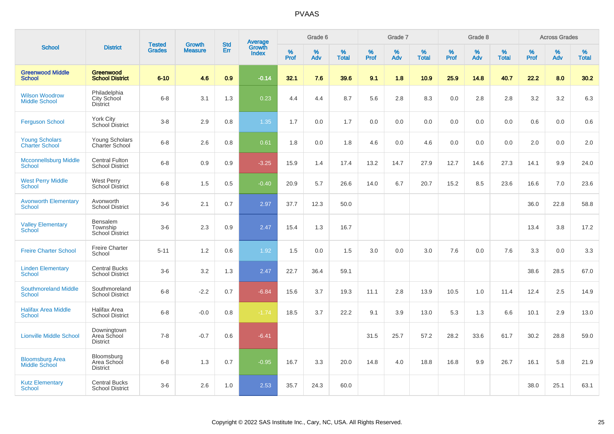|                                                |                                                       |                                | <b>Growth</b>  | <b>Std</b> |                                          |           | Grade 6  |                   |           | Grade 7     |                   |           | Grade 8  |                   |              | <b>Across Grades</b> |                   |
|------------------------------------------------|-------------------------------------------------------|--------------------------------|----------------|------------|------------------------------------------|-----------|----------|-------------------|-----------|-------------|-------------------|-----------|----------|-------------------|--------------|----------------------|-------------------|
| <b>School</b>                                  | <b>District</b>                                       | <b>Tested</b><br><b>Grades</b> | <b>Measure</b> | Err        | <b>Average</b><br>Growth<br><b>Index</b> | %<br>Prof | %<br>Adv | %<br><b>Total</b> | %<br>Prof | $\%$<br>Adv | %<br><b>Total</b> | %<br>Prof | %<br>Adv | %<br><b>Total</b> | $\%$<br>Prof | %<br>Adv             | %<br><b>Total</b> |
| <b>Greenwood Middle</b><br><b>School</b>       | Greenwood<br><b>School District</b>                   | $6 - 10$                       | 4.6            | 0.9        | $-0.14$                                  | 32.1      | 7.6      | 39.6              | 9.1       | 1.8         | 10.9              | 25.9      | 14.8     | 40.7              | 22.2         | 8.0                  | 30.2              |
| <b>Wilson Woodrow</b><br><b>Middle School</b>  | Philadelphia<br><b>City School</b><br><b>District</b> | $6 - 8$                        | 3.1            | 1.3        | 0.23                                     | 4.4       | 4.4      | 8.7               | 5.6       | 2.8         | 8.3               | 0.0       | 2.8      | 2.8               | 3.2          | 3.2                  | 6.3               |
| <b>Ferguson School</b>                         | <b>York City</b><br>School District                   | $3 - 8$                        | 2.9            | 0.8        | 1.35                                     | 1.7       | 0.0      | 1.7               | 0.0       | 0.0         | 0.0               | 0.0       | 0.0      | 0.0               | 0.6          | 0.0                  | 0.6               |
| <b>Young Scholars</b><br><b>Charter School</b> | Young Scholars<br>Charter School                      | $6 - 8$                        | 2.6            | 0.8        | 0.61                                     | 1.8       | 0.0      | 1.8               | 4.6       | 0.0         | 4.6               | 0.0       | 0.0      | 0.0               | 2.0          | 0.0                  | 2.0               |
| <b>Mcconnellsburg Middle</b><br><b>School</b>  | <b>Central Fulton</b><br><b>School District</b>       | $6 - 8$                        | 0.9            | 0.9        | $-3.25$                                  | 15.9      | 1.4      | 17.4              | 13.2      | 14.7        | 27.9              | 12.7      | 14.6     | 27.3              | 14.1         | 9.9                  | 24.0              |
| <b>West Perry Middle</b><br><b>School</b>      | <b>West Perry</b><br><b>School District</b>           | $6 - 8$                        | 1.5            | 0.5        | $-0.40$                                  | 20.9      | 5.7      | 26.6              | 14.0      | 6.7         | 20.7              | 15.2      | 8.5      | 23.6              | 16.6         | 7.0                  | 23.6              |
| <b>Avonworth Elementary</b><br><b>School</b>   | Avonworth<br><b>School District</b>                   | $3-6$                          | 2.1            | 0.7        | 2.97                                     | 37.7      | 12.3     | 50.0              |           |             |                   |           |          |                   | 36.0         | 22.8                 | 58.8              |
| <b>Valley Elementary</b><br><b>School</b>      | <b>Bensalem</b><br>Township<br><b>School District</b> | $3-6$                          | 2.3            | 0.9        | 2.47                                     | 15.4      | 1.3      | 16.7              |           |             |                   |           |          |                   | 13.4         | 3.8                  | 17.2              |
| <b>Freire Charter School</b>                   | <b>Freire Charter</b><br>School                       | $5 - 11$                       | 1.2            | 0.6        | 1.92                                     | 1.5       | 0.0      | 1.5               | 3.0       | 0.0         | 3.0               | 7.6       | 0.0      | 7.6               | 3.3          | 0.0                  | 3.3               |
| <b>Linden Elementary</b><br><b>School</b>      | <b>Central Bucks</b><br><b>School District</b>        | $3-6$                          | 3.2            | 1.3        | 2.47                                     | 22.7      | 36.4     | 59.1              |           |             |                   |           |          |                   | 38.6         | 28.5                 | 67.0              |
| <b>Southmoreland Middle</b><br><b>School</b>   | Southmoreland<br><b>School District</b>               | $6 - 8$                        | $-2.2$         | 0.7        | $-6.84$                                  | 15.6      | 3.7      | 19.3              | 11.1      | 2.8         | 13.9              | 10.5      | 1.0      | 11.4              | 12.4         | 2.5                  | 14.9              |
| <b>Halifax Area Middle</b><br><b>School</b>    | Halifax Area<br><b>School District</b>                | $6 - 8$                        | $-0.0$         | 0.8        | $-1.74$                                  | 18.5      | 3.7      | 22.2              | 9.1       | 3.9         | 13.0              | 5.3       | 1.3      | 6.6               | 10.1         | 2.9                  | 13.0              |
| <b>Lionville Middle School</b>                 | Downingtown<br>Area School<br><b>District</b>         | $7 - 8$                        | $-0.7$         | 0.6        | $-6.41$                                  |           |          |                   | 31.5      | 25.7        | 57.2              | 28.2      | 33.6     | 61.7              | 30.2         | 28.8                 | 59.0              |
| <b>Bloomsburg Area</b><br><b>Middle School</b> | Bloomsburg<br>Area School<br><b>District</b>          | $6 - 8$                        | 1.3            | 0.7        | $-0.95$                                  | 16.7      | 3.3      | 20.0              | 14.8      | 4.0         | 18.8              | 16.8      | 9.9      | 26.7              | 16.1         | 5.8                  | 21.9              |
| <b>Kutz Elementary</b><br><b>School</b>        | <b>Central Bucks</b><br><b>School District</b>        | $3-6$                          | 2.6            | 1.0        | 2.53                                     | 35.7      | 24.3     | 60.0              |           |             |                   |           |          |                   | 38.0         | 25.1                 | 63.1              |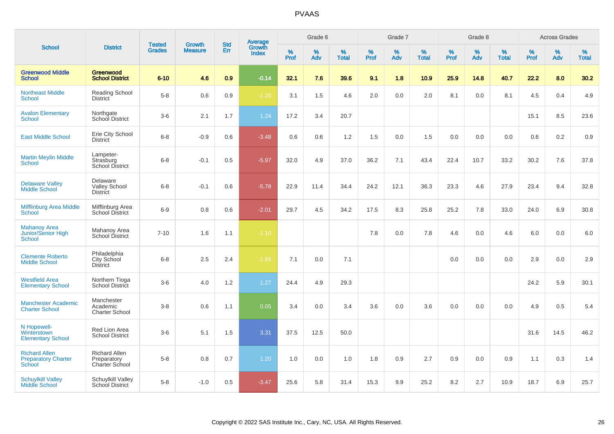|                                                                     |                                                       |                                | <b>Growth</b>  |                   |                                   |              | Grade 6     |                   |              | Grade 7     |                   |              | Grade 8     |                   |              | <b>Across Grades</b> |                      |
|---------------------------------------------------------------------|-------------------------------------------------------|--------------------------------|----------------|-------------------|-----------------------------------|--------------|-------------|-------------------|--------------|-------------|-------------------|--------------|-------------|-------------------|--------------|----------------------|----------------------|
| <b>School</b>                                                       | <b>District</b>                                       | <b>Tested</b><br><b>Grades</b> | <b>Measure</b> | <b>Std</b><br>Err | Average<br>Growth<br><b>Index</b> | $\%$<br>Prof | $\%$<br>Adv | %<br><b>Total</b> | $\%$<br>Prof | $\%$<br>Adv | %<br><b>Total</b> | $\%$<br>Prof | $\%$<br>Adv | %<br><b>Total</b> | $\%$<br>Prof | $\%$<br>Adv          | $\%$<br><b>Total</b> |
| <b>Greenwood Middle</b><br><b>School</b>                            | Greenwood<br><b>School District</b>                   | $6 - 10$                       | 4.6            | 0.9               | $-0.14$                           | 32.1         | 7.6         | 39.6              | 9.1          | 1.8         | 10.9              | 25.9         | 14.8        | 40.7              | 22.2         | 8.0                  | 30.2                 |
| <b>Northeast Middle</b><br><b>School</b>                            | Reading School<br>District                            | $5 - 8$                        | 0.6            | 0.9               | $-1.20$                           | 3.1          | 1.5         | 4.6               | 2.0          | 0.0         | 2.0               | 8.1          | 0.0         | 8.1               | 4.5          | 0.4                  | 4.9                  |
| <b>Avalon Elementary</b><br><b>School</b>                           | Northgate<br>School District                          | $3-6$                          | 2.1            | 1.7               | 1.24                              | 17.2         | 3.4         | 20.7              |              |             |                   |              |             |                   | 15.1         | 8.5                  | 23.6                 |
| <b>East Middle School</b>                                           | Erie City School<br><b>District</b>                   | $6 - 8$                        | $-0.9$         | 0.6               | $-3.48$                           | 0.6          | 0.6         | 1.2               | 1.5          | 0.0         | 1.5               | 0.0          | 0.0         | 0.0               | 0.6          | 0.2                  | 0.9                  |
| <b>Martin Meylin Middle</b><br><b>School</b>                        | Lampeter-<br>Strasburg<br><b>School District</b>      | $6 - 8$                        | $-0.1$         | 0.5               | $-5.97$                           | 32.0         | 4.9         | 37.0              | 36.2         | 7.1         | 43.4              | 22.4         | 10.7        | 33.2              | 30.2         | 7.6                  | 37.8                 |
| <b>Delaware Valley</b><br><b>Middle School</b>                      | Delaware<br><b>Valley School</b><br><b>District</b>   | $6 - 8$                        | $-0.1$         | 0.6               | $-5.78$                           | 22.9         | 11.4        | 34.4              | 24.2         | 12.1        | 36.3              | 23.3         | 4.6         | 27.9              | 23.4         | 9.4                  | 32.8                 |
| Mifflinburg Area Middle<br><b>School</b>                            | Mifflinburg Area<br>School District                   | $6-9$                          | 0.8            | 0.6               | $-2.01$                           | 29.7         | 4.5         | 34.2              | 17.5         | 8.3         | 25.8              | 25.2         | 7.8         | 33.0              | 24.0         | 6.9                  | 30.8                 |
| <b>Mahanoy Area</b><br><b>Junior/Senior High</b><br><b>School</b>   | Mahanoy Area<br>School District                       | $7 - 10$                       | 1.6            | 1.1               | $-1.10$                           |              |             |                   | 7.8          | 0.0         | 7.8               | 4.6          | 0.0         | 4.6               | 6.0          | 0.0                  | 6.0                  |
| <b>Clemente Roberto</b><br><b>Middle School</b>                     | Philadelphia<br>City School<br><b>District</b>        | $6 - 8$                        | 2.5            | 2.4               | $-1.65$                           | 7.1          | 0.0         | 7.1               |              |             |                   | 0.0          | 0.0         | 0.0               | 2.9          | 0.0                  | 2.9                  |
| <b>Westfield Area</b><br><b>Elementary School</b>                   | Northern Tioga<br><b>School District</b>              | $3-6$                          | 4.0            | 1.2               | 1.27                              | 24.4         | 4.9         | 29.3              |              |             |                   |              |             |                   | 24.2         | 5.9                  | 30.1                 |
| <b>Manchester Academic</b><br><b>Charter School</b>                 | Manchester<br>Academic<br><b>Charter School</b>       | $3 - 8$                        | 0.6            | 1.1               | 0.05                              | 3.4          | 0.0         | 3.4               | 3.6          | 0.0         | 3.6               | 0.0          | 0.0         | 0.0               | 4.9          | 0.5                  | 5.4                  |
| N Hopewell-<br>Winterstown<br><b>Elementary School</b>              | Red Lion Area<br><b>School District</b>               | $3-6$                          | 5.1            | 1.5               | 3.31                              | 37.5         | 12.5        | 50.0              |              |             |                   |              |             |                   | 31.6         | 14.5                 | 46.2                 |
| <b>Richard Allen</b><br><b>Preparatory Charter</b><br><b>School</b> | <b>Richard Allen</b><br>Preparatory<br>Charter School | $5-8$                          | 0.8            | 0.7               | 1.20                              | 1.0          | 0.0         | 1.0               | 1.8          | 0.9         | 2.7               | 0.9          | 0.0         | 0.9               | 1.1          | 0.3                  | 1.4                  |
| <b>Schuylkill Valley</b><br><b>Middle School</b>                    | Schuylkill Valley<br>School District                  | $5-8$                          | $-1.0$         | 0.5               | $-3.47$                           | 25.6         | 5.8         | 31.4              | 15.3         | 9.9         | 25.2              | 8.2          | 2.7         | 10.9              | 18.7         | 6.9                  | 25.7                 |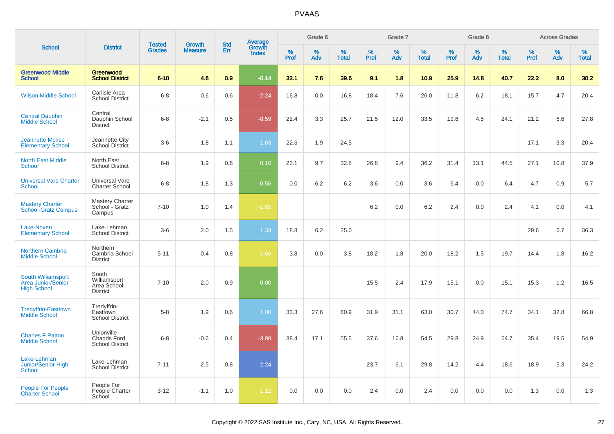| <b>School</b>                                                         |                                                             |                                |                                 |                   |                                          |           | Grade 6  |                   |              | Grade 7  |                   |           | Grade 8  |                   |              | <b>Across Grades</b> |            |
|-----------------------------------------------------------------------|-------------------------------------------------------------|--------------------------------|---------------------------------|-------------------|------------------------------------------|-----------|----------|-------------------|--------------|----------|-------------------|-----------|----------|-------------------|--------------|----------------------|------------|
|                                                                       | <b>District</b>                                             | <b>Tested</b><br><b>Grades</b> | <b>Growth</b><br><b>Measure</b> | <b>Std</b><br>Err | <b>Average</b><br>Growth<br><b>Index</b> | %<br>Prof | %<br>Adv | %<br><b>Total</b> | $\%$<br>Prof | %<br>Adv | %<br><b>Total</b> | %<br>Prof | %<br>Adv | %<br><b>Total</b> | $\%$<br>Prof | $\%$<br>Adv          | %<br>Total |
| <b>Greenwood Middle</b><br><b>School</b>                              | Greenwood<br><b>School District</b>                         | $6 - 10$                       | 4.6                             | 0.9               | $-0.14$                                  | 32.1      | 7.6      | 39.6              | 9.1          | 1.8      | 10.9              | 25.9      | 14.8     | 40.7              | 22.2         | 8.0                  | 30.2       |
| <b>Wilson Middle School</b>                                           | Carlisle Area<br><b>School District</b>                     | $6 - 8$                        | 0.6                             | 0.6               | $-2.24$                                  | 16.8      | 0.0      | 16.8              | 18.4         | 7.6      | 26.0              | 11.8      | 6.2      | 18.1              | 15.7         | 4.7                  | 20.4       |
| <b>Central Dauphin</b><br>Middle School                               | Central<br>Dauphin School<br><b>District</b>                | $6 - 8$                        | $-2.1$                          | 0.5               | $-8.59$                                  | 22.4      | 3.3      | 25.7              | 21.5         | 12.0     | 33.5              | 19.6      | 4.5      | 24.1              | 21.2         | 6.6                  | 27.8       |
| <b>Jeannette Mckee</b><br><b>Elementary School</b>                    | Jeannette City<br><b>School District</b>                    | $3-6$                          | 1.8                             | 1.1               | 1.63                                     | 22.6      | 1.9      | 24.5              |              |          |                   |           |          |                   | 17.1         | 3.3                  | 20.4       |
| <b>North East Middle</b><br><b>School</b>                             | North East<br><b>School District</b>                        | $6 - 8$                        | 1.9                             | 0.6               | 0.16                                     | 23.1      | 9.7      | 32.8              | 26.8         | 9.4      | 36.2              | 31.4      | 13.1     | 44.5              | 27.1         | 10.8                 | 37.9       |
| <b>Universal Vare Charter</b><br><b>School</b>                        | Universal Vare<br><b>Charter School</b>                     | $6-8$                          | 1.8                             | 1.3               | $-0.56$                                  | 0.0       | 6.2      | 6.2               | 3.6          | 0.0      | 3.6               | 6.4       | 0.0      | 6.4               | 4.7          | 0.9                  | 5.7        |
| <b>Mastery Charter</b><br><b>School-Gratz Campus</b>                  | Mastery Charter<br>School - Gratz<br>Campus                 | $7 - 10$                       | 1.0                             | 1.4               | $-1.85$                                  |           |          |                   | 6.2          | 0.0      | 6.2               | 2.4       | 0.0      | 2.4               | 4.1          | 0.0                  | 4.1        |
| Lake-Noxen<br><b>Elementary School</b>                                | Lake-Lehman<br><b>School District</b>                       | $3-6$                          | 2.0                             | 1.5               | 1.33                                     | 18.8      | 6.2      | 25.0              |              |          |                   |           |          |                   | 29.6         | 6.7                  | 36.3       |
| <b>Northern Cambria</b><br><b>Middle School</b>                       | Northern<br>Cambria School<br><b>District</b>               | $5 - 11$                       | $-0.4$                          | 0.8               | $-1.66$                                  | 3.8       | 0.0      | 3.8               | 18.2         | 1.8      | 20.0              | 18.2      | 1.5      | 19.7              | 14.4         | 1.8                  | 16.2       |
| South Williamsport<br><b>Area Junior/Senior</b><br><b>High School</b> | South<br>Williamsport<br>Area School<br><b>District</b>     | $7 - 10$                       | 2.0                             | 0.9               | 0.00                                     |           |          |                   | 15.5         | 2.4      | 17.9              | 15.1      | 0.0      | 15.1              | 15.3         | 1.2                  | 16.5       |
| <b>Tredyffrin-Easttown</b><br><b>Middle School</b>                    | Tredyffrin-<br>Easttown<br><b>School District</b>           | $5-8$                          | 1.9                             | 0.6               | 1.06                                     | 33.3      | 27.6     | 60.9              | 31.9         | 31.1     | 63.0              | 30.7      | 44.0     | 74.7              | 34.1         | 32.8                 | 66.8       |
| <b>Charles F Patton</b><br><b>Middle School</b>                       | Unionville-<br><b>Chadds Ford</b><br><b>School District</b> | $6 - 8$                        | $-0.6$                          | 0.4               | $-3.98$                                  | 38.4      | 17.1     | 55.5              | 37.6         | 16.8     | 54.5              | 29.8      | 24.9     | 54.7              | 35.4         | 19.5                 | 54.9       |
| Lake-Lehman<br>Junior/Senior High<br><b>School</b>                    | Lake-Lehman<br><b>School District</b>                       | $7 - 11$                       | 2.5                             | 0.8               | 2.24                                     |           |          |                   | 23.7         | 6.1      | 29.8              | 14.2      | 4.4      | 18.6              | 18.9         | 5.3                  | 24.2       |
| People For People<br><b>Charter School</b>                            | People For<br>People Charter<br>School                      | $3 - 12$                       | $-1.1$                          | 1.0               | $-1.12$                                  | 0.0       | 0.0      | 0.0               | 2.4          | 0.0      | 2.4               | 0.0       | 0.0      | 0.0               | 1.3          | 0.0                  | 1.3        |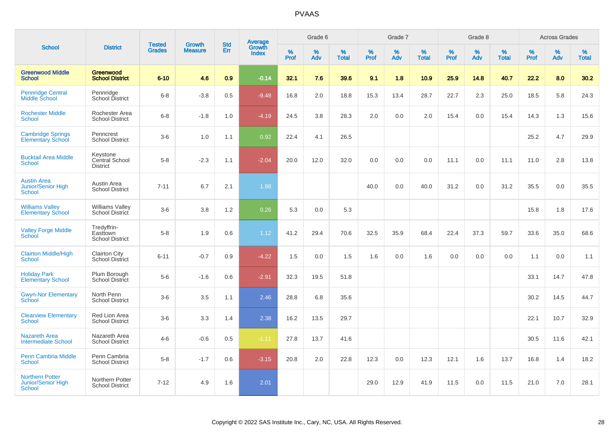| <b>School</b>                                                 |                                                   |                                | <b>Growth</b>  | <b>Std</b> |                                          |                  | Grade 6     |                   |              | Grade 7  |                   |                  | Grade 8  |                   |                     | <b>Across Grades</b> |                   |
|---------------------------------------------------------------|---------------------------------------------------|--------------------------------|----------------|------------|------------------------------------------|------------------|-------------|-------------------|--------------|----------|-------------------|------------------|----------|-------------------|---------------------|----------------------|-------------------|
|                                                               | <b>District</b>                                   | <b>Tested</b><br><b>Grades</b> | <b>Measure</b> | Err        | <b>Average</b><br>Growth<br><b>Index</b> | %<br><b>Prof</b> | $\%$<br>Adv | %<br><b>Total</b> | $\%$<br>Prof | %<br>Adv | %<br><b>Total</b> | %<br><b>Prof</b> | %<br>Adv | %<br><b>Total</b> | $\%$<br><b>Prof</b> | $\%$<br>Adv          | %<br><b>Total</b> |
| <b>Greenwood Middle</b><br><b>School</b>                      | Greenwood<br><b>School District</b>               | $6 - 10$                       | 4.6            | 0.9        | $-0.14$                                  | 32.1             | 7.6         | 39.6              | 9.1          | 1.8      | 10.9              | 25.9             | 14.8     | 40.7              | 22.2                | 8.0                  | 30.2              |
| <b>Pennridge Central</b><br>Middle School                     | Pennridge<br>School District                      | $6 - 8$                        | $-3.8$         | 0.5        | $-9.48$                                  | 16.8             | 2.0         | 18.8              | 15.3         | 13.4     | 28.7              | 22.7             | 2.3      | 25.0              | 18.5                | 5.8                  | 24.3              |
| <b>Rochester Middle</b><br>School                             | Rochester Area<br><b>School District</b>          | $6 - 8$                        | $-1.8$         | 1.0        | $-4.19$                                  | 24.5             | 3.8         | 28.3              | 2.0          | 0.0      | 2.0               | 15.4             | 0.0      | 15.4              | 14.3                | 1.3                  | 15.6              |
| <b>Cambridge Springs</b><br><b>Elementary School</b>          | Penncrest<br><b>School District</b>               | $3-6$                          | 1.0            | 1.1        | 0.92                                     | 22.4             | 4.1         | 26.5              |              |          |                   |                  |          |                   | 25.2                | 4.7                  | 29.9              |
| <b>Bucktail Area Middle</b><br>School                         | Keystone<br>Central School<br><b>District</b>     | $5 - 8$                        | $-2.3$         | 1.1        | $-2.04$                                  | 20.0             | 12.0        | 32.0              | 0.0          | 0.0      | 0.0               | 11.1             | 0.0      | 11.1              | 11.0                | 2.8                  | 13.8              |
| <b>Austin Area</b><br>Junior/Senior High<br>School            | Austin Area<br><b>School District</b>             | $7 - 11$                       | 6.7            | 2.1        | 1.98                                     |                  |             |                   | 40.0         | 0.0      | 40.0              | 31.2             | 0.0      | 31.2              | 35.5                | 0.0                  | 35.5              |
| <b>Williams Valley</b><br><b>Elementary School</b>            | <b>Williams Valley</b><br>School District         | $3-6$                          | 3.8            | 1.2        | 0.26                                     | 5.3              | 0.0         | 5.3               |              |          |                   |                  |          |                   | 15.8                | 1.8                  | 17.6              |
| <b>Valley Forge Middle</b><br>School                          | Tredyffrin-<br>Easttown<br><b>School District</b> | $5 - 8$                        | 1.9            | 0.6        | 1.12                                     | 41.2             | 29.4        | 70.6              | 32.5         | 35.9     | 68.4              | 22.4             | 37.3     | 59.7              | 33.6                | 35.0                 | 68.6              |
| <b>Clairton Middle/High</b><br><b>School</b>                  | <b>Clairton City</b><br><b>School District</b>    | $6 - 11$                       | $-0.7$         | 0.9        | $-4.22$                                  | 1.5              | 0.0         | 1.5               | 1.6          | 0.0      | 1.6               | 0.0              | 0.0      | 0.0               | 1.1                 | 0.0                  | 1.1               |
| <b>Holiday Park</b><br><b>Elementary School</b>               | Plum Borough<br>School District                   | $5-6$                          | $-1.6$         | 0.6        | $-2.91$                                  | 32.3             | 19.5        | 51.8              |              |          |                   |                  |          |                   | 33.1                | 14.7                 | 47.8              |
| <b>Gwyn-Nor Elementary</b><br>School                          | North Penn<br><b>School District</b>              | $3-6$                          | 3.5            | 1.1        | 2.46                                     | 28.8             | 6.8         | 35.6              |              |          |                   |                  |          |                   | 30.2                | 14.5                 | 44.7              |
| <b>Clearview Elementary</b><br><b>School</b>                  | Red Lion Area<br><b>School District</b>           | $3-6$                          | 3.3            | 1.4        | 2.38                                     | 16.2             | 13.5        | 29.7              |              |          |                   |                  |          |                   | 22.1                | 10.7                 | 32.9              |
| <b>Nazareth Area</b><br><b>Intermediate School</b>            | Nazareth Area<br><b>School District</b>           | $4 - 6$                        | $-0.6$         | 0.5        | $-1.11$                                  | 27.8             | 13.7        | 41.6              |              |          |                   |                  |          |                   | 30.5                | 11.6                 | 42.1              |
| <b>Penn Cambria Middle</b><br><b>School</b>                   | Penn Cambria<br><b>School District</b>            | $5 - 8$                        | $-1.7$         | 0.6        | $-3.15$                                  | 20.8             | 2.0         | 22.8              | 12.3         | 0.0      | 12.3              | 12.1             | 1.6      | 13.7              | 16.8                | 1.4                  | 18.2              |
| <b>Northern Potter</b><br><b>Junior/Senior High</b><br>School | Northern Potter<br><b>School District</b>         | $7 - 12$                       | 4.9            | 1.6        | 2.01                                     |                  |             |                   | 29.0         | 12.9     | 41.9              | 11.5             | 0.0      | 11.5              | 21.0                | 7.0                  | 28.1              |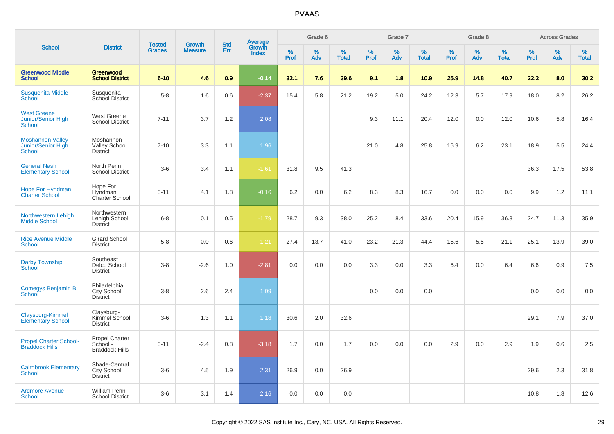|                                                                  |                                                     |                                |                                 |                   |                                          |                  | Grade 6  |                   |           | Grade 7  |                   |           | Grade 8  |                   |              | <b>Across Grades</b> |                   |
|------------------------------------------------------------------|-----------------------------------------------------|--------------------------------|---------------------------------|-------------------|------------------------------------------|------------------|----------|-------------------|-----------|----------|-------------------|-----------|----------|-------------------|--------------|----------------------|-------------------|
| <b>School</b>                                                    | <b>District</b>                                     | <b>Tested</b><br><b>Grades</b> | <b>Growth</b><br><b>Measure</b> | <b>Std</b><br>Err | <b>Average</b><br>Growth<br><b>Index</b> | %<br><b>Prof</b> | %<br>Adv | %<br><b>Total</b> | %<br>Prof | %<br>Adv | %<br><b>Total</b> | %<br>Prof | %<br>Adv | %<br><b>Total</b> | $\%$<br>Prof | %<br>Adv             | %<br><b>Total</b> |
| <b>Greenwood Middle</b><br><b>School</b>                         | Greenwood<br><b>School District</b>                 | $6 - 10$                       | 4.6                             | 0.9               | $-0.14$                                  | 32.1             | 7.6      | 39.6              | 9.1       | 1.8      | 10.9              | 25.9      | 14.8     | 40.7              | 22.2         | 8.0                  | 30.2              |
| <b>Susquenita Middle</b><br>School                               | Susquenita<br>School District                       | $5 - 8$                        | 1.6                             | 0.6               | $-2.37$                                  | 15.4             | 5.8      | 21.2              | 19.2      | 5.0      | 24.2              | 12.3      | 5.7      | 17.9              | 18.0         | 8.2                  | 26.2              |
| <b>West Greene</b><br><b>Junior/Senior High</b><br><b>School</b> | <b>West Greene</b><br><b>School District</b>        | $7 - 11$                       | 3.7                             | 1.2               | 2.08                                     |                  |          |                   | 9.3       | 11.1     | 20.4              | 12.0      | 0.0      | 12.0              | 10.6         | 5.8                  | 16.4              |
| <b>Moshannon Valley</b><br>Junior/Senior High<br><b>School</b>   | Moshannon<br><b>Valley School</b><br>District       | $7 - 10$                       | 3.3                             | 1.1               | 1.96                                     |                  |          |                   | 21.0      | 4.8      | 25.8              | 16.9      | 6.2      | 23.1              | 18.9         | 5.5                  | 24.4              |
| <b>General Nash</b><br><b>Elementary School</b>                  | North Penn<br><b>School District</b>                | $3-6$                          | 3.4                             | 1.1               | $-1.61$                                  | 31.8             | 9.5      | 41.3              |           |          |                   |           |          |                   | 36.3         | 17.5                 | 53.8              |
| <b>Hope For Hyndman</b><br><b>Charter School</b>                 | Hope For<br>Hyndman<br>Charter School               | $3 - 11$                       | 4.1                             | 1.8               | $-0.16$                                  | 6.2              | 0.0      | 6.2               | 8.3       | 8.3      | 16.7              | 0.0       | 0.0      | 0.0               | 9.9          | 1.2                  | 11.1              |
| Northwestern Lehigh<br><b>Middle School</b>                      | Northwestern<br>Lehigh School<br><b>District</b>    | $6 - 8$                        | 0.1                             | 0.5               | $-1.79$                                  | 28.7             | 9.3      | 38.0              | 25.2      | 8.4      | 33.6              | 20.4      | 15.9     | 36.3              | 24.7         | 11.3                 | 35.9              |
| <b>Rice Avenue Middle</b><br><b>School</b>                       | <b>Girard School</b><br><b>District</b>             | $5-8$                          | 0.0                             | 0.6               | $-1.21$                                  | 27.4             | 13.7     | 41.0              | 23.2      | 21.3     | 44.4              | 15.6      | 5.5      | 21.1              | 25.1         | 13.9                 | 39.0              |
| <b>Darby Township</b><br><b>School</b>                           | Southeast<br>Delco School<br><b>District</b>        | $3 - 8$                        | $-2.6$                          | 1.0               | $-2.81$                                  | 0.0              | 0.0      | 0.0               | 3.3       | 0.0      | 3.3               | 6.4       | 0.0      | 6.4               | 6.6          | 0.9                  | 7.5               |
| Comegys Benjamin B<br>School                                     | Philadelphia<br>City School<br><b>District</b>      | $3 - 8$                        | 2.6                             | 2.4               | 1.09                                     |                  |          |                   | 0.0       | 0.0      | 0.0               |           |          |                   | 0.0          | 0.0                  | 0.0               |
| Claysburg-Kimmel<br><b>Elementary School</b>                     | Claysburg-<br>Kimmel School<br><b>District</b>      | $3-6$                          | 1.3                             | 1.1               | 1.18                                     | 30.6             | 2.0      | 32.6              |           |          |                   |           |          |                   | 29.1         | 7.9                  | 37.0              |
| <b>Propel Charter School-</b><br><b>Braddock Hills</b>           | Propel Charter<br>School -<br><b>Braddock Hills</b> | $3 - 11$                       | $-2.4$                          | 0.8               | $-3.18$                                  | 1.7              | 0.0      | 1.7               | 0.0       | 0.0      | 0.0               | 2.9       | 0.0      | 2.9               | 1.9          | 0.6                  | 2.5               |
| <b>Cairnbrook Elementary</b><br><b>School</b>                    | Shade-Central<br>City School<br><b>District</b>     | $3-6$                          | 4.5                             | 1.9               | 2.31                                     | 26.9             | 0.0      | 26.9              |           |          |                   |           |          |                   | 29.6         | 2.3                  | 31.8              |
| <b>Ardmore Avenue</b><br><b>School</b>                           | William Penn<br><b>School District</b>              | $3-6$                          | 3.1                             | 1.4               | 2.16                                     | 0.0              | 0.0      | 0.0               |           |          |                   |           |          |                   | 10.8         | 1.8                  | 12.6              |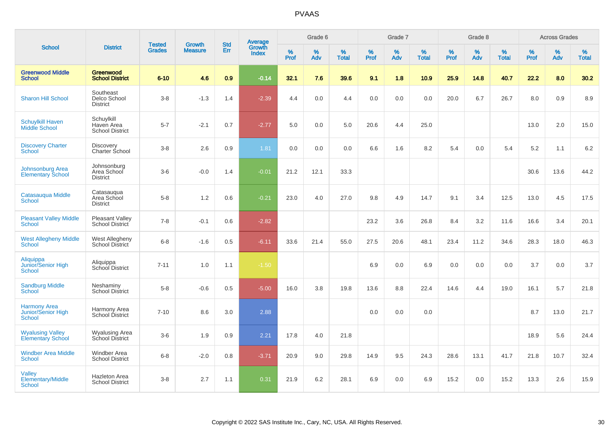|                                                            |                                                    |                                |                                 | <b>Std</b> |                                          |           | Grade 6  |                   |           | Grade 7  |                   |           | Grade 8  |                   |              | <b>Across Grades</b> |                   |
|------------------------------------------------------------|----------------------------------------------------|--------------------------------|---------------------------------|------------|------------------------------------------|-----------|----------|-------------------|-----------|----------|-------------------|-----------|----------|-------------------|--------------|----------------------|-------------------|
| <b>School</b>                                              | <b>District</b>                                    | <b>Tested</b><br><b>Grades</b> | <b>Growth</b><br><b>Measure</b> | Err        | <b>Average</b><br>Growth<br><b>Index</b> | %<br>Prof | %<br>Adv | %<br><b>Total</b> | %<br>Prof | %<br>Adv | %<br><b>Total</b> | %<br>Prof | %<br>Adv | %<br><b>Total</b> | $\%$<br>Prof | %<br>Adv             | %<br><b>Total</b> |
| <b>Greenwood Middle</b><br><b>School</b>                   | Greenwood<br><b>School District</b>                | $6 - 10$                       | 4.6                             | 0.9        | $-0.14$                                  | 32.1      | 7.6      | 39.6              | 9.1       | 1.8      | 10.9              | 25.9      | 14.8     | 40.7              | 22.2         | 8.0                  | 30.2              |
| <b>Sharon Hill School</b>                                  | Southeast<br>Delco School<br><b>District</b>       | $3 - 8$                        | $-1.3$                          | 1.4        | $-2.39$                                  | 4.4       | 0.0      | 4.4               | 0.0       | 0.0      | 0.0               | 20.0      | 6.7      | 26.7              | 8.0          | 0.9                  | 8.9               |
| <b>Schuylkill Haven</b><br>Middle School                   | Schuylkill<br>Haven Area<br><b>School District</b> | $5 - 7$                        | $-2.1$                          | 0.7        | $-2.77$                                  | 5.0       | 0.0      | 5.0               | 20.6      | 4.4      | 25.0              |           |          |                   | 13.0         | 2.0                  | 15.0              |
| <b>Discovery Charter</b><br>School                         | <b>Discovery</b><br><b>Charter School</b>          | $3 - 8$                        | 2.6                             | 0.9        | 1.81                                     | 0.0       | 0.0      | 0.0               | 6.6       | 1.6      | 8.2               | 5.4       | 0.0      | 5.4               | 5.2          | 1.1                  | 6.2               |
| <b>Johnsonburg Area</b><br><b>Elementary School</b>        | Johnsonburg<br>Area School<br><b>District</b>      | $3-6$                          | $-0.0$                          | 1.4        | $-0.01$                                  | 21.2      | 12.1     | 33.3              |           |          |                   |           |          |                   | 30.6         | 13.6                 | 44.2              |
| Catasauqua Middle<br><b>School</b>                         | Catasauqua<br>Area School<br><b>District</b>       | $5-8$                          | 1.2                             | 0.6        | $-0.21$                                  | 23.0      | 4.0      | 27.0              | 9.8       | 4.9      | 14.7              | 9.1       | 3.4      | 12.5              | 13.0         | 4.5                  | 17.5              |
| <b>Pleasant Valley Middle</b><br><b>School</b>             | <b>Pleasant Valley</b><br>School District          | $7 - 8$                        | $-0.1$                          | 0.6        | $-2.82$                                  |           |          |                   | 23.2      | 3.6      | 26.8              | 8.4       | 3.2      | 11.6              | 16.6         | 3.4                  | 20.1              |
| <b>West Allegheny Middle</b><br><b>School</b>              | West Allegheny<br>School District                  | $6 - 8$                        | $-1.6$                          | 0.5        | $-6.11$                                  | 33.6      | 21.4     | 55.0              | 27.5      | 20.6     | 48.1              | 23.4      | 11.2     | 34.6              | 28.3         | 18.0                 | 46.3              |
| Aliquippa<br>Junior/Senior High<br><b>School</b>           | Aliquippa<br>School District                       | $7 - 11$                       | 1.0                             | 1.1        | $-1.50$                                  |           |          |                   | 6.9       | 0.0      | 6.9               | 0.0       | 0.0      | 0.0               | 3.7          | 0.0                  | 3.7               |
| <b>Sandburg Middle</b><br>School                           | Neshaminy<br>School District                       | $5 - 8$                        | $-0.6$                          | 0.5        | $-5.00$                                  | 16.0      | 3.8      | 19.8              | 13.6      | 8.8      | 22.4              | 14.6      | 4.4      | 19.0              | 16.1         | 5.7                  | 21.8              |
| <b>Harmony Area</b><br><b>Junior/Senior High</b><br>School | Harmony Area<br>School District                    | $7 - 10$                       | 8.6                             | 3.0        | 2.88                                     |           |          |                   | 0.0       | 0.0      | 0.0               |           |          |                   | 8.7          | 13.0                 | 21.7              |
| <b>Wyalusing Valley</b><br><b>Elementary School</b>        | <b>Wyalusing Area</b><br>School District           | $3-6$                          | 1.9                             | 0.9        | 2.21                                     | 17.8      | 4.0      | 21.8              |           |          |                   |           |          |                   | 18.9         | 5.6                  | 24.4              |
| <b>Windber Area Middle</b><br><b>School</b>                | Windber Area<br><b>School District</b>             | $6 - 8$                        | $-2.0$                          | 0.8        | $-3.71$                                  | 20.9      | 9.0      | 29.8              | 14.9      | 9.5      | 24.3              | 28.6      | 13.1     | 41.7              | 21.8         | 10.7                 | 32.4              |
| Valley<br><b>Elementary/Middle</b><br>School               | <b>Hazleton Area</b><br><b>School District</b>     | $3 - 8$                        | 2.7                             | 1.1        | 0.31                                     | 21.9      | 6.2      | 28.1              | 6.9       | 0.0      | 6.9               | 15.2      | 0.0      | 15.2              | 13.3         | 2.6                  | 15.9              |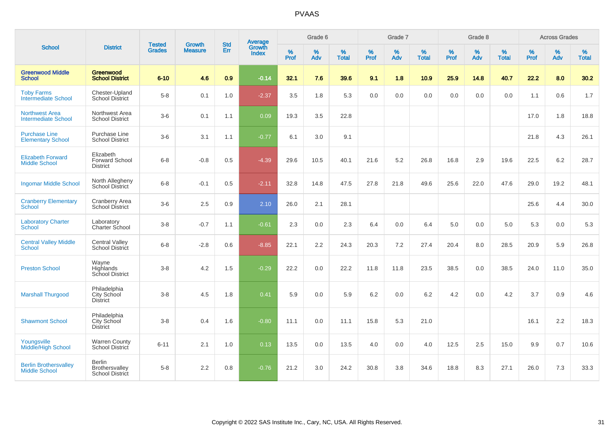| <b>School</b>                                        |                                                           |                                |                                 | <b>Std</b> |                                          |                  | Grade 6  |                   |                  | Grade 7  |                   |                  | Grade 8  |                   |           | <b>Across Grades</b> |                   |
|------------------------------------------------------|-----------------------------------------------------------|--------------------------------|---------------------------------|------------|------------------------------------------|------------------|----------|-------------------|------------------|----------|-------------------|------------------|----------|-------------------|-----------|----------------------|-------------------|
|                                                      | <b>District</b>                                           | <b>Tested</b><br><b>Grades</b> | <b>Growth</b><br><b>Measure</b> | Err        | <b>Average</b><br>Growth<br><b>Index</b> | %<br><b>Prof</b> | %<br>Adv | %<br><b>Total</b> | %<br><b>Prof</b> | %<br>Adv | %<br><b>Total</b> | %<br><b>Prof</b> | %<br>Adv | %<br><b>Total</b> | %<br>Prof | %<br>Adv             | %<br><b>Total</b> |
| <b>Greenwood Middle</b><br><b>School</b>             | Greenwood<br><b>School District</b>                       | $6 - 10$                       | 4.6                             | 0.9        | $-0.14$                                  | 32.1             | 7.6      | 39.6              | 9.1              | 1.8      | 10.9              | 25.9             | 14.8     | 40.7              | 22.2      | 8.0                  | 30.2              |
| <b>Toby Farms</b><br><b>Intermediate School</b>      | Chester-Upland<br><b>School District</b>                  | $5-8$                          | 0.1                             | 1.0        | $-2.37$                                  | 3.5              | 1.8      | 5.3               | 0.0              | 0.0      | 0.0               | 0.0              | 0.0      | 0.0               | 1.1       | 0.6                  | 1.7               |
| <b>Northwest Area</b><br><b>Intermediate School</b>  | Northwest Area<br><b>School District</b>                  | $3-6$                          | 0.1                             | 1.1        | 0.09                                     | 19.3             | 3.5      | 22.8              |                  |          |                   |                  |          |                   | 17.0      | 1.8                  | 18.8              |
| <b>Purchase Line</b><br><b>Elementary School</b>     | Purchase Line<br><b>School District</b>                   | $3-6$                          | 3.1                             | 1.1        | $-0.77$                                  | 6.1              | 3.0      | 9.1               |                  |          |                   |                  |          |                   | 21.8      | 4.3                  | 26.1              |
| <b>Elizabeth Forward</b><br><b>Middle School</b>     | Elizabeth<br><b>Forward School</b><br><b>District</b>     | $6 - 8$                        | $-0.8$                          | 0.5        | $-4.39$                                  | 29.6             | 10.5     | 40.1              | 21.6             | 5.2      | 26.8              | 16.8             | 2.9      | 19.6              | 22.5      | 6.2                  | 28.7              |
| <b>Ingomar Middle School</b>                         | North Allegheny<br><b>School District</b>                 | $6 - 8$                        | $-0.1$                          | 0.5        | $-2.11$                                  | 32.8             | 14.8     | 47.5              | 27.8             | 21.8     | 49.6              | 25.6             | 22.0     | 47.6              | 29.0      | 19.2                 | 48.1              |
| <b>Cranberry Elementary</b><br><b>School</b>         | Cranberry Area<br>School District                         | $3-6$                          | 2.5                             | 0.9        | 2.10                                     | 26.0             | 2.1      | 28.1              |                  |          |                   |                  |          |                   | 25.6      | 4.4                  | 30.0              |
| <b>Laboratory Charter</b><br><b>School</b>           | Laboratory<br>Charter School                              | $3-8$                          | $-0.7$                          | 1.1        | $-0.61$                                  | 2.3              | 0.0      | 2.3               | 6.4              | 0.0      | 6.4               | $5.0\,$          | 0.0      | 5.0               | 5.3       | 0.0                  | 5.3               |
| <b>Central Valley Middle</b><br><b>School</b>        | <b>Central Valley</b><br>School District                  | $6 - 8$                        | $-2.8$                          | 0.6        | $-8.85$                                  | 22.1             | 2.2      | 24.3              | 20.3             | 7.2      | 27.4              | 20.4             | 8.0      | 28.5              | 20.9      | 5.9                  | 26.8              |
| <b>Preston School</b>                                | Wayne<br>Highlands<br>School District                     | $3 - 8$                        | 4.2                             | 1.5        | $-0.29$                                  | 22.2             | 0.0      | 22.2              | 11.8             | 11.8     | 23.5              | 38.5             | 0.0      | 38.5              | 24.0      | 11.0                 | 35.0              |
| <b>Marshall Thurgood</b>                             | Philadelphia<br>City School<br><b>District</b>            | $3-8$                          | 4.5                             | 1.8        | 0.41                                     | 5.9              | 0.0      | 5.9               | 6.2              | 0.0      | 6.2               | 4.2              | 0.0      | 4.2               | 3.7       | 0.9                  | 4.6               |
| <b>Shawmont School</b>                               | Philadelphia<br>City School<br><b>District</b>            | $3-8$                          | 0.4                             | 1.6        | $-0.80$                                  | 11.1             | 0.0      | 11.1              | 15.8             | 5.3      | 21.0              |                  |          |                   | 16.1      | 2.2                  | 18.3              |
| Youngsville<br><b>Middle/High School</b>             | <b>Warren County</b><br>School District                   | $6 - 11$                       | 2.1                             | 1.0        | 0.13                                     | 13.5             | 0.0      | 13.5              | 4.0              | 0.0      | 4.0               | 12.5             | 2.5      | 15.0              | 9.9       | 0.7                  | 10.6              |
| <b>Berlin Brothersvalley</b><br><b>Middle School</b> | <b>Berlin</b><br>Brothersvalley<br><b>School District</b> | $5-8$                          | 2.2                             | 0.8        | $-0.76$                                  | 21.2             | 3.0      | 24.2              | 30.8             | 3.8      | 34.6              | 18.8             | 8.3      | 27.1              | 26.0      | 7.3                  | 33.3              |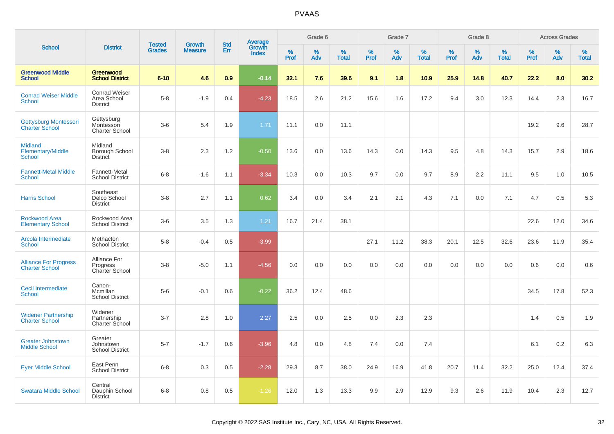|                                                             |                                                        |                                |                                 |                   |                                          |                  | Grade 6     |                   |              | Grade 7     |                      |              | Grade 8  |                   |              | <b>Across Grades</b> |                   |
|-------------------------------------------------------------|--------------------------------------------------------|--------------------------------|---------------------------------|-------------------|------------------------------------------|------------------|-------------|-------------------|--------------|-------------|----------------------|--------------|----------|-------------------|--------------|----------------------|-------------------|
| <b>School</b>                                               | <b>District</b>                                        | <b>Tested</b><br><b>Grades</b> | <b>Growth</b><br><b>Measure</b> | <b>Std</b><br>Err | <b>Average</b><br>Growth<br><b>Index</b> | %<br><b>Prof</b> | $\%$<br>Adv | %<br><b>Total</b> | $\%$<br>Prof | $\%$<br>Adv | $\%$<br><b>Total</b> | $\%$<br>Prof | %<br>Adv | %<br><b>Total</b> | $\%$<br>Prof | %<br>Adv             | %<br><b>Total</b> |
| <b>Greenwood Middle</b><br><b>School</b>                    | Greenwood<br><b>School District</b>                    | $6 - 10$                       | 4.6                             | 0.9               | $-0.14$                                  | 32.1             | 7.6         | 39.6              | 9.1          | 1.8         | 10.9                 | 25.9         | 14.8     | 40.7              | 22.2         | 8.0                  | 30.2              |
| <b>Conrad Weiser Middle</b><br><b>School</b>                | <b>Conrad Weiser</b><br>Area School<br><b>District</b> | $5-8$                          | $-1.9$                          | 0.4               | $-4.23$                                  | 18.5             | 2.6         | 21.2              | 15.6         | 1.6         | 17.2                 | 9.4          | 3.0      | 12.3              | 14.4         | 2.3                  | 16.7              |
| <b>Gettysburg Montessori</b><br><b>Charter School</b>       | Gettysburg<br>Montessori<br><b>Charter School</b>      | $3-6$                          | 5.4                             | 1.9               | 1.71                                     | 11.1             | 0.0         | 11.1              |              |             |                      |              |          |                   | 19.2         | 9.6                  | 28.7              |
| <b>Midland</b><br><b>Elementary/Middle</b><br><b>School</b> | Midland<br>Borough School<br><b>District</b>           | $3-8$                          | 2.3                             | 1.2               | $-0.50$                                  | 13.6             | 0.0         | 13.6              | 14.3         | 0.0         | 14.3                 | 9.5          | 4.8      | 14.3              | 15.7         | 2.9                  | 18.6              |
| <b>Fannett-Metal Middle</b><br><b>School</b>                | Fannett-Metal<br><b>School District</b>                | $6 - 8$                        | $-1.6$                          | 1.1               | $-3.34$                                  | 10.3             | 0.0         | 10.3              | 9.7          | 0.0         | 9.7                  | 8.9          | 2.2      | 11.1              | 9.5          | 1.0                  | 10.5              |
| <b>Harris School</b>                                        | Southeast<br>Delco School<br><b>District</b>           | $3-8$                          | 2.7                             | 1.1               | 0.62                                     | 3.4              | 0.0         | 3.4               | 2.1          | 2.1         | 4.3                  | 7.1          | 0.0      | 7.1               | 4.7          | 0.5                  | 5.3               |
| <b>Rockwood Area</b><br><b>Elementary School</b>            | Rockwood Area<br><b>School District</b>                | $3-6$                          | 3.5                             | 1.3               | 1.21                                     | 16.7             | 21.4        | 38.1              |              |             |                      |              |          |                   | 22.6         | 12.0                 | 34.6              |
| Arcola Intermediate<br>School                               | Methacton<br><b>School District</b>                    | $5-8$                          | $-0.4$                          | 0.5               | $-3.99$                                  |                  |             |                   | 27.1         | 11.2        | 38.3                 | 20.1         | 12.5     | 32.6              | 23.6         | 11.9                 | 35.4              |
| <b>Alliance For Progress</b><br><b>Charter School</b>       | Alliance For<br>Progress<br>Charter School             | $3-8$                          | $-5.0$                          | 1.1               | $-4.56$                                  | 0.0              | 0.0         | 0.0               | 0.0          | 0.0         | 0.0                  | 0.0          | 0.0      | 0.0               | 0.6          | 0.0                  | 0.6               |
| <b>Cecil Intermediate</b><br><b>School</b>                  | Canon-<br>Mcmillan<br><b>School District</b>           | $5-6$                          | $-0.1$                          | 0.6               | $-0.22$                                  | 36.2             | 12.4        | 48.6              |              |             |                      |              |          |                   | 34.5         | 17.8                 | 52.3              |
| <b>Widener Partnership</b><br><b>Charter School</b>         | Widener<br>Partnership<br><b>Charter School</b>        | $3 - 7$                        | 2.8                             | 1.0               | 2.27                                     | 2.5              | 0.0         | 2.5               | 0.0          | 2.3         | 2.3                  |              |          |                   | 1.4          | 0.5                  | 1.9               |
| <b>Greater Johnstown</b><br><b>Middle School</b>            | Greater<br>Johnstown<br><b>School District</b>         | $5 - 7$                        | $-1.7$                          | 0.6               | $-3.96$                                  | 4.8              | 0.0         | 4.8               | 7.4          | 0.0         | 7.4                  |              |          |                   | 6.1          | 0.2                  | 6.3               |
| <b>Eyer Middle School</b>                                   | East Penn<br><b>School District</b>                    | $6 - 8$                        | 0.3                             | 0.5               | $-2.28$                                  | 29.3             | 8.7         | 38.0              | 24.9         | 16.9        | 41.8                 | 20.7         | 11.4     | 32.2              | 25.0         | 12.4                 | 37.4              |
| <b>Swatara Middle School</b>                                | Central<br>Dauphin School<br><b>District</b>           | $6 - 8$                        | 0.8                             | 0.5               | $-1.26$                                  | 12.0             | 1.3         | 13.3              | 9.9          | 2.9         | 12.9                 | 9.3          | 2.6      | 11.9              | 10.4         | 2.3                  | 12.7              |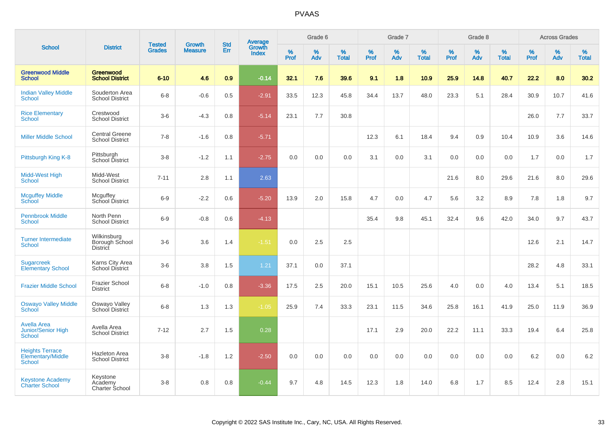|                                                           |                                                  |                                |                                 |                   |                                          |                  | Grade 6  |                   |           | Grade 7  |                   |           | Grade 8  |                   |           | <b>Across Grades</b> |                   |
|-----------------------------------------------------------|--------------------------------------------------|--------------------------------|---------------------------------|-------------------|------------------------------------------|------------------|----------|-------------------|-----------|----------|-------------------|-----------|----------|-------------------|-----------|----------------------|-------------------|
| <b>School</b>                                             | <b>District</b>                                  | <b>Tested</b><br><b>Grades</b> | <b>Growth</b><br><b>Measure</b> | <b>Std</b><br>Err | <b>Average</b><br>Growth<br><b>Index</b> | %<br><b>Prof</b> | %<br>Adv | %<br><b>Total</b> | %<br>Prof | %<br>Adv | %<br><b>Total</b> | %<br>Prof | %<br>Adv | %<br><b>Total</b> | %<br>Prof | %<br>Adv             | %<br><b>Total</b> |
| <b>Greenwood Middle</b><br><b>School</b>                  | Greenwood<br><b>School District</b>              | $6 - 10$                       | 4.6                             | 0.9               | $-0.14$                                  | 32.1             | 7.6      | 39.6              | 9.1       | 1.8      | 10.9              | 25.9      | 14.8     | 40.7              | 22.2      | 8.0                  | 30.2              |
| <b>Indian Valley Middle</b><br><b>School</b>              | Souderton Area<br><b>School District</b>         | $6 - 8$                        | $-0.6$                          | 0.5               | $-2.91$                                  | 33.5             | 12.3     | 45.8              | 34.4      | 13.7     | 48.0              | 23.3      | 5.1      | 28.4              | 30.9      | 10.7                 | 41.6              |
| <b>Rice Elementary</b><br>School                          | Crestwood<br><b>School District</b>              | $3-6$                          | $-4.3$                          | 0.8               | $-5.14$                                  | 23.1             | 7.7      | 30.8              |           |          |                   |           |          |                   | 26.0      | 7.7                  | 33.7              |
| <b>Miller Middle School</b>                               | <b>Central Greene</b><br><b>School District</b>  | $7 - 8$                        | $-1.6$                          | 0.8               | $-5.71$                                  |                  |          |                   | 12.3      | 6.1      | 18.4              | 9.4       | 0.9      | 10.4              | 10.9      | 3.6                  | 14.6              |
| Pittsburgh King K-8                                       | Pittsburgh<br>School District                    | $3 - 8$                        | $-1.2$                          | 1.1               | $-2.75$                                  | 0.0              | 0.0      | 0.0               | 3.1       | 0.0      | 3.1               | 0.0       | 0.0      | 0.0               | 1.7       | 0.0                  | 1.7               |
| Midd-West High<br><b>School</b>                           | Midd-West<br><b>School District</b>              | $7 - 11$                       | 2.8                             | 1.1               | 2.63                                     |                  |          |                   |           |          |                   | 21.6      | 8.0      | 29.6              | 21.6      | 8.0                  | 29.6              |
| <b>Mcguffey Middle</b><br>School                          | Mcguffey<br>School District                      | $6-9$                          | $-2.2$                          | 0.6               | $-5.20$                                  | 13.9             | 2.0      | 15.8              | 4.7       | 0.0      | 4.7               | 5.6       | 3.2      | 8.9               | 7.8       | 1.8                  | 9.7               |
| <b>Pennbrook Middle</b><br>School                         | North Penn<br><b>School District</b>             | $6 - 9$                        | $-0.8$                          | 0.6               | $-4.13$                                  |                  |          |                   | 35.4      | 9.8      | 45.1              | 32.4      | 9.6      | 42.0              | 34.0      | 9.7                  | 43.7              |
| <b>Turner Intermediate</b><br><b>School</b>               | Wilkinsburg<br>Borough School<br><b>District</b> | $3-6$                          | 3.6                             | 1.4               | $-1.51$                                  | 0.0              | 2.5      | 2.5               |           |          |                   |           |          |                   | 12.6      | 2.1                  | 14.7              |
| <b>Sugarcreek</b><br><b>Elementary School</b>             | Karns City Area<br><b>School District</b>        | $3-6$                          | 3.8                             | 1.5               | 1.21                                     | 37.1             | 0.0      | 37.1              |           |          |                   |           |          |                   | 28.2      | 4.8                  | 33.1              |
| <b>Frazier Middle School</b>                              | <b>Frazier School</b><br><b>District</b>         | $6 - 8$                        | $-1.0$                          | 0.8               | $-3.36$                                  | 17.5             | 2.5      | 20.0              | 15.1      | 10.5     | 25.6              | 4.0       | 0.0      | 4.0               | 13.4      | 5.1                  | 18.5              |
| <b>Oswayo Valley Middle</b><br>School                     | Oswayo Valley<br>School District                 | $6 - 8$                        | 1.3                             | 1.3               | $-1.05$                                  | 25.9             | 7.4      | 33.3              | 23.1      | 11.5     | 34.6              | 25.8      | 16.1     | 41.9              | 25.0      | 11.9                 | 36.9              |
| <b>Avella Area</b><br><b>Junior/Senior High</b><br>School | Avella Area<br><b>School District</b>            | $7 - 12$                       | 2.7                             | 1.5               | 0.28                                     |                  |          |                   | 17.1      | 2.9      | 20.0              | 22.2      | 11.1     | 33.3              | 19.4      | 6.4                  | 25.8              |
| <b>Heights Terrace</b><br>Elementary/Middle<br>School     | Hazleton Area<br><b>School District</b>          | $3 - 8$                        | $-1.8$                          | 1.2               | $-2.50$                                  | 0.0              | 0.0      | 0.0               | 0.0       | 0.0      | 0.0               | 0.0       | 0.0      | 0.0               | 6.2       | 0.0                  | $6.2\,$           |
| <b>Keystone Academy</b><br><b>Charter School</b>          | Keystone<br>Academy<br>Charter School            | $3 - 8$                        | 0.8                             | 0.8               | $-0.44$                                  | 9.7              | 4.8      | 14.5              | 12.3      | 1.8      | 14.0              | 6.8       | 1.7      | 8.5               | 12.4      | 2.8                  | 15.1              |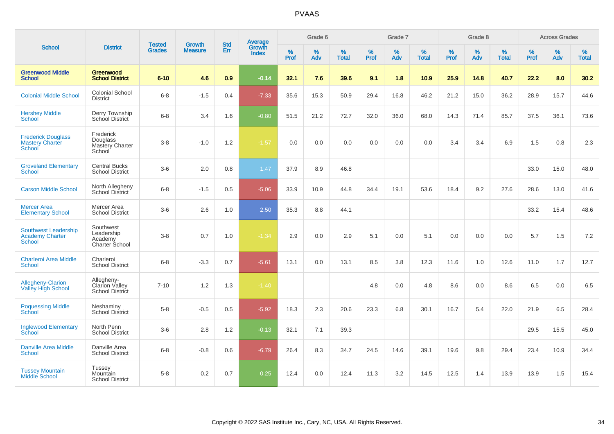| <b>School</b>                                                          |                                                             |                                |                                 |                   |                                          |           | Grade 6  |                   |           | Grade 7  |                   |           | Grade 8  |                   |              | <b>Across Grades</b> |                   |
|------------------------------------------------------------------------|-------------------------------------------------------------|--------------------------------|---------------------------------|-------------------|------------------------------------------|-----------|----------|-------------------|-----------|----------|-------------------|-----------|----------|-------------------|--------------|----------------------|-------------------|
|                                                                        | <b>District</b>                                             | <b>Tested</b><br><b>Grades</b> | <b>Growth</b><br><b>Measure</b> | <b>Std</b><br>Err | <b>Average</b><br>Growth<br><b>Index</b> | %<br>Prof | %<br>Adv | %<br><b>Total</b> | %<br>Prof | %<br>Adv | %<br><b>Total</b> | %<br>Prof | %<br>Adv | %<br><b>Total</b> | $\%$<br>Prof | $\%$<br>Adv          | %<br><b>Total</b> |
| <b>Greenwood Middle</b><br><b>School</b>                               | Greenwood<br><b>School District</b>                         | $6 - 10$                       | 4.6                             | 0.9 <sub>2</sub>  | $-0.14$                                  | 32.1      | 7.6      | 39.6              | 9.1       | 1.8      | 10.9              | 25.9      | 14.8     | 40.7              | 22.2         | 8.0                  | 30.2              |
| <b>Colonial Middle School</b>                                          | <b>Colonial School</b><br><b>District</b>                   | $6 - 8$                        | $-1.5$                          | 0.4               | $-7.33$                                  | 35.6      | 15.3     | 50.9              | 29.4      | 16.8     | 46.2              | 21.2      | 15.0     | 36.2              | 28.9         | 15.7                 | 44.6              |
| <b>Hershey Middle</b><br>School                                        | Derry Township<br>School District                           | $6 - 8$                        | 3.4                             | 1.6               | $-0.80$                                  | 51.5      | 21.2     | 72.7              | 32.0      | 36.0     | 68.0              | 14.3      | 71.4     | 85.7              | 37.5         | 36.1                 | 73.6              |
| <b>Frederick Douglass</b><br><b>Mastery Charter</b><br>School          | Frederick<br>Douglass<br>Mastery Charter<br>School          | $3-8$                          | $-1.0$                          | 1.2               | $-1.57$                                  | 0.0       | 0.0      | 0.0               | 0.0       | 0.0      | 0.0               | 3.4       | 3.4      | 6.9               | 1.5          | 0.8                  | 2.3               |
| <b>Groveland Elementary</b><br><b>School</b>                           | <b>Central Bucks</b><br><b>School District</b>              | $3-6$                          | 2.0                             | 0.8               | 1.47                                     | 37.9      | 8.9      | 46.8              |           |          |                   |           |          |                   | 33.0         | 15.0                 | 48.0              |
| <b>Carson Middle School</b>                                            | North Allegheny<br><b>School District</b>                   | $6 - 8$                        | $-1.5$                          | 0.5               | $-5.06$                                  | 33.9      | 10.9     | 44.8              | 34.4      | 19.1     | 53.6              | 18.4      | 9.2      | 27.6              | 28.6         | 13.0                 | 41.6              |
| <b>Mercer Area</b><br><b>Elementary School</b>                         | Mercer Area<br><b>School District</b>                       | $3-6$                          | 2.6                             | 1.0               | 2.50                                     | 35.3      | 8.8      | 44.1              |           |          |                   |           |          |                   | 33.2         | 15.4                 | 48.6              |
| <b>Southwest Leadership</b><br><b>Academy Charter</b><br><b>School</b> | Southwest<br>Leadership<br>Academy<br><b>Charter School</b> | $3 - 8$                        | 0.7                             | 1.0               | $-1.34$                                  | 2.9       | 0.0      | 2.9               | 5.1       | 0.0      | 5.1               | 0.0       | 0.0      | 0.0               | 5.7          | 1.5                  | 7.2               |
| <b>Charleroi Area Middle</b><br>School                                 | Charleroi<br><b>School District</b>                         | $6-8$                          | $-3.3$                          | 0.7               | $-5.61$                                  | 13.1      | 0.0      | 13.1              | 8.5       | 3.8      | 12.3              | 11.6      | 1.0      | 12.6              | 11.0         | 1.7                  | 12.7              |
| <b>Allegheny-Clarion</b><br><b>Valley High School</b>                  | Allegheny-<br>Clarion Valley<br>School District             | $7 - 10$                       | 1.2                             | 1.3               | $-1.40$                                  |           |          |                   | 4.8       | 0.0      | 4.8               | 8.6       | 0.0      | 8.6               | 6.5          | 0.0                  | 6.5               |
| <b>Poquessing Middle</b><br>School                                     | Neshaminy<br><b>School District</b>                         | $5-8$                          | $-0.5$                          | 0.5               | $-5.92$                                  | 18.3      | 2.3      | 20.6              | 23.3      | 6.8      | 30.1              | 16.7      | 5.4      | 22.0              | 21.9         | 6.5                  | 28.4              |
| <b>Inglewood Elementary</b><br>School                                  | North Penn<br><b>School District</b>                        | $3-6$                          | 2.8                             | 1.2               | $-0.13$                                  | 32.1      | 7.1      | 39.3              |           |          |                   |           |          |                   | 29.5         | 15.5                 | 45.0              |
| Danville Area Middle<br><b>School</b>                                  | Danville Area<br><b>School District</b>                     | $6 - 8$                        | $-0.8$                          | 0.6               | $-6.79$                                  | 26.4      | 8.3      | 34.7              | 24.5      | 14.6     | 39.1              | 19.6      | 9.8      | 29.4              | 23.4         | 10.9                 | 34.4              |
| <b>Tussey Mountain</b><br><b>Middle School</b>                         | <b>Tussey</b><br>Mountain<br><b>School District</b>         | $5-8$                          | 0.2                             | 0.7               | 0.25                                     | 12.4      | 0.0      | 12.4              | 11.3      | 3.2      | 14.5              | 12.5      | 1.4      | 13.9              | 13.9         | 1.5                  | 15.4              |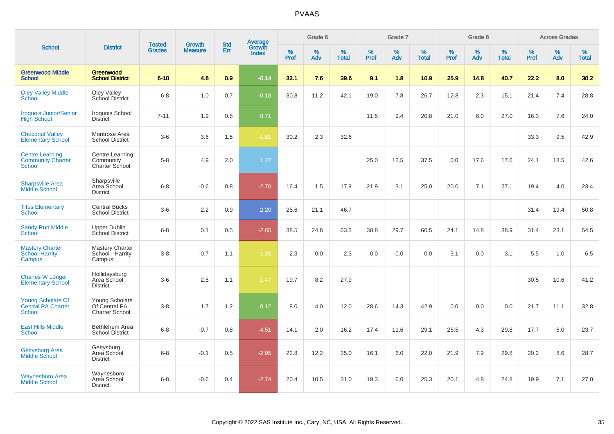| <b>School</b>                                                       |                                                          |                                |                                 |                   |                                          |                     | Grade 6     |                   |              | Grade 7     |                   |              | Grade 8     |                   |              | <b>Across Grades</b> |                   |
|---------------------------------------------------------------------|----------------------------------------------------------|--------------------------------|---------------------------------|-------------------|------------------------------------------|---------------------|-------------|-------------------|--------------|-------------|-------------------|--------------|-------------|-------------------|--------------|----------------------|-------------------|
|                                                                     | <b>District</b>                                          | <b>Tested</b><br><b>Grades</b> | <b>Growth</b><br><b>Measure</b> | <b>Std</b><br>Err | <b>Average</b><br>Growth<br><b>Index</b> | $\%$<br><b>Prof</b> | $\%$<br>Adv | %<br><b>Total</b> | $\%$<br>Prof | $\%$<br>Adv | %<br><b>Total</b> | $\%$<br>Prof | $\%$<br>Adv | %<br><b>Total</b> | $\%$<br>Prof | $\%$<br>Adv          | %<br><b>Total</b> |
| <b>Greenwood Middle</b><br><b>School</b>                            | Greenwood<br><b>School District</b>                      | $6 - 10$                       | 4.6                             | 0.9               | $-0.14$                                  | 32.1                | 7.6         | 39.6              | 9.1          | 1.8         | 10.9              | 25.9         | 14.8        | 40.7              | 22.2         | 8.0                  | 30.2              |
| <b>Oley Valley Middle</b><br>School                                 | Oley Valley<br>School District                           | $6 - 8$                        | 1.0                             | 0.7               | $-0.18$                                  | 30.8                | 11.2        | 42.1              | 19.0         | 7.8         | 26.7              | 12.8         | 2.3         | 15.1              | 21.4         | 7.4                  | 28.8              |
| <b>Iroquois Junior/Senior</b><br><b>High School</b>                 | Iroquois School<br><b>District</b>                       | $7 - 11$                       | 1.9                             | 0.8               | 0.71                                     |                     |             |                   | 11.5         | 9.4         | 20.8              | 21.0         | 6.0         | 27.0              | 16.3         | 7.6                  | 24.0              |
| <b>Choconut Valley</b><br><b>Elementary School</b>                  | Montrose Area<br><b>School District</b>                  | $3-6$                          | 3.6                             | 1.5               | $-1.81$                                  | 30.2                | 2.3         | 32.6              |              |             |                   |              |             |                   | 33.3         | 9.5                  | 42.9              |
| <b>Centre Learning</b><br><b>Community Charter</b><br><b>School</b> | Centre Learning<br>Community<br>Charter School           | $5-8$                          | 4.9                             | 2.0               | 1.22                                     |                     |             |                   | 25.0         | 12.5        | 37.5              | 0.0          | 17.6        | 17.6              | 24.1         | 18.5                 | 42.6              |
| <b>Sharpsville Area</b><br><b>Middle School</b>                     | Sharpsville<br>Area School<br><b>District</b>            | $6 - 8$                        | $-0.6$                          | 0.8               | $-2.70$                                  | 16.4                | 1.5         | 17.9              | 21.9         | 3.1         | 25.0              | 20.0         | 7.1         | 27.1              | 19.4         | 4.0                  | 23.4              |
| <b>Titus Elementary</b><br>School                                   | <b>Central Bucks</b><br><b>School District</b>           | $3-6$                          | 2.2                             | 0.9               | 2.20                                     | 25.6                | 21.1        | 46.7              |              |             |                   |              |             |                   | 31.4         | 19.4                 | 50.8              |
| <b>Sandy Run Middle</b><br><b>School</b>                            | Upper Dublin<br><b>School District</b>                   | $6 - 8$                        | 0.1                             | 0.5               | $-2.65$                                  | 38.5                | 24.8        | 63.3              | 30.8         | 29.7        | 60.5              | 24.1         | 14.8        | 38.9              | 31.4         | 23.1                 | 54.5              |
| <b>Mastery Charter</b><br>School-Harrity<br>Campus                  | <b>Mastery Charter</b><br>School - Harrity<br>Campus     | $3-8$                          | $-0.7$                          | 1.1               | $-1.30$                                  | 2.3                 | 0.0         | 2.3               | 0.0          | 0.0         | 0.0               | 3.1          | 0.0         | 3.1               | 5.5          | 1.0                  | 6.5               |
| <b>Charles W Longer</b><br><b>Elementary School</b>                 | Hollidaysburg<br>Area School<br><b>District</b>          | $3-6$                          | 2.5                             | 1.1               | $-1.47$                                  | 19.7                | 8.2         | 27.9              |              |             |                   |              |             |                   | 30.5         | 10.6                 | 41.2              |
| Young Scholars Of<br><b>Central PA Charter</b><br>School            | Young Scholars<br>Of Central PA<br><b>Charter School</b> | $3-8$                          | 1.7                             | 1.2               | 0.12                                     | 8.0                 | 4.0         | 12.0              | 28.6         | 14.3        | 42.9              | 0.0          | 0.0         | 0.0               | 21.7         | 11.1                 | 32.8              |
| <b>East Hills Middle</b><br><b>School</b>                           | Bethlehem Area<br><b>School District</b>                 | $6 - 8$                        | $-0.7$                          | 0.8               | $-4.51$                                  | 14.1                | 2.0         | 16.2              | 17.4         | 11.6        | 29.1              | 25.5         | 4.3         | 29.8              | 17.7         | 6.0                  | 23.7              |
| Gettysburg Area<br><b>Middle School</b>                             | Gettysburg<br>Area School<br><b>District</b>             | $6 - 8$                        | $-0.1$                          | 0.5               | $-2.95$                                  | 22.8                | 12.2        | 35.0              | 16.1         | 6.0         | 22.0              | 21.9         | 7.9         | 29.8              | 20.2         | 8.6                  | 28.7              |
| <b>Waynesboro Area</b><br>Middle School                             | Waynesboro<br>Area School<br><b>District</b>             | $6 - 8$                        | $-0.6$                          | 0.4               | $-2.74$                                  | 20.4                | 10.5        | 31.0              | 19.3         | 6.0         | 25.3              | 20.1         | 4.8         | 24.8              | 19.9         | 7.1                  | 27.0              |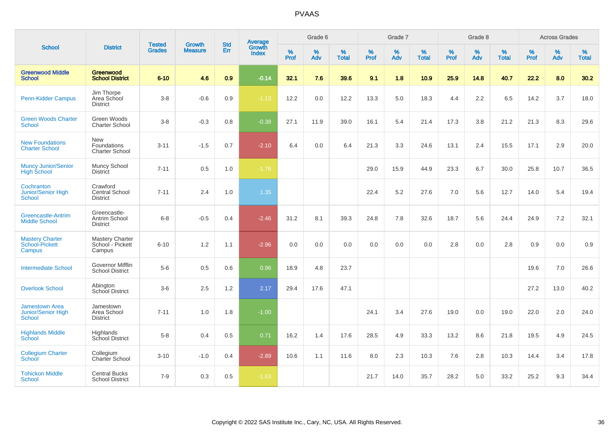| <b>School</b>                                                       | <b>District</b>                                      | <b>Tested</b><br><b>Grades</b> | <b>Growth</b><br><b>Measure</b> | <b>Std</b><br>Err | <b>Average</b><br>Growth<br><b>Index</b> | Grade 6   |          |                   | Grade 7          |          |                   | Grade 8   |          |                   | <b>Across Grades</b> |             |                   |
|---------------------------------------------------------------------|------------------------------------------------------|--------------------------------|---------------------------------|-------------------|------------------------------------------|-----------|----------|-------------------|------------------|----------|-------------------|-----------|----------|-------------------|----------------------|-------------|-------------------|
|                                                                     |                                                      |                                |                                 |                   |                                          | %<br>Prof | %<br>Adv | %<br><b>Total</b> | %<br><b>Prof</b> | %<br>Adv | %<br><b>Total</b> | %<br>Prof | %<br>Adv | %<br><b>Total</b> | $\%$<br>Prof         | $\%$<br>Adv | %<br><b>Total</b> |
| <b>Greenwood Middle</b><br><b>School</b>                            | Greenwood<br><b>School District</b>                  | $6 - 10$                       | 4.6                             | 0.9               | $-0.14$                                  | 32.1      | 7.6      | 39.6              | 9.1              | 1.8      | 10.9              | 25.9      | 14.8     | 40.7              | 22.2                 | 8.0         | 30.2              |
| <b>Penn-Kidder Campus</b>                                           | Jim Thorpe<br>Area School<br><b>District</b>         | $3 - 8$                        | $-0.6$                          | 0.9               | $-1.13$                                  | 12.2      | 0.0      | 12.2              | 13.3             | 5.0      | 18.3              | 4.4       | 2.2      | 6.5               | 14.2                 | 3.7         | 18.0              |
| <b>Green Woods Charter</b><br><b>School</b>                         | Green Woods<br><b>Charter School</b>                 | $3 - 8$                        | $-0.3$                          | 0.8               | $-0.38$                                  | 27.1      | 11.9     | 39.0              | 16.1             | 5.4      | 21.4              | 17.3      | 3.8      | 21.2              | 21.3                 | 8.3         | 29.6              |
| <b>New Foundations</b><br><b>Charter School</b>                     | <b>New</b><br>Foundations<br><b>Charter School</b>   | $3 - 11$                       | $-1.5$                          | 0.7               | $-2.10$                                  | 6.4       | 0.0      | 6.4               | 21.3             | 3.3      | 24.6              | 13.1      | 2.4      | 15.5              | 17.1                 | 2.9         | 20.0              |
| <b>Muncy Junior/Senior</b><br><b>High School</b>                    | Muncy School<br><b>District</b>                      | $7 - 11$                       | 0.5                             | 1.0               | $-1.76$                                  |           |          |                   | 29.0             | 15.9     | 44.9              | 23.3      | 6.7      | 30.0              | 25.8                 | 10.7        | 36.5              |
| Cochranton<br>Junior/Senior High<br>School                          | Crawford<br>Central School<br><b>District</b>        | $7 - 11$                       | 2.4                             | 1.0               | 1.35                                     |           |          |                   | 22.4             | 5.2      | 27.6              | 7.0       | 5.6      | 12.7              | 14.0                 | 5.4         | 19.4              |
| <b>Greencastle-Antrim</b><br><b>Middle School</b>                   | Greencastle-<br>Antrim School<br><b>District</b>     | $6 - 8$                        | $-0.5$                          | 0.4               | $-2.46$                                  | 31.2      | 8.1      | 39.3              | 24.8             | 7.8      | 32.6              | 18.7      | 5.6      | 24.4              | 24.9                 | 7.2         | 32.1              |
| <b>Mastery Charter</b><br>School-Pickett<br>Campus                  | <b>Mastery Charter</b><br>School - Pickett<br>Campus | $6 - 10$                       | 1.2                             | 1.1               | $-2.96$                                  | 0.0       | 0.0      | 0.0               | 0.0              | 0.0      | 0.0               | 2.8       | 0.0      | 2.8               | 0.9                  | 0.0         | 0.9               |
| <b>Intermediate School</b>                                          | Governor Mifflin<br>School District                  | $5-6$                          | 0.5                             | 0.6               | 0.96                                     | 18.9      | 4.8      | 23.7              |                  |          |                   |           |          |                   | 19.6                 | 7.0         | 26.6              |
| <b>Overlook School</b>                                              | Abington<br>School District                          | $3-6$                          | 2.5                             | 1.2               | 2.17                                     | 29.4      | 17.6     | 47.1              |                  |          |                   |           |          |                   | 27.2                 | 13.0        | 40.2              |
| <b>Jamestown Area</b><br><b>Junior/Senior High</b><br><b>School</b> | Jamestown<br>Area School<br><b>District</b>          | $7 - 11$                       | 1.0                             | 1.8               | $-1.00$                                  |           |          |                   | 24.1             | 3.4      | 27.6              | 19.0      | 0.0      | 19.0              | 22.0                 | 2.0         | 24.0              |
| <b>Highlands Middle</b><br>School                                   | Highlands<br>School District                         | $5 - 8$                        | 0.4                             | 0.5               | 0.71                                     | 16.2      | 1.4      | 17.6              | 28.5             | 4.9      | 33.3              | 13.2      | 8.6      | 21.8              | 19.5                 | 4.9         | 24.5              |
| <b>Collegium Charter</b><br>School                                  | Collegium<br>Charter School                          | $3 - 10$                       | $-1.0$                          | 0.4               | $-2.89$                                  | 10.6      | 1.1      | 11.6              | 8.0              | 2.3      | 10.3              | 7.6       | 2.8      | 10.3              | 14.4                 | 3.4         | 17.8              |
| <b>Tohickon Middle</b><br><b>School</b>                             | <b>Central Bucks</b><br><b>School District</b>       | $7 - 9$                        | 0.3                             | 0.5               | $-1.63$                                  |           |          |                   | 21.7             | 14.0     | 35.7              | 28.2      | 5.0      | 33.2              | 25.2                 | 9.3         | 34.4              |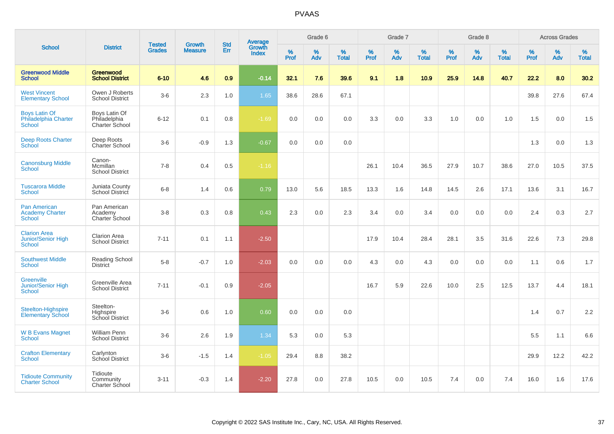|                                                                   |                                                 |                                |                                 |                   |                                          |                  | Grade 6     |                   |           | Grade 7     |                   |           | Grade 8  |                   |           | <b>Across Grades</b> |                   |
|-------------------------------------------------------------------|-------------------------------------------------|--------------------------------|---------------------------------|-------------------|------------------------------------------|------------------|-------------|-------------------|-----------|-------------|-------------------|-----------|----------|-------------------|-----------|----------------------|-------------------|
| <b>School</b>                                                     | <b>District</b>                                 | <b>Tested</b><br><b>Grades</b> | <b>Growth</b><br><b>Measure</b> | <b>Std</b><br>Err | <b>Average</b><br>Growth<br><b>Index</b> | %<br><b>Prof</b> | $\%$<br>Adv | %<br><b>Total</b> | %<br>Prof | $\%$<br>Adv | %<br><b>Total</b> | %<br>Prof | %<br>Adv | %<br><b>Total</b> | %<br>Prof | %<br>Adv             | %<br><b>Total</b> |
| <b>Greenwood Middle</b><br><b>School</b>                          | Greenwood<br><b>School District</b>             | $6 - 10$                       | 4.6                             | 0.9               | $-0.14$                                  | 32.1             | 7.6         | 39.6              | 9.1       | 1.8         | 10.9              | 25.9      | 14.8     | 40.7              | 22.2      | 8.0                  | 30.2              |
| <b>West Vincent</b><br><b>Elementary School</b>                   | Owen J Roberts<br><b>School District</b>        | $3-6$                          | 2.3                             | 1.0               | 1.65                                     | 38.6             | 28.6        | 67.1              |           |             |                   |           |          |                   | 39.8      | 27.6                 | 67.4              |
| <b>Boys Latin Of</b><br>Philadelphia Charter<br><b>School</b>     | Boys Latin Of<br>Philadelphia<br>Charter School | $6 - 12$                       | 0.1                             | 0.8               | $-1.69$                                  | 0.0              | 0.0         | 0.0               | 3.3       | 0.0         | 3.3               | 1.0       | 0.0      | 1.0               | 1.5       | 0.0                  | 1.5               |
| <b>Deep Roots Charter</b><br>School                               | Deep Roots<br><b>Charter School</b>             | $3-6$                          | $-0.9$                          | 1.3               | $-0.67$                                  | 0.0              | 0.0         | 0.0               |           |             |                   |           |          |                   | 1.3       | 0.0                  | 1.3               |
| <b>Canonsburg Middle</b><br>School                                | Canon-<br>Mcmillan<br><b>School District</b>    | $7 - 8$                        | 0.4                             | 0.5               | $-1.16$                                  |                  |             |                   | 26.1      | 10.4        | 36.5              | 27.9      | 10.7     | 38.6              | 27.0      | 10.5                 | 37.5              |
| <b>Tuscarora Middle</b><br><b>School</b>                          | Juniata County<br>School District               | $6 - 8$                        | 1.4                             | 0.6               | 0.79                                     | 13.0             | 5.6         | 18.5              | 13.3      | 1.6         | 14.8              | 14.5      | 2.6      | 17.1              | 13.6      | 3.1                  | 16.7              |
| <b>Pan American</b><br><b>Academy Charter</b><br><b>School</b>    | Pan American<br>Academy<br>Charter School       | $3 - 8$                        | 0.3                             | 0.8               | 0.43                                     | 2.3              | $0.0\,$     | 2.3               | 3.4       | 0.0         | 3.4               | 0.0       | 0.0      | 0.0               | 2.4       | 0.3                  | 2.7               |
| <b>Clarion Area</b><br><b>Junior/Senior High</b><br><b>School</b> | <b>Clarion Area</b><br><b>School District</b>   | $7 - 11$                       | 0.1                             | 1.1               | $-2.50$                                  |                  |             |                   | 17.9      | 10.4        | 28.4              | 28.1      | 3.5      | 31.6              | 22.6      | 7.3                  | 29.8              |
| <b>Southwest Middle</b><br><b>School</b>                          | Reading School<br><b>District</b>               | $5-8$                          | $-0.7$                          | 1.0               | $-2.03$                                  | 0.0              | 0.0         | 0.0               | 4.3       | 0.0         | 4.3               | 0.0       | 0.0      | 0.0               | 1.1       | 0.6                  | 1.7               |
| <b>Greenville</b><br>Junior/Senior High<br>School                 | Greenville Area<br><b>School District</b>       | $7 - 11$                       | $-0.1$                          | 0.9               | $-2.05$                                  |                  |             |                   | 16.7      | 5.9         | 22.6              | 10.0      | 2.5      | 12.5              | 13.7      | 4.4                  | 18.1              |
| Steelton-Highspire<br><b>Elementary School</b>                    | Steelton-<br>Highspire<br>School District       | $3-6$                          | 0.6                             | 1.0               | 0.60                                     | 0.0              | 0.0         | 0.0               |           |             |                   |           |          |                   | 1.4       | 0.7                  | 2.2               |
| <b>W B Evans Magnet</b><br><b>School</b>                          | William Penn<br><b>School District</b>          | $3-6$                          | 2.6                             | 1.9               | 1.34                                     | 5.3              | 0.0         | 5.3               |           |             |                   |           |          |                   | 5.5       | 1.1                  | 6.6               |
| <b>Crafton Elementary</b><br><b>School</b>                        | Carlynton<br>School District                    | $3-6$                          | $-1.5$                          | 1.4               | $-1.05$                                  | 29.4             | 8.8         | 38.2              |           |             |                   |           |          |                   | 29.9      | 12.2                 | 42.2              |
| <b>Tidioute Community</b><br><b>Charter School</b>                | Tidioute<br>Community<br>Charter School         | $3 - 11$                       | $-0.3$                          | 1.4               | $-2.20$                                  | 27.8             | 0.0         | 27.8              | 10.5      | 0.0         | 10.5              | 7.4       | 0.0      | 7.4               | 16.0      | 1.6                  | 17.6              |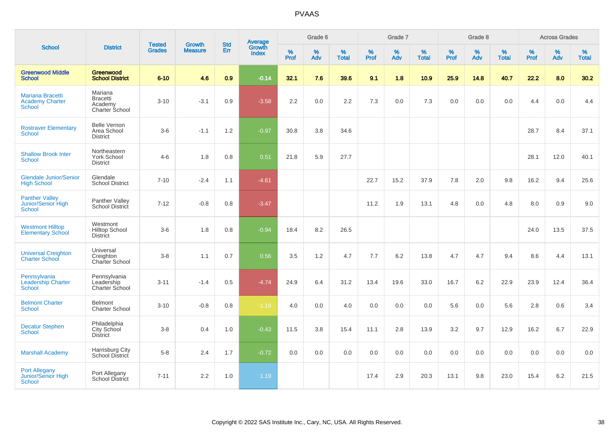|                                                                    |                                                         |                                | <b>Growth</b>  | <b>Std</b> |                                          |           | Grade 6  |                   |           | Grade 7  |                   |           | Grade 8  |                   |           | <b>Across Grades</b> |                   |
|--------------------------------------------------------------------|---------------------------------------------------------|--------------------------------|----------------|------------|------------------------------------------|-----------|----------|-------------------|-----------|----------|-------------------|-----------|----------|-------------------|-----------|----------------------|-------------------|
| <b>School</b>                                                      | <b>District</b>                                         | <b>Tested</b><br><b>Grades</b> | <b>Measure</b> | Err        | <b>Average</b><br>Growth<br><b>Index</b> | %<br>Prof | %<br>Adv | %<br><b>Total</b> | %<br>Prof | %<br>Adv | %<br><b>Total</b> | %<br>Prof | %<br>Adv | %<br><b>Total</b> | %<br>Prof | %<br>Adv             | %<br><b>Total</b> |
| <b>Greenwood Middle</b><br><b>School</b>                           | <b>Greenwood</b><br><b>School District</b>              | $6 - 10$                       | 4.6            | 0.9        | $-0.14$                                  | 32.1      | 7.6      | 39.6              | 9.1       | 1.8      | 10.9              | 25.9      | 14.8     | 40.7              | 22.2      | 8.0                  | 30.2              |
| <b>Mariana Bracetti</b><br><b>Academy Charter</b><br><b>School</b> | Mariana<br><b>Bracetti</b><br>Academy<br>Charter School | $3 - 10$                       | $-3.1$         | 0.9        | $-3.58$                                  | 2.2       | 0.0      | 2.2               | 7.3       | 0.0      | 7.3               | 0.0       | 0.0      | 0.0               | 4.4       | 0.0                  | 4.4               |
| <b>Rostraver Elementary</b><br><b>School</b>                       | <b>Belle Vernon</b><br>Area School<br><b>District</b>   | $3-6$                          | $-1.1$         | 1.2        | $-0.97$                                  | 30.8      | 3.8      | 34.6              |           |          |                   |           |          |                   | 28.7      | 8.4                  | 37.1              |
| <b>Shallow Brook Inter</b><br><b>School</b>                        | Northeastern<br><b>York School</b><br><b>District</b>   | $4 - 6$                        | 1.8            | 0.8        | 0.51                                     | 21.8      | 5.9      | 27.7              |           |          |                   |           |          |                   | 28.1      | 12.0                 | 40.1              |
| <b>Glendale Junior/Senior</b><br><b>High School</b>                | Glendale<br><b>School District</b>                      | $7 - 10$                       | $-2.4$         | 1.1        | $-4.61$                                  |           |          |                   | 22.7      | 15.2     | 37.9              | 7.8       | 2.0      | 9.8               | 16.2      | 9.4                  | 25.6              |
| <b>Panther Valley</b><br>Junior/Senior High<br>School              | Panther Valley<br><b>School District</b>                | $7 - 12$                       | $-0.8$         | 0.8        | $-3.47$                                  |           |          |                   | 11.2      | 1.9      | 13.1              | 4.8       | 0.0      | 4.8               | 8.0       | 0.9                  | 9.0               |
| <b>Westmont Hilltop</b><br><b>Elementary School</b>                | Westmont<br><b>Hilltop School</b><br><b>District</b>    | $3-6$                          | 1.8            | 0.8        | $-0.94$                                  | 18.4      | 8.2      | 26.5              |           |          |                   |           |          |                   | 24.0      | 13.5                 | 37.5              |
| <b>Universal Creighton</b><br><b>Charter School</b>                | Universal<br>Creighton<br>Charter School                | $3-8$                          | 1.1            | 0.7        | 0.56                                     | 3.5       | 1.2      | 4.7               | 7.7       | 6.2      | 13.8              | 4.7       | 4.7      | 9.4               | 8.6       | 4.4                  | 13.1              |
| Pennsylvania<br><b>Leadership Charter</b><br><b>School</b>         | Pennsylvania<br>Leadership<br><b>Charter School</b>     | $3 - 11$                       | $-1.4$         | 0.5        | $-4.74$                                  | 24.9      | 6.4      | 31.2              | 13.4      | 19.6     | 33.0              | 16.7      | 6.2      | 22.9              | 23.9      | 12.4                 | 36.4              |
| <b>Belmont Charter</b><br><b>School</b>                            | Belmont<br><b>Charter School</b>                        | $3 - 10$                       | $-0.8$         | 0.8        | $-1.19$                                  | 4.0       | 0.0      | 4.0               | 0.0       | 0.0      | 0.0               | 5.6       | 0.0      | 5.6               | 2.8       | 0.6                  | 3.4               |
| <b>Decatur Stephen</b><br>School                                   | Philadelphia<br>City School<br><b>District</b>          | $3 - 8$                        | 0.4            | 1.0        | $-0.43$                                  | 11.5      | 3.8      | 15.4              | 11.1      | 2.8      | 13.9              | 3.2       | 9.7      | 12.9              | 16.2      | 6.7                  | 22.9              |
| <b>Marshall Academy</b>                                            | Harrisburg City<br>School District                      | $5-8$                          | 2.4            | 1.7        | $-0.72$                                  | 0.0       | 0.0      | 0.0               | 0.0       | 0.0      | 0.0               | 0.0       | 0.0      | 0.0               | 0.0       | 0.0                  | 0.0               |
| <b>Port Allegany</b><br><b>Junior/Senior High</b><br><b>School</b> | Port Allegany<br>School District                        | $7 - 11$                       | 2.2            | 1.0        | 1.19                                     |           |          |                   | 17.4      | 2.9      | 20.3              | 13.1      | 9.8      | 23.0              | 15.4      | 6.2                  | 21.5              |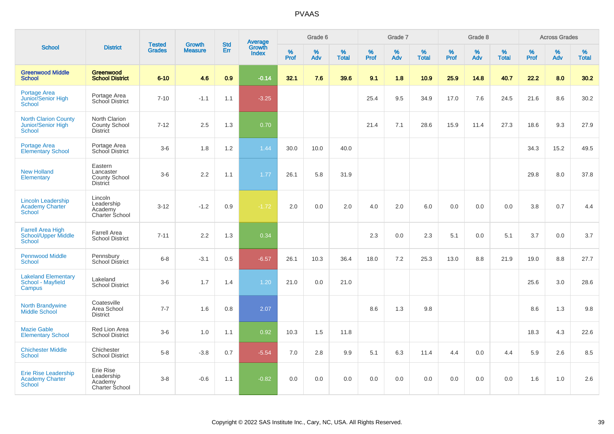|                                                                      |                                                                 |                                |                                 | <b>Std</b> |                                          |                  | Grade 6  |                   |           | Grade 7  |                   |                  | Grade 8  |                   |              | <b>Across Grades</b> |                   |
|----------------------------------------------------------------------|-----------------------------------------------------------------|--------------------------------|---------------------------------|------------|------------------------------------------|------------------|----------|-------------------|-----------|----------|-------------------|------------------|----------|-------------------|--------------|----------------------|-------------------|
| <b>School</b>                                                        | <b>District</b>                                                 | <b>Tested</b><br><b>Grades</b> | <b>Growth</b><br><b>Measure</b> | Err        | <b>Average</b><br>Growth<br><b>Index</b> | %<br><b>Prof</b> | %<br>Adv | %<br><b>Total</b> | %<br>Prof | %<br>Adv | %<br><b>Total</b> | %<br><b>Prof</b> | %<br>Adv | %<br><b>Total</b> | $\%$<br>Prof | %<br>Adv             | %<br><b>Total</b> |
| <b>Greenwood Middle</b><br><b>School</b>                             | Greenwood<br><b>School District</b>                             | $6 - 10$                       | 4.6                             | 0.9        | $-0.14$                                  | 32.1             | 7.6      | 39.6              | 9.1       | 1.8      | 10.9              | 25.9             | 14.8     | 40.7              | 22.2         | 8.0                  | 30.2              |
| <b>Portage Area</b><br>Junior/Senior High<br><b>School</b>           | Portage Area<br>School District                                 | $7 - 10$                       | $-1.1$                          | 1.1        | $-3.25$                                  |                  |          |                   | 25.4      | 9.5      | 34.9              | 17.0             | 7.6      | 24.5              | 21.6         | 8.6                  | 30.2              |
| <b>North Clarion County</b><br>Junior/Senior High<br><b>School</b>   | North Clarion<br>County School<br><b>District</b>               | $7 - 12$                       | 2.5                             | 1.3        | 0.70                                     |                  |          |                   | 21.4      | 7.1      | 28.6              | 15.9             | 11.4     | 27.3              | 18.6         | 9.3                  | 27.9              |
| <b>Portage Area</b><br><b>Elementary School</b>                      | Portage Area<br>School District                                 | $3-6$                          | 1.8                             | 1.2        | 1.44                                     | 30.0             | 10.0     | 40.0              |           |          |                   |                  |          |                   | 34.3         | 15.2                 | 49.5              |
| <b>New Holland</b><br>Elementary                                     | Eastern<br>Lancaster<br><b>County School</b><br><b>District</b> | $3-6$                          | 2.2                             | 1.1        | 1.77                                     | 26.1             | 5.8      | 31.9              |           |          |                   |                  |          |                   | 29.8         | 8.0                  | 37.8              |
| <b>Lincoln Leadership</b><br><b>Academy Charter</b><br><b>School</b> | Lincoln<br>Leadership<br>Academy<br>Charter School              | $3 - 12$                       | $-1.2$                          | 0.9        | $-1.72$                                  | 2.0              | 0.0      | 2.0               | 4.0       | 2.0      | 6.0               | 0.0              | 0.0      | 0.0               | 3.8          | 0.7                  | 4.4               |
| <b>Farrell Area High</b><br>School/Upper Middle<br><b>School</b>     | <b>Farrell Area</b><br><b>School District</b>                   | $7 - 11$                       | 2.2                             | 1.3        | 0.34                                     |                  |          |                   | 2.3       | 0.0      | 2.3               | 5.1              | 0.0      | 5.1               | 3.7          | 0.0                  | 3.7               |
| <b>Pennwood Middle</b><br><b>School</b>                              | Pennsbury<br><b>School District</b>                             | $6-8$                          | $-3.1$                          | 0.5        | $-6.57$                                  | 26.1             | 10.3     | 36.4              | 18.0      | 7.2      | 25.3              | 13.0             | 8.8      | 21.9              | 19.0         | 8.8                  | 27.7              |
| <b>Lakeland Elementary</b><br><b>School - Mayfield</b><br>Campus     | Lakeland<br><b>School District</b>                              | $3-6$                          | 1.7                             | 1.4        | 1.20                                     | 21.0             | 0.0      | 21.0              |           |          |                   |                  |          |                   | 25.6         | 3.0                  | 28.6              |
| North Brandywine<br><b>Middle School</b>                             | Coatesville<br>Area School<br><b>District</b>                   | $7 - 7$                        | 1.6                             | 0.8        | 2.07                                     |                  |          |                   | 8.6       | 1.3      | 9.8               |                  |          |                   | 8.6          | 1.3                  | 9.8               |
| <b>Mazie Gable</b><br><b>Elementary School</b>                       | Red Lion Area<br><b>School District</b>                         | $3-6$                          | 1.0                             | 1.1        | 0.92                                     | 10.3             | 1.5      | 11.8              |           |          |                   |                  |          |                   | 18.3         | 4.3                  | 22.6              |
| <b>Chichester Middle</b><br><b>School</b>                            | Chichester<br><b>School District</b>                            | $5 - 8$                        | $-3.8$                          | 0.7        | $-5.54$                                  | 7.0              | 2.8      | 9.9               | 5.1       | 6.3      | 11.4              | 4.4              | 0.0      | 4.4               | 5.9          | 2.6                  | 8.5               |
| Erie Rise Leadership<br><b>Academy Charter</b><br><b>School</b>      | Erie Rise<br>Leadership<br>Academy<br>Charter School            | $3 - 8$                        | $-0.6$                          | 1.1        | $-0.82$                                  | 0.0              | 0.0      | 0.0               | 0.0       | 0.0      | 0.0               | 0.0              | 0.0      | 0.0               | 1.6          | 1.0                  | 2.6               |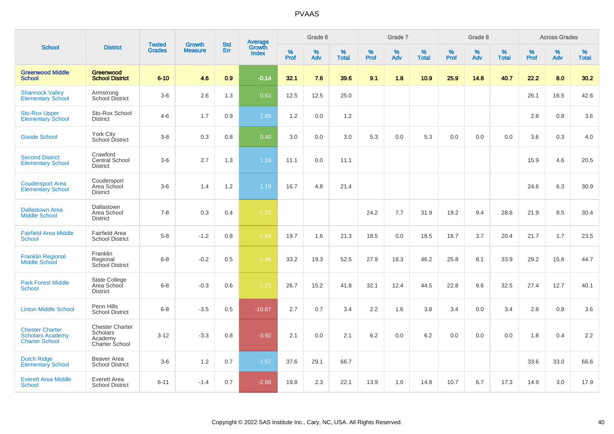|                                                                            |                                                                 |                                |                                 | <b>Std</b> |                                          |              | Grade 6     |                      |                     | Grade 7     |                   |              | Grade 8     |                   |              | <b>Across Grades</b> |                   |
|----------------------------------------------------------------------------|-----------------------------------------------------------------|--------------------------------|---------------------------------|------------|------------------------------------------|--------------|-------------|----------------------|---------------------|-------------|-------------------|--------------|-------------|-------------------|--------------|----------------------|-------------------|
| <b>School</b>                                                              | <b>District</b>                                                 | <b>Tested</b><br><b>Grades</b> | <b>Growth</b><br><b>Measure</b> | <b>Err</b> | <b>Average</b><br>Growth<br><b>Index</b> | $\%$<br>Prof | $\%$<br>Adv | $\%$<br><b>Total</b> | $\%$<br><b>Prof</b> | $\%$<br>Adv | %<br><b>Total</b> | $\%$<br>Prof | $\%$<br>Adv | %<br><b>Total</b> | $\%$<br>Prof | $\%$<br>Adv          | %<br><b>Total</b> |
| <b>Greenwood Middle</b><br><b>School</b>                                   | Greenwood<br><b>School District</b>                             | $6 - 10$                       | 4.6                             | 0.9        | $-0.14$                                  | 32.1         | 7.6         | 39.6                 | 9.1                 | 1.8         | 10.9              | 25.9         | 14.8        | 40.7              | 22.2         | 8.0                  | 30.2              |
| <b>Shannock Valley</b><br><b>Elementary School</b>                         | Armstrong<br><b>School District</b>                             | $3-6$                          | 2.6                             | 1.3        | 0.62                                     | 12.5         | 12.5        | 25.0                 |                     |             |                   |              |             |                   | 26.1         | 16.5                 | 42.6              |
| <b>Sto-Rox Upper</b><br><b>Elementary School</b>                           | Sto-Rox School<br><b>District</b>                               | $4 - 6$                        | 1.7                             | 0.9        | 1.85                                     | 1.2          | 0.0         | 1.2                  |                     |             |                   |              |             |                   | 2.8          | 0.8                  | 3.6               |
| <b>Goode School</b>                                                        | York City<br>School District                                    | $3-8$                          | 0.3                             | 0.8        | 0.40                                     | 3.0          | 0.0         | 3.0                  | 5.3                 | 0.0         | 5.3               | 0.0          | 0.0         | 0.0               | 3.6          | 0.3                  | 4.0               |
| <b>Second District</b><br><b>Elementary School</b>                         | Crawford<br>Central School<br><b>District</b>                   | $3-6$                          | 2.7                             | 1.3        | 1.16                                     | 11.1         | 0.0         | 11.1                 |                     |             |                   |              |             |                   | 15.9         | 4.6                  | 20.5              |
| <b>Coudersport Area</b><br><b>Elementary School</b>                        | Coudersport<br>Area School<br><b>District</b>                   | $3-6$                          | 1.4                             | $1.2$      | 1.19                                     | 16.7         | 4.8         | 21.4                 |                     |             |                   |              |             |                   | 24.6         | 6.3                  | 30.9              |
| <b>Dallastown Area</b><br><b>Middle School</b>                             | Dallastown<br>Area School<br><b>District</b>                    | $7 - 8$                        | 0.3                             | 0.4        | $-1.22$                                  |              |             |                      | 24.2                | 7.7         | 31.9              | 19.2         | 9.4         | 28.6              | 21.9         | 8.5                  | 30.4              |
| <b>Fairfield Area Middle</b><br>School                                     | <b>Fairfield Area</b><br><b>School District</b>                 | $5-8$                          | $-1.2$                          | 0.8        | $-1.64$                                  | 19.7         | 1.6         | 21.3                 | 18.5                | 0.0         | 18.5              | 16.7         | 3.7         | 20.4              | 21.7         | 1.7                  | 23.5              |
| <b>Franklin Regional</b><br><b>Middle School</b>                           | Franklin<br>Regional<br>School District                         | $6 - 8$                        | $-0.2$                          | 0.5        | $-1.46$                                  | 33.2         | 19.3        | 52.5                 | 27.9                | 18.3        | 46.2              | 25.8         | 8.1         | 33.9              | 29.2         | 15.6                 | 44.7              |
| <b>Park Forest Middle</b><br><b>School</b>                                 | <b>State College</b><br>Area School<br><b>District</b>          | $6 - 8$                        | $-0.3$                          | 0.6        | $-1.71$                                  | 26.7         | 15.2        | 41.8                 | 32.1                | 12.4        | 44.5              | 22.8         | 9.6         | 32.5              | 27.4         | 12.7                 | 40.1              |
| <b>Linton Middle School</b>                                                | Penn Hills<br><b>School District</b>                            | $6 - 8$                        | $-3.5$                          | 0.5        | $-10.87$                                 | 2.7          | 0.7         | 3.4                  | 2.2                 | 1.6         | 3.8               | 3.4          | 0.0         | 3.4               | 2.8          | 0.8                  | 3.6               |
| <b>Chester Charter</b><br><b>Scholars Academy</b><br><b>Charter School</b> | <b>Chester Charter</b><br>Scholars<br>Academy<br>Charter School | $3 - 12$                       | $-3.3$                          | 0.8        | $-3.92$                                  | 2.1          | 0.0         | 2.1                  | $6.2\,$             | 0.0         | 6.2               | 0.0          | 0.0         | 0.0               | 1.8          | 0.4                  | 2.2               |
| <b>Dutch Ridge</b><br><b>Elementary School</b>                             | Beaver Area<br><b>School District</b>                           | $3-6$                          | 1.2                             | 0.7        | 1.57                                     | 37.6         | 29.1        | 66.7                 |                     |             |                   |              |             |                   | 33.6         | 33.0                 | 66.6              |
| <b>Everett Area Middle</b><br>School                                       | Everett Area<br><b>School District</b>                          | $6 - 11$                       | $-1.4$                          | 0.7        | $-2.66$                                  | 19.8         | 2.3         | 22.1                 | 13.9                | 1.0         | 14.8              | 10.7         | 6.7         | 17.3              | 14.9         | 3.0                  | 17.9              |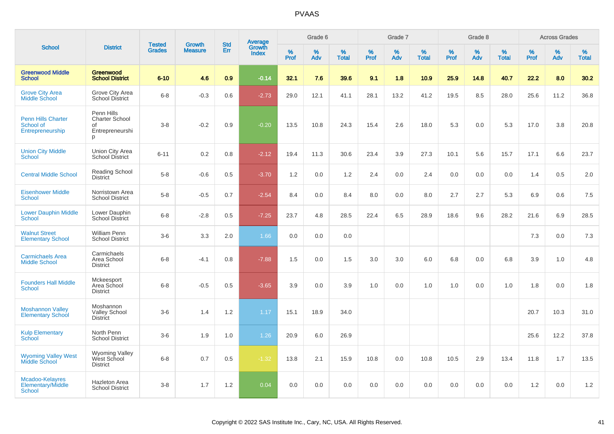|                                                            |                                                                   | <b>Tested</b> | <b>Growth</b>  | <b>Std</b> |                                   |                  | Grade 6     |                   |           | Grade 7     |                      |              | Grade 8  |                   |              | <b>Across Grades</b> |                   |
|------------------------------------------------------------|-------------------------------------------------------------------|---------------|----------------|------------|-----------------------------------|------------------|-------------|-------------------|-----------|-------------|----------------------|--------------|----------|-------------------|--------------|----------------------|-------------------|
| <b>School</b>                                              | <b>District</b>                                                   | <b>Grades</b> | <b>Measure</b> | Err        | Average<br>Growth<br><b>Index</b> | %<br><b>Prof</b> | $\%$<br>Adv | %<br><b>Total</b> | %<br>Prof | $\%$<br>Adv | $\%$<br><b>Total</b> | $\%$<br>Prof | %<br>Adv | %<br><b>Total</b> | $\%$<br>Prof | $\%$<br>Adv          | %<br><b>Total</b> |
| <b>Greenwood Middle</b><br><b>School</b>                   | Greenwood<br><b>School District</b>                               | $6 - 10$      | 4.6            | 0.9        | $-0.14$                           | 32.1             | 7.6         | 39.6              | 9.1       | 1.8         | 10.9                 | 25.9         | 14.8     | 40.7              | 22.2         | 8.0                  | 30.2              |
| <b>Grove City Area</b><br><b>Middle School</b>             | Grove City Area<br><b>School District</b>                         | $6 - 8$       | $-0.3$         | 0.6        | $-2.73$                           | 29.0             | 12.1        | 41.1              | 28.1      | 13.2        | 41.2                 | 19.5         | 8.5      | 28.0              | 25.6         | 11.2                 | 36.8              |
| <b>Penn Hills Charter</b><br>School of<br>Entrepreneurship | Penn Hills<br><b>Charter School</b><br>of<br>Entrepreneurshi<br>p | $3 - 8$       | $-0.2$         | 0.9        | $-0.20$                           | 13.5             | 10.8        | 24.3              | 15.4      | 2.6         | 18.0                 | 5.3          | 0.0      | 5.3               | 17.0         | 3.8                  | 20.8              |
| <b>Union City Middle</b><br><b>School</b>                  | Union City Area<br><b>School District</b>                         | $6 - 11$      | 0.2            | 0.8        | $-2.12$                           | 19.4             | 11.3        | 30.6              | 23.4      | 3.9         | 27.3                 | 10.1         | 5.6      | 15.7              | 17.1         | 6.6                  | 23.7              |
| <b>Central Middle School</b>                               | <b>Reading School</b><br><b>District</b>                          | $5-8$         | $-0.6$         | 0.5        | $-3.70$                           | 1.2              | 0.0         | 1.2               | 2.4       | 0.0         | 2.4                  | 0.0          | 0.0      | 0.0               | 1.4          | 0.5                  | 2.0               |
| <b>Eisenhower Middle</b><br><b>School</b>                  | Norristown Area<br><b>School District</b>                         | $5-8$         | $-0.5$         | 0.7        | $-2.54$                           | 8.4              | 0.0         | 8.4               | 8.0       | 0.0         | 8.0                  | 2.7          | 2.7      | 5.3               | 6.9          | 0.6                  | 7.5               |
| <b>Lower Dauphin Middle</b><br><b>School</b>               | Lower Dauphin<br>School District                                  | $6 - 8$       | $-2.8$         | 0.5        | $-7.25$                           | 23.7             | 4.8         | 28.5              | 22.4      | 6.5         | 28.9                 | 18.6         | 9.6      | 28.2              | 21.6         | 6.9                  | 28.5              |
| <b>Walnut Street</b><br><b>Elementary School</b>           | William Penn<br><b>School District</b>                            | $3-6$         | 3.3            | 2.0        | 1.66                              | 0.0              | 0.0         | 0.0               |           |             |                      |              |          |                   | 7.3          | 0.0                  | 7.3               |
| <b>Carmichaels Area</b><br><b>Middle School</b>            | Carmichaels<br>Area School<br><b>District</b>                     | $6 - 8$       | $-4.1$         | 0.8        | $-7.88$                           | 1.5              | 0.0         | 1.5               | 3.0       | 3.0         | 6.0                  | 6.8          | 0.0      | 6.8               | 3.9          | 1.0                  | 4.8               |
| <b>Founders Hall Middle</b><br><b>School</b>               | Mckeesport<br>Area School<br><b>District</b>                      | $6 - 8$       | $-0.5$         | 0.5        | $-3.65$                           | 3.9              | 0.0         | 3.9               | 1.0       | 0.0         | 1.0                  | 1.0          | 0.0      | 1.0               | 1.8          | 0.0                  | 1.8               |
| <b>Moshannon Valley</b><br><b>Elementary School</b>        | Moshannon<br><b>Valley School</b><br><b>District</b>              | $3-6$         | 1.4            | 1.2        | 1.17                              | 15.1             | 18.9        | 34.0              |           |             |                      |              |          |                   | 20.7         | 10.3                 | 31.0              |
| <b>Kulp Elementary</b><br>School                           | North Penn<br><b>School District</b>                              | $3-6$         | 1.9            | 1.0        | 1.26                              | 20.9             | 6.0         | 26.9              |           |             |                      |              |          |                   | 25.6         | 12.2                 | 37.8              |
| <b>Wyoming Valley West</b><br><b>Middle School</b>         | Wyoming Valley<br>West School<br><b>District</b>                  | $6 - 8$       | 0.7            | 0.5        | $-1.32$                           | 13.8             | 2.1         | 15.9              | 10.8      | 0.0         | 10.8                 | 10.5         | 2.9      | 13.4              | 11.8         | 1.7                  | 13.5              |
| Mcadoo-Kelayres<br>Elementary/Middle<br>School             | <b>Hazleton Area</b><br><b>School District</b>                    | $3 - 8$       | 1.7            | 1.2        | 0.04                              | 0.0              | 0.0         | 0.0               | 0.0       | 0.0         | 0.0                  | 0.0          | 0.0      | 0.0               | 1.2          | 0.0                  | 1.2               |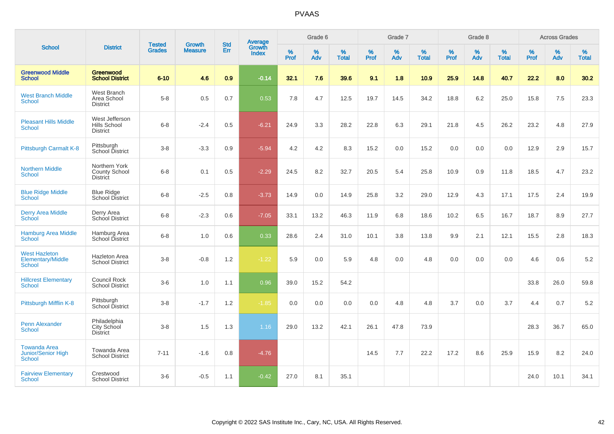|                                                                   |                                                       |                                |                                 | <b>Std</b> |                                          |                  | Grade 6  |                   |           | Grade 7  |                   |           | Grade 8  |                   |           | <b>Across Grades</b> |                   |
|-------------------------------------------------------------------|-------------------------------------------------------|--------------------------------|---------------------------------|------------|------------------------------------------|------------------|----------|-------------------|-----------|----------|-------------------|-----------|----------|-------------------|-----------|----------------------|-------------------|
| <b>School</b>                                                     | <b>District</b>                                       | <b>Tested</b><br><b>Grades</b> | <b>Growth</b><br><b>Measure</b> | Err        | <b>Average</b><br>Growth<br><b>Index</b> | %<br><b>Prof</b> | %<br>Adv | %<br><b>Total</b> | %<br>Prof | %<br>Adv | %<br><b>Total</b> | %<br>Prof | %<br>Adv | %<br><b>Total</b> | %<br>Prof | $\%$<br>Adv          | %<br><b>Total</b> |
| <b>Greenwood Middle</b><br><b>School</b>                          | Greenwood<br><b>School District</b>                   | $6 - 10$                       | 4.6                             | 0.9        | $-0.14$                                  | 32.1             | 7.6      | 39.6              | 9.1       | 1.8      | 10.9              | 25.9      | 14.8     | 40.7              | 22.2      | 8.0                  | 30.2              |
| <b>West Branch Middle</b><br>School                               | West Branch<br>Area School<br><b>District</b>         | $5-8$                          | 0.5                             | 0.7        | 0.53                                     | 7.8              | 4.7      | 12.5              | 19.7      | 14.5     | 34.2              | 18.8      | 6.2      | 25.0              | 15.8      | 7.5                  | 23.3              |
| <b>Pleasant Hills Middle</b><br>School                            | West Jefferson<br>Hills School<br><b>District</b>     | $6 - 8$                        | $-2.4$                          | 0.5        | $-6.21$                                  | 24.9             | 3.3      | 28.2              | 22.8      | 6.3      | 29.1              | 21.8      | 4.5      | 26.2              | 23.2      | 4.8                  | 27.9              |
| Pittsburgh Carmalt K-8                                            | Pittsburgh<br>School District                         | $3 - 8$                        | $-3.3$                          | 0.9        | $-5.94$                                  | 4.2              | 4.2      | 8.3               | 15.2      | 0.0      | 15.2              | 0.0       | 0.0      | 0.0               | 12.9      | 2.9                  | 15.7              |
| <b>Northern Middle</b><br>School                                  | Northern York<br>County School<br><b>District</b>     | $6 - 8$                        | 0.1                             | 0.5        | $-2.29$                                  | 24.5             | 8.2      | 32.7              | 20.5      | 5.4      | 25.8              | 10.9      | 0.9      | 11.8              | 18.5      | 4.7                  | 23.2              |
| <b>Blue Ridge Middle</b><br><b>School</b>                         | <b>Blue Ridge</b><br>School District                  | $6 - 8$                        | $-2.5$                          | 0.8        | $-3.73$                                  | 14.9             | 0.0      | 14.9              | 25.8      | 3.2      | 29.0              | 12.9      | 4.3      | 17.1              | 17.5      | 2.4                  | 19.9              |
| <b>Derry Area Middle</b><br><b>School</b>                         | Derry Area<br>School District                         | $6 - 8$                        | $-2.3$                          | 0.6        | $-7.05$                                  | 33.1             | 13.2     | 46.3              | 11.9      | 6.8      | 18.6              | 10.2      | 6.5      | 16.7              | 18.7      | 8.9                  | 27.7              |
| <b>Hamburg Area Middle</b><br>School                              | Hamburg Area<br>School District                       | $6 - 8$                        | 1.0                             | 0.6        | 0.33                                     | 28.6             | 2.4      | 31.0              | 10.1      | 3.8      | 13.8              | 9.9       | 2.1      | 12.1              | 15.5      | 2.8                  | 18.3              |
| <b>West Hazleton</b><br>Elementary/Middle<br>School               | <b>Hazleton Area</b><br><b>School District</b>        | $3 - 8$                        | $-0.8$                          | 1.2        | $-1.22$                                  | 5.9              | 0.0      | 5.9               | 4.8       | 0.0      | 4.8               | 0.0       | 0.0      | 0.0               | 4.6       | 0.6                  | 5.2               |
| <b>Hillcrest Elementary</b><br><b>School</b>                      | Council Rock<br><b>School District</b>                | $3-6$                          | 1.0                             | 1.1        | 0.96                                     | 39.0             | 15.2     | 54.2              |           |          |                   |           |          |                   | 33.8      | 26.0                 | 59.8              |
| Pittsburgh Mifflin K-8                                            | Pittsburgh<br>School District                         | $3 - 8$                        | $-1.7$                          | 1.2        | $-1.85$                                  | 0.0              | 0.0      | 0.0               | 0.0       | 4.8      | 4.8               | 3.7       | 0.0      | 3.7               | 4.4       | 0.7                  | $5.2\,$           |
| Penn Alexander<br>School                                          | Philadelphia<br><b>City School</b><br><b>District</b> | $3 - 8$                        | 1.5                             | 1.3        | 1.16                                     | 29.0             | 13.2     | 42.1              | 26.1      | 47.8     | 73.9              |           |          |                   | 28.3      | 36.7                 | 65.0              |
| <b>Towanda Area</b><br><b>Junior/Senior High</b><br><b>School</b> | Towanda Area<br><b>School District</b>                | $7 - 11$                       | $-1.6$                          | 0.8        | $-4.76$                                  |                  |          |                   | 14.5      | 7.7      | 22.2              | 17.2      | 8.6      | 25.9              | 15.9      | 8.2                  | 24.0              |
| <b>Fairview Elementary</b><br>School                              | Crestwood<br><b>School District</b>                   | $3-6$                          | $-0.5$                          | 1.1        | $-0.42$                                  | 27.0             | 8.1      | 35.1              |           |          |                   |           |          |                   | 24.0      | 10.1                 | 34.1              |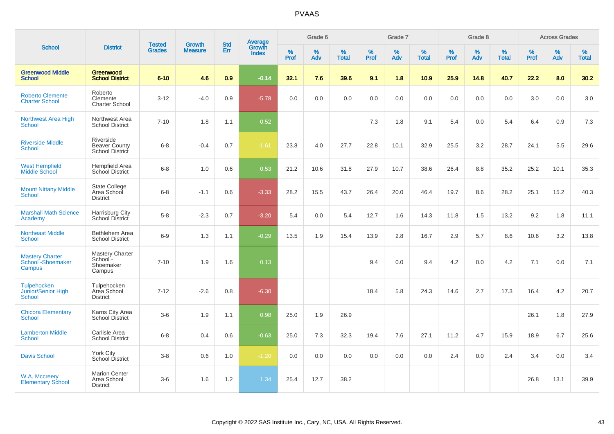|                                                           |                                                        |                                |                          | <b>Std</b> |                                          |           | Grade 6  |                   |           | Grade 7  |                   |           | Grade 8  |                   |           | <b>Across Grades</b> |                   |
|-----------------------------------------------------------|--------------------------------------------------------|--------------------------------|--------------------------|------------|------------------------------------------|-----------|----------|-------------------|-----------|----------|-------------------|-----------|----------|-------------------|-----------|----------------------|-------------------|
| <b>School</b>                                             | <b>District</b>                                        | <b>Tested</b><br><b>Grades</b> | Growth<br><b>Measure</b> | Err        | <b>Average</b><br>Growth<br><b>Index</b> | %<br>Prof | %<br>Adv | %<br><b>Total</b> | %<br>Prof | %<br>Adv | %<br><b>Total</b> | %<br>Prof | %<br>Adv | %<br><b>Total</b> | %<br>Prof | %<br>Adv             | %<br><b>Total</b> |
| <b>Greenwood Middle</b><br><b>School</b>                  | Greenwood<br><b>School District</b>                    | $6 - 10$                       | 4.6                      | 0.9        | $-0.14$                                  | 32.1      | 7.6      | 39.6              | 9.1       | 1.8      | 10.9              | 25.9      | 14.8     | 40.7              | 22.2      | 8.0                  | 30.2              |
| <b>Roberto Clemente</b><br><b>Charter School</b>          | Roberto<br>Clemente<br><b>Charter School</b>           | $3 - 12$                       | $-4.0$                   | 0.9        | $-5.78$                                  | 0.0       | 0.0      | 0.0               | 0.0       | 0.0      | 0.0               | 0.0       | 0.0      | 0.0               | 3.0       | 0.0                  | 3.0               |
| Northwest Area High<br><b>School</b>                      | Northwest Area<br><b>School District</b>               | $7 - 10$                       | 1.8                      | 1.1        | 0.52                                     |           |          |                   | 7.3       | 1.8      | 9.1               | 5.4       | 0.0      | 5.4               | 6.4       | 0.9                  | 7.3               |
| <b>Riverside Middle</b><br><b>School</b>                  | Riverside<br><b>Beaver County</b><br>School District   | $6 - 8$                        | $-0.4$                   | 0.7        | $-1.61$                                  | 23.8      | 4.0      | 27.7              | 22.8      | 10.1     | 32.9              | 25.5      | 3.2      | 28.7              | 24.1      | 5.5                  | 29.6              |
| <b>West Hempfield</b><br><b>Middle School</b>             | <b>Hempfield Area</b><br><b>School District</b>        | $6 - 8$                        | 1.0                      | 0.6        | 0.53                                     | 21.2      | 10.6     | 31.8              | 27.9      | 10.7     | 38.6              | 26.4      | 8.8      | 35.2              | 25.2      | 10.1                 | 35.3              |
| <b>Mount Nittany Middle</b><br><b>School</b>              | <b>State College</b><br>Area School<br><b>District</b> | $6 - 8$                        | $-1.1$                   | 0.6        | $-3.33$                                  | 28.2      | 15.5     | 43.7              | 26.4      | 20.0     | 46.4              | 19.7      | 8.6      | 28.2              | 25.1      | 15.2                 | 40.3              |
| <b>Marshall Math Science</b><br>Academy                   | Harrisburg City<br>School District                     | $5-8$                          | $-2.3$                   | 0.7        | $-3.20$                                  | 5.4       | 0.0      | 5.4               | 12.7      | 1.6      | 14.3              | 11.8      | 1.5      | 13.2              | 9.2       | 1.8                  | 11.1              |
| <b>Northeast Middle</b><br><b>School</b>                  | Bethlehem Area<br><b>School District</b>               | $6-9$                          | 1.3                      | 1.1        | $-0.29$                                  | 13.5      | 1.9      | 15.4              | 13.9      | 2.8      | 16.7              | 2.9       | 5.7      | 8.6               | 10.6      | 3.2                  | 13.8              |
| <b>Mastery Charter</b><br>School - Shoemaker<br>Campus    | Mastery Charter<br>School-<br>Shoemaker<br>Campus      | $7 - 10$                       | 1.9                      | 1.6        | 0.13                                     |           |          |                   | 9.4       | 0.0      | 9.4               | 4.2       | 0.0      | 4.2               | 7.1       | 0.0                  | 7.1               |
| <b>Tulpehocken</b><br>Junior/Senior High<br><b>School</b> | Tulpehocken<br>Area School<br><b>District</b>          | $7 - 12$                       | $-2.6$                   | 0.8        | $-6.30$                                  |           |          |                   | 18.4      | 5.8      | 24.3              | 14.6      | 2.7      | 17.3              | 16.4      | 4.2                  | 20.7              |
| <b>Chicora Elementary</b><br><b>School</b>                | Karns City Area<br>School District                     | $3-6$                          | 1.9                      | 1.1        | 0.98                                     | 25.0      | 1.9      | 26.9              |           |          |                   |           |          |                   | 26.1      | 1.8                  | 27.9              |
| <b>Lamberton Middle</b><br><b>School</b>                  | Carlisle Area<br><b>School District</b>                | $6 - 8$                        | 0.4                      | 0.6        | $-0.63$                                  | 25.0      | 7.3      | 32.3              | 19.4      | 7.6      | 27.1              | 11.2      | 4.7      | 15.9              | 18.9      | 6.7                  | 25.6              |
| <b>Davis School</b>                                       | <b>York City</b><br>School District                    | $3 - 8$                        | 0.6                      | 1.0        | $-1.20$                                  | 0.0       | 0.0      | 0.0               | 0.0       | 0.0      | 0.0               | 2.4       | 0.0      | 2.4               | 3.4       | 0.0                  | 3.4               |
| W.A. Mccreery<br><b>Elementary School</b>                 | <b>Marion Center</b><br>Area School<br><b>District</b> | $3-6$                          | 1.6                      | 1.2        | 1.34                                     | 25.4      | 12.7     | 38.2              |           |          |                   |           |          |                   | 26.8      | 13.1                 | 39.9              |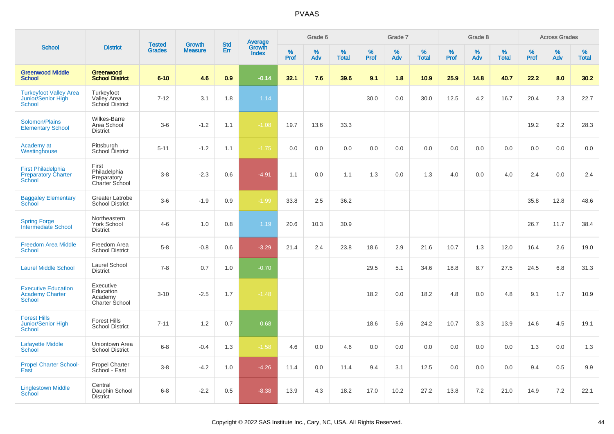|                                                                          |                                                            |                                |                                 | <b>Std</b> |                                          |                  | Grade 6  |                   |           | Grade 7  |                   |           | Grade 8  |                   |           | <b>Across Grades</b> |                   |
|--------------------------------------------------------------------------|------------------------------------------------------------|--------------------------------|---------------------------------|------------|------------------------------------------|------------------|----------|-------------------|-----------|----------|-------------------|-----------|----------|-------------------|-----------|----------------------|-------------------|
| <b>School</b>                                                            | <b>District</b>                                            | <b>Tested</b><br><b>Grades</b> | <b>Growth</b><br><b>Measure</b> | Err        | <b>Average</b><br>Growth<br><b>Index</b> | %<br><b>Prof</b> | %<br>Adv | %<br><b>Total</b> | %<br>Prof | %<br>Adv | %<br><b>Total</b> | %<br>Prof | %<br>Adv | %<br><b>Total</b> | %<br>Prof | %<br>Adv             | %<br><b>Total</b> |
| <b>Greenwood Middle</b><br><b>School</b>                                 | Greenwood<br><b>School District</b>                        | $6 - 10$                       | 4.6                             | 0.9        | $-0.14$                                  | 32.1             | 7.6      | 39.6              | 9.1       | 1.8      | 10.9              | 25.9      | 14.8     | 40.7              | 22.2      | 8.0                  | 30.2              |
| <b>Turkeyfoot Valley Area</b><br>Junior/Senior High<br><b>School</b>     | Turkeyfoot<br>Valley Area<br>School District               | $7 - 12$                       | 3.1                             | 1.8        | 1.14                                     |                  |          |                   | 30.0      | 0.0      | 30.0              | 12.5      | 4.2      | 16.7              | 20.4      | 2.3                  | 22.7              |
| Solomon/Plains<br><b>Elementary School</b>                               | <b>Wilkes-Barre</b><br>Area School<br><b>District</b>      | $3-6$                          | $-1.2$                          | 1.1        | $-1.08$                                  | 19.7             | 13.6     | 33.3              |           |          |                   |           |          |                   | 19.2      | 9.2                  | 28.3              |
| Academy at<br>Westinghouse                                               | Pittsburgh<br>School District                              | $5 - 11$                       | $-1.2$                          | 1.1        | $-1.75$                                  | 0.0              | 0.0      | 0.0               | 0.0       | 0.0      | 0.0               | 0.0       | 0.0      | 0.0               | 0.0       | 0.0                  | 0.0               |
| <b>First Philadelphia</b><br><b>Preparatory Charter</b><br><b>School</b> | First<br>Philadelphia<br>Preparatory<br>Charter School     | $3 - 8$                        | $-2.3$                          | 0.6        | $-4.91$                                  | 1.1              | 0.0      | 1.1               | 1.3       | 0.0      | 1.3               | 4.0       | 0.0      | 4.0               | 2.4       | 0.0                  | 2.4               |
| <b>Baggaley Elementary</b><br><b>School</b>                              | Greater Latrobe<br><b>School District</b>                  | $3-6$                          | $-1.9$                          | 0.9        | $-1.99$                                  | 33.8             | 2.5      | 36.2              |           |          |                   |           |          |                   | 35.8      | 12.8                 | 48.6              |
| <b>Spring Forge</b><br><b>Intermediate School</b>                        | Northeastern<br>York School<br><b>District</b>             | $4 - 6$                        | 1.0                             | 0.8        | 1.19                                     | 20.6             | 10.3     | 30.9              |           |          |                   |           |          |                   | 26.7      | 11.7                 | 38.4              |
| <b>Freedom Area Middle</b><br><b>School</b>                              | Freedom Area<br><b>School District</b>                     | $5-8$                          | $-0.8$                          | 0.6        | $-3.29$                                  | 21.4             | 2.4      | 23.8              | 18.6      | 2.9      | 21.6              | 10.7      | 1.3      | 12.0              | 16.4      | 2.6                  | 19.0              |
| <b>Laurel Middle School</b>                                              | Laurel School<br><b>District</b>                           | $7 - 8$                        | 0.7                             | 1.0        | $-0.70$                                  |                  |          |                   | 29.5      | 5.1      | 34.6              | 18.8      | 8.7      | 27.5              | 24.5      | 6.8                  | 31.3              |
| <b>Executive Education</b><br><b>Academy Charter</b><br><b>School</b>    | Executive<br>Education<br>Academy<br><b>Charter School</b> | $3 - 10$                       | $-2.5$                          | 1.7        | $-1.48$                                  |                  |          |                   | 18.2      | 0.0      | 18.2              | 4.8       | 0.0      | 4.8               | 9.1       | 1.7                  | 10.9              |
| <b>Forest Hills</b><br><b>Junior/Senior High</b><br><b>School</b>        | <b>Forest Hills</b><br><b>School District</b>              | $7 - 11$                       | 1.2                             | 0.7        | 0.68                                     |                  |          |                   | 18.6      | 5.6      | 24.2              | 10.7      | 3.3      | 13.9              | 14.6      | 4.5                  | 19.1              |
| <b>Lafayette Middle</b><br>School                                        | Uniontown Area<br><b>School District</b>                   | $6 - 8$                        | $-0.4$                          | 1.3        | $-1.58$                                  | 4.6              | 0.0      | 4.6               | 0.0       | 0.0      | 0.0               | $0.0\,$   | 0.0      | 0.0               | 1.3       | 0.0                  | 1.3               |
| <b>Propel Charter School-</b><br>East                                    | <b>Propel Charter</b><br>School - East                     | $3 - 8$                        | $-4.2$                          | 1.0        | $-4.26$                                  | 11.4             | 0.0      | 11.4              | 9.4       | 3.1      | 12.5              | 0.0       | 0.0      | 0.0               | 9.4       | 0.5                  | 9.9               |
| <b>Linglestown Middle</b><br><b>School</b>                               | Central<br>Dauphin School<br><b>District</b>               | $6 - 8$                        | $-2.2$                          | 0.5        | $-8.38$                                  | 13.9             | 4.3      | 18.2              | 17.0      | 10.2     | 27.2              | 13.8      | 7.2      | 21.0              | 14.9      | 7.2                  | 22.1              |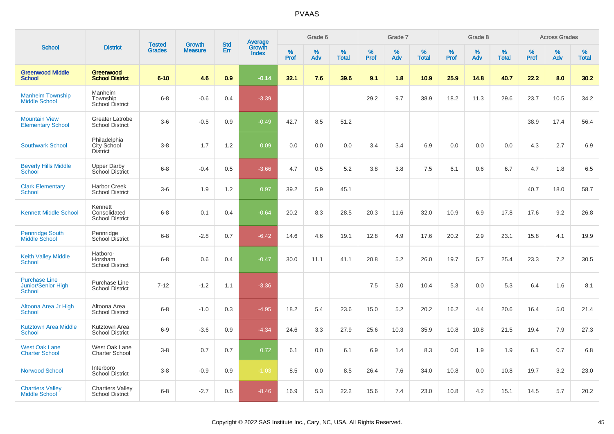|                                                             |                                                   |                                |                                 |                   |                                          |                  | Grade 6  |                   |           | Grade 7  |                   |           | Grade 8  |                   |           | <b>Across Grades</b> |                   |
|-------------------------------------------------------------|---------------------------------------------------|--------------------------------|---------------------------------|-------------------|------------------------------------------|------------------|----------|-------------------|-----------|----------|-------------------|-----------|----------|-------------------|-----------|----------------------|-------------------|
| <b>School</b>                                               | <b>District</b>                                   | <b>Tested</b><br><b>Grades</b> | <b>Growth</b><br><b>Measure</b> | <b>Std</b><br>Err | <b>Average</b><br>Growth<br><b>Index</b> | %<br><b>Prof</b> | %<br>Adv | %<br><b>Total</b> | %<br>Prof | %<br>Adv | %<br><b>Total</b> | %<br>Prof | %<br>Adv | %<br><b>Total</b> | %<br>Prof | %<br>Adv             | %<br><b>Total</b> |
| <b>Greenwood Middle</b><br><b>School</b>                    | <b>Greenwood</b><br><b>School District</b>        | $6 - 10$                       | 4.6                             | 0.9               | $-0.14$                                  | 32.1             | 7.6      | 39.6              | 9.1       | 1.8      | 10.9              | 25.9      | 14.8     | 40.7              | 22.2      | 8.0                  | 30.2              |
| <b>Manheim Township</b><br><b>Middle School</b>             | Manheim<br>Township<br><b>School District</b>     | $6 - 8$                        | $-0.6$                          | 0.4               | $-3.39$                                  |                  |          |                   | 29.2      | 9.7      | 38.9              | 18.2      | 11.3     | 29.6              | 23.7      | 10.5                 | 34.2              |
| <b>Mountain View</b><br><b>Elementary School</b>            | <b>Greater Latrobe</b><br><b>School District</b>  | $3-6$                          | $-0.5$                          | 0.9               | $-0.49$                                  | 42.7             | 8.5      | 51.2              |           |          |                   |           |          |                   | 38.9      | 17.4                 | 56.4              |
| <b>Southwark School</b>                                     | Philadelphia<br>City School<br><b>District</b>    | $3 - 8$                        | 1.7                             | 1.2               | 0.09                                     | 0.0              | 0.0      | 0.0               | 3.4       | 3.4      | 6.9               | 0.0       | 0.0      | 0.0               | 4.3       | 2.7                  | 6.9               |
| <b>Beverly Hills Middle</b><br>School                       | <b>Upper Darby</b><br>School District             | $6 - 8$                        | $-0.4$                          | 0.5               | $-3.66$                                  | 4.7              | 0.5      | 5.2               | 3.8       | 3.8      | 7.5               | 6.1       | 0.6      | 6.7               | 4.7       | 1.8                  | 6.5               |
| <b>Clark Elementary</b><br>School                           | <b>Harbor Creek</b><br><b>School District</b>     | $3-6$                          | 1.9                             | 1.2               | 0.97                                     | 39.2             | 5.9      | 45.1              |           |          |                   |           |          |                   | 40.7      | 18.0                 | 58.7              |
| <b>Kennett Middle School</b>                                | Kennett<br>Consolidated<br><b>School District</b> | $6 - 8$                        | 0.1                             | 0.4               | $-0.64$                                  | 20.2             | 8.3      | 28.5              | 20.3      | 11.6     | 32.0              | 10.9      | 6.9      | 17.8              | 17.6      | 9.2                  | 26.8              |
| <b>Pennridge South</b><br>Middle School                     | Pennridge<br>School District                      | $6 - 8$                        | $-2.8$                          | 0.7               | $-6.42$                                  | 14.6             | 4.6      | 19.1              | 12.8      | 4.9      | 17.6              | 20.2      | 2.9      | 23.1              | 15.8      | 4.1                  | 19.9              |
| <b>Keith Valley Middle</b><br>School                        | Hatboro-<br>Horsham<br><b>School District</b>     | $6 - 8$                        | 0.6                             | 0.4               | $-0.47$                                  | 30.0             | 11.1     | 41.1              | 20.8      | 5.2      | 26.0              | 19.7      | 5.7      | 25.4              | 23.3      | 7.2                  | 30.5              |
| <b>Purchase Line</b><br><b>Junior/Senior High</b><br>School | Purchase Line<br><b>School District</b>           | $7 - 12$                       | $-1.2$                          | 1.1               | $-3.36$                                  |                  |          |                   | 7.5       | 3.0      | 10.4              | 5.3       | 0.0      | 5.3               | 6.4       | 1.6                  | 8.1               |
| Altoona Area Jr High<br><b>School</b>                       | Altoona Area<br><b>School District</b>            | $6 - 8$                        | $-1.0$                          | 0.3               | $-4.95$                                  | 18.2             | 5.4      | 23.6              | 15.0      | 5.2      | 20.2              | 16.2      | 4.4      | 20.6              | 16.4      | 5.0                  | 21.4              |
| <b>Kutztown Area Middle</b><br><b>School</b>                | Kutztown Area<br><b>School District</b>           | $6-9$                          | $-3.6$                          | 0.9               | $-4.34$                                  | 24.6             | 3.3      | 27.9              | 25.6      | 10.3     | 35.9              | 10.8      | 10.8     | 21.5              | 19.4      | 7.9                  | 27.3              |
| <b>West Oak Lane</b><br><b>Charter School</b>               | West Oak Lane<br><b>Charter School</b>            | $3 - 8$                        | 0.7                             | 0.7               | 0.72                                     | 6.1              | 0.0      | 6.1               | 6.9       | 1.4      | 8.3               | 0.0       | 1.9      | 1.9               | 6.1       | 0.7                  | 6.8               |
| Norwood School                                              | Interboro<br><b>School District</b>               | $3 - 8$                        | $-0.9$                          | 0.9               | $-1.03$                                  | 8.5              | 0.0      | 8.5               | 26.4      | 7.6      | 34.0              | 10.8      | 0.0      | 10.8              | 19.7      | 3.2                  | 23.0              |
| <b>Chartiers Valley</b><br><b>Middle School</b>             | <b>Chartiers Valley</b><br><b>School District</b> | $6 - 8$                        | $-2.7$                          | 0.5               | $-8.46$                                  | 16.9             | 5.3      | 22.2              | 15.6      | 7.4      | 23.0              | 10.8      | 4.2      | 15.1              | 14.5      | 5.7                  | 20.2              |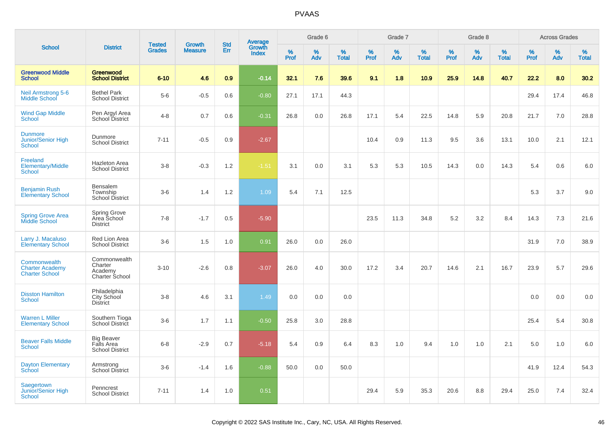|                                                                 |                                                           | <b>Tested</b> | <b>Growth</b>  | <b>Std</b> |                                   |                  | Grade 6  |                   |           | Grade 7  |                   |              | Grade 8  |                   |           | <b>Across Grades</b> |                   |
|-----------------------------------------------------------------|-----------------------------------------------------------|---------------|----------------|------------|-----------------------------------|------------------|----------|-------------------|-----------|----------|-------------------|--------------|----------|-------------------|-----------|----------------------|-------------------|
| <b>School</b>                                                   | <b>District</b>                                           | <b>Grades</b> | <b>Measure</b> | Err        | Average<br>Growth<br><b>Index</b> | %<br><b>Prof</b> | %<br>Adv | %<br><b>Total</b> | %<br>Prof | %<br>Adv | %<br><b>Total</b> | $\%$<br>Prof | %<br>Adv | %<br><b>Total</b> | %<br>Prof | %<br>Adv             | %<br><b>Total</b> |
| <b>Greenwood Middle</b><br><b>School</b>                        | Greenwood<br><b>School District</b>                       | $6 - 10$      | 4.6            | 0.9        | $-0.14$                           | 32.1             | 7.6      | 39.6              | 9.1       | 1.8      | 10.9              | 25.9         | 14.8     | 40.7              | 22.2      | 8.0                  | 30.2              |
| <b>Neil Armstrong 5-6</b><br><b>Middle School</b>               | <b>Bethel Park</b><br><b>School District</b>              | $5-6$         | $-0.5$         | 0.6        | $-0.80$                           | 27.1             | 17.1     | 44.3              |           |          |                   |              |          |                   | 29.4      | 17.4                 | 46.8              |
| <b>Wind Gap Middle</b><br><b>School</b>                         | Pen Argyl Area<br>School District                         | $4 - 8$       | 0.7            | 0.6        | $-0.31$                           | 26.8             | 0.0      | 26.8              | 17.1      | 5.4      | 22.5              | 14.8         | 5.9      | 20.8              | 21.7      | 7.0                  | 28.8              |
| <b>Dunmore</b><br>Junior/Senior High<br><b>School</b>           | Dunmore<br><b>School District</b>                         | $7 - 11$      | $-0.5$         | 0.9        | $-2.67$                           |                  |          |                   | 10.4      | 0.9      | 11.3              | 9.5          | 3.6      | 13.1              | 10.0      | 2.1                  | 12.1              |
| Freeland<br><b>Elementary/Middle</b><br><b>School</b>           | <b>Hazleton Area</b><br><b>School District</b>            | $3 - 8$       | $-0.3$         | 1.2        | $-1.51$                           | 3.1              | 0.0      | 3.1               | 5.3       | 5.3      | 10.5              | 14.3         | 0.0      | 14.3              | 5.4       | 0.6                  | 6.0               |
| <b>Benjamin Rush</b><br><b>Elementary School</b>                | Bensalem<br>Township<br>School District                   | $3-6$         | 1.4            | 1.2        | 1.09                              | 5.4              | 7.1      | 12.5              |           |          |                   |              |          |                   | 5.3       | 3.7                  | 9.0               |
| <b>Spring Grove Area</b><br>Middle School                       | Spring Grove<br>Area School<br><b>District</b>            | $7 - 8$       | $-1.7$         | 0.5        | $-5.90$                           |                  |          |                   | 23.5      | 11.3     | 34.8              | 5.2          | 3.2      | 8.4               | 14.3      | 7.3                  | 21.6              |
| Larry J. Macaluso<br><b>Elementary School</b>                   | Red Lion Area<br><b>School District</b>                   | $3-6$         | 1.5            | 1.0        | 0.91                              | 26.0             | 0.0      | 26.0              |           |          |                   |              |          |                   | 31.9      | 7.0                  | 38.9              |
| Commonwealth<br><b>Charter Academy</b><br><b>Charter School</b> | Commonwealth<br>Charter<br>Academy<br>Charter School      | $3 - 10$      | $-2.6$         | 0.8        | $-3.07$                           | 26.0             | 4.0      | 30.0              | 17.2      | 3.4      | 20.7              | 14.6         | 2.1      | 16.7              | 23.9      | 5.7                  | 29.6              |
| <b>Disston Hamilton</b><br><b>School</b>                        | Philadelphia<br>City School<br><b>District</b>            | $3 - 8$       | 4.6            | 3.1        | 1.49                              | 0.0              | 0.0      | 0.0               |           |          |                   |              |          |                   | 0.0       | 0.0                  | 0.0               |
| <b>Warren L Miller</b><br><b>Elementary School</b>              | Southern Tioga<br>School District                         | $3-6$         | 1.7            | 1.1        | $-0.50$                           | 25.8             | 3.0      | 28.8              |           |          |                   |              |          |                   | 25.4      | 5.4                  | 30.8              |
| <b>Beaver Falls Middle</b><br><b>School</b>                     | <b>Big Beaver</b><br>Falls Area<br><b>School District</b> | $6 - 8$       | $-2.9$         | 0.7        | $-5.18$                           | 5.4              | 0.9      | 6.4               | 8.3       | 1.0      | 9.4               | 1.0          | 1.0      | 2.1               | 5.0       | 1.0                  | 6.0               |
| <b>Dayton Elementary</b><br>School                              | Armstrong<br>School District                              | $3-6$         | $-1.4$         | 1.6        | $-0.88$                           | 50.0             | 0.0      | 50.0              |           |          |                   |              |          |                   | 41.9      | 12.4                 | 54.3              |
| Saegertown<br><b>Junior/Senior High</b><br><b>School</b>        | Penncrest<br><b>School District</b>                       | $7 - 11$      | 1.4            | 1.0        | 0.51                              |                  |          |                   | 29.4      | 5.9      | 35.3              | 20.6         | 8.8      | 29.4              | 25.0      | 7.4                  | 32.4              |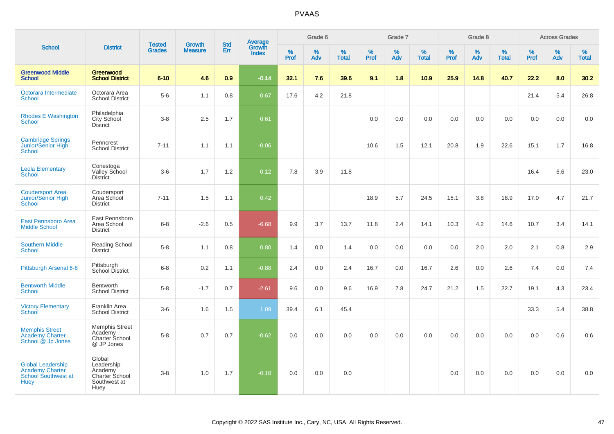|                                                                                          |                                                                           |                                |                                 | <b>Std</b> |                                          |                  | Grade 6  |                   |           | Grade 7  |                   |           | Grade 8  |                   |              | <b>Across Grades</b> |                   |
|------------------------------------------------------------------------------------------|---------------------------------------------------------------------------|--------------------------------|---------------------------------|------------|------------------------------------------|------------------|----------|-------------------|-----------|----------|-------------------|-----------|----------|-------------------|--------------|----------------------|-------------------|
| <b>School</b>                                                                            | <b>District</b>                                                           | <b>Tested</b><br><b>Grades</b> | <b>Growth</b><br><b>Measure</b> | Err        | <b>Average</b><br>Growth<br><b>Index</b> | %<br><b>Prof</b> | %<br>Adv | %<br><b>Total</b> | %<br>Prof | %<br>Adv | %<br><b>Total</b> | %<br>Prof | %<br>Adv | %<br><b>Total</b> | $\%$<br>Prof | %<br>Adv             | %<br><b>Total</b> |
| <b>Greenwood Middle</b><br><b>School</b>                                                 | Greenwood<br><b>School District</b>                                       | $6 - 10$                       | 4.6                             | 0.9        | $-0.14$                                  | 32.1             | 7.6      | 39.6              | 9.1       | 1.8      | 10.9              | 25.9      | 14.8     | 40.7              | 22.2         | 8.0                  | 30.2              |
| Octorara Intermediate<br><b>School</b>                                                   | Octorara Area<br><b>School District</b>                                   | $5-6$                          | 1.1                             | 0.8        | 0.67                                     | 17.6             | 4.2      | 21.8              |           |          |                   |           |          |                   | 21.4         | 5.4                  | 26.8              |
| <b>Rhodes E Washington</b><br><b>School</b>                                              | Philadelphia<br>City School<br><b>District</b>                            | $3 - 8$                        | 2.5                             | 1.7        | 0.61                                     |                  |          |                   | 0.0       | 0.0      | 0.0               | 0.0       | 0.0      | 0.0               | 0.0          | 0.0                  | 0.0               |
| <b>Cambridge Springs</b><br>Junior/Senior High<br><b>School</b>                          | Penncrest<br><b>School District</b>                                       | $7 - 11$                       | 1.1                             | 1.1        | $-0.06$                                  |                  |          |                   | 10.6      | 1.5      | 12.1              | 20.8      | 1.9      | 22.6              | 15.1         | 1.7                  | 16.8              |
| <b>Leola Elementary</b><br><b>School</b>                                                 | Conestoga<br>Valley School<br><b>District</b>                             | $3-6$                          | 1.7                             | 1.2        | 0.12                                     | 7.8              | 3.9      | 11.8              |           |          |                   |           |          |                   | 16.4         | 6.6                  | 23.0              |
| <b>Coudersport Area</b><br>Junior/Senior High<br>School                                  | Coudersport<br>Area School<br><b>District</b>                             | $7 - 11$                       | 1.5                             | 1.1        | 0.42                                     |                  |          |                   | 18.9      | 5.7      | 24.5              | 15.1      | 3.8      | 18.9              | 17.0         | 4.7                  | 21.7              |
| East Pennsboro Area<br><b>Middle School</b>                                              | East Pennsboro<br>Area School<br><b>District</b>                          | $6 - 8$                        | $-2.6$                          | 0.5        | $-6.68$                                  | 9.9              | 3.7      | 13.7              | 11.8      | 2.4      | 14.1              | 10.3      | 4.2      | 14.6              | 10.7         | 3.4                  | 14.1              |
| <b>Southern Middle</b><br><b>School</b>                                                  | Reading School<br>District                                                | $5-8$                          | 1.1                             | 0.8        | 0.80                                     | 1.4              | 0.0      | 1.4               | 0.0       | 0.0      | 0.0               | 0.0       | 2.0      | 2.0               | 2.1          | 0.8                  | 2.9               |
| Pittsburgh Arsenal 6-8                                                                   | Pittsburgh<br>School District                                             | $6 - 8$                        | 0.2                             | 1.1        | $-0.88$                                  | 2.4              | 0.0      | 2.4               | 16.7      | 0.0      | 16.7              | 2.6       | 0.0      | 2.6               | 7.4          | 0.0                  | 7.4               |
| <b>Bentworth Middle</b><br><b>School</b>                                                 | Bentworth<br><b>School District</b>                                       | $5-8$                          | $-1.7$                          | 0.7        | $-2.61$                                  | 9.6              | 0.0      | 9.6               | 16.9      | 7.8      | 24.7              | 21.2      | 1.5      | 22.7              | 19.1         | 4.3                  | 23.4              |
| <b>Victory Elementary</b><br>School                                                      | <b>Franklin Area</b><br><b>School District</b>                            | $3-6$                          | 1.6                             | 1.5        | 1.09                                     | 39.4             | 6.1      | 45.4              |           |          |                   |           |          |                   | 33.3         | 5.4                  | 38.8              |
| <b>Memphis Street</b><br><b>Academy Charter</b><br>School @ Jp Jones                     | <b>Memphis Street</b><br>Academy<br>Charter School<br>@ JP Jones          | $5-8$                          | 0.7                             | 0.7        | $-0.62$                                  | 0.0              | 0.0      | 0.0               | 0.0       | 0.0      | 0.0               | 0.0       | 0.0      | 0.0               | 0.0          | 0.6                  | 0.6               |
| <b>Global Leadership</b><br><b>Academy Charter</b><br>School Southwest at<br><b>Huey</b> | Global<br>Leadership<br>Academy<br>Charter School<br>Southwest at<br>Huey | $3-8$                          | 1.0                             | 1.7        | $-0.18$                                  | 0.0              | 0.0      | 0.0               |           |          |                   | 0.0       | 0.0      | 0.0               | 0.0          | 0.0                  | 0.0               |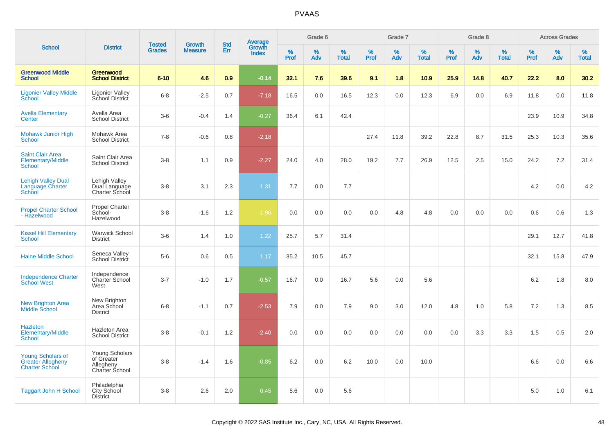|                                                                               |                                                                           |                                |                                 |                   |                                          |           | Grade 6     |                   |              | Grade 7  |                   |              | Grade 8  |                   |              | <b>Across Grades</b> |                   |
|-------------------------------------------------------------------------------|---------------------------------------------------------------------------|--------------------------------|---------------------------------|-------------------|------------------------------------------|-----------|-------------|-------------------|--------------|----------|-------------------|--------------|----------|-------------------|--------------|----------------------|-------------------|
| <b>School</b>                                                                 | <b>District</b>                                                           | <b>Tested</b><br><b>Grades</b> | <b>Growth</b><br><b>Measure</b> | <b>Std</b><br>Err | <b>Average</b><br>Growth<br><b>Index</b> | %<br>Prof | $\%$<br>Adv | %<br><b>Total</b> | $\%$<br>Prof | %<br>Adv | %<br><b>Total</b> | $\%$<br>Prof | %<br>Adv | %<br><b>Total</b> | $\%$<br>Prof | %<br>Adv             | %<br><b>Total</b> |
| <b>Greenwood Middle</b><br><b>School</b>                                      | Greenwood<br><b>School District</b>                                       | $6 - 10$                       | 4.6                             | 0.9               | $-0.14$                                  | 32.1      | 7.6         | 39.6              | 9.1          | 1.8      | 10.9              | 25.9         | 14.8     | 40.7              | 22.2         | 8.0                  | 30.2              |
| <b>Ligonier Valley Middle</b><br>School                                       | <b>Ligonier Valley</b><br>School District                                 | $6 - 8$                        | $-2.5$                          | 0.7               | $-7.18$                                  | 16.5      | 0.0         | 16.5              | 12.3         | 0.0      | 12.3              | 6.9          | 0.0      | 6.9               | 11.8         | 0.0                  | 11.8              |
| <b>Avella Elementary</b><br>Center                                            | Avella Area<br><b>School District</b>                                     | $3-6$                          | $-0.4$                          | 1.4               | $-0.27$                                  | 36.4      | 6.1         | 42.4              |              |          |                   |              |          |                   | 23.9         | 10.9                 | 34.8              |
| <b>Mohawk Junior High</b><br><b>School</b>                                    | Mohawk Area<br><b>School District</b>                                     | $7 - 8$                        | $-0.6$                          | 0.8               | $-2.18$                                  |           |             |                   | 27.4         | 11.8     | 39.2              | 22.8         | 8.7      | 31.5              | 25.3         | 10.3                 | 35.6              |
| <b>Saint Clair Area</b><br><b>Elementary/Middle</b><br>School                 | Saint Clair Area<br><b>School District</b>                                | $3 - 8$                        | 1.1                             | 0.9               | $-2.27$                                  | 24.0      | 4.0         | 28.0              | 19.2         | 7.7      | 26.9              | 12.5         | 2.5      | 15.0              | 24.2         | 7.2                  | 31.4              |
| <b>Lehigh Valley Dual</b><br>Language Charter<br>School                       | Lehigh Valley<br>Dual Language<br>Charter School                          | $3 - 8$                        | 3.1                             | 2.3               | 1.31                                     | 7.7       | 0.0         | 7.7               |              |          |                   |              |          |                   | 4.2          | 0.0                  | 4.2               |
| <b>Propel Charter School</b><br>- Hazelwood                                   | <b>Propel Charter</b><br>School-<br>Hazelwood                             | $3 - 8$                        | $-1.6$                          | 1.2               | $-1.96$                                  | 0.0       | 0.0         | 0.0               | 0.0          | 4.8      | 4.8               | 0.0          | 0.0      | 0.0               | 0.6          | 0.6                  | 1.3               |
| <b>Kissel Hill Elementary</b><br>School                                       | <b>Warwick School</b><br><b>District</b>                                  | $3-6$                          | 1.4                             | 1.0               | 1.22                                     | 25.7      | 5.7         | 31.4              |              |          |                   |              |          |                   | 29.1         | 12.7                 | 41.8              |
| <b>Haine Middle School</b>                                                    | Seneca Valley<br>School District                                          | $5-6$                          | 0.6                             | 0.5               | 1.17                                     | 35.2      | 10.5        | 45.7              |              |          |                   |              |          |                   | 32.1         | 15.8                 | 47.9              |
| <b>Independence Charter</b><br><b>School West</b>                             | Independence<br>Charter School<br>West                                    | $3 - 7$                        | $-1.0$                          | 1.7               | $-0.57$                                  | 16.7      | 0.0         | 16.7              | 5.6          | 0.0      | 5.6               |              |          |                   | 6.2          | 1.8                  | 8.0               |
| New Brighton Area<br><b>Middle School</b>                                     | New Brighton<br>Area School<br><b>District</b>                            | $6 - 8$                        | $-1.1$                          | 0.7               | $-2.53$                                  | 7.9       | 0.0         | 7.9               | 9.0          | 3.0      | 12.0              | 4.8          | 1.0      | 5.8               | 7.2          | 1.3                  | 8.5               |
| Hazleton<br><b>Elementary/Middle</b><br><b>School</b>                         | Hazleton Area<br><b>School District</b>                                   | $3 - 8$                        | $-0.1$                          | 1.2               | $-2.40$                                  | 0.0       | 0.0         | 0.0               | 0.0          | 0.0      | 0.0               | 0.0          | 3.3      | 3.3               | 1.5          | 0.5                  | 2.0               |
| <b>Young Scholars of</b><br><b>Greater Allegheny</b><br><b>Charter School</b> | <b>Young Scholars</b><br>of Greater<br>Allegheny<br><b>Charter School</b> | $3 - 8$                        | $-1.4$                          | 1.6               | $-0.85$                                  | 6.2       | 0.0         | 6.2               | 10.0         | 0.0      | 10.0              |              |          |                   | 6.6          | 0.0                  | 6.6               |
| <b>Taggart John H School</b>                                                  | Philadelphia<br><b>City School</b><br><b>District</b>                     | $3 - 8$                        | 2.6                             | 2.0               | 0.45                                     | 5.6       | 0.0         | 5.6               |              |          |                   |              |          |                   | 5.0          | 1.0                  | 6.1               |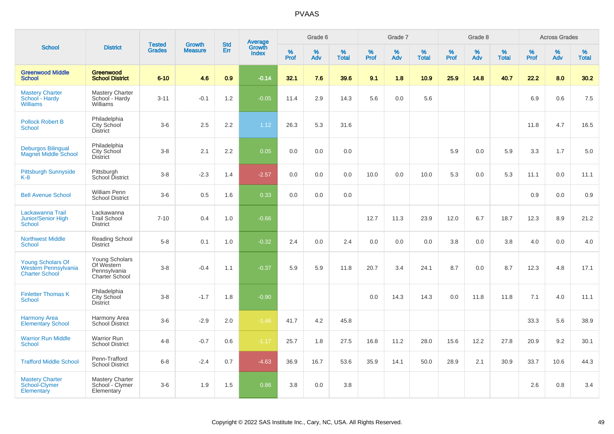|                                                                           |                                                                       | <b>Tested</b> | <b>Growth</b>  | <b>Std</b> |                                          |                  | Grade 6     |                   |              | Grade 7  |                   |              | Grade 8  |                   |              | <b>Across Grades</b> |                   |
|---------------------------------------------------------------------------|-----------------------------------------------------------------------|---------------|----------------|------------|------------------------------------------|------------------|-------------|-------------------|--------------|----------|-------------------|--------------|----------|-------------------|--------------|----------------------|-------------------|
| <b>School</b>                                                             | <b>District</b>                                                       | <b>Grades</b> | <b>Measure</b> | Err        | <b>Average</b><br>Growth<br><b>Index</b> | %<br><b>Prof</b> | $\%$<br>Adv | %<br><b>Total</b> | $\%$<br>Prof | %<br>Adv | %<br><b>Total</b> | $\%$<br>Prof | %<br>Adv | %<br><b>Total</b> | $\%$<br>Prof | %<br>Adv             | %<br><b>Total</b> |
| <b>Greenwood Middle</b><br>School                                         | <b>Greenwood</b><br><b>School District</b>                            | $6 - 10$      | 4.6            | 0.9        | $-0.14$                                  | 32.1             | 7.6         | 39.6              | 9.1          | 1.8      | 10.9              | 25.9         | 14.8     | 40.7              | 22.2         | 8.0                  | 30.2              |
| <b>Mastery Charter</b><br>School - Hardy<br><b>Williams</b>               | <b>Mastery Charter</b><br>School - Hardy<br>Williams                  | $3 - 11$      | $-0.1$         | 1.2        | $-0.05$                                  | 11.4             | 2.9         | 14.3              | 5.6          | 0.0      | 5.6               |              |          |                   | 6.9          | 0.6                  | 7.5               |
| <b>Pollock Robert B</b><br><b>School</b>                                  | Philadelphia<br><b>City School</b><br><b>District</b>                 | $3-6$         | 2.5            | 2.2        | 1.12                                     | 26.3             | 5.3         | 31.6              |              |          |                   |              |          |                   | 11.8         | 4.7                  | 16.5              |
| <b>Deburgos Bilingual</b><br><b>Magnet Middle School</b>                  | Philadelphia<br>City School<br><b>District</b>                        | $3-8$         | 2.1            | 2.2        | 0.05                                     | 0.0              | 0.0         | 0.0               |              |          |                   | 5.9          | 0.0      | 5.9               | 3.3          | 1.7                  | 5.0               |
| <b>Pittsburgh Sunnyside</b><br>$K-8$                                      | Pittsburgh<br>School District                                         | $3 - 8$       | $-2.3$         | 1.4        | $-2.57$                                  | 0.0              | 0.0         | 0.0               | 10.0         | 0.0      | 10.0              | 5.3          | 0.0      | 5.3               | 11.1         | 0.0                  | 11.1              |
| <b>Bell Avenue School</b>                                                 | <b>William Penn</b><br><b>School District</b>                         | $3-6$         | 0.5            | 1.6        | 0.33                                     | 0.0              | 0.0         | 0.0               |              |          |                   |              |          |                   | 0.9          | 0.0                  | 0.9               |
| Lackawanna Trail<br>Junior/Senior High<br><b>School</b>                   | Lackawanna<br><b>Trail School</b><br><b>District</b>                  | $7 - 10$      | 0.4            | 1.0        | $-0.66$                                  |                  |             |                   | 12.7         | 11.3     | 23.9              | 12.0         | 6.7      | 18.7              | 12.3         | 8.9                  | 21.2              |
| <b>Northwest Middle</b><br><b>School</b>                                  | Reading School<br><b>District</b>                                     | $5 - 8$       | 0.1            | 1.0        | $-0.32$                                  | 2.4              | 0.0         | 2.4               | 0.0          | 0.0      | 0.0               | 3.8          | 0.0      | 3.8               | 4.0          | 0.0                  | 4.0               |
| <b>Young Scholars Of</b><br>Western Pennsylvania<br><b>Charter School</b> | Young Scholars<br>Of Western<br>Pennsylvania<br><b>Charter School</b> | $3 - 8$       | $-0.4$         | 1.1        | $-0.37$                                  | 5.9              | 5.9         | 11.8              | 20.7         | 3.4      | 24.1              | 8.7          | 0.0      | 8.7               | 12.3         | 4.8                  | 17.1              |
| <b>Finletter Thomas K</b><br><b>School</b>                                | Philadelphia<br><b>City School</b><br><b>District</b>                 | $3-8$         | $-1.7$         | 1.8        | $-0.90$                                  |                  |             |                   | 0.0          | 14.3     | 14.3              | 0.0          | 11.8     | 11.8              | 7.1          | 4.0                  | 11.1              |
| <b>Harmony Area</b><br><b>Elementary School</b>                           | Harmony Area<br>School District                                       | $3-6$         | $-2.9$         | 2.0        | $-1.46$                                  | 41.7             | 4.2         | 45.8              |              |          |                   |              |          |                   | 33.3         | 5.6                  | 38.9              |
| <b>Warrior Run Middle</b><br>School                                       | <b>Warrior Run</b><br><b>School District</b>                          | $4 - 8$       | $-0.7$         | 0.6        | $-1.17$                                  | 25.7             | 1.8         | 27.5              | 16.8         | 11.2     | 28.0              | 15.6         | 12.2     | 27.8              | 20.9         | 9.2                  | 30.1              |
| <b>Trafford Middle School</b>                                             | Penn-Trafford<br><b>School District</b>                               | $6 - 8$       | $-2.4$         | 0.7        | $-4.63$                                  | 36.9             | 16.7        | 53.6              | 35.9         | 14.1     | 50.0              | 28.9         | 2.1      | 30.9              | 33.7         | 10.6                 | 44.3              |
| <b>Mastery Charter</b><br>School-Clymer<br>Elementary                     | <b>Mastery Charter</b><br>School - Clymer<br>Elementary               | $3-6$         | 1.9            | 1.5        | 0.86                                     | 3.8              | 0.0         | 3.8               |              |          |                   |              |          |                   | 2.6          | 0.8                  | 3.4               |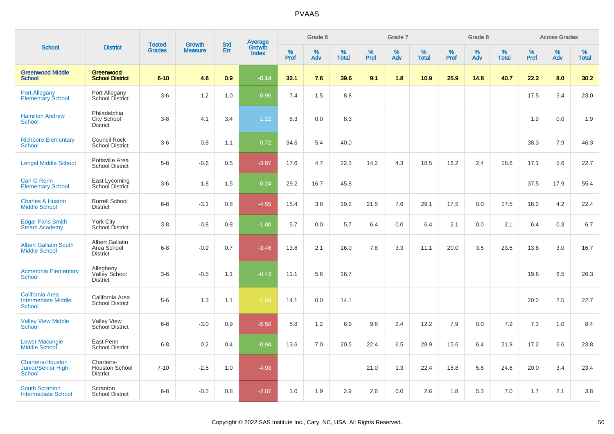|                                                                       |                                                          |                                |                                 | <b>Std</b> |                                          |           | Grade 6  |                   |           | Grade 7  |                   |           | Grade 8  |                   |           | <b>Across Grades</b> |                   |
|-----------------------------------------------------------------------|----------------------------------------------------------|--------------------------------|---------------------------------|------------|------------------------------------------|-----------|----------|-------------------|-----------|----------|-------------------|-----------|----------|-------------------|-----------|----------------------|-------------------|
| <b>School</b>                                                         | <b>District</b>                                          | <b>Tested</b><br><b>Grades</b> | <b>Growth</b><br><b>Measure</b> | Err        | <b>Average</b><br>Growth<br><b>Index</b> | %<br>Prof | %<br>Adv | %<br><b>Total</b> | %<br>Prof | %<br>Adv | %<br><b>Total</b> | %<br>Prof | %<br>Adv | %<br><b>Total</b> | %<br>Prof | %<br>Adv             | %<br><b>Total</b> |
| <b>Greenwood Middle</b><br><b>School</b>                              | Greenwood<br><b>School District</b>                      | $6 - 10$                       | 4.6                             | 0.9        | $-0.14$                                  | 32.1      | 7.6      | 39.6              | 9.1       | 1.8      | 10.9              | 25.9      | 14.8     | 40.7              | 22.2      | 8.0                  | 30.2              |
| <b>Port Allegany</b><br>Elementary School                             | Port Allegany<br>School District                         | $3-6$                          | 1.2                             | 1.0        | 0.96                                     | 7.4       | 1.5      | 8.8               |           |          |                   |           |          |                   | 17.5      | 5.4                  | 23.0              |
| <b>Hamilton Andrew</b><br><b>School</b>                               | Philadelphia<br>City School<br><b>District</b>           | $3-8$                          | 4.1                             | 3.4        | 1.22                                     | 8.3       | 0.0      | 8.3               |           |          |                   |           |          |                   | 1.9       | 0.0                  | 1.9               |
| <b>Richboro Elementary</b><br><b>School</b>                           | Council Rock<br><b>School District</b>                   | $3-6$                          | 0.8                             | 1.1        | 0.72                                     | 34.6      | 5.4      | 40.0              |           |          |                   |           |          |                   | 38.3      | 7.9                  | 46.3              |
| <b>Lengel Middle School</b>                                           | Pottsville Area<br><b>School District</b>                | $5-8$                          | $-0.6$                          | 0.5        | $-3.87$                                  | 17.6      | 4.7      | 22.3              | 14.2      | 4.3      | 18.5              | 16.2      | 2.4      | 18.6              | 17.1      | 5.6                  | 22.7              |
| <b>Carl G Renn</b><br><b>Elementary School</b>                        | East Lycoming<br>School District                         | $3-6$                          | 1.8                             | 1.5        | 0.24                                     | 29.2      | 16.7     | 45.8              |           |          |                   |           |          |                   | 37.5      | 17.9                 | 55.4              |
| <b>Charles A Huston</b><br><b>Middle School</b>                       | <b>Burrell School</b><br><b>District</b>                 | $6 - 8$                        | $-3.1$                          | 0.8        | $-4.55$                                  | 15.4      | 3.8      | 19.2              | 21.5      | 7.6      | 29.1              | 17.5      | 0.0      | 17.5              | 18.2      | 4.2                  | 22.4              |
| <b>Edgar Fahs Smith</b><br><b>Steam Academy</b>                       | <b>York City</b><br>School District                      | $3-8$                          | $-0.8$                          | 0.8        | $-1.00$                                  | 5.7       | 0.0      | 5.7               | 6.4       | 0.0      | 6.4               | 2.1       | 0.0      | 2.1               | 6.4       | 0.3                  | 6.7               |
| <b>Albert Gallatin South</b><br><b>Middle School</b>                  | <b>Albert Gallatin</b><br>Area School<br><b>District</b> | $6 - 8$                        | $-0.9$                          | 0.7        | $-3.46$                                  | 13.8      | 2.1      | 16.0              | 7.8       | 3.3      | 11.1              | 20.0      | 3.5      | 23.5              | 13.8      | 3.0                  | 16.7              |
| <b>Acmetonia Elementary</b><br><b>School</b>                          | Allegheny<br>Valley School<br><b>District</b>            | $3-6$                          | $-0.5$                          | 1.1        | $-0.43$                                  | 11.1      | 5.6      | 16.7              |           |          |                   |           |          |                   | 19.8      | 6.5                  | 26.3              |
| <b>California Area</b><br><b>Intermediate Middle</b><br><b>School</b> | California Area<br><b>School District</b>                | $5-6$                          | 1.3                             | 1.1        | $-1.69$                                  | 14.1      | 0.0      | 14.1              |           |          |                   |           |          |                   | 20.2      | 2.5                  | 22.7              |
| <b>Valley View Middle</b><br><b>School</b>                            | <b>Valley View</b><br>School District                    | $6 - 8$                        | $-3.0$                          | 0.9        | $-5.50$                                  | 5.8       | 1.2      | 6.9               | 9.8       | 2.4      | 12.2              | 7.9       | 0.0      | 7.9               | 7.3       | 1.0                  | 8.4               |
| <b>Lower Macungie</b><br>Middle School                                | East Penn<br><b>School District</b>                      | $6 - 8$                        | 0.2                             | 0.4        | $-0.94$                                  | 13.6      | 7.0      | 20.5              | 22.4      | 6.5      | 28.9              | 15.6      | 6.4      | 21.9              | 17.2      | 6.6                  | 23.8              |
| <b>Chartiers-Houston</b><br><b>Junior/Senior High</b><br>School       | Chartiers-<br><b>Houston School</b><br><b>District</b>   | $7 - 10$                       | $-2.5$                          | 1.0        | $-4.93$                                  |           |          |                   | 21.0      | 1.3      | 22.4              | 18.8      | 5.8      | 24.6              | 20.0      | 3.4                  | 23.4              |
| <b>South Scranton</b><br><b>Intermediate School</b>                   | Scranton<br><b>School District</b>                       | $6 - 8$                        | $-0.5$                          | 0.8        | $-2.87$                                  | 1.0       | 1.9      | 2.9               | 2.6       | 0.0      | 2.6               | 1.8       | 5.3      | 7.0               | 1.7       | 2.1                  | 3.8               |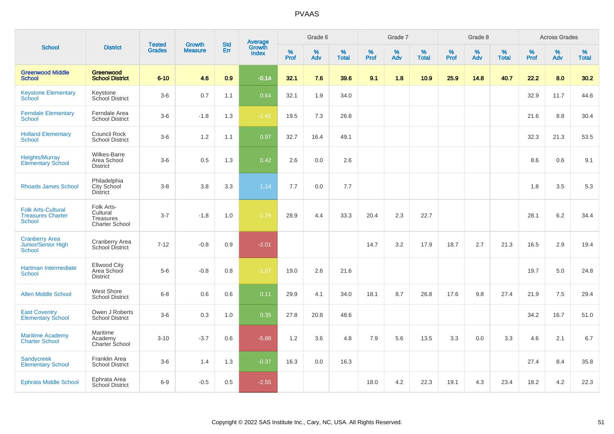| <b>School</b>                                                          |                                                              |                                |                                 | <b>Std</b> |                                   |           | Grade 6  |                   |           | Grade 7  |                   |           | Grade 8  |                   |              | <b>Across Grades</b> |                   |
|------------------------------------------------------------------------|--------------------------------------------------------------|--------------------------------|---------------------------------|------------|-----------------------------------|-----------|----------|-------------------|-----------|----------|-------------------|-----------|----------|-------------------|--------------|----------------------|-------------------|
|                                                                        | <b>District</b>                                              | <b>Tested</b><br><b>Grades</b> | <b>Growth</b><br><b>Measure</b> | Err        | Average<br>Growth<br><b>Index</b> | %<br>Prof | %<br>Adv | %<br><b>Total</b> | %<br>Prof | %<br>Adv | %<br><b>Total</b> | %<br>Prof | %<br>Adv | %<br><b>Total</b> | $\%$<br>Prof | $\%$<br>Adv          | %<br><b>Total</b> |
| <b>Greenwood Middle</b><br><b>School</b>                               | <b>Greenwood</b><br><b>School District</b>                   | $6 - 10$                       | 4.6                             | 0.9        | $-0.14$                           | 32.1      | 7.6      | 39.6              | 9.1       | 1.8      | 10.9              | 25.9      | 14.8     | 40.7              | 22.2         | 8.0                  | 30.2              |
| <b>Keystone Elementary</b><br>School                                   | Keystone<br>School District                                  | $3-6$                          | 0.7                             | 1.1        | 0.64                              | 32.1      | 1.9      | 34.0              |           |          |                   |           |          |                   | 32.9         | 11.7                 | 44.6              |
| <b>Ferndale Elementary</b><br><b>School</b>                            | Ferndale Area<br><b>School District</b>                      | $3-6$                          | $-1.8$                          | 1.3        | $-1.41$                           | 19.5      | 7.3      | 26.8              |           |          |                   |           |          |                   | 21.6         | 8.8                  | 30.4              |
| <b>Holland Elementary</b><br><b>School</b>                             | Council Rock<br><b>School District</b>                       | $3-6$                          | 1.2                             | 1.1        | 0.97                              | 32.7      | 16.4     | 49.1              |           |          |                   |           |          |                   | 32.3         | 21.3                 | 53.5              |
| <b>Heights/Murray</b><br><b>Elementary School</b>                      | Wilkes-Barre<br>Area School<br><b>District</b>               | $3-6$                          | 0.5                             | 1.3        | 0.42                              | 2.6       | 0.0      | 2.6               |           |          |                   |           |          |                   | 8.6          | 0.6                  | 9.1               |
| <b>Rhoads James School</b>                                             | Philadelphia<br><b>City School</b><br><b>District</b>        | $3-8$                          | 3.8                             | 3.3        | 1.14                              | 7.7       | 0.0      | 7.7               |           |          |                   |           |          |                   | 1.8          | 3.5                  | 5.3               |
| <b>Folk Arts-Cultural</b><br><b>Treasures Charter</b><br><b>School</b> | Folk Arts-<br>Cultural<br>Treasures<br><b>Charter School</b> | $3 - 7$                        | $-1.8$                          | 1.0        | $-1.76$                           | 28.9      | 4.4      | 33.3              | 20.4      | 2.3      | 22.7              |           |          |                   | 28.1         | $6.2\,$              | 34.4              |
| <b>Cranberry Area</b><br><b>Junior/Senior High</b><br><b>School</b>    | Cranberry Area<br>School District                            | $7 - 12$                       | $-0.8$                          | 0.9        | $-2.01$                           |           |          |                   | 14.7      | 3.2      | 17.9              | 18.7      | 2.7      | 21.3              | 16.5         | 2.9                  | 19.4              |
| Hartman Intermediate<br><b>School</b>                                  | Ellwood City<br>Area School<br><b>District</b>               | $5-6$                          | $-0.8$                          | 0.8        | $-1.07$                           | 19.0      | 2.6      | 21.6              |           |          |                   |           |          |                   | 19.7         | 5.0                  | 24.8              |
| <b>Allen Middle School</b>                                             | West Shore<br><b>School District</b>                         | $6-8$                          | 0.6                             | 0.6        | 0.11                              | 29.9      | 4.1      | 34.0              | 18.1      | 8.7      | 26.8              | 17.6      | 9.8      | 27.4              | 21.9         | 7.5                  | 29.4              |
| <b>East Coventry</b><br><b>Elementary School</b>                       | Owen J Roberts<br><b>School District</b>                     | $3-6$                          | 0.3                             | 1.0        | 0.35                              | 27.8      | 20.8     | 48.6              |           |          |                   |           |          |                   | 34.2         | 16.7                 | 51.0              |
| <b>Maritime Academy</b><br><b>Charter School</b>                       | Maritime<br>Academy<br>Charter School                        | $3 - 10$                       | $-3.7$                          | 0.6        | $-5.88$                           | 1.2       | 3.6      | 4.8               | 7.9       | 5.6      | 13.5              | 3.3       | 0.0      | 3.3               | 4.6          | 2.1                  | 6.7               |
| <b>Sandycreek</b><br><b>Elementary School</b>                          | Franklin Area<br><b>School District</b>                      | $3-6$                          | 1.4                             | 1.3        | $-0.37$                           | 16.3      | 0.0      | 16.3              |           |          |                   |           |          |                   | 27.4         | 8.4                  | 35.8              |
| <b>Ephrata Middle School</b>                                           | Ephrata Area<br><b>School District</b>                       | $6-9$                          | $-0.5$                          | 0.5        | $-2.55$                           |           |          |                   | 18.0      | 4.2      | 22.3              | 19.1      | 4.3      | 23.4              | 18.2         | 4.2                  | 22.3              |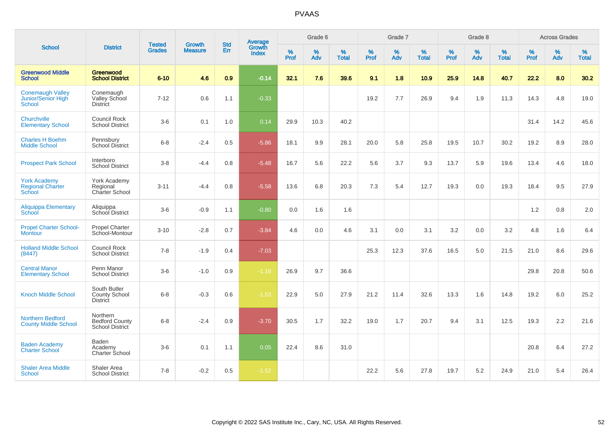| <b>School</b>                                            |                                                         |                                |                                 | <b>Std</b>    |                                          |                  | Grade 6  |                   |                  | Grade 7  |                   |                  | Grade 8  |                   |                  | <b>Across Grades</b> |                   |
|----------------------------------------------------------|---------------------------------------------------------|--------------------------------|---------------------------------|---------------|------------------------------------------|------------------|----------|-------------------|------------------|----------|-------------------|------------------|----------|-------------------|------------------|----------------------|-------------------|
|                                                          | <b>District</b>                                         | <b>Tested</b><br><b>Grades</b> | <b>Growth</b><br><b>Measure</b> | Err           | <b>Average</b><br>Growth<br><b>Index</b> | %<br><b>Prof</b> | %<br>Adv | %<br><b>Total</b> | %<br><b>Prof</b> | %<br>Adv | %<br><b>Total</b> | %<br><b>Prof</b> | %<br>Adv | %<br><b>Total</b> | %<br><b>Prof</b> | %<br>Adv             | %<br><b>Total</b> |
| <b>Greenwood Middle</b><br><b>School</b>                 | <b>Greenwood</b><br><b>School District</b>              | $6 - 10$                       | 4.6                             | 0.9           | $-0.14$                                  | 32.1             | 7.6      | 39.6              | 9.1              | 1.8      | 10.9              | 25.9             | 14.8     | 40.7              | 22.2             | 8.0                  | 30.2              |
| <b>Conemaugh Valley</b><br>Junior/Senior High<br>School  | Conemaugh<br>Valley School<br><b>District</b>           | $7 - 12$                       | 0.6                             | 1.1           | $-0.33$                                  |                  |          |                   | 19.2             | 7.7      | 26.9              | 9.4              | 1.9      | 11.3              | 14.3             | 4.8                  | 19.0              |
| Churchville<br><b>Elementary School</b>                  | <b>Council Rock</b><br><b>School District</b>           | $3-6$                          | 0.1                             | 1.0           | 0.14                                     | 29.9             | 10.3     | 40.2              |                  |          |                   |                  |          |                   | 31.4             | 14.2                 | 45.6              |
| <b>Charles H Boehm</b><br><b>Middle School</b>           | Pennsbury<br><b>School District</b>                     | $6 - 8$                        | $-2.4$                          | 0.5           | $-5.86$                                  | 18.1             | 9.9      | 28.1              | 20.0             | 5.8      | 25.8              | 19.5             | 10.7     | 30.2              | 19.2             | 8.9                  | 28.0              |
| <b>Prospect Park School</b>                              | Interboro<br><b>School District</b>                     | $3-8$                          | $-4.4$                          | 0.8           | $-5.48$                                  | 16.7             | 5.6      | 22.2              | 5.6              | 3.7      | 9.3               | 13.7             | 5.9      | 19.6              | 13.4             | 4.6                  | 18.0              |
| <b>York Academy</b><br><b>Regional Charter</b><br>School | York Academy<br>Regional<br><b>Charter School</b>       | $3 - 11$                       | $-4.4$                          | 0.8           | $-5.58$                                  | 13.6             | 6.8      | 20.3              | 7.3              | 5.4      | 12.7              | 19.3             | 0.0      | 19.3              | 18.4             | 9.5                  | 27.9              |
| <b>Aliquippa Elementary</b><br>School                    | Aliquippa<br>School District                            | $3-6$                          | $-0.9$                          | 1.1           | $-0.80$                                  | 0.0              | 1.6      | 1.6               |                  |          |                   |                  |          |                   | 1.2              | 0.8                  | 2.0               |
| <b>Propel Charter School-</b><br><b>Montour</b>          | <b>Propel Charter</b><br>School-Montour                 | $3 - 10$                       | $-2.8$                          | 0.7           | $-3.84$                                  | 4.6              | 0.0      | 4.6               | 3.1              | 0.0      | 3.1               | 3.2              | 0.0      | 3.2               | 4.8              | 1.6                  | 6.4               |
| <b>Holland Middle School</b><br>(8447)                   | <b>Council Rock</b><br><b>School District</b>           | $7 - 8$                        | $-1.9$                          | $0.4^{\circ}$ | $-7.03$                                  |                  |          |                   | 25.3             | 12.3     | 37.6              | 16.5             | 5.0      | 21.5              | 21.0             | 8.6                  | 29.6              |
| <b>Central Manor</b><br><b>Elementary School</b>         | Penn Manor<br><b>School District</b>                    | $3-6$                          | $-1.0$                          | 0.9           | $-1.18$                                  | 26.9             | 9.7      | 36.6              |                  |          |                   |                  |          |                   | 29.8             | 20.8                 | 50.6              |
| <b>Knoch Middle School</b>                               | South Butler<br><b>County School</b><br><b>District</b> | $6 - 8$                        | $-0.3$                          | 0.6           | $-1.53$                                  | 22.9             | 5.0      | 27.9              | 21.2             | 11.4     | 32.6              | 13.3             | 1.6      | 14.8              | 19.2             | 6.0                  | 25.2              |
| <b>Northern Bedford</b><br><b>County Middle School</b>   | Northern<br><b>Bedford County</b><br>School District    | $6 - 8$                        | $-2.4$                          | 0.9           | $-3.70$                                  | 30.5             | 1.7      | 32.2              | 19.0             | 1.7      | 20.7              | 9.4              | 3.1      | 12.5              | 19.3             | 2.2                  | 21.6              |
| <b>Baden Academy</b><br><b>Charter School</b>            | Baden<br>Academy<br>Charter School                      | $3-6$                          | 0.1                             | 1.1           | 0.05                                     | 22.4             | 8.6      | 31.0              |                  |          |                   |                  |          |                   | 20.8             | 6.4                  | 27.2              |
| <b>Shaler Area Middle</b><br>School                      | Shaler Area<br><b>School District</b>                   | $7 - 8$                        | $-0.2$                          | 0.5           | $-1.52$                                  |                  |          |                   | 22.2             | 5.6      | 27.8              | 19.7             | 5.2      | 24.9              | 21.0             | 5.4                  | 26.4              |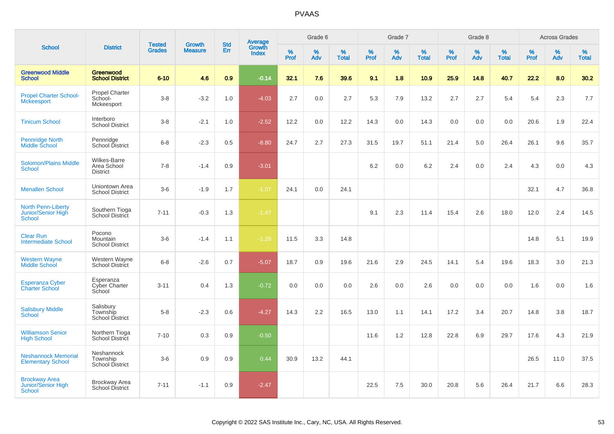|                                                                  |                                                  |                                | <b>Growth</b>  | <b>Std</b> |                                          |                     | Grade 6  |                   |              | Grade 7     |                   |              | Grade 8  |                   |              | <b>Across Grades</b> |                   |
|------------------------------------------------------------------|--------------------------------------------------|--------------------------------|----------------|------------|------------------------------------------|---------------------|----------|-------------------|--------------|-------------|-------------------|--------------|----------|-------------------|--------------|----------------------|-------------------|
| <b>School</b>                                                    | <b>District</b>                                  | <b>Tested</b><br><b>Grades</b> | <b>Measure</b> | Err        | <b>Average</b><br>Growth<br><b>Index</b> | $\%$<br><b>Prof</b> | %<br>Adv | %<br><b>Total</b> | $\%$<br>Prof | $\%$<br>Adv | %<br><b>Total</b> | $\%$<br>Prof | %<br>Adv | %<br><b>Total</b> | $\%$<br>Prof | $\%$<br>Adv          | %<br><b>Total</b> |
| <b>Greenwood Middle</b><br><b>School</b>                         | Greenwood<br><b>School District</b>              | $6 - 10$                       | 4.6            | 0.9        | $-0.14$                                  | 32.1                | 7.6      | 39.6              | 9.1          | 1.8         | 10.9              | 25.9         | 14.8     | 40.7              | 22.2         | 8.0                  | 30.2              |
| <b>Propel Charter School-</b><br><b>Mckeesport</b>               | <b>Propel Charter</b><br>School-<br>Mckeesport   | $3-8$                          | $-3.2$         | 1.0        | $-4.03$                                  | 2.7                 | 0.0      | 2.7               | 5.3          | 7.9         | 13.2              | 2.7          | 2.7      | 5.4               | 5.4          | 2.3                  | 7.7               |
| <b>Tinicum School</b>                                            | Interboro<br><b>School District</b>              | $3 - 8$                        | $-2.1$         | 1.0        | $-2.52$                                  | 12.2                | 0.0      | 12.2              | 14.3         | 0.0         | 14.3              | 0.0          | 0.0      | 0.0               | 20.6         | 1.9                  | 22.4              |
| Pennridge North<br>Middle School                                 | Pennridge<br>School District                     | $6 - 8$                        | $-2.3$         | 0.5        | $-8.80$                                  | 24.7                | 2.7      | 27.3              | 31.5         | 19.7        | 51.1              | 21.4         | 5.0      | 26.4              | 26.1         | 9.6                  | 35.7              |
| <b>Solomon/Plains Middle</b><br>School                           | Wilkes-Barre<br>Area School<br><b>District</b>   | $7 - 8$                        | $-1.4$         | 0.9        | $-3.01$                                  |                     |          |                   | 6.2          | 0.0         | 6.2               | 2.4          | 0.0      | 2.4               | 4.3          | 0.0                  | 4.3               |
| <b>Menallen School</b>                                           | Uniontown Area<br><b>School District</b>         | $3-6$                          | $-1.9$         | 1.7        | $-1.07$                                  | 24.1                | 0.0      | 24.1              |              |             |                   |              |          |                   | 32.1         | 4.7                  | 36.8              |
| <b>North Penn-Liberty</b><br>Junior/Senior High<br><b>School</b> | Southern Tioga<br><b>School District</b>         | $7 - 11$                       | $-0.3$         | 1.3        | $-1.47$                                  |                     |          |                   | 9.1          | 2.3         | 11.4              | 15.4         | 2.6      | 18.0              | 12.0         | 2.4                  | 14.5              |
| <b>Clear Run</b><br><b>Intermediate School</b>                   | Pocono<br>Mountain<br><b>School District</b>     | $3-6$                          | $-1.4$         | 1.1        | $-1.28$                                  | 11.5                | 3.3      | 14.8              |              |             |                   |              |          |                   | 14.8         | 5.1                  | 19.9              |
| <b>Western Wayne</b><br>Middle School                            | Western Wayne<br><b>School District</b>          | $6 - 8$                        | $-2.6$         | 0.7        | $-5.07$                                  | 18.7                | 0.9      | 19.6              | 21.6         | 2.9         | 24.5              | 14.1         | 5.4      | 19.6              | 18.3         | 3.0                  | 21.3              |
| <b>Esperanza Cyber</b><br><b>Charter School</b>                  | Esperanza<br><b>Cyber Charter</b><br>School      | $3 - 11$                       | 0.4            | 1.3        | $-0.72$                                  | 0.0                 | 0.0      | 0.0               | 2.6          | 0.0         | 2.6               | 0.0          | 0.0      | 0.0               | 1.6          | 0.0                  | 1.6               |
| <b>Salisbury Middle</b><br><b>School</b>                         | Salisbury<br>Township<br><b>School District</b>  | $5-8$                          | $-2.3$         | 0.6        | $-4.27$                                  | 14.3                | 2.2      | 16.5              | 13.0         | 1.1         | 14.1              | 17.2         | 3.4      | 20.7              | 14.8         | 3.8                  | 18.7              |
| <b>Williamson Senior</b><br><b>High School</b>                   | Northern Tioga<br>School District                | $7 - 10$                       | 0.3            | 0.9        | $-0.50$                                  |                     |          |                   | 11.6         | 1.2         | 12.8              | 22.8         | 6.9      | 29.7              | 17.6         | 4.3                  | 21.9              |
| <b>Neshannock Memorial</b><br><b>Elementary School</b>           | Neshannock<br>Township<br><b>School District</b> | $3-6$                          | 0.9            | 0.9        | 0.44                                     | 30.9                | 13.2     | 44.1              |              |             |                   |              |          |                   | 26.5         | 11.0                 | 37.5              |
| <b>Brockway Area</b><br>Junior/Senior High<br>School             | <b>Brockway Area</b><br><b>School District</b>   | $7 - 11$                       | $-1.1$         | 0.9        | $-2.47$                                  |                     |          |                   | 22.5         | 7.5         | 30.0              | 20.8         | 5.6      | 26.4              | 21.7         | 6.6                  | 28.3              |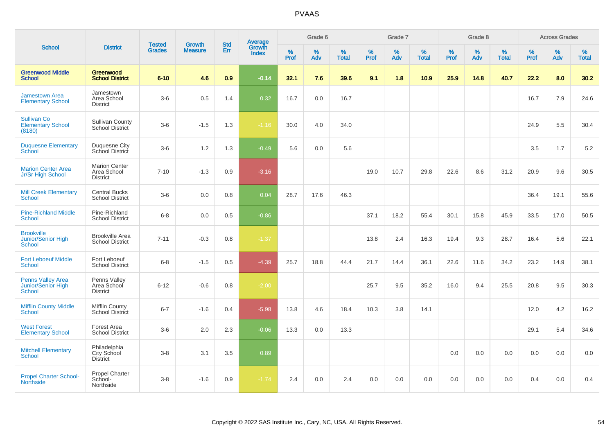|                                                          |                                                        |                                |                                 |                   |                                          |                     | Grade 6     |                   |              | Grade 7     |                      |              | Grade 8  |                   |              | <b>Across Grades</b> |                   |
|----------------------------------------------------------|--------------------------------------------------------|--------------------------------|---------------------------------|-------------------|------------------------------------------|---------------------|-------------|-------------------|--------------|-------------|----------------------|--------------|----------|-------------------|--------------|----------------------|-------------------|
| <b>School</b>                                            | <b>District</b>                                        | <b>Tested</b><br><b>Grades</b> | <b>Growth</b><br><b>Measure</b> | <b>Std</b><br>Err | <b>Average</b><br>Growth<br><b>Index</b> | $\%$<br><b>Prof</b> | $\%$<br>Adv | %<br><b>Total</b> | $\%$<br>Prof | $\%$<br>Adv | $\%$<br><b>Total</b> | $\%$<br>Prof | %<br>Adv | %<br><b>Total</b> | $\%$<br>Prof | $\%$<br>Adv          | %<br><b>Total</b> |
| <b>Greenwood Middle</b><br><b>School</b>                 | Greenwood<br><b>School District</b>                    | $6 - 10$                       | 4.6                             | 0.9               | $-0.14$                                  | 32.1                | 7.6         | 39.6              | 9.1          | 1.8         | 10.9                 | 25.9         | 14.8     | 40.7              | 22.2         | 8.0                  | 30.2              |
| <b>Jamestown Area</b><br><b>Elementary School</b>        | Jamestown<br>Area School<br><b>District</b>            | $3-6$                          | 0.5                             | 1.4               | 0.32                                     | 16.7                | 0.0         | 16.7              |              |             |                      |              |          |                   | 16.7         | 7.9                  | 24.6              |
| <b>Sullivan Co</b><br><b>Elementary School</b><br>(8180) | <b>Sullivan County</b><br>School District              | $3-6$                          | $-1.5$                          | 1.3               | $-1.16$                                  | 30.0                | 4.0         | 34.0              |              |             |                      |              |          |                   | 24.9         | 5.5                  | 30.4              |
| <b>Duquesne Elementary</b><br>School                     | Duquesne City<br>School District                       | $3-6$                          | 1.2                             | 1.3               | $-0.49$                                  | 5.6                 | 0.0         | 5.6               |              |             |                      |              |          |                   | 3.5          | 1.7                  | $5.2\,$           |
| <b>Marion Center Area</b><br>Jr/Sr High School           | <b>Marion Center</b><br>Area School<br><b>District</b> | $7 - 10$                       | $-1.3$                          | 0.9               | $-3.16$                                  |                     |             |                   | 19.0         | 10.7        | 29.8                 | 22.6         | 8.6      | 31.2              | 20.9         | 9.6                  | 30.5              |
| <b>Mill Creek Elementary</b><br><b>School</b>            | <b>Central Bucks</b><br><b>School District</b>         | $3-6$                          | 0.0                             | 0.8               | 0.04                                     | 28.7                | 17.6        | 46.3              |              |             |                      |              |          |                   | 36.4         | 19.1                 | 55.6              |
| <b>Pine-Richland Middle</b><br><b>School</b>             | Pine-Richland<br><b>School District</b>                | $6 - 8$                        | 0.0                             | 0.5               | $-0.86$                                  |                     |             |                   | 37.1         | 18.2        | 55.4                 | 30.1         | 15.8     | 45.9              | 33.5         | 17.0                 | 50.5              |
| <b>Brookville</b><br><b>Junior/Senior High</b><br>School | <b>Brookville Area</b><br><b>School District</b>       | $7 - 11$                       | $-0.3$                          | 0.8               | $-1.37$                                  |                     |             |                   | 13.8         | 2.4         | 16.3                 | 19.4         | 9.3      | 28.7              | 16.4         | 5.6                  | 22.1              |
| <b>Fort Leboeuf Middle</b><br>School                     | Fort Leboeuf<br><b>School District</b>                 | $6 - 8$                        | $-1.5$                          | 0.5               | $-4.39$                                  | 25.7                | 18.8        | 44.4              | 21.7         | 14.4        | 36.1                 | 22.6         | 11.6     | 34.2              | 23.2         | 14.9                 | 38.1              |
| <b>Penns Valley Area</b><br>Junior/Senior High<br>School | Penns Valley<br>Area School<br><b>District</b>         | $6 - 12$                       | $-0.6$                          | 0.8               | $-2.00$                                  |                     |             |                   | 25.7         | 9.5         | 35.2                 | 16.0         | 9.4      | 25.5              | 20.8         | 9.5                  | 30.3              |
| <b>Mifflin County Middle</b><br>School                   | <b>Mifflin County</b><br>School District               | $6 - 7$                        | $-1.6$                          | 0.4               | $-5.98$                                  | 13.8                | 4.6         | 18.4              | 10.3         | 3.8         | 14.1                 |              |          |                   | 12.0         | 4.2                  | 16.2              |
| <b>West Forest</b><br><b>Elementary School</b>           | Forest Area<br><b>School District</b>                  | $3-6$                          | 2.0                             | 2.3               | $-0.06$                                  | 13.3                | 0.0         | 13.3              |              |             |                      |              |          |                   | 29.1         | 5.4                  | 34.6              |
| <b>Mitchell Elementary</b><br><b>School</b>              | Philadelphia<br>City School<br><b>District</b>         | $3 - 8$                        | 3.1                             | 3.5               | 0.89                                     |                     |             |                   |              |             |                      | 0.0          | 0.0      | 0.0               | 0.0          | 0.0                  | 0.0               |
| <b>Propel Charter School-</b><br><b>Northside</b>        | Propel Charter<br>School-<br>Northside                 | $3 - 8$                        | $-1.6$                          | 0.9               | $-1.74$                                  | 2.4                 | 0.0         | 2.4               | 0.0          | 0.0         | 0.0                  | 0.0          | 0.0      | 0.0               | 0.4          | 0.0                  | 0.4               |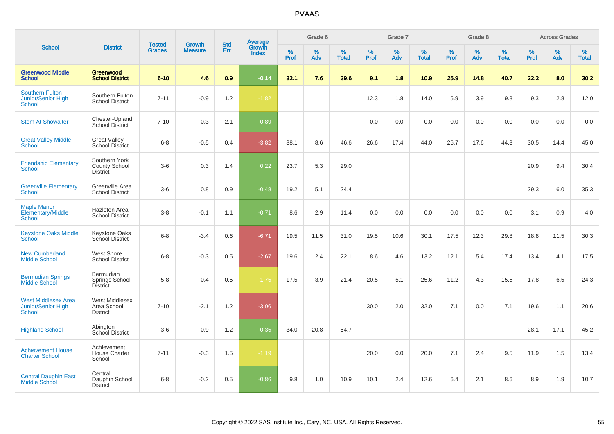| <b>School</b>                                                            |                                                          |                                |                                 | <b>Std</b> |                                          |           | Grade 6  |                   |           | Grade 7  |                   |           | Grade 8  |                   |              | <b>Across Grades</b> |                   |
|--------------------------------------------------------------------------|----------------------------------------------------------|--------------------------------|---------------------------------|------------|------------------------------------------|-----------|----------|-------------------|-----------|----------|-------------------|-----------|----------|-------------------|--------------|----------------------|-------------------|
|                                                                          | <b>District</b>                                          | <b>Tested</b><br><b>Grades</b> | <b>Growth</b><br><b>Measure</b> | Err        | <b>Average</b><br>Growth<br><b>Index</b> | %<br>Prof | %<br>Adv | %<br><b>Total</b> | %<br>Prof | %<br>Adv | %<br><b>Total</b> | %<br>Prof | %<br>Adv | %<br><b>Total</b> | $\%$<br>Prof | %<br>Adv             | %<br><b>Total</b> |
| <b>Greenwood Middle</b><br><b>School</b>                                 | Greenwood<br><b>School District</b>                      | $6 - 10$                       | 4.6                             | 0.9        | $-0.14$                                  | 32.1      | 7.6      | 39.6              | 9.1       | 1.8      | 10.9              | 25.9      | 14.8     | 40.7              | 22.2         | 8.0                  | 30.2              |
| <b>Southern Fulton</b><br>Junior/Senior High<br><b>School</b>            | Southern Fulton<br><b>School District</b>                | $7 - 11$                       | $-0.9$                          | 1.2        | $-1.82$                                  |           |          |                   | 12.3      | 1.8      | 14.0              | 5.9       | 3.9      | 9.8               | 9.3          | 2.8                  | 12.0              |
| <b>Stem At Showalter</b>                                                 | Chester-Upland<br><b>School District</b>                 | $7 - 10$                       | $-0.3$                          | 2.1        | $-0.89$                                  |           |          |                   | 0.0       | 0.0      | 0.0               | 0.0       | 0.0      | 0.0               | 0.0          | 0.0                  | 0.0               |
| <b>Great Valley Middle</b><br>School                                     | <b>Great Valley</b><br><b>School District</b>            | $6 - 8$                        | $-0.5$                          | 0.4        | $-3.82$                                  | 38.1      | 8.6      | 46.6              | 26.6      | 17.4     | 44.0              | 26.7      | 17.6     | 44.3              | 30.5         | 14.4                 | 45.0              |
| <b>Friendship Elementary</b><br><b>School</b>                            | Southern York<br><b>County School</b><br><b>District</b> | $3-6$                          | 0.3                             | 1.4        | 0.22                                     | 23.7      | 5.3      | 29.0              |           |          |                   |           |          |                   | 20.9         | 9.4                  | 30.4              |
| <b>Greenville Elementary</b><br><b>School</b>                            | Greenville Area<br><b>School District</b>                | $3-6$                          | 0.8                             | 0.9        | $-0.48$                                  | 19.2      | 5.1      | 24.4              |           |          |                   |           |          |                   | 29.3         | 6.0                  | 35.3              |
| <b>Maple Manor</b><br><b>Elementary/Middle</b><br><b>School</b>          | <b>Hazleton Area</b><br><b>School District</b>           | $3 - 8$                        | $-0.1$                          | 1.1        | $-0.71$                                  | 8.6       | 2.9      | 11.4              | 0.0       | 0.0      | 0.0               | 0.0       | 0.0      | 0.0               | 3.1          | 0.9                  | 4.0               |
| <b>Keystone Oaks Middle</b><br>School                                    | <b>Keystone Oaks</b><br>School District                  | $6 - 8$                        | $-3.4$                          | 0.6        | $-6.71$                                  | 19.5      | 11.5     | 31.0              | 19.5      | 10.6     | 30.1              | 17.5      | 12.3     | 29.8              | 18.8         | 11.5                 | 30.3              |
| <b>New Cumberland</b><br><b>Middle School</b>                            | West Shore<br><b>School District</b>                     | $6 - 8$                        | $-0.3$                          | 0.5        | $-2.67$                                  | 19.6      | 2.4      | 22.1              | 8.6       | 4.6      | 13.2              | 12.1      | 5.4      | 17.4              | 13.4         | 4.1                  | 17.5              |
| <b>Bermudian Springs</b><br>Middle School                                | Bermudian<br>Springs School<br>District                  | $5-8$                          | 0.4                             | 0.5        | $-1.75$                                  | 17.5      | 3.9      | 21.4              | 20.5      | 5.1      | 25.6              | 11.2      | 4.3      | 15.5              | 17.8         | 6.5                  | 24.3              |
| <b>West Middlesex Area</b><br><b>Junior/Senior High</b><br><b>School</b> | <b>West Middlesex</b><br>Area School<br><b>District</b>  | $7 - 10$                       | $-2.1$                          | 1.2        | $-3.06$                                  |           |          |                   | 30.0      | 2.0      | 32.0              | 7.1       | 0.0      | 7.1               | 19.6         | 1.1                  | 20.6              |
| <b>Highland School</b>                                                   | Abington<br>School District                              | $3-6$                          | 0.9                             | 1.2        | 0.35                                     | 34.0      | 20.8     | 54.7              |           |          |                   |           |          |                   | 28.1         | 17.1                 | 45.2              |
| <b>Achievement House</b><br><b>Charter School</b>                        | Achievement<br><b>House Charter</b><br>School            | $7 - 11$                       | $-0.3$                          | 1.5        | $-1.19$                                  |           |          |                   | 20.0      | 0.0      | 20.0              | 7.1       | 2.4      | 9.5               | 11.9         | 1.5                  | 13.4              |
| <b>Central Dauphin East</b><br><b>Middle School</b>                      | Central<br>Dauphin School<br><b>District</b>             | $6 - 8$                        | $-0.2$                          | 0.5        | $-0.86$                                  | 9.8       | 1.0      | 10.9              | 10.1      | 2.4      | 12.6              | 6.4       | 2.1      | 8.6               | 8.9          | 1.9                  | 10.7              |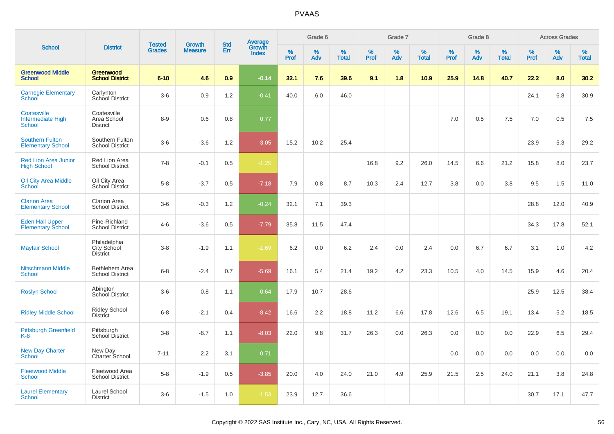|                                                          |                                                |                                |                                 | <b>Std</b> |                                   |                  | Grade 6  |                   |           | Grade 7  |                   |           | Grade 8  |                   |           | <b>Across Grades</b> |                   |
|----------------------------------------------------------|------------------------------------------------|--------------------------------|---------------------------------|------------|-----------------------------------|------------------|----------|-------------------|-----------|----------|-------------------|-----------|----------|-------------------|-----------|----------------------|-------------------|
| <b>School</b>                                            | <b>District</b>                                | <b>Tested</b><br><b>Grades</b> | <b>Growth</b><br><b>Measure</b> | Err        | Average<br>Growth<br><b>Index</b> | %<br><b>Prof</b> | %<br>Adv | %<br><b>Total</b> | %<br>Prof | %<br>Adv | %<br><b>Total</b> | %<br>Prof | %<br>Adv | %<br><b>Total</b> | %<br>Prof | %<br>Adv             | %<br><b>Total</b> |
| <b>Greenwood Middle</b><br><b>School</b>                 | Greenwood<br><b>School District</b>            | $6 - 10$                       | 4.6                             | 0.9        | $-0.14$                           | 32.1             | 7.6      | 39.6              | 9.1       | 1.8      | 10.9              | 25.9      | 14.8     | 40.7              | 22.2      | 8.0                  | 30.2              |
| <b>Carnegie Elementary</b><br>School                     | Carlynton<br>School District                   | $3-6$                          | 0.9                             | 1.2        | $-0.41$                           | 40.0             | 6.0      | 46.0              |           |          |                   |           |          |                   | 24.1      | 6.8                  | 30.9              |
| Coatesville<br><b>Intermediate High</b><br><b>School</b> | Coatesville<br>Area School<br><b>District</b>  | $8 - 9$                        | 0.6                             | 0.8        | 0.77                              |                  |          |                   |           |          |                   | 7.0       | 0.5      | 7.5               | 7.0       | 0.5                  | 7.5               |
| <b>Southern Fulton</b><br><b>Elementary School</b>       | Southern Fulton<br><b>School District</b>      | $3-6$                          | $-3.6$                          | 1.2        | $-3.05$                           | 15.2             | 10.2     | 25.4              |           |          |                   |           |          |                   | 23.9      | 5.3                  | 29.2              |
| <b>Red Lion Area Junior</b><br><b>High School</b>        | Red Lion Area<br><b>School District</b>        | $7 - 8$                        | $-0.1$                          | 0.5        | $-1.25$                           |                  |          |                   | 16.8      | 9.2      | 26.0              | 14.5      | 6.6      | 21.2              | 15.8      | 8.0                  | 23.7              |
| <b>Oil City Area Middle</b><br>School                    | Oil City Area<br>School District               | $5-8$                          | $-3.7$                          | 0.5        | $-7.18$                           | 7.9              | 0.8      | 8.7               | 10.3      | 2.4      | 12.7              | 3.8       | 0.0      | 3.8               | 9.5       | 1.5                  | 11.0              |
| <b>Clarion Area</b><br><b>Elementary School</b>          | <b>Clarion Area</b><br><b>School District</b>  | $3-6$                          | $-0.3$                          | 1.2        | $-0.24$                           | 32.1             | 7.1      | 39.3              |           |          |                   |           |          |                   | 28.8      | 12.0                 | 40.9              |
| <b>Eden Hall Upper</b><br><b>Elementary School</b>       | Pine-Richland<br><b>School District</b>        | $4 - 6$                        | $-3.6$                          | 0.5        | $-7.79$                           | 35.8             | 11.5     | 47.4              |           |          |                   |           |          |                   | 34.3      | 17.8                 | 52.1              |
| <b>Mayfair School</b>                                    | Philadelphia<br>City School<br><b>District</b> | $3 - 8$                        | $-1.9$                          | 1.1        | $-1.69$                           | 6.2              | 0.0      | 6.2               | 2.4       | 0.0      | 2.4               | 0.0       | 6.7      | 6.7               | 3.1       | 1.0                  | 4.2               |
| <b>Nitschmann Middle</b><br><b>School</b>                | Bethlehem Area<br><b>School District</b>       | $6 - 8$                        | $-2.4$                          | 0.7        | $-5.69$                           | 16.1             | 5.4      | 21.4              | 19.2      | 4.2      | 23.3              | 10.5      | 4.0      | 14.5              | 15.9      | 4.6                  | 20.4              |
| <b>Roslyn School</b>                                     | Abington<br><b>School District</b>             | $3-6$                          | 0.8                             | 1.1        | 0.64                              | 17.9             | 10.7     | 28.6              |           |          |                   |           |          |                   | 25.9      | 12.5                 | 38.4              |
| <b>Ridley Middle School</b>                              | <b>Ridley School</b><br><b>District</b>        | $6 - 8$                        | $-2.1$                          | 0.4        | $-8.42$                           | 16.6             | 2.2      | 18.8              | 11.2      | 6.6      | 17.8              | 12.6      | 6.5      | 19.1              | 13.4      | 5.2                  | 18.5              |
| <b>Pittsburgh Greenfield</b><br>K-8                      | Pittsburgh<br>School District                  | $3-8$                          | $-8.7$                          | 1.1        | $-8.03$                           | 22.0             | 9.8      | 31.7              | 26.3      | 0.0      | 26.3              | 0.0       | 0.0      | 0.0               | 22.9      | 6.5                  | 29.4              |
| <b>New Day Charter</b><br><b>School</b>                  | New Day<br>Charter School                      | $7 - 11$                       | 2.2                             | 3.1        | 0.71                              |                  |          |                   |           |          |                   | 0.0       | 0.0      | 0.0               | 0.0       | 0.0                  | 0.0               |
| <b>Fleetwood Middle</b><br><b>School</b>                 | Fleetwood Area<br><b>School District</b>       | $5 - 8$                        | $-1.9$                          | 0.5        | $-3.85$                           | 20.0             | 4.0      | 24.0              | 21.0      | 4.9      | 25.9              | 21.5      | 2.5      | 24.0              | 21.1      | 3.8                  | 24.8              |
| <b>Laurel Elementary</b><br>School                       | Laurel School<br><b>District</b>               | $3-6$                          | $-1.5$                          | 1.0        | $-1.53$                           | 23.9             | 12.7     | 36.6              |           |          |                   |           |          |                   | 30.7      | 17.1                 | 47.7              |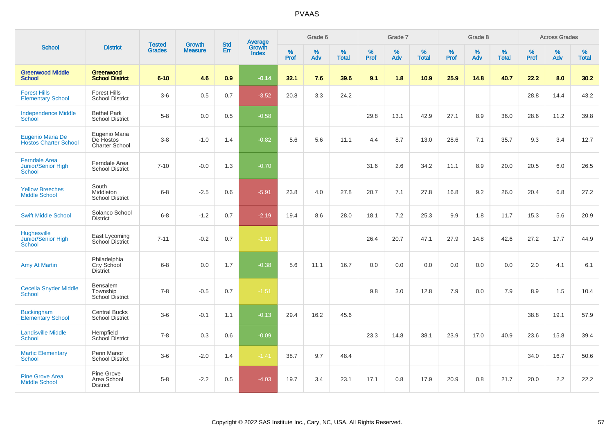| <b>School</b>                                               |                                                     |                                |                          | <b>Std</b> |                                          |                     | Grade 6     |                   |              | Grade 7     |                      |              | Grade 8  |                   |              | <b>Across Grades</b> |                   |
|-------------------------------------------------------------|-----------------------------------------------------|--------------------------------|--------------------------|------------|------------------------------------------|---------------------|-------------|-------------------|--------------|-------------|----------------------|--------------|----------|-------------------|--------------|----------------------|-------------------|
|                                                             | <b>District</b>                                     | <b>Tested</b><br><b>Grades</b> | Growth<br><b>Measure</b> | Err        | <b>Average</b><br>Growth<br><b>Index</b> | $\%$<br><b>Prof</b> | $\%$<br>Adv | %<br><b>Total</b> | $\%$<br>Prof | $\%$<br>Adv | $\%$<br><b>Total</b> | $\%$<br>Prof | %<br>Adv | %<br><b>Total</b> | $\%$<br>Prof | $\%$<br>Adv          | %<br><b>Total</b> |
| <b>Greenwood Middle</b><br><b>School</b>                    | Greenwood<br><b>School District</b>                 | $6 - 10$                       | 4.6                      | 0.9        | $-0.14$                                  | 32.1                | 7.6         | 39.6              | 9.1          | 1.8         | 10.9                 | 25.9         | 14.8     | 40.7              | 22.2         | 8.0                  | 30.2              |
| <b>Forest Hills</b><br><b>Elementary School</b>             | <b>Forest Hills</b><br><b>School District</b>       | $3-6$                          | 0.5                      | 0.7        | $-3.52$                                  | 20.8                | 3.3         | 24.2              |              |             |                      |              |          |                   | 28.8         | 14.4                 | 43.2              |
| <b>Independence Middle</b><br>School                        | <b>Bethel Park</b><br><b>School District</b>        | $5-8$                          | 0.0                      | 0.5        | $-0.58$                                  |                     |             |                   | 29.8         | 13.1        | 42.9                 | 27.1         | 8.9      | 36.0              | 28.6         | 11.2                 | 39.8              |
| Eugenio Maria De<br><b>Hostos Charter School</b>            | Eugenio Maria<br>De Hostos<br><b>Charter School</b> | $3-8$                          | $-1.0$                   | 1.4        | $-0.82$                                  | 5.6                 | 5.6         | 11.1              | 4.4          | 8.7         | 13.0                 | 28.6         | 7.1      | 35.7              | 9.3          | 3.4                  | 12.7              |
| <b>Ferndale Area</b><br>Junior/Senior High<br><b>School</b> | Ferndale Area<br><b>School District</b>             | $7 - 10$                       | $-0.0$                   | 1.3        | $-0.70$                                  |                     |             |                   | 31.6         | 2.6         | 34.2                 | 11.1         | 8.9      | 20.0              | 20.5         | 6.0                  | 26.5              |
| <b>Yellow Breeches</b><br><b>Middle School</b>              | South<br>Middleton<br><b>School District</b>        | $6 - 8$                        | $-2.5$                   | 0.6        | $-5.91$                                  | 23.8                | 4.0         | 27.8              | 20.7         | 7.1         | 27.8                 | 16.8         | 9.2      | 26.0              | 20.4         | 6.8                  | 27.2              |
| <b>Swift Middle School</b>                                  | Solanco School<br><b>District</b>                   | $6 - 8$                        | $-1.2$                   | 0.7        | $-2.19$                                  | 19.4                | 8.6         | 28.0              | 18.1         | 7.2         | 25.3                 | 9.9          | 1.8      | 11.7              | 15.3         | 5.6                  | 20.9              |
| <b>Hughesville</b><br>Junior/Senior High<br><b>School</b>   | East Lycoming<br>School District                    | $7 - 11$                       | $-0.2$                   | 0.7        | $-1.10$                                  |                     |             |                   | 26.4         | 20.7        | 47.1                 | 27.9         | 14.8     | 42.6              | 27.2         | 17.7                 | 44.9              |
| <b>Amy At Martin</b>                                        | Philadelphia<br>City School<br><b>District</b>      | $6 - 8$                        | 0.0                      | 1.7        | $-0.38$                                  | 5.6                 | 11.1        | 16.7              | 0.0          | 0.0         | 0.0                  | 0.0          | 0.0      | 0.0               | 2.0          | 4.1                  | 6.1               |
| <b>Cecelia Snyder Middle</b><br><b>School</b>               | Bensalem<br>Township<br><b>School District</b>      | $7 - 8$                        | $-0.5$                   | 0.7        | $-1.51$                                  |                     |             |                   | 9.8          | 3.0         | 12.8                 | 7.9          | 0.0      | 7.9               | 8.9          | 1.5                  | 10.4              |
| <b>Buckingham</b><br><b>Elementary School</b>               | <b>Central Bucks</b><br><b>School District</b>      | $3-6$                          | $-0.1$                   | 1.1        | $-0.13$                                  | 29.4                | 16.2        | 45.6              |              |             |                      |              |          |                   | 38.8         | 19.1                 | 57.9              |
| <b>Landisville Middle</b><br><b>School</b>                  | Hempfield<br>School District                        | $7 - 8$                        | 0.3                      | 0.6        | $-0.09$                                  |                     |             |                   | 23.3         | 14.8        | 38.1                 | 23.9         | 17.0     | 40.9              | 23.6         | 15.8                 | 39.4              |
| <b>Martic Elementary</b><br><b>School</b>                   | Penn Manor<br><b>School District</b>                | $3-6$                          | $-2.0$                   | 1.4        | $-1.41$                                  | 38.7                | 9.7         | 48.4              |              |             |                      |              |          |                   | 34.0         | 16.7                 | 50.6              |
| <b>Pine Grove Area</b><br><b>Middle School</b>              | Pine Grove<br>Area School<br><b>District</b>        | $5 - 8$                        | $-2.2$                   | 0.5        | $-4.03$                                  | 19.7                | 3.4         | 23.1              | 17.1         | 0.8         | 17.9                 | 20.9         | 0.8      | 21.7              | 20.0         | 2.2                  | 22.2              |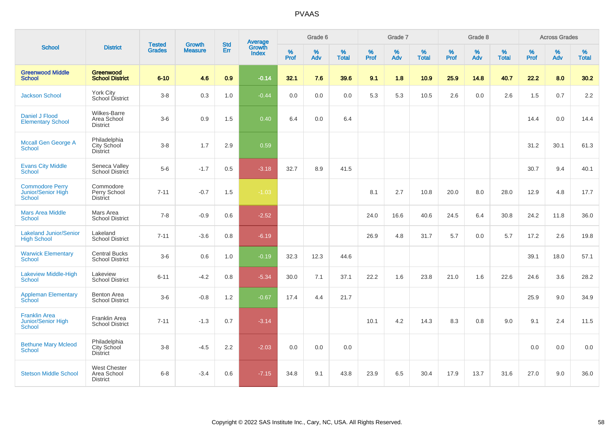|                                                               |                                                       | <b>Tested</b> | <b>Growth</b>  | <b>Std</b> |                                          |                  | Grade 6  |                   |                     | Grade 7  |                   |              | Grade 8  |                   |              | <b>Across Grades</b> |                   |
|---------------------------------------------------------------|-------------------------------------------------------|---------------|----------------|------------|------------------------------------------|------------------|----------|-------------------|---------------------|----------|-------------------|--------------|----------|-------------------|--------------|----------------------|-------------------|
| <b>School</b>                                                 | <b>District</b>                                       | <b>Grades</b> | <b>Measure</b> | Err        | <b>Average</b><br>Growth<br><b>Index</b> | %<br><b>Prof</b> | %<br>Adv | %<br><b>Total</b> | $\%$<br><b>Prof</b> | %<br>Adv | %<br><b>Total</b> | $\%$<br>Prof | %<br>Adv | %<br><b>Total</b> | $\%$<br>Prof | $\%$<br>Adv          | %<br><b>Total</b> |
| <b>Greenwood Middle</b><br><b>School</b>                      | Greenwood<br><b>School District</b>                   | $6 - 10$      | 4.6            | 0.9        | $-0.14$                                  | 32.1             | 7.6      | 39.6              | 9.1                 | 1.8      | 10.9              | 25.9         | 14.8     | 40.7              | 22.2         | 8.0                  | 30.2              |
| <b>Jackson School</b>                                         | York City<br>School District                          | $3-8$         | 0.3            | 1.0        | $-0.44$                                  | 0.0              | 0.0      | 0.0               | 5.3                 | 5.3      | 10.5              | 2.6          | 0.0      | 2.6               | 1.5          | 0.7                  | 2.2               |
| Daniel J Flood<br><b>Elementary School</b>                    | Wilkes-Barre<br>Area School<br><b>District</b>        | $3-6$         | 0.9            | 1.5        | 0.40                                     | 6.4              | 0.0      | 6.4               |                     |          |                   |              |          |                   | 14.4         | 0.0                  | 14.4              |
| <b>Mccall Gen George A</b><br><b>School</b>                   | Philadelphia<br>City School<br>District               | $3 - 8$       | 1.7            | 2.9        | 0.59                                     |                  |          |                   |                     |          |                   |              |          |                   | 31.2         | 30.1                 | 61.3              |
| <b>Evans City Middle</b><br><b>School</b>                     | Seneca Valley<br>School District                      | $5-6$         | $-1.7$         | 0.5        | $-3.18$                                  | 32.7             | 8.9      | 41.5              |                     |          |                   |              |          |                   | 30.7         | 9.4                  | 40.1              |
| <b>Commodore Perry</b><br>Junior/Senior High<br><b>School</b> | Commodore<br>Perry School<br><b>District</b>          | $7 - 11$      | $-0.7$         | 1.5        | $-1.03$                                  |                  |          |                   | 8.1                 | 2.7      | 10.8              | 20.0         | 8.0      | 28.0              | 12.9         | 4.8                  | 17.7              |
| <b>Mars Area Middle</b><br><b>School</b>                      | Mars Area<br><b>School District</b>                   | $7 - 8$       | $-0.9$         | 0.6        | $-2.52$                                  |                  |          |                   | 24.0                | 16.6     | 40.6              | 24.5         | 6.4      | 30.8              | 24.2         | 11.8                 | 36.0              |
| <b>Lakeland Junior/Senior</b><br><b>High School</b>           | Lakeland<br><b>School District</b>                    | $7 - 11$      | $-3.6$         | 0.8        | $-6.19$                                  |                  |          |                   | 26.9                | 4.8      | 31.7              | 5.7          | 0.0      | 5.7               | 17.2         | 2.6                  | 19.8              |
| <b>Warwick Elementary</b><br><b>School</b>                    | <b>Central Bucks</b><br><b>School District</b>        | $3-6$         | 0.6            | 1.0        | $-0.19$                                  | 32.3             | 12.3     | 44.6              |                     |          |                   |              |          |                   | 39.1         | 18.0                 | 57.1              |
| <b>Lakeview Middle-High</b><br><b>School</b>                  | Lakeview<br><b>School District</b>                    | $6 - 11$      | $-4.2$         | 0.8        | $-5.34$                                  | 30.0             | 7.1      | 37.1              | 22.2                | 1.6      | 23.8              | 21.0         | 1.6      | 22.6              | 24.6         | 3.6                  | 28.2              |
| <b>Appleman Elementary</b><br>School                          | <b>Benton Area</b><br><b>School District</b>          | $3-6$         | $-0.8$         | 1.2        | $-0.67$                                  | 17.4             | 4.4      | 21.7              |                     |          |                   |              |          |                   | 25.9         | 9.0                  | 34.9              |
| <b>Franklin Area</b><br>Junior/Senior High<br><b>School</b>   | Franklin Area<br><b>School District</b>               | $7 - 11$      | $-1.3$         | 0.7        | $-3.14$                                  |                  |          |                   | 10.1                | 4.2      | 14.3              | 8.3          | 0.8      | 9.0               | 9.1          | 2.4                  | 11.5              |
| <b>Bethune Mary Mcleod</b><br><b>School</b>                   | Philadelphia<br>City School<br>District               | $3 - 8$       | $-4.5$         | 2.2        | $-2.03$                                  | 0.0              | 0.0      | 0.0               |                     |          |                   |              |          |                   | 0.0          | 0.0                  | 0.0               |
| <b>Stetson Middle School</b>                                  | <b>West Chester</b><br>Area School<br><b>District</b> | $6 - 8$       | $-3.4$         | 0.6        | $-7.15$                                  | 34.8             | 9.1      | 43.8              | 23.9                | 6.5      | 30.4              | 17.9         | 13.7     | 31.6              | 27.0         | 9.0                  | 36.0              |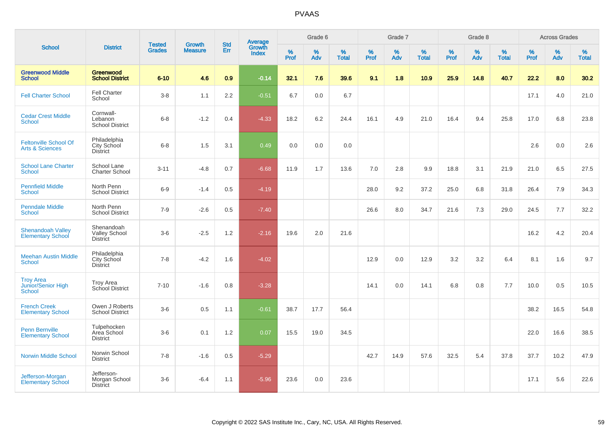|                                                            |                                                       |                                |                                 | <b>Std</b> |                                          |           | Grade 6     |                   |           | Grade 7  |                   |           | Grade 8  |                   |           | <b>Across Grades</b> |                   |
|------------------------------------------------------------|-------------------------------------------------------|--------------------------------|---------------------------------|------------|------------------------------------------|-----------|-------------|-------------------|-----------|----------|-------------------|-----------|----------|-------------------|-----------|----------------------|-------------------|
| <b>School</b>                                              | <b>District</b>                                       | <b>Tested</b><br><b>Grades</b> | <b>Growth</b><br><b>Measure</b> | Err        | <b>Average</b><br>Growth<br><b>Index</b> | %<br>Prof | $\%$<br>Adv | %<br><b>Total</b> | %<br>Prof | %<br>Adv | %<br><b>Total</b> | %<br>Prof | %<br>Adv | %<br><b>Total</b> | %<br>Prof | $\%$<br>Adv          | %<br><b>Total</b> |
| <b>Greenwood Middle</b><br><b>School</b>                   | Greenwood<br><b>School District</b>                   | $6 - 10$                       | 4.6                             | 0.9        | $-0.14$                                  | 32.1      | 7.6         | 39.6              | 9.1       | 1.8      | 10.9              | 25.9      | 14.8     | 40.7              | 22.2      | 8.0                  | 30.2              |
| <b>Fell Charter School</b>                                 | <b>Fell Charter</b><br>School                         | $3-8$                          | 1.1                             | 2.2        | $-0.51$                                  | 6.7       | 0.0         | 6.7               |           |          |                   |           |          |                   | 17.1      | 4.0                  | 21.0              |
| <b>Cedar Crest Middle</b><br><b>School</b>                 | Cornwall-<br>Lebanon<br><b>School District</b>        | $6 - 8$                        | $-1.2$                          | 0.4        | $-4.33$                                  | 18.2      | 6.2         | 24.4              | 16.1      | 4.9      | 21.0              | 16.4      | 9.4      | 25.8              | 17.0      | 6.8                  | 23.8              |
| <b>Feltonville School Of</b><br><b>Arts &amp; Sciences</b> | Philadelphia<br>City School<br><b>District</b>        | $6 - 8$                        | 1.5                             | 3.1        | 0.49                                     | 0.0       | 0.0         | 0.0               |           |          |                   |           |          |                   | 2.6       | 0.0                  | 2.6               |
| <b>School Lane Charter</b><br><b>School</b>                | School Lane<br><b>Charter School</b>                  | $3 - 11$                       | $-4.8$                          | 0.7        | $-6.68$                                  | 11.9      | 1.7         | 13.6              | 7.0       | 2.8      | 9.9               | 18.8      | 3.1      | 21.9              | 21.0      | 6.5                  | 27.5              |
| <b>Pennfield Middle</b><br><b>School</b>                   | North Penn<br><b>School District</b>                  | $6-9$                          | $-1.4$                          | 0.5        | $-4.19$                                  |           |             |                   | 28.0      | 9.2      | 37.2              | 25.0      | 6.8      | 31.8              | 26.4      | 7.9                  | 34.3              |
| <b>Penndale Middle</b><br><b>School</b>                    | North Penn<br><b>School District</b>                  | $7 - 9$                        | $-2.6$                          | 0.5        | $-7.40$                                  |           |             |                   | 26.6      | 8.0      | 34.7              | 21.6      | 7.3      | 29.0              | 24.5      | 7.7                  | 32.2              |
| <b>Shenandoah Valley</b><br><b>Elementary School</b>       | Shenandoah<br><b>Valley School</b><br><b>District</b> | $3-6$                          | $-2.5$                          | 1.2        | $-2.16$                                  | 19.6      | 2.0         | 21.6              |           |          |                   |           |          |                   | 16.2      | 4.2                  | 20.4              |
| <b>Meehan Austin Middle</b><br><b>School</b>               | Philadelphia<br>City School<br><b>District</b>        | $7 - 8$                        | $-4.2$                          | 1.6        | $-4.02$                                  |           |             |                   | 12.9      | 0.0      | 12.9              | 3.2       | 3.2      | 6.4               | 8.1       | 1.6                  | 9.7               |
| <b>Troy Area</b><br>Junior/Senior High<br><b>School</b>    | <b>Troy Area</b><br>School District                   | $7 - 10$                       | $-1.6$                          | 0.8        | $-3.28$                                  |           |             |                   | 14.1      | 0.0      | 14.1              | 6.8       | 0.8      | 7.7               | 10.0      | 0.5                  | 10.5              |
| <b>French Creek</b><br><b>Elementary School</b>            | Owen J Roberts<br><b>School District</b>              | $3-6$                          | $0.5\,$                         | 1.1        | $-0.61$                                  | 38.7      | 17.7        | 56.4              |           |          |                   |           |          |                   | 38.2      | 16.5                 | 54.8              |
| Penn Bernville<br><b>Elementary School</b>                 | Tulpehocken<br>Area School<br><b>District</b>         | $3-6$                          | 0.1                             | 1.2        | 0.07                                     | 15.5      | 19.0        | 34.5              |           |          |                   |           |          |                   | 22.0      | 16.6                 | 38.5              |
| <b>Norwin Middle School</b>                                | Norwin School<br><b>District</b>                      | $7 - 8$                        | $-1.6$                          | 0.5        | $-5.29$                                  |           |             |                   | 42.7      | 14.9     | 57.6              | 32.5      | 5.4      | 37.8              | 37.7      | 10.2                 | 47.9              |
| Jefferson-Morgan<br><b>Elementary School</b>               | Jefferson-<br>Morgan School<br><b>District</b>        | $3-6$                          | $-6.4$                          | 1.1        | $-5.96$                                  | 23.6      | 0.0         | 23.6              |           |          |                   |           |          |                   | 17.1      | 5.6                  | 22.6              |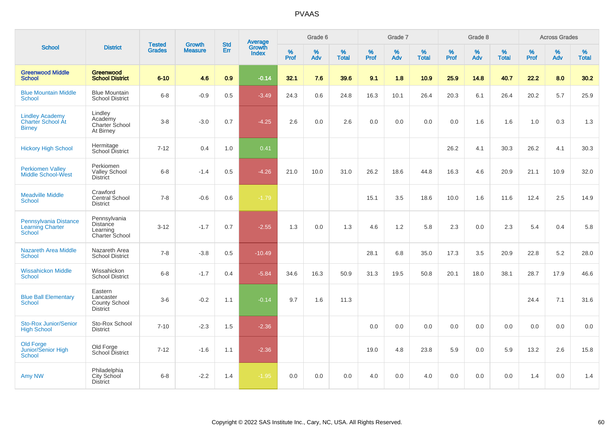|                                                                     |                                                          |                                |                                 | <b>Std</b> |                                          |           | Grade 6  |                   |           | Grade 7  |                   |           | Grade 8  |                   |           | <b>Across Grades</b> |                   |
|---------------------------------------------------------------------|----------------------------------------------------------|--------------------------------|---------------------------------|------------|------------------------------------------|-----------|----------|-------------------|-----------|----------|-------------------|-----------|----------|-------------------|-----------|----------------------|-------------------|
| <b>School</b>                                                       | <b>District</b>                                          | <b>Tested</b><br><b>Grades</b> | <b>Growth</b><br><b>Measure</b> | Err        | <b>Average</b><br>Growth<br><b>Index</b> | %<br>Prof | %<br>Adv | %<br><b>Total</b> | %<br>Prof | %<br>Adv | %<br><b>Total</b> | %<br>Prof | %<br>Adv | %<br><b>Total</b> | %<br>Prof | %<br>Adv             | %<br><b>Total</b> |
| <b>Greenwood Middle</b><br><b>School</b>                            | Greenwood<br><b>School District</b>                      | $6 - 10$                       | 4.6                             | 0.9        | $-0.14$                                  | 32.1      | 7.6      | 39.6              | 9.1       | 1.8      | 10.9              | 25.9      | 14.8     | 40.7              | 22.2      | 8.0                  | 30.2              |
| <b>Blue Mountain Middle</b><br><b>School</b>                        | <b>Blue Mountain</b><br><b>School District</b>           | $6 - 8$                        | $-0.9$                          | 0.5        | $-3.49$                                  | 24.3      | 0.6      | 24.8              | 16.3      | 10.1     | 26.4              | 20.3      | 6.1      | 26.4              | 20.2      | 5.7                  | 25.9              |
| <b>Lindley Academy</b><br><b>Charter School At</b><br><b>Birney</b> | Lindley<br>Academy<br>Charter School<br>At Birney        | $3 - 8$                        | $-3.0$                          | 0.7        | $-4.25$                                  | 2.6       | 0.0      | 2.6               | 0.0       | 0.0      | 0.0               | 0.0       | 1.6      | 1.6               | 1.0       | 0.3                  | 1.3               |
| <b>Hickory High School</b>                                          | Hermitage<br>School District                             | $7 - 12$                       | 0.4                             | 1.0        | 0.41                                     |           |          |                   |           |          |                   | 26.2      | 4.1      | 30.3              | 26.2      | 4.1                  | 30.3              |
| <b>Perkiomen Valley</b><br><b>Middle School-West</b>                | Perkiomen<br><b>Valley School</b><br><b>District</b>     | $6 - 8$                        | $-1.4$                          | 0.5        | $-4.26$                                  | 21.0      | 10.0     | 31.0              | 26.2      | 18.6     | 44.8              | 16.3      | 4.6      | 20.9              | 21.1      | 10.9                 | 32.0              |
| <b>Meadville Middle</b><br><b>School</b>                            | Crawford<br>Central School<br><b>District</b>            | $7 - 8$                        | $-0.6$                          | 0.6        | $-1.79$                                  |           |          |                   | 15.1      | 3.5      | 18.6              | 10.0      | 1.6      | 11.6              | 12.4      | 2.5                  | 14.9              |
| Pennsylvania Distance<br>Learning Charter<br><b>School</b>          | Pennsylvania<br>Distance<br>Learning<br>Charter School   | $3 - 12$                       | $-1.7$                          | 0.7        | $-2.55$                                  | 1.3       | 0.0      | 1.3               | 4.6       | 1.2      | 5.8               | 2.3       | 0.0      | 2.3               | 5.4       | 0.4                  | 5.8               |
| <b>Nazareth Area Middle</b><br><b>School</b>                        | Nazareth Area<br><b>School District</b>                  | $7 - 8$                        | $-3.8$                          | 0.5        | $-10.49$                                 |           |          |                   | 28.1      | 6.8      | 35.0              | 17.3      | 3.5      | 20.9              | 22.8      | 5.2                  | 28.0              |
| <b>Wissahickon Middle</b><br><b>School</b>                          | Wissahickon<br><b>School District</b>                    | $6-8$                          | $-1.7$                          | 0.4        | $-5.84$                                  | 34.6      | 16.3     | 50.9              | 31.3      | 19.5     | 50.8              | 20.1      | 18.0     | 38.1              | 28.7      | 17.9                 | 46.6              |
| <b>Blue Ball Elementary</b><br><b>School</b>                        | Eastern<br>Lancaster<br>County School<br><b>District</b> | $3-6$                          | $-0.2$                          | 1.1        | $-0.14$                                  | 9.7       | 1.6      | 11.3              |           |          |                   |           |          |                   | 24.4      | 7.1                  | 31.6              |
| <b>Sto-Rox Junior/Senior</b><br><b>High School</b>                  | Sto-Rox School<br><b>District</b>                        | $7 - 10$                       | $-2.3$                          | 1.5        | $-2.36$                                  |           |          |                   | 0.0       | 0.0      | 0.0               | 0.0       | 0.0      | 0.0               | 0.0       | 0.0                  | 0.0               |
| <b>Old Forge</b><br>Junior/Senior High<br><b>School</b>             | Old Forge<br>School District                             | $7 - 12$                       | $-1.6$                          | 1.1        | $-2.36$                                  |           |          |                   | 19.0      | 4.8      | 23.8              | 5.9       | 0.0      | 5.9               | 13.2      | 2.6                  | 15.8              |
| Amy NW                                                              | Philadelphia<br><b>City School</b><br><b>District</b>    | $6 - 8$                        | $-2.2$                          | 1.4        | $-1.95$                                  | 0.0       | 0.0      | 0.0               | 4.0       | 0.0      | 4.0               | 0.0       | 0.0      | 0.0               | 1.4       | 0.0                  | 1.4               |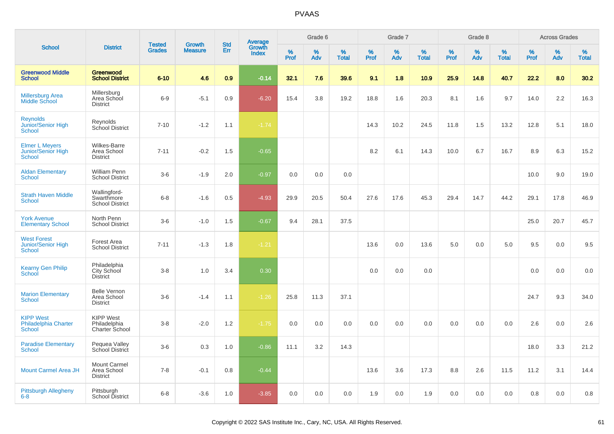|                                                                     |                                                       |                                |                                 | <b>Std</b> |                                          |           | Grade 6  |                   |           | Grade 7  |                   |           | Grade 8  |                   |           | <b>Across Grades</b> |                   |
|---------------------------------------------------------------------|-------------------------------------------------------|--------------------------------|---------------------------------|------------|------------------------------------------|-----------|----------|-------------------|-----------|----------|-------------------|-----------|----------|-------------------|-----------|----------------------|-------------------|
| <b>School</b>                                                       | <b>District</b>                                       | <b>Tested</b><br><b>Grades</b> | <b>Growth</b><br><b>Measure</b> | Err        | <b>Average</b><br>Growth<br><b>Index</b> | %<br>Prof | %<br>Adv | %<br><b>Total</b> | %<br>Prof | %<br>Adv | %<br><b>Total</b> | %<br>Prof | %<br>Adv | %<br><b>Total</b> | %<br>Prof | %<br>Adv             | %<br><b>Total</b> |
| <b>Greenwood Middle</b><br><b>School</b>                            | Greenwood<br><b>School District</b>                   | $6 - 10$                       | 4.6                             | 0.9        | $-0.14$                                  | 32.1      | 7.6      | 39.6              | 9.1       | 1.8      | 10.9              | 25.9      | 14.8     | 40.7              | 22.2      | 8.0                  | 30.2              |
| <b>Millersburg Area</b><br>Middle School                            | Millersburg<br>Area School<br><b>District</b>         | $6 - 9$                        | $-5.1$                          | 0.9        | $-6.20$                                  | 15.4      | 3.8      | 19.2              | 18.8      | 1.6      | 20.3              | 8.1       | 1.6      | 9.7               | 14.0      | 2.2                  | 16.3              |
| <b>Reynolds</b><br>Junior/Senior High<br><b>School</b>              | Reynolds<br>School District                           | $7 - 10$                       | $-1.2$                          | 1.1        | $-1.74$                                  |           |          |                   | 14.3      | 10.2     | 24.5              | 11.8      | 1.5      | 13.2              | 12.8      | 5.1                  | 18.0              |
| <b>Elmer L Meyers</b><br><b>Junior/Senior High</b><br><b>School</b> | <b>Wilkes-Barre</b><br>Area School<br><b>District</b> | $7 - 11$                       | $-0.2$                          | 1.5        | $-0.65$                                  |           |          |                   | 8.2       | 6.1      | 14.3              | 10.0      | 6.7      | 16.7              | 8.9       | 6.3                  | 15.2              |
| <b>Aldan Elementary</b><br><b>School</b>                            | William Penn<br><b>School District</b>                | $3-6$                          | $-1.9$                          | 2.0        | $-0.97$                                  | 0.0       | 0.0      | 0.0               |           |          |                   |           |          |                   | 10.0      | 9.0                  | 19.0              |
| <b>Strath Haven Middle</b><br><b>School</b>                         | Wallingford-<br>Swarthmore<br><b>School District</b>  | $6-8$                          | $-1.6$                          | 0.5        | $-4.93$                                  | 29.9      | 20.5     | 50.4              | 27.6      | 17.6     | 45.3              | 29.4      | 14.7     | 44.2              | 29.1      | 17.8                 | 46.9              |
| <b>York Avenue</b><br><b>Elementary School</b>                      | North Penn<br><b>School District</b>                  | $3-6$                          | $-1.0$                          | 1.5        | $-0.67$                                  | 9.4       | 28.1     | 37.5              |           |          |                   |           |          |                   | 25.0      | 20.7                 | 45.7              |
| <b>West Forest</b><br>Junior/Senior High<br><b>School</b>           | Forest Area<br><b>School District</b>                 | $7 - 11$                       | $-1.3$                          | 1.8        | $-1.21$                                  |           |          |                   | 13.6      | 0.0      | 13.6              | 5.0       | 0.0      | 5.0               | 9.5       | 0.0                  | 9.5               |
| <b>Kearny Gen Philip</b><br>School                                  | Philadelphia<br>City School<br>District               | $3-8$                          | 1.0                             | 3.4        | 0.30                                     |           |          |                   | 0.0       | 0.0      | 0.0               |           |          |                   | 0.0       | 0.0                  | 0.0               |
| <b>Marion Elementary</b><br><b>School</b>                           | <b>Belle Vernon</b><br>Area School<br><b>District</b> | $3-6$                          | $-1.4$                          | 1.1        | $-1.26$                                  | 25.8      | 11.3     | 37.1              |           |          |                   |           |          |                   | 24.7      | 9.3                  | 34.0              |
| <b>KIPP West</b><br><b>Philadelphia Charter</b><br><b>School</b>    | <b>KIPP West</b><br>Philadelphia<br>Charter School    | $3-8$                          | $-2.0$                          | 1.2        | $-1.75$                                  | 0.0       | 0.0      | 0.0               | 0.0       | 0.0      | 0.0               | 0.0       | 0.0      | 0.0               | 2.6       | 0.0                  | 2.6               |
| <b>Paradise Elementary</b><br><b>School</b>                         | Pequea Valley<br>School District                      | $3-6$                          | 0.3                             | 1.0        | $-0.86$                                  | 11.1      | 3.2      | 14.3              |           |          |                   |           |          |                   | 18.0      | 3.3                  | 21.2              |
| <b>Mount Carmel Area JH</b>                                         | Mount Carmel<br>Area School<br><b>District</b>        | $7 - 8$                        | $-0.1$                          | 0.8        | $-0.44$                                  |           |          |                   | 13.6      | 3.6      | 17.3              | 8.8       | 2.6      | 11.5              | 11.2      | 3.1                  | 14.4              |
| <b>Pittsburgh Allegheny</b><br>$6 - 8$                              | Pittsburgh<br>School District                         | $6 - 8$                        | $-3.6$                          | 1.0        | $-3.85$                                  | 0.0       | 0.0      | 0.0               | 1.9       | 0.0      | 1.9               | 0.0       | 0.0      | 0.0               | 0.8       | 0.0                  | 0.8               |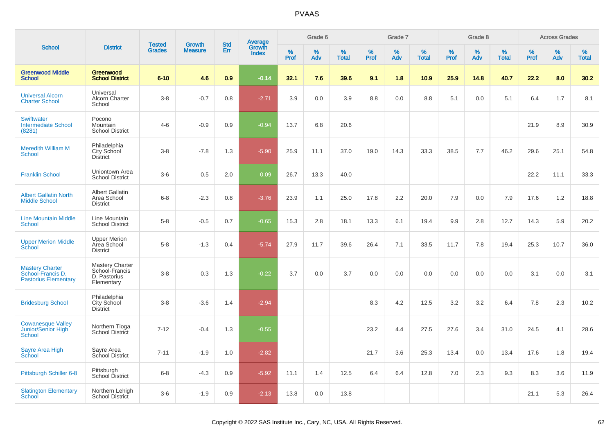|                                                                            |                                                                 |                                |                                 | <b>Std</b> |                                          |                  | Grade 6  |                   |           | Grade 7  |                   |           | Grade 8  |                   |           | <b>Across Grades</b> |                   |
|----------------------------------------------------------------------------|-----------------------------------------------------------------|--------------------------------|---------------------------------|------------|------------------------------------------|------------------|----------|-------------------|-----------|----------|-------------------|-----------|----------|-------------------|-----------|----------------------|-------------------|
| <b>School</b>                                                              | <b>District</b>                                                 | <b>Tested</b><br><b>Grades</b> | <b>Growth</b><br><b>Measure</b> | <b>Err</b> | <b>Average</b><br>Growth<br><b>Index</b> | %<br><b>Prof</b> | %<br>Adv | %<br><b>Total</b> | %<br>Prof | %<br>Adv | %<br><b>Total</b> | %<br>Prof | %<br>Adv | %<br><b>Total</b> | %<br>Prof | %<br>Adv             | %<br><b>Total</b> |
| <b>Greenwood Middle</b><br><b>School</b>                                   | Greenwood<br><b>School District</b>                             | $6 - 10$                       | 4.6                             | 0.9        | $-0.14$                                  | 32.1             | 7.6      | 39.6              | 9.1       | 1.8      | 10.9              | 25.9      | 14.8     | 40.7              | 22.2      | 8.0                  | 30.2              |
| <b>Universal Alcorn</b><br><b>Charter School</b>                           | Universal<br>Alcorn Charter<br>School                           | $3 - 8$                        | $-0.7$                          | 0.8        | $-2.71$                                  | 3.9              | 0.0      | 3.9               | 8.8       | 0.0      | 8.8               | 5.1       | 0.0      | 5.1               | 6.4       | 1.7                  | 8.1               |
| <b>Swiftwater</b><br><b>Intermediate School</b><br>(8281)                  | Pocono<br><b>Mountain</b><br><b>School District</b>             | $4 - 6$                        | $-0.9$                          | 0.9        | $-0.94$                                  | 13.7             | 6.8      | 20.6              |           |          |                   |           |          |                   | 21.9      | 8.9                  | 30.9              |
| <b>Meredith William M</b><br>School                                        | Philadelphia<br>City School<br>District                         | $3 - 8$                        | $-7.8$                          | 1.3        | $-5.90$                                  | 25.9             | 11.1     | 37.0              | 19.0      | 14.3     | 33.3              | 38.5      | 7.7      | 46.2              | 29.6      | 25.1                 | 54.8              |
| <b>Franklin School</b>                                                     | Uniontown Area<br><b>School District</b>                        | $3-6$                          | 0.5                             | 2.0        | 0.09                                     | 26.7             | 13.3     | 40.0              |           |          |                   |           |          |                   | 22.2      | 11.1                 | 33.3              |
| <b>Albert Gallatin North</b><br><b>Middle School</b>                       | <b>Albert Gallatin</b><br>Area School<br><b>District</b>        | $6 - 8$                        | $-2.3$                          | 0.8        | $-3.76$                                  | 23.9             | 1.1      | 25.0              | 17.8      | 2.2      | 20.0              | 7.9       | 0.0      | 7.9               | 17.6      | 1.2                  | 18.8              |
| <b>Line Mountain Middle</b><br><b>School</b>                               | Line Mountain<br><b>School District</b>                         | $5 - 8$                        | $-0.5$                          | 0.7        | $-0.65$                                  | 15.3             | 2.8      | 18.1              | 13.3      | 6.1      | 19.4              | 9.9       | 2.8      | 12.7              | 14.3      | 5.9                  | 20.2              |
| <b>Upper Merion Middle</b><br>School                                       | <b>Upper Merion</b><br>Area School<br><b>District</b>           | $5-8$                          | $-1.3$                          | 0.4        | $-5.74$                                  | 27.9             | 11.7     | 39.6              | 26.4      | 7.1      | 33.5              | 11.7      | 7.8      | 19.4              | 25.3      | 10.7                 | 36.0              |
| <b>Mastery Charter</b><br>School-Francis D.<br><b>Pastorius Elementary</b> | Mastery Charter<br>School-Francis<br>D. Pastorius<br>Elementary | $3-8$                          | 0.3                             | 1.3        | $-0.22$                                  | 3.7              | 0.0      | 3.7               | 0.0       | 0.0      | 0.0               | 0.0       | 0.0      | 0.0               | 3.1       | 0.0                  | 3.1               |
| <b>Bridesburg School</b>                                                   | Philadelphia<br>City School<br>District                         | $3-8$                          | $-3.6$                          | 1.4        | $-2.94$                                  |                  |          |                   | 8.3       | 4.2      | 12.5              | 3.2       | 3.2      | 6.4               | 7.8       | 2.3                  | 10.2              |
| <b>Cowanesque Valley</b><br>Junior/Senior High<br>School                   | Northern Tioga<br>School District                               | $7 - 12$                       | $-0.4$                          | 1.3        | $-0.55$                                  |                  |          |                   | 23.2      | 4.4      | 27.5              | 27.6      | 3.4      | 31.0              | 24.5      | 4.1                  | 28.6              |
| Sayre Area High<br>School                                                  | Sayre Area<br>School District                                   | $7 - 11$                       | $-1.9$                          | 1.0        | $-2.82$                                  |                  |          |                   | 21.7      | 3.6      | 25.3              | 13.4      | 0.0      | 13.4              | 17.6      | 1.8                  | 19.4              |
| Pittsburgh Schiller 6-8                                                    | Pittsburgh<br>School District                                   | $6 - 8$                        | $-4.3$                          | 0.9        | $-5.92$                                  | 11.1             | 1.4      | 12.5              | 6.4       | 6.4      | 12.8              | 7.0       | 2.3      | 9.3               | 8.3       | 3.6                  | 11.9              |
| <b>Slatington Elementary</b><br>School                                     | Northern Lehigh<br><b>School District</b>                       | $3-6$                          | $-1.9$                          | 0.9        | $-2.13$                                  | 13.8             | 0.0      | 13.8              |           |          |                   |           |          |                   | 21.1      | 5.3                  | 26.4              |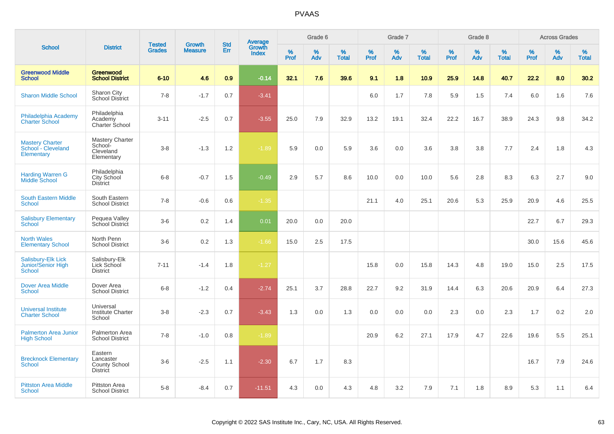|                                                                         |                                                                 | <b>Tested</b> | <b>Growth</b>  | <b>Std</b>       |                                          |                     | Grade 6     |                      |              | Grade 7     |                      |              | Grade 8     |                      |                     | <b>Across Grades</b> |                      |
|-------------------------------------------------------------------------|-----------------------------------------------------------------|---------------|----------------|------------------|------------------------------------------|---------------------|-------------|----------------------|--------------|-------------|----------------------|--------------|-------------|----------------------|---------------------|----------------------|----------------------|
| <b>School</b>                                                           | <b>District</b>                                                 | <b>Grades</b> | <b>Measure</b> | Err              | <b>Average</b><br>Growth<br><b>Index</b> | $\%$<br><b>Prof</b> | $\%$<br>Adv | $\%$<br><b>Total</b> | $\%$<br>Prof | $\%$<br>Adv | $\%$<br><b>Total</b> | $\%$<br>Prof | $\%$<br>Adv | $\%$<br><b>Total</b> | $\%$<br><b>Prof</b> | $\%$<br>Adv          | $\%$<br><b>Total</b> |
| <b>Greenwood Middle</b><br><b>School</b>                                | Greenwood<br><b>School District</b>                             | $6 - 10$      | 4.6            | 0.9 <sub>2</sub> | $-0.14$                                  | 32.1                | 7.6         | 39.6                 | 9.1          | 1.8         | 10.9                 | 25.9         | 14.8        | 40.7                 | 22.2                | 8.0                  | 30.2                 |
| <b>Sharon Middle School</b>                                             | Sharon City<br><b>School District</b>                           | $7 - 8$       | $-1.7$         | 0.7              | $-3.41$                                  |                     |             |                      | 6.0          | 1.7         | 7.8                  | 5.9          | 1.5         | 7.4                  | 6.0                 | 1.6                  | 7.6                  |
| Philadelphia Academy<br><b>Charter School</b>                           | Philadelphia<br>Academy<br>Charter School                       | $3 - 11$      | $-2.5$         | 0.7              | $-3.55$                                  | 25.0                | 7.9         | 32.9                 | 13.2         | 19.1        | 32.4                 | 22.2         | 16.7        | 38.9                 | 24.3                | 9.8                  | 34.2                 |
| <b>Mastery Charter</b><br>School - Cleveland<br>Elementary              | <b>Mastery Charter</b><br>School-<br>Cleveland<br>Elementary    | $3-8$         | $-1.3$         | 1.2              | $-1.89$                                  | 5.9                 | 0.0         | 5.9                  | 3.6          | 0.0         | 3.6                  | 3.8          | 3.8         | 7.7                  | 2.4                 | 1.8                  | 4.3                  |
| <b>Harding Warren G</b><br><b>Middle School</b>                         | Philadelphia<br>City School<br><b>District</b>                  | $6 - 8$       | $-0.7$         | 1.5              | $-0.49$                                  | 2.9                 | 5.7         | 8.6                  | 10.0         | 0.0         | 10.0                 | 5.6          | 2.8         | 8.3                  | 6.3                 | 2.7                  | 9.0                  |
| <b>South Eastern Middle</b><br><b>School</b>                            | South Eastern<br><b>School District</b>                         | $7 - 8$       | $-0.6$         | 0.6              | $-1.35$                                  |                     |             |                      | 21.1         | 4.0         | 25.1                 | 20.6         | 5.3         | 25.9                 | 20.9                | 4.6                  | 25.5                 |
| <b>Salisbury Elementary</b><br><b>School</b>                            | Pequea Valley<br>School District                                | $3-6$         | 0.2            | 1.4              | 0.01                                     | 20.0                | 0.0         | 20.0                 |              |             |                      |              |             |                      | 22.7                | 6.7                  | 29.3                 |
| <b>North Wales</b><br><b>Elementary School</b>                          | North Penn<br><b>School District</b>                            | $3-6$         | 0.2            | 1.3              | $-1.66$                                  | 15.0                | 2.5         | 17.5                 |              |             |                      |              |             |                      | 30.0                | 15.6                 | 45.6                 |
| <b>Salisbury-Elk Lick</b><br><b>Junior/Senior High</b><br><b>School</b> | Salisbury-Elk<br>Lick School<br><b>District</b>                 | $7 - 11$      | $-1.4$         | 1.8              | $-1.27$                                  |                     |             |                      | 15.8         | 0.0         | 15.8                 | 14.3         | 4.8         | 19.0                 | 15.0                | 2.5                  | 17.5                 |
| <b>Dover Area Middle</b><br><b>School</b>                               | Dover Area<br><b>School District</b>                            | $6 - 8$       | $-1.2$         | 0.4              | $-2.74$                                  | 25.1                | 3.7         | 28.8                 | 22.7         | 9.2         | 31.9                 | 14.4         | 6.3         | 20.6                 | 20.9                | 6.4                  | 27.3                 |
| <b>Universal Institute</b><br><b>Charter School</b>                     | Universal<br><b>Institute Charter</b><br>School                 | $3-8$         | $-2.3$         | 0.7              | $-3.43$                                  | 1.3                 | 0.0         | 1.3                  | 0.0          | 0.0         | 0.0                  | 2.3          | 0.0         | 2.3                  | 1.7                 | 0.2                  | 2.0                  |
| <b>Palmerton Area Junior</b><br><b>High School</b>                      | Palmerton Area<br><b>School District</b>                        | $7 - 8$       | $-1.0$         | 0.8              | $-1.89$                                  |                     |             |                      | 20.9         | 6.2         | 27.1                 | 17.9         | 4.7         | 22.6                 | 19.6                | 5.5                  | 25.1                 |
| <b>Brecknock Elementary</b><br>School                                   | Eastern<br>Lancaster<br><b>County School</b><br><b>District</b> | $3-6$         | $-2.5$         | 1.1              | $-2.30$                                  | 6.7                 | 1.7         | 8.3                  |              |             |                      |              |             |                      | 16.7                | 7.9                  | 24.6                 |
| <b>Pittston Area Middle</b><br><b>School</b>                            | Pittston Area<br><b>School District</b>                         | $5 - 8$       | $-8.4$         | 0.7              | $-11.51$                                 | 4.3                 | 0.0         | 4.3                  | 4.8          | 3.2         | 7.9                  | 7.1          | 1.8         | 8.9                  | 5.3                 | 1.1                  | 6.4                  |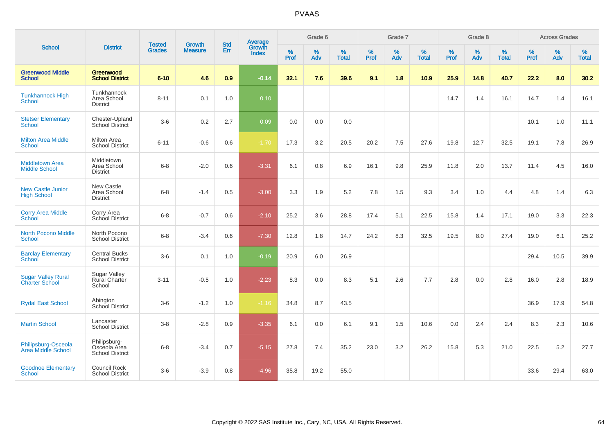|                                                    |                                                        |                                |                                 | <b>Std</b> |                                          |                     | Grade 6  |                   |                  | Grade 7     |                   |                     | Grade 8  |                      |              | <b>Across Grades</b> |                   |
|----------------------------------------------------|--------------------------------------------------------|--------------------------------|---------------------------------|------------|------------------------------------------|---------------------|----------|-------------------|------------------|-------------|-------------------|---------------------|----------|----------------------|--------------|----------------------|-------------------|
| <b>School</b>                                      | <b>District</b>                                        | <b>Tested</b><br><b>Grades</b> | <b>Growth</b><br><b>Measure</b> | <b>Err</b> | <b>Average</b><br>Growth<br><b>Index</b> | $\%$<br><b>Prof</b> | %<br>Adv | %<br><b>Total</b> | %<br><b>Prof</b> | $\%$<br>Adv | %<br><b>Total</b> | $\%$<br><b>Prof</b> | %<br>Adv | $\%$<br><b>Total</b> | $\%$<br>Prof | $\%$<br>Adv          | %<br><b>Total</b> |
| <b>Greenwood Middle</b><br><b>School</b>           | Greenwood<br><b>School District</b>                    | $6 - 10$                       | 4.6                             | 0.9        | $-0.14$                                  | 32.1                | 7.6      | 39.6              | 9.1              | 1.8         | 10.9              | 25.9                | 14.8     | 40.7                 | 22.2         | 8.0                  | 30.2              |
| <b>Tunkhannock High</b><br><b>School</b>           | Tunkhannock<br>Area School<br><b>District</b>          | $8 - 11$                       | 0.1                             | 1.0        | 0.10                                     |                     |          |                   |                  |             |                   | 14.7                | 1.4      | 16.1                 | 14.7         | 1.4                  | 16.1              |
| <b>Stetser Elementary</b><br>School                | Chester-Upland<br>School District                      | $3-6$                          | 0.2                             | 2.7        | 0.09                                     | 0.0                 | 0.0      | 0.0               |                  |             |                   |                     |          |                      | 10.1         | 1.0                  | 11.1              |
| <b>Milton Area Middle</b><br><b>School</b>         | <b>Milton Area</b><br><b>School District</b>           | $6 - 11$                       | $-0.6$                          | 0.6        | $-1.70$                                  | 17.3                | 3.2      | 20.5              | 20.2             | 7.5         | 27.6              | 19.8                | 12.7     | 32.5                 | 19.1         | 7.8                  | 26.9              |
| <b>Middletown Area</b><br><b>Middle School</b>     | Middletown<br>Area School<br><b>District</b>           | $6 - 8$                        | $-2.0$                          | 0.6        | $-3.31$                                  | 6.1                 | 0.8      | 6.9               | 16.1             | 9.8         | 25.9              | 11.8                | 2.0      | 13.7                 | 11.4         | 4.5                  | 16.0              |
| <b>New Castle Junior</b><br><b>High School</b>     | <b>New Castle</b><br>Area School<br><b>District</b>    | $6 - 8$                        | $-1.4$                          | 0.5        | $-3.00$                                  | 3.3                 | 1.9      | 5.2               | 7.8              | 1.5         | 9.3               | 3.4                 | 1.0      | 4.4                  | 4.8          | 1.4                  | 6.3               |
| <b>Corry Area Middle</b><br><b>School</b>          | Corry Area<br>School District                          | $6 - 8$                        | $-0.7$                          | 0.6        | $-2.10$                                  | 25.2                | 3.6      | 28.8              | 17.4             | 5.1         | 22.5              | 15.8                | 1.4      | 17.1                 | 19.0         | 3.3                  | 22.3              |
| <b>North Pocono Middle</b><br><b>School</b>        | North Pocono<br>School District                        | $6 - 8$                        | $-3.4$                          | 0.6        | $-7.30$                                  | 12.8                | 1.8      | 14.7              | 24.2             | 8.3         | 32.5              | 19.5                | 8.0      | 27.4                 | 19.0         | 6.1                  | 25.2              |
| <b>Barclay Elementary</b><br>School                | <b>Central Bucks</b><br><b>School District</b>         | $3-6$                          | 0.1                             | 1.0        | $-0.19$                                  | 20.9                | 6.0      | 26.9              |                  |             |                   |                     |          |                      | 29.4         | 10.5                 | 39.9              |
| <b>Sugar Valley Rural</b><br><b>Charter School</b> | <b>Sugar Valley</b><br><b>Rural Charter</b><br>School  | $3 - 11$                       | $-0.5$                          | 1.0        | $-2.23$                                  | 8.3                 | 0.0      | 8.3               | 5.1              | 2.6         | 7.7               | 2.8                 | 0.0      | 2.8                  | 16.0         | 2.8                  | 18.9              |
| <b>Rydal East School</b>                           | Abington<br>School District                            | $3-6$                          | $-1.2$                          | 1.0        | $-1.16$                                  | 34.8                | 8.7      | 43.5              |                  |             |                   |                     |          |                      | 36.9         | 17.9                 | 54.8              |
| <b>Martin School</b>                               | Lancaster<br><b>School District</b>                    | $3-8$                          | $-2.8$                          | 0.9        | $-3.35$                                  | 6.1                 | 0.0      | 6.1               | 9.1              | 1.5         | 10.6              | 0.0                 | 2.4      | 2.4                  | 8.3          | 2.3                  | 10.6              |
| Philipsburg-Osceola<br>Area Middle School          | Philipsburg-<br>Osceola Area<br><b>School District</b> | $6 - 8$                        | $-3.4$                          | 0.7        | $-5.15$                                  | 27.8                | 7.4      | 35.2              | 23.0             | 3.2         | 26.2              | 15.8                | 5.3      | 21.0                 | 22.5         | 5.2                  | 27.7              |
| <b>Goodnoe Elementary</b><br>School                | Council Rock<br><b>School District</b>                 | $3-6$                          | $-3.9$                          | 0.8        | $-4.96$                                  | 35.8                | 19.2     | 55.0              |                  |             |                   |                     |          |                      | 33.6         | 29.4                 | 63.0              |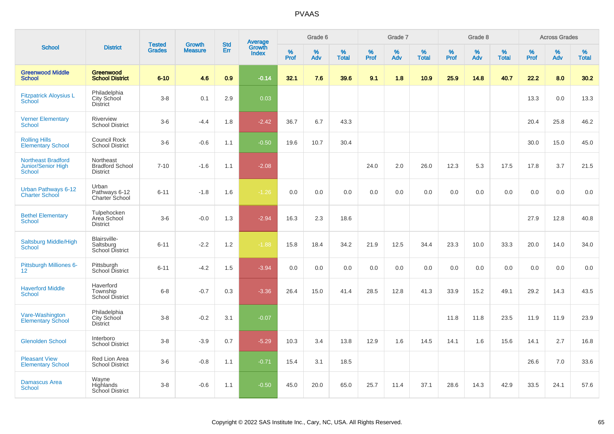|                                                                  |                                                        |                                | <b>Growth</b>  | <b>Std</b> |                                          |                     | Grade 6     |                   |              | Grade 7     |                      |              | Grade 8  |                   |                     | <b>Across Grades</b> |                   |
|------------------------------------------------------------------|--------------------------------------------------------|--------------------------------|----------------|------------|------------------------------------------|---------------------|-------------|-------------------|--------------|-------------|----------------------|--------------|----------|-------------------|---------------------|----------------------|-------------------|
| <b>School</b>                                                    | <b>District</b>                                        | <b>Tested</b><br><b>Grades</b> | <b>Measure</b> | Err        | <b>Average</b><br>Growth<br><b>Index</b> | $\%$<br><b>Prof</b> | $\%$<br>Adv | %<br><b>Total</b> | $\%$<br>Prof | $\%$<br>Adv | $\%$<br><b>Total</b> | $\%$<br>Prof | %<br>Adv | %<br><b>Total</b> | $\%$<br><b>Prof</b> | $\%$<br>Adv          | %<br><b>Total</b> |
| <b>Greenwood Middle</b><br><b>School</b>                         | <b>Greenwood</b><br><b>School District</b>             | $6 - 10$                       | 4.6            | 0.9        | $-0.14$                                  | 32.1                | 7.6         | 39.6              | 9.1          | 1.8         | 10.9                 | 25.9         | 14.8     | 40.7              | 22.2                | 8.0                  | 30.2              |
| <b>Fitzpatrick Aloysius L</b><br><b>School</b>                   | Philadelphia<br>City School<br><b>District</b>         | $3-8$                          | 0.1            | 2.9        | 0.03                                     |                     |             |                   |              |             |                      |              |          |                   | 13.3                | 0.0                  | 13.3              |
| <b>Verner Elementary</b><br><b>School</b>                        | Riverview<br><b>School District</b>                    | $3-6$                          | $-4.4$         | 1.8        | $-2.42$                                  | 36.7                | 6.7         | 43.3              |              |             |                      |              |          |                   | 20.4                | 25.8                 | 46.2              |
| <b>Rolling Hills</b><br><b>Elementary School</b>                 | Council Rock<br><b>School District</b>                 | $3-6$                          | $-0.6$         | 1.1        | $-0.50$                                  | 19.6                | 10.7        | 30.4              |              |             |                      |              |          |                   | 30.0                | 15.0                 | 45.0              |
| <b>Northeast Bradford</b><br><b>Junior/Senior High</b><br>School | Northeast<br><b>Bradford School</b><br><b>District</b> | $7 - 10$                       | $-1.6$         | 1.1        | $-2.08$                                  |                     |             |                   | 24.0         | 2.0         | 26.0                 | 12.3         | 5.3      | 17.5              | 17.8                | 3.7                  | 21.5              |
| Urban Pathways 6-12<br><b>Charter School</b>                     | Urban<br>Pathways 6-12<br>Charter School               | $6 - 11$                       | $-1.8$         | 1.6        | $-1.26$                                  | 0.0                 | 0.0         | 0.0               | 0.0          | 0.0         | 0.0                  | 0.0          | 0.0      | 0.0               | 0.0                 | 0.0                  | 0.0               |
| <b>Bethel Elementary</b><br><b>School</b>                        | Tulpehocken<br>Area School<br><b>District</b>          | $3-6$                          | $-0.0$         | 1.3        | $-2.94$                                  | 16.3                | 2.3         | 18.6              |              |             |                      |              |          |                   | 27.9                | 12.8                 | 40.8              |
| Saltsburg Middle/High<br>School                                  | Blairsville-<br>Saltsburg<br><b>School District</b>    | $6 - 11$                       | $-2.2$         | 1.2        | $-1.88$                                  | 15.8                | 18.4        | 34.2              | 21.9         | 12.5        | 34.4                 | 23.3         | 10.0     | 33.3              | 20.0                | 14.0                 | 34.0              |
| Pittsburgh Milliones 6-<br>12 <sup>°</sup>                       | Pittsburgh<br>School District                          | $6 - 11$                       | $-4.2$         | 1.5        | $-3.94$                                  | 0.0                 | 0.0         | 0.0               | 0.0          | 0.0         | 0.0                  | 0.0          | 0.0      | 0.0               | 0.0                 | 0.0                  | $0.0\,$           |
| <b>Haverford Middle</b><br><b>School</b>                         | Haverford<br>Township<br><b>School District</b>        | $6-8$                          | $-0.7$         | 0.3        | $-3.36$                                  | 26.4                | 15.0        | 41.4              | 28.5         | 12.8        | 41.3                 | 33.9         | 15.2     | 49.1              | 29.2                | 14.3                 | 43.5              |
| Vare-Washington<br><b>Elementary School</b>                      | Philadelphia<br>City School<br><b>District</b>         | $3-8$                          | $-0.2$         | 3.1        | $-0.07$                                  |                     |             |                   |              |             |                      | 11.8         | 11.8     | 23.5              | 11.9                | 11.9                 | 23.9              |
| <b>Glenolden School</b>                                          | Interboro<br><b>School District</b>                    | $3 - 8$                        | $-3.9$         | 0.7        | $-5.29$                                  | 10.3                | 3.4         | 13.8              | 12.9         | 1.6         | 14.5                 | 14.1         | 1.6      | 15.6              | 14.1                | 2.7                  | 16.8              |
| <b>Pleasant View</b><br><b>Elementary School</b>                 | Red Lion Area<br><b>School District</b>                | $3-6$                          | $-0.8$         | 1.1        | $-0.71$                                  | 15.4                | 3.1         | 18.5              |              |             |                      |              |          |                   | 26.6                | 7.0                  | 33.6              |
| <b>Damascus Area</b><br>School                                   | Wayne<br>Highlands<br><b>School District</b>           | $3-8$                          | $-0.6$         | 1.1        | $-0.50$                                  | 45.0                | 20.0        | 65.0              | 25.7         | 11.4        | 37.1                 | 28.6         | 14.3     | 42.9              | 33.5                | 24.1                 | 57.6              |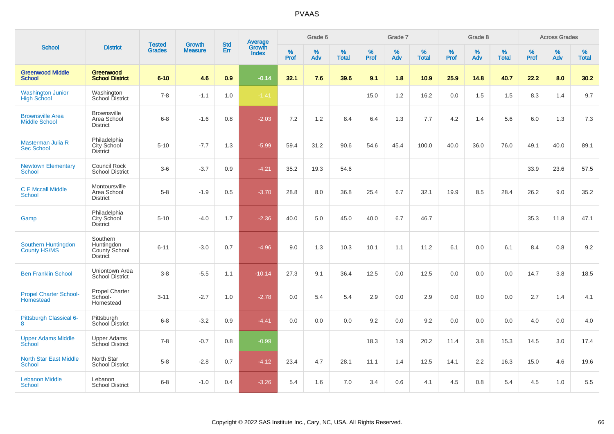|                                                 |                                                            |                                | <b>Growth</b>  | <b>Std</b> |                                          |                  | Grade 6     |                   |           | Grade 7  |                   |           | Grade 8     |                   |           | <b>Across Grades</b> |                   |
|-------------------------------------------------|------------------------------------------------------------|--------------------------------|----------------|------------|------------------------------------------|------------------|-------------|-------------------|-----------|----------|-------------------|-----------|-------------|-------------------|-----------|----------------------|-------------------|
| <b>School</b>                                   | <b>District</b>                                            | <b>Tested</b><br><b>Grades</b> | <b>Measure</b> | Err        | <b>Average</b><br>Growth<br><b>Index</b> | %<br><b>Prof</b> | $\%$<br>Adv | %<br><b>Total</b> | %<br>Prof | %<br>Adv | %<br><b>Total</b> | %<br>Prof | $\%$<br>Adv | %<br><b>Total</b> | %<br>Prof | $\%$<br>Adv          | %<br><b>Total</b> |
| <b>Greenwood Middle</b><br><b>School</b>        | <b>Greenwood</b><br><b>School District</b>                 | $6 - 10$                       | 4.6            | 0.9        | $-0.14$                                  | 32.1             | 7.6         | 39.6              | 9.1       | 1.8      | 10.9              | 25.9      | 14.8        | 40.7              | 22.2      | 8.0                  | 30.2              |
| <b>Washington Junior</b><br><b>High School</b>  | Washington<br>School District                              | $7 - 8$                        | $-1.1$         | 1.0        | $-1.41$                                  |                  |             |                   | 15.0      | 1.2      | 16.2              | 0.0       | 1.5         | 1.5               | 8.3       | 1.4                  | 9.7               |
| <b>Brownsville Area</b><br><b>Middle School</b> | <b>Brownsville</b><br>Area School<br><b>District</b>       | $6 - 8$                        | $-1.6$         | 0.8        | $-2.03$                                  | 7.2              | 1.2         | 8.4               | 6.4       | 1.3      | 7.7               | 4.2       | 1.4         | 5.6               | 6.0       | 1.3                  | 7.3               |
| Masterman Julia R<br><b>Sec School</b>          | Philadelphia<br>City School<br><b>District</b>             | $5 - 10$                       | $-7.7$         | 1.3        | $-5.99$                                  | 59.4             | 31.2        | 90.6              | 54.6      | 45.4     | 100.0             | 40.0      | 36.0        | 76.0              | 49.1      | 40.0                 | 89.1              |
| <b>Newtown Elementary</b><br>School             | <b>Council Rock</b><br><b>School District</b>              | $3-6$                          | $-3.7$         | 0.9        | $-4.21$                                  | 35.2             | 19.3        | 54.6              |           |          |                   |           |             |                   | 33.9      | 23.6                 | 57.5              |
| <b>C E Mccall Middle</b><br><b>School</b>       | Montoursville<br>Area School<br><b>District</b>            | $5-8$                          | $-1.9$         | 0.5        | $-3.70$                                  | 28.8             | 8.0         | 36.8              | 25.4      | 6.7      | 32.1              | 19.9      | 8.5         | 28.4              | 26.2      | 9.0                  | 35.2              |
| Gamp                                            | Philadelphia<br><b>City School</b><br><b>District</b>      | $5 - 10$                       | $-4.0$         | 1.7        | $-2.36$                                  | 40.0             | 5.0         | 45.0              | 40.0      | 6.7      | 46.7              |           |             |                   | 35.3      | 11.8                 | 47.1              |
| Southern Huntingdon<br>County HS/MS             | Southern<br>Huntingdon<br>County School<br><b>District</b> | $6 - 11$                       | $-3.0$         | 0.7        | $-4.96$                                  | 9.0              | 1.3         | 10.3              | 10.1      | 1.1      | 11.2              | 6.1       | 0.0         | 6.1               | 8.4       | 0.8                  | 9.2               |
| <b>Ben Franklin School</b>                      | Uniontown Area<br><b>School District</b>                   | $3-8$                          | $-5.5$         | 1.1        | $-10.14$                                 | 27.3             | 9.1         | 36.4              | 12.5      | 0.0      | 12.5              | 0.0       | 0.0         | 0.0               | 14.7      | 3.8                  | 18.5              |
| <b>Propel Charter School-</b><br>Homestead      | Propel Charter<br>School-<br>Homestead                     | $3 - 11$                       | $-2.7$         | 1.0        | $-2.78$                                  | 0.0              | 5.4         | 5.4               | 2.9       | 0.0      | 2.9               | 0.0       | 0.0         | 0.0               | 2.7       | 1.4                  | 4.1               |
| Pittsburgh Classical 6-<br>8                    | Pittsburgh<br>School District                              | $6 - 8$                        | $-3.2$         | 0.9        | $-4.41$                                  | 0.0              | 0.0         | 0.0               | 9.2       | 0.0      | 9.2               | 0.0       | 0.0         | 0.0               | 4.0       | 0.0                  | 4.0               |
| <b>Upper Adams Middle</b><br>School             | <b>Upper Adams</b><br>School District                      | $7 - 8$                        | $-0.7$         | 0.8        | $-0.99$                                  |                  |             |                   | 18.3      | 1.9      | 20.2              | 11.4      | 3.8         | 15.3              | 14.5      | 3.0                  | 17.4              |
| <b>North Star East Middle</b><br><b>School</b>  | North Star<br><b>School District</b>                       | $5-8$                          | $-2.8$         | 0.7        | $-4.12$                                  | 23.4             | 4.7         | 28.1              | 11.1      | 1.4      | 12.5              | 14.1      | 2.2         | 16.3              | 15.0      | 4.6                  | 19.6              |
| <b>Lebanon Middle</b><br><b>School</b>          | Lebanon<br><b>School District</b>                          | $6 - 8$                        | $-1.0$         | 0.4        | $-3.26$                                  | 5.4              | 1.6         | 7.0               | 3.4       | 0.6      | 4.1               | 4.5       | 0.8         | 5.4               | 4.5       | 1.0                  | 5.5               |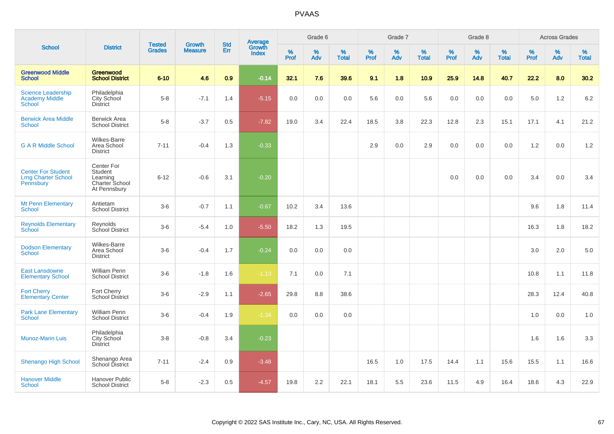|                                                                      |                                                                     | <b>Tested</b> | <b>Growth</b>  | <b>Std</b> |                                          |           | Grade 6  |                   |           | Grade 7  |                   |           | Grade 8  |                   |           | <b>Across Grades</b> |                   |
|----------------------------------------------------------------------|---------------------------------------------------------------------|---------------|----------------|------------|------------------------------------------|-----------|----------|-------------------|-----------|----------|-------------------|-----------|----------|-------------------|-----------|----------------------|-------------------|
| <b>School</b>                                                        | <b>District</b>                                                     | <b>Grades</b> | <b>Measure</b> | Err        | <b>Average</b><br>Growth<br><b>Index</b> | %<br>Prof | %<br>Adv | %<br><b>Total</b> | %<br>Prof | %<br>Adv | %<br><b>Total</b> | %<br>Prof | %<br>Adv | %<br><b>Total</b> | %<br>Prof | %<br>Adv             | %<br><b>Total</b> |
| <b>Greenwood Middle</b><br><b>School</b>                             | Greenwood<br><b>School District</b>                                 | $6 - 10$      | 4.6            | 0.9        | $-0.14$                                  | 32.1      | 7.6      | 39.6              | 9.1       | 1.8      | 10.9              | 25.9      | 14.8     | 40.7              | 22.2      | 8.0                  | 30.2              |
| <b>Science Leadership</b><br><b>Academy Middle</b><br><b>School</b>  | Philadelphia<br>City School<br><b>District</b>                      | $5 - 8$       | $-7.1$         | 1.4        | $-5.15$                                  | 0.0       | 0.0      | 0.0               | 5.6       | 0.0      | 5.6               | 0.0       | 0.0      | 0.0               | 5.0       | 1.2                  | 6.2               |
| <b>Berwick Area Middle</b><br><b>School</b>                          | <b>Berwick Area</b><br><b>School District</b>                       | $5-8$         | $-3.7$         | 0.5        | $-7.82$                                  | 19.0      | 3.4      | 22.4              | 18.5      | 3.8      | 22.3              | 12.8      | 2.3      | 15.1              | 17.1      | 4.1                  | 21.2              |
| <b>G A R Middle School</b>                                           | <b>Wilkes-Barre</b><br>Area School<br><b>District</b>               | $7 - 11$      | $-0.4$         | 1.3        | $-0.33$                                  |           |          |                   | 2.9       | 0.0      | 2.9               | 0.0       | 0.0      | 0.0               | 1.2       | 0.0                  | 1.2               |
| <b>Center For Student</b><br><b>Lrng Charter School</b><br>Pennsbury | Center For<br>Student<br>Learning<br>Charter School<br>At Pennsbury | $6 - 12$      | $-0.6$         | 3.1        | $-0.20$                                  |           |          |                   |           |          |                   | 0.0       | 0.0      | 0.0               | 3.4       | $0.0\,$              | 3.4               |
| <b>Mt Penn Elementary</b><br><b>School</b>                           | Antietam<br><b>School District</b>                                  | $3-6$         | $-0.7$         | 1.1        | $-0.67$                                  | 10.2      | 3.4      | 13.6              |           |          |                   |           |          |                   | 9.6       | 1.8                  | 11.4              |
| <b>Reynolds Elementary</b><br><b>School</b>                          | Reynolds<br>School District                                         | $3-6$         | $-5.4$         | 1.0        | $-5.50$                                  | 18.2      | 1.3      | 19.5              |           |          |                   |           |          |                   | 16.3      | 1.8                  | 18.2              |
| <b>Dodson Elementary</b><br><b>School</b>                            | <b>Wilkes-Barre</b><br>Area School<br><b>District</b>               | $3-6$         | $-0.4$         | 1.7        | $-0.24$                                  | 0.0       | 0.0      | 0.0               |           |          |                   |           |          |                   | 3.0       | 2.0                  | 5.0               |
| <b>East Lansdowne</b><br><b>Elementary School</b>                    | <b>William Penn</b><br><b>School District</b>                       | $3-6$         | $-1.8$         | 1.6        | $-1.13$                                  | 7.1       | 0.0      | 7.1               |           |          |                   |           |          |                   | 10.8      | 1.1                  | 11.8              |
| <b>Fort Cherry</b><br><b>Elementary Center</b>                       | Fort Cherry<br><b>School District</b>                               | $3-6$         | $-2.9$         | 1.1        | $-2.65$                                  | 29.8      | 8.8      | 38.6              |           |          |                   |           |          |                   | 28.3      | 12.4                 | 40.8              |
| <b>Park Lane Elementary</b><br><b>School</b>                         | William Penn<br><b>School District</b>                              | $3-6$         | $-0.4$         | 1.9        | $-1.34$                                  | 0.0       | 0.0      | 0.0               |           |          |                   |           |          |                   | 1.0       | 0.0                  | 1.0               |
| <b>Munoz-Marin Luis</b>                                              | Philadelphia<br>City School<br><b>District</b>                      | $3 - 8$       | $-0.8$         | 3.4        | $-0.23$                                  |           |          |                   |           |          |                   |           |          |                   | 1.6       | 1.6                  | 3.3               |
| <b>Shenango High School</b>                                          | Shenango Area<br>School District                                    | $7 - 11$      | $-2.4$         | 0.9        | $-3.48$                                  |           |          |                   | 16.5      | 1.0      | 17.5              | 14.4      | 1.1      | 15.6              | 15.5      | 1.1                  | 16.6              |
| <b>Hanover Middle</b><br>School                                      | <b>Hanover Public</b><br><b>School District</b>                     | $5 - 8$       | $-2.3$         | 0.5        | $-4.57$                                  | 19.8      | 2.2      | 22.1              | 18.1      | 5.5      | 23.6              | 11.5      | 4.9      | 16.4              | 18.6      | 4.3                  | 22.9              |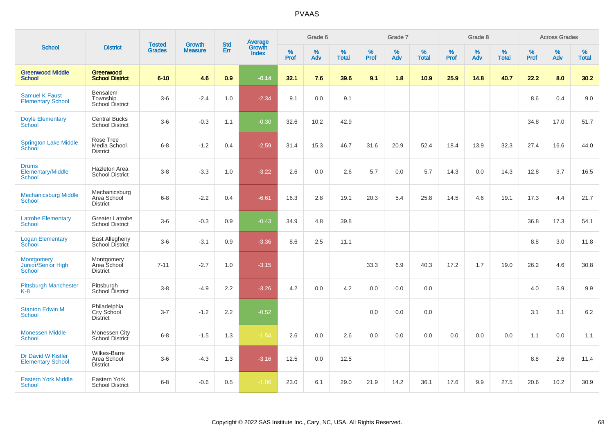|                                                           |                                                       |                                |                          | <b>Std</b> |                                          |                  | Grade 6  |                   |           | Grade 7  |                   |           | Grade 8  |                   |              | <b>Across Grades</b> |                   |
|-----------------------------------------------------------|-------------------------------------------------------|--------------------------------|--------------------------|------------|------------------------------------------|------------------|----------|-------------------|-----------|----------|-------------------|-----------|----------|-------------------|--------------|----------------------|-------------------|
| <b>School</b>                                             | <b>District</b>                                       | <b>Tested</b><br><b>Grades</b> | Growth<br><b>Measure</b> | Err        | <b>Average</b><br>Growth<br><b>Index</b> | %<br><b>Prof</b> | %<br>Adv | %<br><b>Total</b> | %<br>Prof | %<br>Adv | %<br><b>Total</b> | %<br>Prof | %<br>Adv | %<br><b>Total</b> | $\%$<br>Prof | %<br>Adv             | %<br><b>Total</b> |
| <b>Greenwood Middle</b><br><b>School</b>                  | <b>Greenwood</b><br><b>School District</b>            | $6 - 10$                       | 4.6                      | 0.9        | $-0.14$                                  | 32.1             | 7.6      | 39.6              | 9.1       | 1.8      | 10.9              | 25.9      | 14.8     | 40.7              | 22.2         | 8.0                  | 30.2              |
| <b>Samuel K Faust</b><br><b>Elementary School</b>         | Bensalem<br>Township<br>School District               | $3-6$                          | $-2.4$                   | 1.0        | $-2.34$                                  | 9.1              | 0.0      | 9.1               |           |          |                   |           |          |                   | 8.6          | 0.4                  | 9.0               |
| <b>Doyle Elementary</b><br>School                         | <b>Central Bucks</b><br><b>School District</b>        | $3-6$                          | $-0.3$                   | 1.1        | $-0.30$                                  | 32.6             | 10.2     | 42.9              |           |          |                   |           |          |                   | 34.8         | 17.0                 | 51.7              |
| <b>Springton Lake Middle</b><br>School                    | Rose Tree<br>Media School<br><b>District</b>          | $6-8$                          | $-1.2$                   | 0.4        | $-2.59$                                  | 31.4             | 15.3     | 46.7              | 31.6      | 20.9     | 52.4              | 18.4      | 13.9     | 32.3              | 27.4         | 16.6                 | 44.0              |
| <b>Drums</b><br><b>Elementary/Middle</b><br><b>School</b> | <b>Hazleton Area</b><br><b>School District</b>        | $3-8$                          | $-3.3$                   | 1.0        | $-3.22$                                  | 2.6              | 0.0      | 2.6               | 5.7       | 0.0      | 5.7               | 14.3      | 0.0      | 14.3              | 12.8         | 3.7                  | 16.5              |
| <b>Mechanicsburg Middle</b><br><b>School</b>              | Mechanicsburg<br>Area School<br><b>District</b>       | $6 - 8$                        | $-2.2$                   | 0.4        | $-6.61$                                  | 16.3             | 2.8      | 19.1              | 20.3      | 5.4      | 25.8              | 14.5      | 4.6      | 19.1              | 17.3         | 4.4                  | 21.7              |
| <b>Latrobe Elementary</b><br><b>School</b>                | <b>Greater Latrobe</b><br><b>School District</b>      | $3-6$                          | $-0.3$                   | 0.9        | $-0.43$                                  | 34.9             | 4.8      | 39.8              |           |          |                   |           |          |                   | 36.8         | 17.3                 | 54.1              |
| <b>Logan Elementary</b><br>School                         | East Allegheny<br>School District                     | $3-6$                          | $-3.1$                   | 0.9        | $-3.36$                                  | 8.6              | 2.5      | 11.1              |           |          |                   |           |          |                   | 8.8          | 3.0                  | 11.8              |
| <b>Montgomery</b><br>Junior/Senior High<br>School         | Montgomery<br>Area School<br><b>District</b>          | $7 - 11$                       | $-2.7$                   | 1.0        | $-3.15$                                  |                  |          |                   | 33.3      | 6.9      | 40.3              | 17.2      | 1.7      | 19.0              | 26.2         | 4.6                  | 30.8              |
| <b>Pittsburgh Manchester</b><br>$K-8$                     | Pittsburgh<br>School District                         | $3-8$                          | $-4.9$                   | 2.2        | $-3.26$                                  | 4.2              | 0.0      | 4.2               | 0.0       | 0.0      | 0.0               |           |          |                   | 4.0          | 5.9                  | 9.9               |
| <b>Stanton Edwin M</b><br>School                          | Philadelphia<br>City School<br><b>District</b>        | $3 - 7$                        | $-1.2$                   | 2.2        | $-0.52$                                  |                  |          |                   | 0.0       | 0.0      | 0.0               |           |          |                   | 3.1          | 3.1                  | 6.2               |
| <b>Monessen Middle</b><br><b>School</b>                   | Monessen City<br>School District                      | $6 - 8$                        | $-1.5$                   | 1.3        | $-1.54$                                  | 2.6              | 0.0      | 2.6               | 0.0       | 0.0      | 0.0               | 0.0       | 0.0      | 0.0               | 1.1          | 0.0                  | 1.1               |
| Dr David W Kistler<br><b>Elementary School</b>            | <b>Wilkes-Barre</b><br>Area School<br><b>District</b> | $3-6$                          | $-4.3$                   | 1.3        | $-3.16$                                  | 12.5             | 0.0      | 12.5              |           |          |                   |           |          |                   | 8.8          | 2.6                  | 11.4              |
| <b>Eastern York Middle</b><br><b>School</b>               | Eastern York<br><b>School District</b>                | $6 - 8$                        | $-0.6$                   | 0.5        | $-1.06$                                  | 23.0             | 6.1      | 29.0              | 21.9      | 14.2     | 36.1              | 17.6      | 9.9      | 27.5              | 20.6         | 10.2                 | 30.9              |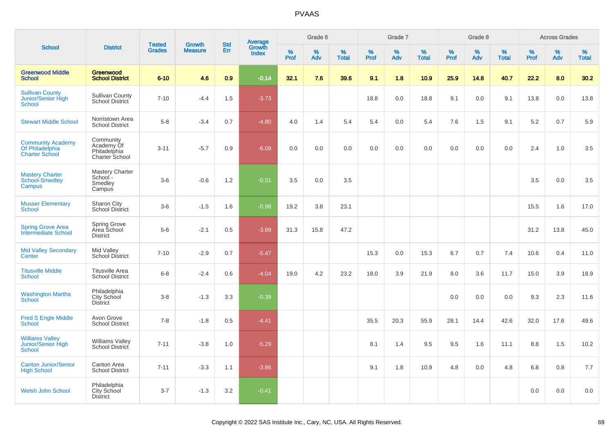|                                                                      |                                                           | <b>Tested</b> | <b>Growth</b>  | <b>Std</b> |                                   |                  | Grade 6     |                   |              | Grade 7  |                   |              | Grade 8  |                   |              | <b>Across Grades</b> |                   |
|----------------------------------------------------------------------|-----------------------------------------------------------|---------------|----------------|------------|-----------------------------------|------------------|-------------|-------------------|--------------|----------|-------------------|--------------|----------|-------------------|--------------|----------------------|-------------------|
| <b>School</b>                                                        | <b>District</b>                                           | <b>Grades</b> | <b>Measure</b> | Err        | Average<br>Growth<br><b>Index</b> | %<br><b>Prof</b> | $\%$<br>Adv | %<br><b>Total</b> | $\%$<br>Prof | %<br>Adv | %<br><b>Total</b> | $\%$<br>Prof | %<br>Adv | %<br><b>Total</b> | $\%$<br>Prof | %<br>Adv             | %<br><b>Total</b> |
| <b>Greenwood Middle</b><br><b>School</b>                             | Greenwood<br><b>School District</b>                       | $6 - 10$      | 4.6            | 0.9        | $-0.14$                           | 32.1             | 7.6         | 39.6              | 9.1          | 1.8      | 10.9              | 25.9         | 14.8     | 40.7              | 22.2         | 8.0                  | 30.2              |
| <b>Sullivan County</b><br>Junior/Senior High<br>School               | <b>Sullivan County</b><br>School District                 | $7 - 10$      | $-4.4$         | 1.5        | $-3.73$                           |                  |             |                   | 18.8         | 0.0      | 18.8              | 9.1          | 0.0      | 9.1               | 13.8         | 0.0                  | 13.8              |
| <b>Stewart Middle School</b>                                         | Norristown Area<br><b>School District</b>                 | $5-8$         | $-3.4$         | 0.7        | $-4.80$                           | 4.0              | 1.4         | 5.4               | 5.4          | 0.0      | 5.4               | 7.6          | 1.5      | 9.1               | 5.2          | 0.7                  | 5.9               |
| <b>Community Academy</b><br>Of Philadelphia<br><b>Charter School</b> | Community<br>Academy Of<br>Philadelphia<br>Charter School | $3 - 11$      | $-5.7$         | 0.9        | $-6.09$                           | 0.0              | 0.0         | 0.0               | 0.0          | 0.0      | 0.0               | 0.0          | 0.0      | 0.0               | 2.4          | 1.0                  | 3.5               |
| <b>Mastery Charter</b><br>School-Smedley<br>Campus                   | <b>Mastery Charter</b><br>School -<br>Smedley<br>Campus   | $3-6$         | $-0.6$         | 1.2        | $-0.51$                           | 3.5              | 0.0         | 3.5               |              |          |                   |              |          |                   | 3.5          | 0.0                  | 3.5               |
| <b>Musser Elementary</b><br><b>School</b>                            | Sharon City<br><b>School District</b>                     | $3-6$         | $-1.5$         | 1.6        | $-0.98$                           | 19.2             | 3.8         | 23.1              |              |          |                   |              |          |                   | 15.5         | 1.6                  | 17.0              |
| <b>Spring Grove Area</b><br><b>Intermediate School</b>               | <b>Spring Grove</b><br>Area School<br><b>District</b>     | $5-6$         | $-2.1$         | 0.5        | $-3.89$                           | 31.3             | 15.8        | 47.2              |              |          |                   |              |          |                   | 31.2         | 13.8                 | 45.0              |
| <b>Mid Valley Secondary</b><br>Center                                | Mid Valley<br><b>School District</b>                      | $7 - 10$      | $-2.9$         | 0.7        | $-5.47$                           |                  |             |                   | 15.3         | 0.0      | 15.3              | 6.7          | 0.7      | 7.4               | 10.6         | 0.4                  | 11.0              |
| <b>Titusville Middle</b><br><b>School</b>                            | <b>Titusville Area</b><br><b>School District</b>          | $6 - 8$       | $-2.4$         | 0.6        | $-4.04$                           | 19.0             | 4.2         | 23.2              | 18.0         | 3.9      | 21.9              | 8.0          | 3.6      | 11.7              | 15.0         | 3.9                  | 18.9              |
| <b>Washington Martha</b><br><b>School</b>                            | Philadelphia<br>City School<br><b>District</b>            | $3 - 8$       | $-1.3$         | 3.3        | $-0.39$                           |                  |             |                   |              |          |                   | 0.0          | 0.0      | 0.0               | 9.3          | 2.3                  | 11.6              |
| <b>Fred S Engle Middle</b><br><b>School</b>                          | Avon Grove<br><b>School District</b>                      | $7 - 8$       | $-1.8$         | 0.5        | $-4.41$                           |                  |             |                   | 35.5         | 20.3     | 55.9              | 28.1         | 14.4     | 42.6              | 32.0         | 17.6                 | 49.6              |
| <b>Williams Valley</b><br>Junior/Senior High<br><b>School</b>        | <b>Williams Valley</b><br><b>School District</b>          | $7 - 11$      | $-3.8$         | 1.0        | $-5.29$                           |                  |             |                   | 8.1          | 1.4      | 9.5               | 9.5          | 1.6      | 11.1              | 8.8          | 1.5                  | 10.2              |
| <b>Canton Junior/Senior</b><br><b>High School</b>                    | Canton Area<br><b>School District</b>                     | $7 - 11$      | $-3.3$         | 1.1        | $-3.86$                           |                  |             |                   | 9.1          | 1.8      | 10.9              | 4.8          | 0.0      | 4.8               | 6.8          | 0.8                  | 7.7               |
| <b>Welsh John School</b>                                             | Philadelphia<br><b>City School</b><br><b>District</b>     | $3 - 7$       | $-1.3$         | 3.2        | $-0.41$                           |                  |             |                   |              |          |                   |              |          |                   | 0.0          | 0.0                  | 0.0               |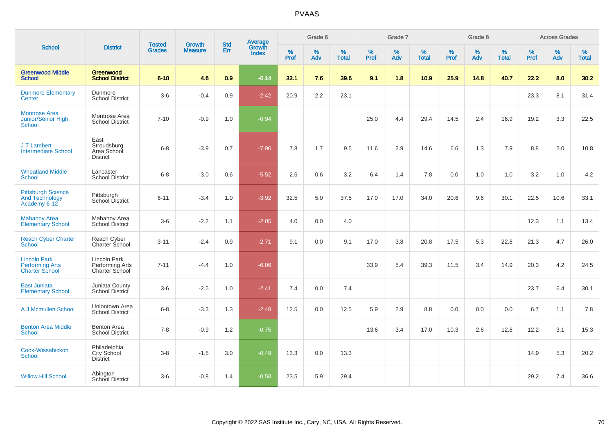|                                                                        |                                                       |                                | <b>Growth</b>  | <b>Std</b> |                                          |                  | Grade 6     |                   |           | Grade 7  |                   |           | Grade 8  |                   |              | <b>Across Grades</b> |                   |
|------------------------------------------------------------------------|-------------------------------------------------------|--------------------------------|----------------|------------|------------------------------------------|------------------|-------------|-------------------|-----------|----------|-------------------|-----------|----------|-------------------|--------------|----------------------|-------------------|
| <b>School</b>                                                          | <b>District</b>                                       | <b>Tested</b><br><b>Grades</b> | <b>Measure</b> | Err        | <b>Average</b><br>Growth<br><b>Index</b> | %<br><b>Prof</b> | $\%$<br>Adv | %<br><b>Total</b> | %<br>Prof | %<br>Adv | %<br><b>Total</b> | %<br>Prof | %<br>Adv | %<br><b>Total</b> | $\%$<br>Prof | $\%$<br>Adv          | %<br><b>Total</b> |
| <b>Greenwood Middle</b><br><b>School</b>                               | Greenwood<br><b>School District</b>                   | $6 - 10$                       | 4.6            | 0.9        | $-0.14$                                  | 32.1             | 7.6         | 39.6              | 9.1       | 1.8      | 10.9              | 25.9      | 14.8     | 40.7              | 22.2         | 8.0                  | 30.2              |
| <b>Dunmore Elementary</b><br>Center                                    | Dunmore<br><b>School District</b>                     | $3-6$                          | $-0.4$         | 0.9        | $-2.42$                                  | 20.9             | 2.2         | 23.1              |           |          |                   |           |          |                   | 23.3         | 8.1                  | 31.4              |
| <b>Montrose Area</b><br><b>Junior/Senior High</b><br><b>School</b>     | Montrose Area<br><b>School District</b>               | $7 - 10$                       | $-0.9$         | 1.0        | $-0.94$                                  |                  |             |                   | 25.0      | 4.4      | 29.4              | 14.5      | 2.4      | 16.9              | 19.2         | 3.3                  | 22.5              |
| J T Lambert<br><b>Intermediate School</b>                              | East<br>Stroudsburg<br>Area School<br><b>District</b> | $6 - 8$                        | $-3.9$         | 0.7        | $-7.96$                                  | 7.8              | 1.7         | 9.5               | 11.6      | 2.9      | 14.6              | 6.6       | 1.3      | 7.9               | 8.8          | 2.0                  | 10.8              |
| <b>Wheatland Middle</b><br><b>School</b>                               | Lancaster<br><b>School District</b>                   | $6-8$                          | $-3.0$         | 0.6        | $-5.52$                                  | 2.6              | 0.6         | 3.2               | 6.4       | 1.4      | 7.8               | 0.0       | 1.0      | 1.0               | 3.2          | 1.0                  | 4.2               |
| <b>Pittsburgh Science</b><br><b>And Technology</b><br>Academy 6-12     | Pittsburgh<br>School District                         | $6 - 11$                       | $-3.4$         | 1.0        | $-3.92$                                  | 32.5             | 5.0         | 37.5              | 17.0      | 17.0     | 34.0              | 20.6      | 9.6      | 30.1              | 22.5         | 10.6                 | 33.1              |
| <b>Mahanoy Area</b><br><b>Elementary School</b>                        | Mahanoy Area<br>School District                       | $3-6$                          | $-2.2$         | 1.1        | $-2.05$                                  | 4.0              | 0.0         | 4.0               |           |          |                   |           |          |                   | 12.3         | 1.1                  | 13.4              |
| <b>Reach Cyber Charter</b><br><b>School</b>                            | Reach Cyber<br>Charter School                         | $3 - 11$                       | $-2.4$         | 0.9        | $-2.71$                                  | 9.1              | 0.0         | 9.1               | 17.0      | 3.8      | 20.8              | 17.5      | 5.3      | 22.8              | 21.3         | 4.7                  | 26.0              |
| <b>Lincoln Park</b><br><b>Performing Arts</b><br><b>Charter School</b> | Lincoln Park<br>Performing Arts<br>Charter School     | $7 - 11$                       | $-4.4$         | 1.0        | $-6.06$                                  |                  |             |                   | 33.9      | 5.4      | 39.3              | 11.5      | 3.4      | 14.9              | 20.3         | 4.2                  | 24.5              |
| <b>East Juniata</b><br><b>Elementary School</b>                        | Juniata County<br>School District                     | $3-6$                          | $-2.5$         | 1.0        | $-2.41$                                  | 7.4              | 0.0         | 7.4               |           |          |                   |           |          |                   | 23.7         | 6.4                  | 30.1              |
| A J Mcmullen School                                                    | Uniontown Area<br><b>School District</b>              | $6-8$                          | $-3.3$         | 1.3        | $-2.48$                                  | 12.5             | 0.0         | 12.5              | 5.9       | 2.9      | 8.8               | 0.0       | 0.0      | 0.0               | 6.7          | 1.1                  | 7.8               |
| <b>Benton Area Middle</b><br><b>School</b>                             | <b>Benton Area</b><br><b>School District</b>          | $7 - 8$                        | $-0.9$         | 1.2        | $-0.75$                                  |                  |             |                   | 13.6      | 3.4      | 17.0              | 10.3      | 2.6      | 12.8              | 12.2         | 3.1                  | 15.3              |
| Cook-Wissahickon<br><b>School</b>                                      | Philadelphia<br><b>City School</b><br><b>District</b> | $3 - 8$                        | $-1.5$         | 3.0        | $-0.49$                                  | 13.3             | 0.0         | 13.3              |           |          |                   |           |          |                   | 14.9         | 5.3                  | 20.2              |
| <b>Willow Hill School</b>                                              | Abington<br><b>School District</b>                    | $3-6$                          | $-0.8$         | 1.4        | $-0.58$                                  | 23.5             | 5.9         | 29.4              |           |          |                   |           |          |                   | 29.2         | 7.4                  | 36.6              |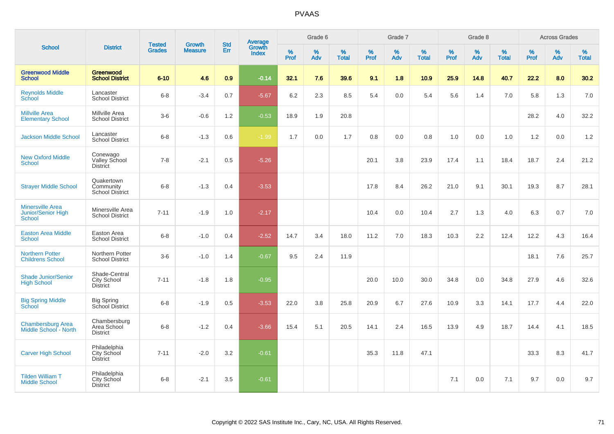| <b>School</b>                                                  |                                                        |                                | <b>Growth</b>  | <b>Std</b> |                                          |              | Grade 6     |                      |              | Grade 7     |                   |              | Grade 8     |                   |              | <b>Across Grades</b> |                   |
|----------------------------------------------------------------|--------------------------------------------------------|--------------------------------|----------------|------------|------------------------------------------|--------------|-------------|----------------------|--------------|-------------|-------------------|--------------|-------------|-------------------|--------------|----------------------|-------------------|
|                                                                | <b>District</b>                                        | <b>Tested</b><br><b>Grades</b> | <b>Measure</b> | Err        | <b>Average</b><br>Growth<br><b>Index</b> | $\%$<br>Prof | $\%$<br>Adv | $\%$<br><b>Total</b> | $\%$<br>Prof | $\%$<br>Adv | %<br><b>Total</b> | $\%$<br>Prof | $\%$<br>Adv | %<br><b>Total</b> | $\%$<br>Prof | $\%$<br>Adv          | %<br><b>Total</b> |
| <b>Greenwood Middle</b><br><b>School</b>                       | Greenwood<br><b>School District</b>                    | $6 - 10$                       | 4.6            | 0.9        | $-0.14$                                  | 32.1         | 7.6         | 39.6                 | 9.1          | 1.8         | 10.9              | 25.9         | 14.8        | 40.7              | 22.2         | 8.0                  | 30.2              |
| <b>Reynolds Middle</b><br>School                               | Lancaster<br><b>School District</b>                    | $6 - 8$                        | $-3.4$         | 0.7        | $-5.67$                                  | 6.2          | 2.3         | 8.5                  | 5.4          | 0.0         | 5.4               | 5.6          | 1.4         | 7.0               | 5.8          | 1.3                  | 7.0               |
| <b>Millville Area</b><br><b>Elementary School</b>              | Millville Area<br><b>School District</b>               | $3-6$                          | $-0.6$         | 1.2        | $-0.53$                                  | 18.9         | 1.9         | 20.8                 |              |             |                   |              |             |                   | 28.2         | 4.0                  | 32.2              |
| <b>Jackson Middle School</b>                                   | Lancaster<br><b>School District</b>                    | $6 - 8$                        | $-1.3$         | 0.6        | $-1.99$                                  | 1.7          | 0.0         | 1.7                  | 0.8          | 0.0         | 0.8               | 1.0          | 0.0         | 1.0               | 1.2          | 0.0                  | 1.2               |
| <b>New Oxford Middle</b><br><b>School</b>                      | Conewago<br>Valley School<br><b>District</b>           | $7 - 8$                        | $-2.1$         | 0.5        | $-5.26$                                  |              |             |                      | 20.1         | 3.8         | 23.9              | 17.4         | 1.1         | 18.4              | 18.7         | 2.4                  | 21.2              |
| <b>Strayer Middle School</b>                                   | Quakertown<br>Community<br>School District             | $6 - 8$                        | $-1.3$         | 0.4        | $-3.53$                                  |              |             |                      | 17.8         | 8.4         | 26.2              | 21.0         | 9.1         | 30.1              | 19.3         | 8.7                  | 28.1              |
| <b>Minersville Area</b><br>Junior/Senior High<br><b>School</b> | Minersville Area<br><b>School District</b>             | $7 - 11$                       | $-1.9$         | 1.0        | $-2.17$                                  |              |             |                      | 10.4         | 0.0         | 10.4              | 2.7          | 1.3         | 4.0               | 6.3          | 0.7                  | 7.0               |
| <b>Easton Area Middle</b><br><b>School</b>                     | Easton Area<br><b>School District</b>                  | $6 - 8$                        | $-1.0$         | 0.4        | $-2.52$                                  | 14.7         | 3.4         | 18.0                 | 11.2         | 7.0         | 18.3              | 10.3         | 2.2         | 12.4              | 12.2         | 4.3                  | 16.4              |
| <b>Northern Potter</b><br><b>Childrens School</b>              | Northern Potter<br><b>School District</b>              | $3-6$                          | $-1.0$         | 1.4        | $-0.67$                                  | 9.5          | 2.4         | 11.9                 |              |             |                   |              |             |                   | 18.1         | 7.6                  | 25.7              |
| <b>Shade Junior/Senior</b><br><b>High School</b>               | Shade-Central<br><b>City School</b><br><b>District</b> | $7 - 11$                       | $-1.8$         | 1.8        | $-0.95$                                  |              |             |                      | 20.0         | 10.0        | 30.0              | 34.8         | 0.0         | 34.8              | 27.9         | 4.6                  | 32.6              |
| <b>Big Spring Middle</b><br>School                             | <b>Big Spring</b><br>School District                   | $6 - 8$                        | $-1.9$         | 0.5        | $-3.53$                                  | 22.0         | 3.8         | 25.8                 | 20.9         | 6.7         | 27.6              | 10.9         | 3.3         | 14.1              | 17.7         | 4.4                  | 22.0              |
| <b>Chambersburg Area</b><br>Middle School - North              | Chambersburg<br>Area School<br><b>District</b>         | $6 - 8$                        | $-1.2$         | 0.4        | $-3.66$                                  | 15.4         | 5.1         | 20.5                 | 14.1         | 2.4         | 16.5              | 13.9         | 4.9         | 18.7              | 14.4         | 4.1                  | 18.5              |
| <b>Carver High School</b>                                      | Philadelphia<br>City School<br><b>District</b>         | $7 - 11$                       | $-2.0$         | 3.2        | $-0.61$                                  |              |             |                      | 35.3         | 11.8        | 47.1              |              |             |                   | 33.3         | 8.3                  | 41.7              |
| <b>Tilden William T</b><br><b>Middle School</b>                | Philadelphia<br>City School<br><b>District</b>         | $6 - 8$                        | $-2.1$         | 3.5        | $-0.61$                                  |              |             |                      |              |             |                   | 7.1          | 0.0         | 7.1               | 9.7          | 0.0                  | 9.7               |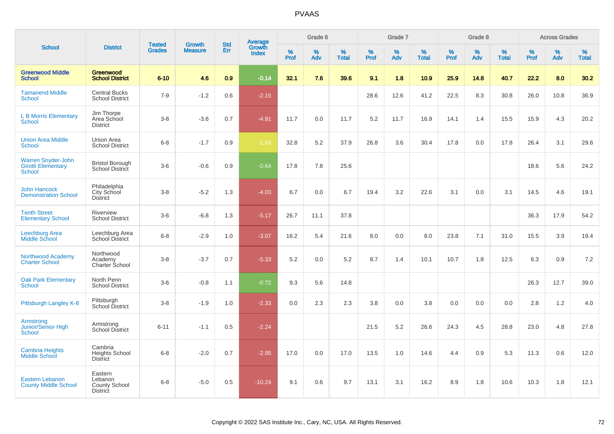|                                                                  |                                                               |                                |                                 | <b>Std</b> |                                          |              | Grade 6     |                   |                     | Grade 7     |                   |              | Grade 8     |                   |              | <b>Across Grades</b> |                   |
|------------------------------------------------------------------|---------------------------------------------------------------|--------------------------------|---------------------------------|------------|------------------------------------------|--------------|-------------|-------------------|---------------------|-------------|-------------------|--------------|-------------|-------------------|--------------|----------------------|-------------------|
| <b>School</b>                                                    | <b>District</b>                                               | <b>Tested</b><br><b>Grades</b> | <b>Growth</b><br><b>Measure</b> | Err        | <b>Average</b><br>Growth<br><b>Index</b> | $\%$<br>Prof | $\%$<br>Adv | %<br><b>Total</b> | $\%$<br><b>Prof</b> | $\%$<br>Adv | %<br><b>Total</b> | $\%$<br>Prof | $\%$<br>Adv | %<br><b>Total</b> | $\%$<br>Prof | $\%$<br>Adv          | %<br><b>Total</b> |
| <b>Greenwood Middle</b><br><b>School</b>                         | Greenwood<br><b>School District</b>                           | $6 - 10$                       | 4.6                             | 0.9        | $-0.14$                                  | 32.1         | 7.6         | 39.6              | 9.1                 | 1.8         | 10.9              | 25.9         | 14.8        | 40.7              | 22.2         | 8.0                  | 30.2              |
| <b>Tamanend Middle</b><br><b>School</b>                          | <b>Central Bucks</b><br><b>School District</b>                | $7 - 9$                        | $-1.2$                          | 0.6        | $-2.15$                                  |              |             |                   | 28.6                | 12.6        | 41.2              | 22.5         | 8.3         | 30.8              | 26.0         | 10.8                 | 36.9              |
| <b>L B Morris Elementary</b><br><b>School</b>                    | Jim Thorpe<br>Area School<br><b>District</b>                  | $3 - 8$                        | $-3.6$                          | 0.7        | $-4.91$                                  | 11.7         | 0.0         | 11.7              | 5.2                 | 11.7        | 16.9              | 14.1         | 1.4         | 15.5              | 15.9         | 4.3                  | 20.2              |
| <b>Union Area Middle</b><br><b>School</b>                        | Union Area<br><b>School District</b>                          | $6 - 8$                        | $-1.7$                          | 0.9        | $-1.83$                                  | 32.8         | 5.2         | 37.9              | 26.8                | 3.6         | 30.4              | 17.8         | 0.0         | 17.8              | 26.4         | 3.1                  | 29.6              |
| Warren Snyder-John<br><b>Girotti Elementary</b><br><b>School</b> | <b>Bristol Borough</b><br>School District                     | $3-6$                          | $-0.6$                          | 0.9        | $-0.64$                                  | 17.8         | 7.8         | 25.6              |                     |             |                   |              |             |                   | 18.6         | 5.6                  | 24.2              |
| <b>John Hancock</b><br><b>Demonstration School</b>               | Philadelphia<br>City School<br><b>District</b>                | $3 - 8$                        | $-5.2$                          | 1.3        | $-4.03$                                  | 6.7          | 0.0         | 6.7               | 19.4                | 3.2         | 22.6              | 3.1          | 0.0         | 3.1               | 14.5         | 4.6                  | 19.1              |
| <b>Tenth Street</b><br><b>Elementary School</b>                  | Riverview<br><b>School District</b>                           | $3-6$                          | $-6.8$                          | 1.3        | $-5.17$                                  | 26.7         | 11.1        | 37.8              |                     |             |                   |              |             |                   | 36.3         | 17.9                 | 54.2              |
| Leechburg Area<br><b>Middle School</b>                           | Leechburg Area<br><b>School District</b>                      | $6-8$                          | $-2.9$                          | 1.0        | $-3.07$                                  | 16.2         | 5.4         | 21.6              | 8.0                 | 0.0         | 8.0               | 23.8         | 7.1         | 31.0              | 15.5         | 3.9                  | 19.4              |
| Northwood Academy<br><b>Charter School</b>                       | Northwood<br>Academy<br>Charter School                        | $3 - 8$                        | $-3.7$                          | 0.7        | $-5.33$                                  | 5.2          | 0.0         | 5.2               | 8.7                 | 1.4         | 10.1              | 10.7         | 1.8         | 12.5              | 6.3          | 0.9                  | 7.2               |
| <b>Oak Park Elementary</b><br><b>School</b>                      | North Penn<br><b>School District</b>                          | $3-6$                          | $-0.8$                          | 1.1        | $-0.72$                                  | 9.3          | 5.6         | 14.8              |                     |             |                   |              |             |                   | 26.3         | 12.7                 | 39.0              |
| Pittsburgh Langley K-8                                           | Pittsburgh<br>School District                                 | $3 - 8$                        | $-1.9$                          | 1.0        | $-2.33$                                  | 0.0          | 2.3         | 2.3               | 3.8                 | 0.0         | 3.8               | 0.0          | 0.0         | 0.0               | 2.8          | 1.2                  | 4.0               |
| Armstrong<br>Junior/Senior High<br><b>School</b>                 | Armstrong<br><b>School District</b>                           | $6 - 11$                       | $-1.1$                          | 0.5        | $-2.24$                                  |              |             |                   | 21.5                | 5.2         | 26.6              | 24.3         | 4.5         | 28.8              | 23.0         | 4.8                  | 27.8              |
| <b>Cambria Heights</b><br><b>Middle School</b>                   | Cambria<br><b>Heights School</b><br><b>District</b>           | $6 - 8$                        | $-2.0$                          | 0.7        | $-2.95$                                  | 17.0         | 0.0         | 17.0              | 13.5                | 1.0         | 14.6              | 4.4          | 0.9         | 5.3               | 11.3         | 0.6                  | 12.0              |
| <b>Eastern Lebanon</b><br><b>County Middle School</b>            | Eastern<br>Lebanon<br><b>County School</b><br><b>District</b> | $6 - 8$                        | $-5.0$                          | 0.5        | $-10.24$                                 | 9.1          | 0.6         | 9.7               | 13.1                | 3.1         | 16.2              | 8.9          | 1.8         | 10.6              | 10.3         | 1.8                  | 12.1              |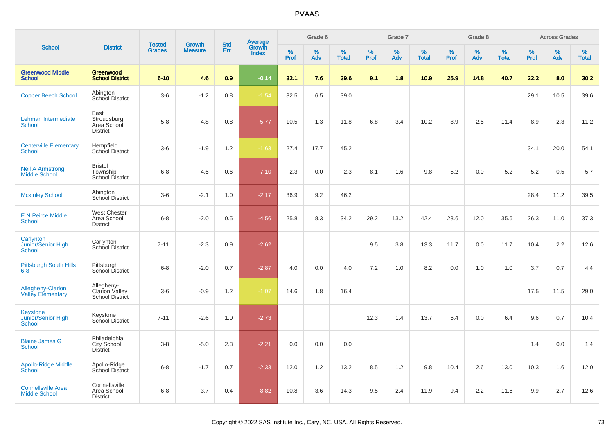| <b>School</b>                                          |                                                        | <b>Tested</b> | <b>Growth</b>  | <b>Std</b> |                                   |           | Grade 6  |                   |           | Grade 7  |                   |                     | Grade 8  |                   |              | <b>Across Grades</b> |                   |
|--------------------------------------------------------|--------------------------------------------------------|---------------|----------------|------------|-----------------------------------|-----------|----------|-------------------|-----------|----------|-------------------|---------------------|----------|-------------------|--------------|----------------------|-------------------|
|                                                        | <b>District</b>                                        | <b>Grades</b> | <b>Measure</b> | Err        | Average<br>Growth<br><b>Index</b> | %<br>Prof | %<br>Adv | %<br><b>Total</b> | %<br>Prof | %<br>Adv | %<br><b>Total</b> | $\%$<br><b>Prof</b> | %<br>Adv | %<br><b>Total</b> | $\%$<br>Prof | %<br>Adv             | %<br><b>Total</b> |
| <b>Greenwood Middle</b><br><b>School</b>               | Greenwood<br><b>School District</b>                    | $6 - 10$      | 4.6            | 0.9        | $-0.14$                           | 32.1      | 7.6      | 39.6              | 9.1       | 1.8      | 10.9              | 25.9                | 14.8     | 40.7              | 22.2         | 8.0                  | 30.2              |
| <b>Copper Beech School</b>                             | Abington<br>School District                            | $3-6$         | $-1.2$         | 0.8        | $-1.54$                           | 32.5      | 6.5      | 39.0              |           |          |                   |                     |          |                   | 29.1         | 10.5                 | 39.6              |
| Lehman Intermediate<br><b>School</b>                   | East<br>Stroudsburg<br>Area School<br><b>District</b>  | $5-8$         | $-4.8$         | 0.8        | $-5.77$                           | 10.5      | 1.3      | 11.8              | 6.8       | 3.4      | 10.2              | 8.9                 | 2.5      | 11.4              | 8.9          | 2.3                  | 11.2              |
| <b>Centerville Elementary</b><br>School                | Hempfield<br><b>School District</b>                    | $3-6$         | $-1.9$         | 1.2        | $-1.63$                           | 27.4      | 17.7     | 45.2              |           |          |                   |                     |          |                   | 34.1         | 20.0                 | 54.1              |
| <b>Neil A Armstrong</b><br><b>Middle School</b>        | <b>Bristol</b><br>Township<br><b>School District</b>   | $6 - 8$       | $-4.5$         | 0.6        | $-7.10$                           | 2.3       | 0.0      | 2.3               | 8.1       | 1.6      | 9.8               | 5.2                 | 0.0      | 5.2               | 5.2          | 0.5                  | 5.7               |
| <b>Mckinley School</b>                                 | Abington<br>School District                            | $3-6$         | $-2.1$         | 1.0        | $-2.17$                           | 36.9      | 9.2      | 46.2              |           |          |                   |                     |          |                   | 28.4         | 11.2                 | 39.5              |
| <b>E N Peirce Middle</b><br><b>School</b>              | <b>West Chester</b><br>Area School<br><b>District</b>  | $6 - 8$       | $-2.0$         | 0.5        | $-4.56$                           | 25.8      | 8.3      | 34.2              | 29.2      | 13.2     | 42.4              | 23.6                | 12.0     | 35.6              | 26.3         | 11.0                 | 37.3              |
| Carlynton<br>Junior/Senior High<br><b>School</b>       | Carlynton<br>School District                           | $7 - 11$      | $-2.3$         | 0.9        | $-2.62$                           |           |          |                   | 9.5       | 3.8      | 13.3              | 11.7                | 0.0      | 11.7              | 10.4         | 2.2                  | 12.6              |
| <b>Pittsburgh South Hills</b><br>$6-8$                 | Pittsburgh<br>School District                          | $6 - 8$       | $-2.0$         | 0.7        | $-2.87$                           | 4.0       | 0.0      | 4.0               | 7.2       | 1.0      | 8.2               | 0.0                 | 1.0      | 1.0               | 3.7          | 0.7                  | 4.4               |
| <b>Allegheny-Clarion</b><br><b>Valley Elementary</b>   | Allegheny-<br><b>Clarion Valley</b><br>School District | $3-6$         | $-0.9$         | 1.2        | $-1.07$                           | 14.6      | 1.8      | 16.4              |           |          |                   |                     |          |                   | 17.5         | 11.5                 | 29.0              |
| <b>Keystone</b><br>Junior/Senior High<br><b>School</b> | Keystone<br>School District                            | $7 - 11$      | $-2.6$         | 1.0        | $-2.73$                           |           |          |                   | 12.3      | 1.4      | 13.7              | 6.4                 | 0.0      | 6.4               | 9.6          | 0.7                  | 10.4              |
| <b>Blaine James G</b><br><b>School</b>                 | Philadelphia<br>City School<br>District                | $3-8$         | $-5.0$         | 2.3        | $-2.21$                           | 0.0       | 0.0      | 0.0               |           |          |                   |                     |          |                   | 1.4          | 0.0                  | 1.4               |
| <b>Apollo-Ridge Middle</b><br>School                   | Apollo-Ridge<br>School District                        | $6-8$         | $-1.7$         | 0.7        | $-2.33$                           | 12.0      | 1.2      | 13.2              | 8.5       | 1.2      | 9.8               | 10.4                | 2.6      | 13.0              | 10.3         | 1.6                  | 12.0              |
| <b>Connellsville Area</b><br><b>Middle School</b>      | Connellsville<br>Area School<br><b>District</b>        | $6 - 8$       | $-3.7$         | 0.4        | $-8.82$                           | 10.8      | 3.6      | 14.3              | 9.5       | 2.4      | 11.9              | 9.4                 | 2.2      | 11.6              | 9.9          | 2.7                  | 12.6              |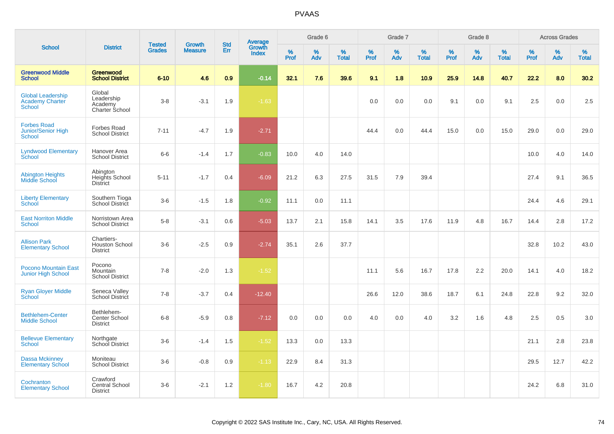|                                                                     |                                                        | <b>Tested</b> | <b>Growth</b>  | <b>Std</b> |                                          |                  | Grade 6     |                   |           | Grade 7     |                   |              | Grade 8  |                   |              | <b>Across Grades</b> |                   |
|---------------------------------------------------------------------|--------------------------------------------------------|---------------|----------------|------------|------------------------------------------|------------------|-------------|-------------------|-----------|-------------|-------------------|--------------|----------|-------------------|--------------|----------------------|-------------------|
| <b>School</b>                                                       | <b>District</b>                                        | <b>Grades</b> | <b>Measure</b> | Err        | <b>Average</b><br>Growth<br><b>Index</b> | %<br><b>Prof</b> | $\%$<br>Adv | %<br><b>Total</b> | %<br>Prof | $\%$<br>Adv | %<br><b>Total</b> | $\%$<br>Prof | %<br>Adv | %<br><b>Total</b> | $\%$<br>Prof | %<br>Adv             | %<br><b>Total</b> |
| <b>Greenwood Middle</b><br><b>School</b>                            | Greenwood<br><b>School District</b>                    | $6 - 10$      | 4.6            | 0.9        | $-0.14$                                  | 32.1             | 7.6         | 39.6              | 9.1       | 1.8         | 10.9              | 25.9         | 14.8     | 40.7              | 22.2         | 8.0                  | 30.2              |
| <b>Global Leadership</b><br><b>Academy Charter</b><br><b>School</b> | Global<br>Leadership<br>Academy<br>Charter School      | $3-8$         | $-3.1$         | 1.9        | $-1.63$                                  |                  |             |                   | 0.0       | 0.0         | 0.0               | 9.1          | 0.0      | 9.1               | 2.5          | 0.0                  | 2.5               |
| <b>Forbes Road</b><br>Junior/Senior High<br><b>School</b>           | Forbes Road<br><b>School District</b>                  | $7 - 11$      | $-4.7$         | 1.9        | $-2.71$                                  |                  |             |                   | 44.4      | 0.0         | 44.4              | 15.0         | 0.0      | 15.0              | 29.0         | 0.0                  | 29.0              |
| <b>Lyndwood Elementary</b><br>School                                | Hanover Area<br><b>School District</b>                 | $6-6$         | $-1.4$         | 1.7        | $-0.83$                                  | 10.0             | 4.0         | 14.0              |           |             |                   |              |          |                   | 10.0         | 4.0                  | 14.0              |
| <b>Abington Heights</b><br>Middle School                            | Abington<br>Heights School<br><b>District</b>          | $5 - 11$      | $-1.7$         | 0.4        | $-6.09$                                  | 21.2             | 6.3         | 27.5              | 31.5      | 7.9         | 39.4              |              |          |                   | 27.4         | 9.1                  | 36.5              |
| <b>Liberty Elementary</b><br>School                                 | Southern Tioga<br>School District                      | $3-6$         | $-1.5$         | 1.8        | $-0.92$                                  | 11.1             | 0.0         | 11.1              |           |             |                   |              |          |                   | 24.4         | 4.6                  | 29.1              |
| <b>East Norriton Middle</b><br><b>School</b>                        | Norristown Area<br><b>School District</b>              | $5-8$         | $-3.1$         | 0.6        | $-5.03$                                  | 13.7             | 2.1         | 15.8              | 14.1      | 3.5         | 17.6              | 11.9         | 4.8      | 16.7              | 14.4         | 2.8                  | 17.2              |
| <b>Allison Park</b><br><b>Elementary School</b>                     | Chartiers-<br><b>Houston School</b><br><b>District</b> | $3-6$         | $-2.5$         | 0.9        | $-2.74$                                  | 35.1             | 2.6         | 37.7              |           |             |                   |              |          |                   | 32.8         | 10.2                 | 43.0              |
| <b>Pocono Mountain East</b><br><b>Junior High School</b>            | Pocono<br><b>Mountain</b><br><b>School District</b>    | $7 - 8$       | $-2.0$         | 1.3        | $-1.52$                                  |                  |             |                   | 11.1      | 5.6         | 16.7              | 17.8         | 2.2      | 20.0              | 14.1         | 4.0                  | 18.2              |
| <b>Ryan Gloyer Middle</b><br>School                                 | Seneca Valley<br>School District                       | $7 - 8$       | $-3.7$         | 0.4        | $-12.40$                                 |                  |             |                   | 26.6      | 12.0        | 38.6              | 18.7         | 6.1      | 24.8              | 22.8         | 9.2                  | 32.0              |
| <b>Bethlehem-Center</b><br><b>Middle School</b>                     | Bethlehem-<br>Center School<br><b>District</b>         | $6 - 8$       | $-5.9$         | 0.8        | $-7.12$                                  | 0.0              | 0.0         | 0.0               | 4.0       | 0.0         | 4.0               | 3.2          | 1.6      | 4.8               | 2.5          | 0.5                  | 3.0               |
| <b>Bellevue Elementary</b><br><b>School</b>                         | Northgate<br>School District                           | $3-6$         | $-1.4$         | 1.5        | $-1.52$                                  | 13.3             | 0.0         | 13.3              |           |             |                   |              |          |                   | 21.1         | 2.8                  | 23.8              |
| Dassa Mckinney<br><b>Elementary School</b>                          | Moniteau<br><b>School District</b>                     | $3-6$         | $-0.8$         | 0.9        | $-1.13$                                  | 22.9             | 8.4         | 31.3              |           |             |                   |              |          |                   | 29.5         | 12.7                 | 42.2              |
| Cochranton<br><b>Elementary School</b>                              | Crawford<br>Central School<br><b>District</b>          | $3-6$         | $-2.1$         | 1.2        | $-1.80$                                  | 16.7             | 4.2         | 20.8              |           |             |                   |              |          |                   | 24.2         | 6.8                  | 31.0              |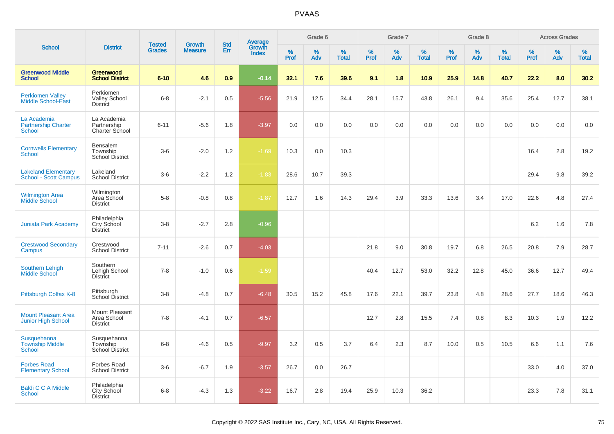|                                                            |                                                      |                                |                                 |                   |                                          |                     | Grade 6     |                      |              | Grade 7     |                      |              | Grade 8     |                      |                     | <b>Across Grades</b> |                      |
|------------------------------------------------------------|------------------------------------------------------|--------------------------------|---------------------------------|-------------------|------------------------------------------|---------------------|-------------|----------------------|--------------|-------------|----------------------|--------------|-------------|----------------------|---------------------|----------------------|----------------------|
| <b>School</b>                                              | <b>District</b>                                      | <b>Tested</b><br><b>Grades</b> | <b>Growth</b><br><b>Measure</b> | <b>Std</b><br>Err | <b>Average</b><br>Growth<br><b>Index</b> | $\%$<br><b>Prof</b> | $\%$<br>Adv | $\%$<br><b>Total</b> | $\%$<br>Prof | $\%$<br>Adv | $\%$<br><b>Total</b> | $\%$<br>Prof | $\%$<br>Adv | $\%$<br><b>Total</b> | $\%$<br><b>Prof</b> | $\%$<br>Adv          | $\%$<br><b>Total</b> |
| <b>Greenwood Middle</b><br><b>School</b>                   | <b>Greenwood</b><br><b>School District</b>           | $6 - 10$                       | 4.6                             | 0.9               | $-0.14$                                  | 32.1                | 7.6         | 39.6                 | 9.1          | 1.8         | 10.9                 | 25.9         | 14.8        | 40.7                 | 22.2                | 8.0                  | 30.2                 |
| <b>Perkiomen Valley</b><br><b>Middle School-East</b>       | Perkiomen<br><b>Valley School</b><br><b>District</b> | $6-8$                          | $-2.1$                          | 0.5               | $-5.56$                                  | 21.9                | 12.5        | 34.4                 | 28.1         | 15.7        | 43.8                 | 26.1         | 9.4         | 35.6                 | 25.4                | 12.7                 | 38.1                 |
| La Academia<br><b>Partnership Charter</b><br><b>School</b> | La Academia<br>Partnership<br>Charter School         | $6 - 11$                       | $-5.6$                          | 1.8               | $-3.97$                                  | 0.0                 | 0.0         | 0.0                  | 0.0          | 0.0         | 0.0                  | 0.0          | 0.0         | 0.0                  | 0.0                 | 0.0                  | 0.0                  |
| <b>Cornwells Elementary</b><br><b>School</b>               | Bensalem<br>Township<br><b>School District</b>       | $3-6$                          | $-2.0$                          | 1.2               | $-1.69$                                  | 10.3                | 0.0         | 10.3                 |              |             |                      |              |             |                      | 16.4                | 2.8                  | 19.2                 |
| <b>Lakeland Elementary</b><br><b>School - Scott Campus</b> | Lakeland<br><b>School District</b>                   | $3-6$                          | $-2.2$                          | 1.2               | $-1.83$                                  | 28.6                | 10.7        | 39.3                 |              |             |                      |              |             |                      | 29.4                | 9.8                  | 39.2                 |
| <b>Wilmington Area</b><br><b>Middle School</b>             | Wilmington<br>Area School<br><b>District</b>         | $5-8$                          | $-0.8$                          | 0.8               | $-1.87$                                  | 12.7                | 1.6         | 14.3                 | 29.4         | 3.9         | 33.3                 | 13.6         | 3.4         | 17.0                 | 22.6                | 4.8                  | 27.4                 |
| <b>Juniata Park Academy</b>                                | Philadelphia<br>City School<br><b>District</b>       | $3-8$                          | $-2.7$                          | 2.8               | $-0.96$                                  |                     |             |                      |              |             |                      |              |             |                      | 6.2                 | 1.6                  | 7.8                  |
| <b>Crestwood Secondary</b><br>Campus                       | Crestwood<br><b>School District</b>                  | $7 - 11$                       | $-2.6$                          | 0.7               | $-4.03$                                  |                     |             |                      | 21.8         | 9.0         | 30.8                 | 19.7         | 6.8         | 26.5                 | 20.8                | 7.9                  | 28.7                 |
| <b>Southern Lehigh</b><br><b>Middle School</b>             | Southern<br>Lehigh School<br><b>District</b>         | $7 - 8$                        | $-1.0$                          | 0.6               | $-1.59$                                  |                     |             |                      | 40.4         | 12.7        | 53.0                 | 32.2         | 12.8        | 45.0                 | 36.6                | 12.7                 | 49.4                 |
| Pittsburgh Colfax K-8                                      | Pittsburgh<br>School District                        | $3-8$                          | $-4.8$                          | 0.7               | $-6.48$                                  | 30.5                | 15.2        | 45.8                 | 17.6         | 22.1        | 39.7                 | 23.8         | 4.8         | 28.6                 | 27.7                | 18.6                 | 46.3                 |
| <b>Mount Pleasant Area</b><br>Junior High School           | Mount Pleasant<br>Area School<br><b>District</b>     | $7 - 8$                        | $-4.1$                          | 0.7               | $-6.57$                                  |                     |             |                      | 12.7         | 2.8         | 15.5                 | 7.4          | 0.8         | 8.3                  | 10.3                | 1.9                  | 12.2                 |
| Susquehanna<br><b>Township Middle</b><br>School            | Susquehanna<br>Township<br><b>School District</b>    | $6-8$                          | $-4.6$                          | 0.5               | $-9.97$                                  | 3.2                 | 0.5         | 3.7                  | 6.4          | 2.3         | 8.7                  | 10.0         | 0.5         | 10.5                 | 6.6                 | 1.1                  | 7.6                  |
| <b>Forbes Road</b><br><b>Elementary School</b>             | Forbes Road<br><b>School District</b>                | $3-6$                          | $-6.7$                          | 1.9               | $-3.57$                                  | 26.7                | 0.0         | 26.7                 |              |             |                      |              |             |                      | 33.0                | 4.0                  | 37.0                 |
| <b>Baldi C C A Middle</b><br><b>School</b>                 | Philadelphia<br>City School<br><b>District</b>       | $6 - 8$                        | $-4.3$                          | 1.3               | $-3.22$                                  | 16.7                | 2.8         | 19.4                 | 25.9         | 10.3        | 36.2                 |              |             |                      | 23.3                | 7.8                  | 31.1                 |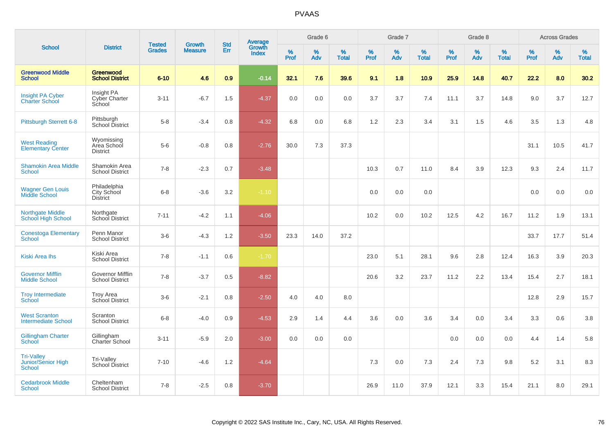|                                                                 |                                                |                                |                                 | <b>Std</b> |                                          |           | Grade 6     |                   |           | Grade 7  |                   |           | Grade 8  |                   |           | <b>Across Grades</b> |                   |
|-----------------------------------------------------------------|------------------------------------------------|--------------------------------|---------------------------------|------------|------------------------------------------|-----------|-------------|-------------------|-----------|----------|-------------------|-----------|----------|-------------------|-----------|----------------------|-------------------|
| <b>School</b>                                                   | <b>District</b>                                | <b>Tested</b><br><b>Grades</b> | <b>Growth</b><br><b>Measure</b> | Err        | <b>Average</b><br>Growth<br><b>Index</b> | %<br>Prof | $\%$<br>Adv | %<br><b>Total</b> | %<br>Prof | %<br>Adv | %<br><b>Total</b> | %<br>Prof | %<br>Adv | %<br><b>Total</b> | %<br>Prof | $\%$<br>Adv          | %<br><b>Total</b> |
| <b>Greenwood Middle</b><br><b>School</b>                        | Greenwood<br><b>School District</b>            | $6 - 10$                       | 4.6                             | 0.9        | $-0.14$                                  | 32.1      | 7.6         | 39.6              | 9.1       | 1.8      | 10.9              | 25.9      | 14.8     | 40.7              | 22.2      | 8.0                  | 30.2              |
| <b>Insight PA Cyber</b><br>Charter School                       | Insight PA<br>Cyber Charter<br>School          | $3 - 11$                       | $-6.7$                          | 1.5        | $-4.37$                                  | 0.0       | 0.0         | 0.0               | 3.7       | 3.7      | 7.4               | 11.1      | 3.7      | 14.8              | 9.0       | 3.7                  | 12.7              |
| <b>Pittsburgh Sterrett 6-8</b>                                  | Pittsburgh<br>School District                  | $5-8$                          | $-3.4$                          | 0.8        | $-4.32$                                  | 6.8       | 0.0         | 6.8               | 1.2       | 2.3      | 3.4               | 3.1       | 1.5      | 4.6               | 3.5       | 1.3                  | 4.8               |
| <b>West Reading</b><br><b>Elementary Center</b>                 | Wyomissing<br>Area School<br><b>District</b>   | $5-6$                          | $-0.8$                          | 0.8        | $-2.76$                                  | 30.0      | 7.3         | 37.3              |           |          |                   |           |          |                   | 31.1      | 10.5                 | 41.7              |
| <b>Shamokin Area Middle</b><br>School                           | Shamokin Area<br><b>School District</b>        | $7 - 8$                        | $-2.3$                          | 0.7        | $-3.48$                                  |           |             |                   | 10.3      | 0.7      | 11.0              | 8.4       | 3.9      | 12.3              | 9.3       | 2.4                  | 11.7              |
| <b>Wagner Gen Louis</b><br><b>Middle School</b>                 | Philadelphia<br>City School<br><b>District</b> | $6 - 8$                        | $-3.6$                          | 3.2        | $-1.10$                                  |           |             |                   | 0.0       | 0.0      | 0.0               |           |          |                   | 0.0       | 0.0                  | 0.0               |
| <b>Northgate Middle</b><br><b>School High School</b>            | Northgate<br>School District                   | $7 - 11$                       | $-4.2$                          | 1.1        | $-4.06$                                  |           |             |                   | 10.2      | 0.0      | 10.2              | 12.5      | 4.2      | 16.7              | 11.2      | 1.9                  | 13.1              |
| <b>Conestoga Elementary</b><br>School                           | Penn Manor<br><b>School District</b>           | $3-6$                          | $-4.3$                          | 1.2        | $-3.50$                                  | 23.3      | 14.0        | 37.2              |           |          |                   |           |          |                   | 33.7      | 17.7                 | 51.4              |
| <b>Kiski Area Ihs</b>                                           | Kiski Area<br><b>School District</b>           | $7 - 8$                        | $-1.1$                          | 0.6        | $-1.70$                                  |           |             |                   | 23.0      | 5.1      | 28.1              | 9.6       | 2.8      | 12.4              | 16.3      | 3.9                  | 20.3              |
| <b>Governor Mifflin</b><br><b>Middle School</b>                 | Governor Mifflin<br><b>School District</b>     | $7 - 8$                        | $-3.7$                          | 0.5        | $-8.82$                                  |           |             |                   | 20.6      | 3.2      | 23.7              | 11.2      | 2.2      | 13.4              | 15.4      | 2.7                  | 18.1              |
| <b>Troy Intermediate</b><br>School                              | <b>Troy Area</b><br>School District            | $3-6$                          | $-2.1$                          | 0.8        | $-2.50$                                  | 4.0       | 4.0         | 8.0               |           |          |                   |           |          |                   | 12.8      | 2.9                  | 15.7              |
| <b>West Scranton</b><br><b>Intermediate School</b>              | Scranton<br><b>School District</b>             | $6 - 8$                        | $-4.0$                          | 0.9        | $-4.53$                                  | 2.9       | 1.4         | 4.4               | 3.6       | 0.0      | 3.6               | 3.4       | 0.0      | 3.4               | 3.3       | 0.6                  | 3.8               |
| <b>Gillingham Charter</b><br>School                             | Gillingham<br>Charter School                   | $3 - 11$                       | $-5.9$                          | 2.0        | $-3.00$                                  | 0.0       | 0.0         | 0.0               |           |          |                   | 0.0       | 0.0      | 0.0               | 4.4       | 1.4                  | 5.8               |
| <b>Tri-Valley</b><br><b>Junior/Senior High</b><br><b>School</b> | Tri-Valley<br>School District                  | $7 - 10$                       | $-4.6$                          | 1.2        | $-4.64$                                  |           |             |                   | 7.3       | 0.0      | 7.3               | 2.4       | 7.3      | 9.8               | 5.2       | 3.1                  | 8.3               |
| <b>Cedarbrook Middle</b><br><b>School</b>                       | Cheltenham<br><b>School District</b>           | $7 - 8$                        | $-2.5$                          | 0.8        | $-3.70$                                  |           |             |                   | 26.9      | 11.0     | 37.9              | 12.1      | 3.3      | 15.4              | 21.1      | 8.0                  | 29.1              |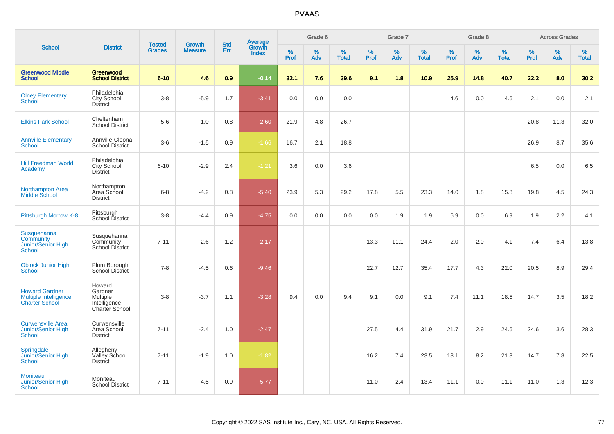| <b>School</b>                                                           |                                                                        |                                |                          | <b>Std</b> |                                   |                  | Grade 6     |                   |                     | Grade 7     |                      |                     | Grade 8  |                   |                     | <b>Across Grades</b> |                   |
|-------------------------------------------------------------------------|------------------------------------------------------------------------|--------------------------------|--------------------------|------------|-----------------------------------|------------------|-------------|-------------------|---------------------|-------------|----------------------|---------------------|----------|-------------------|---------------------|----------------------|-------------------|
|                                                                         | <b>District</b>                                                        | <b>Tested</b><br><b>Grades</b> | Growth<br><b>Measure</b> | Err        | Average<br>Growth<br><b>Index</b> | %<br><b>Prof</b> | $\%$<br>Adv | %<br><b>Total</b> | $\%$<br><b>Prof</b> | $\%$<br>Adv | $\%$<br><b>Total</b> | $\%$<br><b>Prof</b> | %<br>Adv | %<br><b>Total</b> | $\%$<br><b>Prof</b> | $\%$<br>Adv          | %<br><b>Total</b> |
| <b>Greenwood Middle</b><br><b>School</b>                                | Greenwood<br><b>School District</b>                                    | $6 - 10$                       | 4.6                      | 0.9        | $-0.14$                           | 32.1             | 7.6         | 39.6              | 9.1                 | 1.8         | 10.9                 | 25.9                | 14.8     | 40.7              | 22.2                | 8.0                  | 30.2              |
| <b>Olney Elementary</b><br>School                                       | Philadelphia<br>City School<br><b>District</b>                         | $3 - 8$                        | $-5.9$                   | 1.7        | $-3.41$                           | 0.0              | 0.0         | 0.0               |                     |             |                      | 4.6                 | 0.0      | 4.6               | 2.1                 | 0.0                  | 2.1               |
| <b>Elkins Park School</b>                                               | Cheltenham<br><b>School District</b>                                   | $5-6$                          | $-1.0$                   | 0.8        | $-2.60$                           | 21.9             | 4.8         | 26.7              |                     |             |                      |                     |          |                   | 20.8                | 11.3                 | 32.0              |
| <b>Annville Elementary</b><br>School                                    | Annville-Cleona<br><b>School District</b>                              | $3-6$                          | $-1.5$                   | 0.9        | $-1.66$                           | 16.7             | 2.1         | 18.8              |                     |             |                      |                     |          |                   | 26.9                | 8.7                  | 35.6              |
| <b>Hill Freedman World</b><br>Academy                                   | Philadelphia<br>City School<br><b>District</b>                         | $6 - 10$                       | $-2.9$                   | 2.4        | $-1.21$                           | 3.6              | 0.0         | 3.6               |                     |             |                      |                     |          |                   | 6.5                 | 0.0                  | 6.5               |
| <b>Northampton Area</b><br><b>Middle School</b>                         | Northampton<br>Area School<br><b>District</b>                          | $6 - 8$                        | $-4.2$                   | 0.8        | $-5.40$                           | 23.9             | 5.3         | 29.2              | 17.8                | 5.5         | 23.3                 | 14.0                | 1.8      | 15.8              | 19.8                | 4.5                  | 24.3              |
| Pittsburgh Morrow K-8                                                   | Pittsburgh<br>School District                                          | $3 - 8$                        | $-4.4$                   | 0.9        | $-4.75$                           | 0.0              | 0.0         | 0.0               | 0.0                 | 1.9         | 1.9                  | 6.9                 | 0.0      | 6.9               | 1.9                 | 2.2                  | 4.1               |
| Susquehanna<br>Community<br>Junior/Senior High<br><b>School</b>         | Susquehanna<br>Community<br><b>School District</b>                     | $7 - 11$                       | $-2.6$                   | 1.2        | $-2.17$                           |                  |             |                   | 13.3                | 11.1        | 24.4                 | 2.0                 | 2.0      | 4.1               | 7.4                 | 6.4                  | 13.8              |
| <b>Oblock Junior High</b><br><b>School</b>                              | Plum Borough<br>School District                                        | $7 - 8$                        | $-4.5$                   | 0.6        | $-9.46$                           |                  |             |                   | 22.7                | 12.7        | 35.4                 | 17.7                | 4.3      | 22.0              | 20.5                | 8.9                  | 29.4              |
| <b>Howard Gardner</b><br>Multiple Intelligence<br><b>Charter School</b> | Howard<br>Gardner<br><b>Multiple</b><br>Intelligence<br>Charter School | $3-8$                          | $-3.7$                   | 1.1        | $-3.28$                           | 9.4              | 0.0         | 9.4               | 9.1                 | 0.0         | 9.1                  | 7.4                 | 11.1     | 18.5              | 14.7                | 3.5                  | 18.2              |
| <b>Curwensville Area</b><br>Junior/Senior High<br><b>School</b>         | Curwensville<br>Area School<br><b>District</b>                         | $7 - 11$                       | $-2.4$                   | 1.0        | $-2.47$                           |                  |             |                   | 27.5                | 4.4         | 31.9                 | 21.7                | 2.9      | 24.6              | 24.6                | 3.6                  | 28.3              |
| Springdale<br>Junior/Senior High<br><b>School</b>                       | Allegheny<br>Valley School<br><b>District</b>                          | $7 - 11$                       | $-1.9$                   | 1.0        | $-1.82$                           |                  |             |                   | 16.2                | 7.4         | 23.5                 | 13.1                | 8.2      | 21.3              | 14.7                | 7.8                  | 22.5              |
| <b>Moniteau</b><br><b>Junior/Senior High</b><br><b>School</b>           | Moniteau<br><b>School District</b>                                     | $7 - 11$                       | $-4.5$                   | 0.9        | $-5.77$                           |                  |             |                   | 11.0                | 2.4         | 13.4                 | 11.1                | 0.0      | 11.1              | 11.0                | 1.3                  | 12.3              |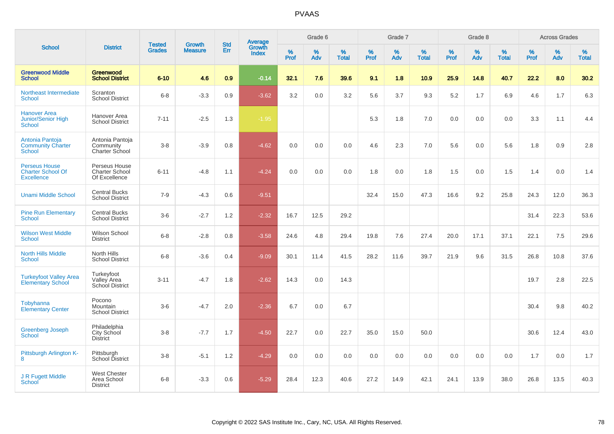|                                                                       |                                                         | <b>Tested</b> | <b>Growth</b>  | <b>Std</b> |                                          |                  | Grade 6  |                   |           | Grade 7  |                   |              | Grade 8  |                   |              | <b>Across Grades</b> |                   |
|-----------------------------------------------------------------------|---------------------------------------------------------|---------------|----------------|------------|------------------------------------------|------------------|----------|-------------------|-----------|----------|-------------------|--------------|----------|-------------------|--------------|----------------------|-------------------|
| <b>School</b>                                                         | <b>District</b>                                         | <b>Grades</b> | <b>Measure</b> | Err        | <b>Average</b><br>Growth<br><b>Index</b> | %<br><b>Prof</b> | %<br>Adv | %<br><b>Total</b> | %<br>Prof | %<br>Adv | %<br><b>Total</b> | $\%$<br>Prof | %<br>Adv | %<br><b>Total</b> | $\%$<br>Prof | %<br>Adv             | %<br><b>Total</b> |
| <b>Greenwood Middle</b><br><b>School</b>                              | Greenwood<br><b>School District</b>                     | $6 - 10$      | 4.6            | 0.9        | $-0.14$                                  | 32.1             | 7.6      | 39.6              | 9.1       | 1.8      | 10.9              | 25.9         | 14.8     | 40.7              | 22.2         | 8.0                  | 30.2              |
| Northeast Intermediate<br><b>School</b>                               | Scranton<br><b>School District</b>                      | $6 - 8$       | $-3.3$         | 0.9        | $-3.62$                                  | 3.2              | 0.0      | 3.2               | 5.6       | 3.7      | 9.3               | 5.2          | 1.7      | 6.9               | 4.6          | 1.7                  | 6.3               |
| <b>Hanover Area</b><br>Junior/Senior High<br>School                   | Hanover Area<br><b>School District</b>                  | $7 - 11$      | $-2.5$         | 1.3        | $-1.95$                                  |                  |          |                   | 5.3       | 1.8      | 7.0               | 0.0          | 0.0      | 0.0               | 3.3          | 1.1                  | 4.4               |
| Antonia Pantoja<br><b>Community Charter</b><br>School                 | Antonia Pantoja<br>Community<br><b>Charter School</b>   | $3 - 8$       | $-3.9$         | 0.8        | $-4.62$                                  | 0.0              | 0.0      | 0.0               | 4.6       | 2.3      | 7.0               | 5.6          | 0.0      | 5.6               | 1.8          | 0.9                  | 2.8               |
| <b>Perseus House</b><br><b>Charter School Of</b><br><b>Excellence</b> | Perseus House<br><b>Charter School</b><br>Of Excellence | $6 - 11$      | $-4.8$         | 1.1        | $-4.24$                                  | 0.0              | 0.0      | 0.0               | 1.8       | 0.0      | 1.8               | 1.5          | 0.0      | 1.5               | 1.4          | 0.0                  | 1.4               |
| <b>Unami Middle School</b>                                            | <b>Central Bucks</b><br><b>School District</b>          | $7 - 9$       | $-4.3$         | 0.6        | $-9.51$                                  |                  |          |                   | 32.4      | 15.0     | 47.3              | 16.6         | 9.2      | 25.8              | 24.3         | 12.0                 | 36.3              |
| <b>Pine Run Elementary</b><br><b>School</b>                           | <b>Central Bucks</b><br><b>School District</b>          | $3-6$         | $-2.7$         | 1.2        | $-2.32$                                  | 16.7             | 12.5     | 29.2              |           |          |                   |              |          |                   | 31.4         | 22.3                 | 53.6              |
| <b>Wilson West Middle</b><br><b>School</b>                            | Wilson School<br><b>District</b>                        | $6 - 8$       | $-2.8$         | 0.8        | $-3.58$                                  | 24.6             | 4.8      | 29.4              | 19.8      | 7.6      | 27.4              | 20.0         | 17.1     | 37.1              | 22.1         | 7.5                  | 29.6              |
| <b>North Hills Middle</b><br><b>School</b>                            | North Hills<br><b>School District</b>                   | $6 - 8$       | $-3.6$         | 0.4        | $-9.09$                                  | 30.1             | 11.4     | 41.5              | 28.2      | 11.6     | 39.7              | 21.9         | 9.6      | 31.5              | 26.8         | 10.8                 | 37.6              |
| <b>Turkeyfoot Valley Area</b><br><b>Elementary School</b>             | Turkeyfoot<br>Valley Area<br><b>School District</b>     | $3 - 11$      | $-4.7$         | 1.8        | $-2.62$                                  | 14.3             | 0.0      | 14.3              |           |          |                   |              |          |                   | 19.7         | 2.8                  | 22.5              |
| Tobyhanna<br><b>Elementary Center</b>                                 | Pocono<br>Mountain<br><b>School District</b>            | $3-6$         | $-4.7$         | 2.0        | $-2.36$                                  | 6.7              | 0.0      | 6.7               |           |          |                   |              |          |                   | 30.4         | 9.8                  | 40.2              |
| <b>Greenberg Joseph</b><br><b>School</b>                              | Philadelphia<br>City School<br><b>District</b>          | $3 - 8$       | $-7.7$         | 1.7        | $-4.50$                                  | 22.7             | 0.0      | 22.7              | 35.0      | 15.0     | 50.0              |              |          |                   | 30.6         | 12.4                 | 43.0              |
| Pittsburgh Arlington K-<br>8                                          | Pittsburgh<br>School District                           | $3 - 8$       | $-5.1$         | 1.2        | $-4.29$                                  | 0.0              | 0.0      | 0.0               | 0.0       | 0.0      | 0.0               | 0.0          | 0.0      | 0.0               | 1.7          | 0.0                  | 1.7               |
| J R Fugett Middle<br>School                                           | <b>West Chester</b><br>Area School<br><b>District</b>   | $6 - 8$       | $-3.3$         | 0.6        | $-5.29$                                  | 28.4             | 12.3     | 40.6              | 27.2      | 14.9     | 42.1              | 24.1         | 13.9     | 38.0              | 26.8         | 13.5                 | 40.3              |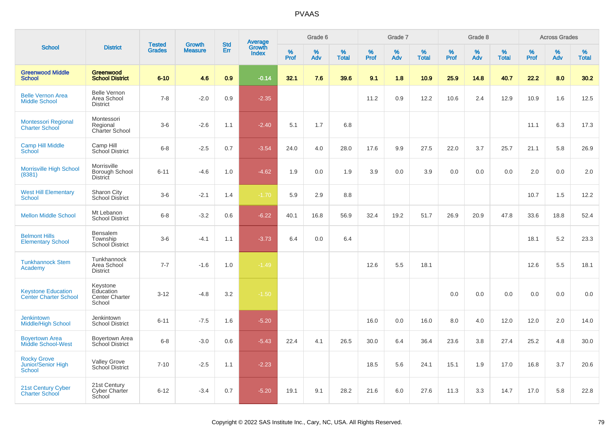| <b>School</b>                                             |                                                          |                                |                                 | <b>Std</b> |                                   |                  | Grade 6  |                   |           | Grade 7  |                   |           | Grade 8  |                   |           | <b>Across Grades</b> |                   |
|-----------------------------------------------------------|----------------------------------------------------------|--------------------------------|---------------------------------|------------|-----------------------------------|------------------|----------|-------------------|-----------|----------|-------------------|-----------|----------|-------------------|-----------|----------------------|-------------------|
|                                                           | <b>District</b>                                          | <b>Tested</b><br><b>Grades</b> | <b>Growth</b><br><b>Measure</b> | Err        | Average<br>Growth<br><b>Index</b> | %<br><b>Prof</b> | %<br>Adv | %<br><b>Total</b> | %<br>Prof | %<br>Adv | %<br><b>Total</b> | %<br>Prof | %<br>Adv | %<br><b>Total</b> | %<br>Prof | %<br>Adv             | %<br><b>Total</b> |
| <b>Greenwood Middle</b><br><b>School</b>                  | Greenwood<br><b>School District</b>                      | $6 - 10$                       | 4.6                             | 0.9        | $-0.14$                           | 32.1             | 7.6      | 39.6              | 9.1       | 1.8      | 10.9              | 25.9      | 14.8     | 40.7              | 22.2      | 8.0                  | 30.2              |
| <b>Belle Vernon Area</b><br><b>Middle School</b>          | <b>Belle Vernon</b><br>Area School<br><b>District</b>    | $7 - 8$                        | $-2.0$                          | 0.9        | $-2.35$                           |                  |          |                   | 11.2      | 0.9      | 12.2              | 10.6      | 2.4      | 12.9              | 10.9      | 1.6                  | 12.5              |
| <b>Montessori Regional</b><br><b>Charter School</b>       | Montessori<br>Regional<br>Charter School                 | $3-6$                          | $-2.6$                          | 1.1        | $-2.40$                           | 5.1              | 1.7      | 6.8               |           |          |                   |           |          |                   | 11.1      | 6.3                  | 17.3              |
| <b>Camp Hill Middle</b><br>School                         | Camp Hill<br>School District                             | $6 - 8$                        | $-2.5$                          | 0.7        | $-3.54$                           | 24.0             | 4.0      | 28.0              | 17.6      | 9.9      | 27.5              | 22.0      | 3.7      | 25.7              | 21.1      | 5.8                  | 26.9              |
| <b>Morrisville High School</b><br>(8381)                  | Morrisville<br>Borough School<br>District                | $6 - 11$                       | $-4.6$                          | 1.0        | $-4.62$                           | 1.9              | 0.0      | 1.9               | 3.9       | 0.0      | 3.9               | 0.0       | 0.0      | 0.0               | 2.0       | 0.0                  | 2.0               |
| <b>West Hill Elementary</b><br><b>School</b>              | Sharon City<br><b>School District</b>                    | $3-6$                          | $-2.1$                          | 1.4        | $-1.70$                           | 5.9              | 2.9      | 8.8               |           |          |                   |           |          |                   | 10.7      | 1.5                  | 12.2              |
| <b>Mellon Middle School</b>                               | Mt Lebanon<br><b>School District</b>                     | $6 - 8$                        | $-3.2$                          | 0.6        | $-6.22$                           | 40.1             | 16.8     | 56.9              | 32.4      | 19.2     | 51.7              | 26.9      | 20.9     | 47.8              | 33.6      | 18.8                 | 52.4              |
| <b>Belmont Hills</b><br><b>Elementary School</b>          | <b>Bensalem</b><br>Township<br><b>School District</b>    | $3-6$                          | $-4.1$                          | 1.1        | $-3.73$                           | 6.4              | 0.0      | 6.4               |           |          |                   |           |          |                   | 18.1      | 5.2                  | 23.3              |
| <b>Tunkhannock Stem</b><br>Academy                        | Tunkhannock<br>Area School<br><b>District</b>            | $7 - 7$                        | $-1.6$                          | 1.0        | $-1.49$                           |                  |          |                   | 12.6      | 5.5      | 18.1              |           |          |                   | 12.6      | 5.5                  | 18.1              |
| <b>Keystone Education</b><br><b>Center Charter School</b> | Keystone<br>Education<br><b>Center Charter</b><br>School | $3 - 12$                       | $-4.8$                          | 3.2        | $-1.50$                           |                  |          |                   |           |          |                   | 0.0       | 0.0      | 0.0               | 0.0       | 0.0                  | 0.0               |
| <b>Jenkintown</b><br><b>Middle/High School</b>            | Jenkintown<br><b>School District</b>                     | $6 - 11$                       | $-7.5$                          | 1.6        | $-5.20$                           |                  |          |                   | 16.0      | 0.0      | 16.0              | 8.0       | 4.0      | 12.0              | 12.0      | 2.0                  | 14.0              |
| <b>Boyertown Area</b><br><b>Middle School-West</b>        | <b>Boyertown Area</b><br>School District                 | $6 - 8$                        | $-3.0$                          | 0.6        | $-5.43$                           | 22.4             | 4.1      | 26.5              | 30.0      | 6.4      | 36.4              | 23.6      | 3.8      | 27.4              | 25.2      | 4.8                  | 30.0              |
| <b>Rocky Grove</b><br>Junior/Senior High<br>School        | <b>Valley Grove</b><br>School District                   | $7 - 10$                       | $-2.5$                          | 1.1        | $-2.23$                           |                  |          |                   | 18.5      | 5.6      | 24.1              | 15.1      | 1.9      | 17.0              | 16.8      | 3.7                  | 20.6              |
| 21st Century Cyber<br><b>Charter School</b>               | 21st Century<br>Cyber Charter<br>School                  | $6 - 12$                       | $-3.4$                          | 0.7        | $-5.20$                           | 19.1             | 9.1      | 28.2              | 21.6      | 6.0      | 27.6              | 11.3      | 3.3      | 14.7              | 17.0      | 5.8                  | 22.8              |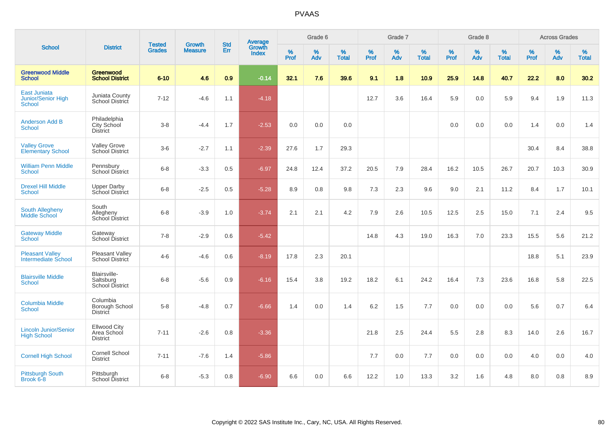| <b>School</b>                                              |                                                       |                                | <b>Growth</b>  | <b>Std</b> |                                          |                  | Grade 6  |                   |           | Grade 7     |                   |           | Grade 8     |                   |           | <b>Across Grades</b> |                   |
|------------------------------------------------------------|-------------------------------------------------------|--------------------------------|----------------|------------|------------------------------------------|------------------|----------|-------------------|-----------|-------------|-------------------|-----------|-------------|-------------------|-----------|----------------------|-------------------|
|                                                            | <b>District</b>                                       | <b>Tested</b><br><b>Grades</b> | <b>Measure</b> | Err        | <b>Average</b><br>Growth<br><b>Index</b> | %<br><b>Prof</b> | %<br>Adv | %<br><b>Total</b> | %<br>Prof | $\%$<br>Adv | %<br><b>Total</b> | %<br>Prof | $\%$<br>Adv | %<br><b>Total</b> | %<br>Prof | $\%$<br>Adv          | %<br><b>Total</b> |
| <b>Greenwood Middle</b><br><b>School</b>                   | Greenwood<br><b>School District</b>                   | $6 - 10$                       | 4.6            | 0.9        | $-0.14$                                  | 32.1             | 7.6      | 39.6              | 9.1       | 1.8         | 10.9              | 25.9      | 14.8        | 40.7              | 22.2      | 8.0                  | 30.2              |
| <b>East Juniata</b><br><b>Junior/Senior High</b><br>School | Juniata County<br>School District                     | $7 - 12$                       | $-4.6$         | 1.1        | $-4.18$                                  |                  |          |                   | 12.7      | 3.6         | 16.4              | 5.9       | 0.0         | 5.9               | 9.4       | 1.9                  | 11.3              |
| <b>Anderson Add B</b><br><b>School</b>                     | Philadelphia<br>City School<br><b>District</b>        | $3 - 8$                        | $-4.4$         | 1.7        | $-2.53$                                  | 0.0              | 0.0      | 0.0               |           |             |                   | 0.0       | 0.0         | 0.0               | 1.4       | 0.0                  | 1.4               |
| <b>Valley Grove</b><br><b>Elementary School</b>            | <b>Valley Grove</b><br>School District                | $3-6$                          | $-2.7$         | 1.1        | $-2.39$                                  | 27.6             | 1.7      | 29.3              |           |             |                   |           |             |                   | 30.4      | 8.4                  | 38.8              |
| <b>William Penn Middle</b><br>School                       | Pennsbury<br><b>School District</b>                   | $6 - 8$                        | $-3.3$         | 0.5        | $-6.97$                                  | 24.8             | 12.4     | 37.2              | 20.5      | 7.9         | 28.4              | 16.2      | 10.5        | 26.7              | 20.7      | 10.3                 | 30.9              |
| <b>Drexel Hill Middle</b><br>School                        | <b>Upper Darby</b><br>School District                 | $6 - 8$                        | $-2.5$         | 0.5        | $-5.28$                                  | 8.9              | 0.8      | 9.8               | 7.3       | 2.3         | 9.6               | 9.0       | 2.1         | 11.2              | 8.4       | 1.7                  | 10.1              |
| <b>South Allegheny</b><br>Middle School                    | South<br>Allegheny<br>School District                 | $6 - 8$                        | $-3.9$         | 1.0        | $-3.74$                                  | 2.1              | 2.1      | 4.2               | 7.9       | 2.6         | 10.5              | 12.5      | 2.5         | 15.0              | 7.1       | 2.4                  | 9.5               |
| <b>Gateway Middle</b><br>School                            | Gateway<br>School District                            | $7 - 8$                        | $-2.9$         | 0.6        | $-5.42$                                  |                  |          |                   | 14.8      | 4.3         | 19.0              | 16.3      | 7.0         | 23.3              | 15.5      | 5.6                  | 21.2              |
| <b>Pleasant Valley</b><br><b>Intermediate School</b>       | <b>Pleasant Valley</b><br>School District             | $4 - 6$                        | $-4.6$         | 0.6        | $-8.19$                                  | 17.8             | 2.3      | 20.1              |           |             |                   |           |             |                   | 18.8      | 5.1                  | 23.9              |
| <b>Blairsville Middle</b><br>School                        | Blairsville-<br>Saltsburg<br>School District          | $6 - 8$                        | $-5.6$         | 0.9        | $-6.16$                                  | 15.4             | 3.8      | 19.2              | 18.2      | 6.1         | 24.2              | 16.4      | 7.3         | 23.6              | 16.8      | 5.8                  | 22.5              |
| <b>Columbia Middle</b><br>School                           | Columbia<br>Borough School<br><b>District</b>         | $5-8$                          | $-4.8$         | 0.7        | $-6.66$                                  | 1.4              | 0.0      | 1.4               | 6.2       | 1.5         | 7.7               | 0.0       | 0.0         | 0.0               | 5.6       | 0.7                  | 6.4               |
| <b>Lincoln Junior/Senior</b><br><b>High School</b>         | <b>Ellwood City</b><br>Area School<br><b>District</b> | $7 - 11$                       | $-2.6$         | 0.8        | $-3.36$                                  |                  |          |                   | 21.8      | 2.5         | 24.4              | 5.5       | 2.8         | 8.3               | 14.0      | 2.6                  | 16.7              |
| <b>Cornell High School</b>                                 | <b>Cornell School</b><br><b>District</b>              | $7 - 11$                       | $-7.6$         | 1.4        | $-5.86$                                  |                  |          |                   | 7.7       | 0.0         | 7.7               | 0.0       | 0.0         | 0.0               | 4.0       | 0.0                  | 4.0               |
| <b>Pittsburgh South</b><br>Brook 6-8                       | Pittsburgh<br><b>School District</b>                  | $6 - 8$                        | $-5.3$         | 0.8        | $-6.90$                                  | 6.6              | 0.0      | 6.6               | 12.2      | 1.0         | 13.3              | 3.2       | 1.6         | 4.8               | 8.0       | 0.8                  | 8.9               |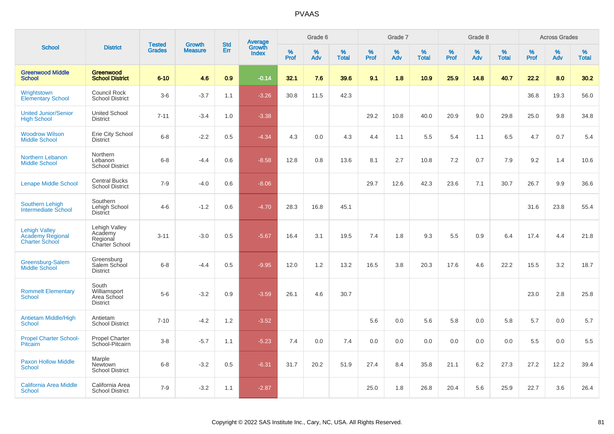|                                                                          |                                                               | <b>Tested</b> | <b>Growth</b>  | <b>Std</b> |                                          |           | Grade 6     |                   |           | Grade 7  |                   |           | Grade 8  |                   |           | <b>Across Grades</b> |                   |
|--------------------------------------------------------------------------|---------------------------------------------------------------|---------------|----------------|------------|------------------------------------------|-----------|-------------|-------------------|-----------|----------|-------------------|-----------|----------|-------------------|-----------|----------------------|-------------------|
| <b>School</b>                                                            | <b>District</b>                                               | <b>Grades</b> | <b>Measure</b> | <b>Err</b> | <b>Average</b><br>Growth<br><b>Index</b> | %<br>Prof | $\%$<br>Adv | %<br><b>Total</b> | %<br>Prof | %<br>Adv | %<br><b>Total</b> | %<br>Prof | %<br>Adv | %<br><b>Total</b> | %<br>Prof | %<br>Adv             | %<br><b>Total</b> |
| <b>Greenwood Middle</b><br><b>School</b>                                 | Greenwood<br><b>School District</b>                           | $6 - 10$      | 4.6            | 0.9        | $-0.14$                                  | 32.1      | 7.6         | 39.6              | 9.1       | 1.8      | 10.9              | 25.9      | 14.8     | 40.7              | 22.2      | 8.0                  | 30.2              |
| Wrightstown<br><b>Elementary School</b>                                  | Council Rock<br><b>School District</b>                        | $3-6$         | $-3.7$         | 1.1        | $-3.26$                                  | 30.8      | 11.5        | 42.3              |           |          |                   |           |          |                   | 36.8      | 19.3                 | 56.0              |
| <b>United Junior/Senior</b><br><b>High School</b>                        | <b>United School</b><br><b>District</b>                       | $7 - 11$      | $-3.4$         | 1.0        | $-3.38$                                  |           |             |                   | 29.2      | 10.8     | 40.0              | 20.9      | 9.0      | 29.8              | 25.0      | 9.8                  | 34.8              |
| <b>Woodrow Wilson</b><br><b>Middle School</b>                            | Erie City School<br><b>District</b>                           | $6 - 8$       | $-2.2$         | 0.5        | $-4.34$                                  | 4.3       | 0.0         | 4.3               | 4.4       | 1.1      | 5.5               | 5.4       | 1.1      | 6.5               | 4.7       | 0.7                  | 5.4               |
| Northern Lebanon<br><b>Middle School</b>                                 | Northern<br>Lebanon<br><b>School District</b>                 | $6 - 8$       | $-4.4$         | 0.6        | $-8.58$                                  | 12.8      | 0.8         | 13.6              | 8.1       | 2.7      | 10.8              | 7.2       | 0.7      | 7.9               | 9.2       | 1.4                  | 10.6              |
| <b>Lenape Middle School</b>                                              | <b>Central Bucks</b><br><b>School District</b>                | $7 - 9$       | $-4.0$         | 0.6        | $-8.06$                                  |           |             |                   | 29.7      | 12.6     | 42.3              | 23.6      | 7.1      | 30.7              | 26.7      | 9.9                  | 36.6              |
| <b>Southern Lehigh</b><br>Intermediate School                            | Southern<br>Lehigh School<br>District                         | $4-6$         | $-1.2$         | 0.6        | $-4.70$                                  | 28.3      | 16.8        | 45.1              |           |          |                   |           |          |                   | 31.6      | 23.8                 | 55.4              |
| <b>Lehigh Valley</b><br><b>Academy Regional</b><br><b>Charter School</b> | Lehigh Valley<br>Academy<br>Regional<br><b>Charter School</b> | $3 - 11$      | $-3.0$         | 0.5        | $-5.67$                                  | 16.4      | 3.1         | 19.5              | 7.4       | 1.8      | 9.3               | 5.5       | 0.9      | 6.4               | 17.4      | 4.4                  | 21.8              |
| Greensburg-Salem<br><b>Middle School</b>                                 | Greensburg<br>Salem School<br><b>District</b>                 | $6 - 8$       | $-4.4$         | 0.5        | $-9.95$                                  | 12.0      | 1.2         | 13.2              | 16.5      | 3.8      | 20.3              | 17.6      | 4.6      | 22.2              | 15.5      | 3.2                  | 18.7              |
| <b>Rommelt Elementary</b><br>School                                      | South<br>Williamsport<br>Area School<br><b>District</b>       | $5-6$         | $-3.2$         | 0.9        | $-3.59$                                  | 26.1      | 4.6         | 30.7              |           |          |                   |           |          |                   | 23.0      | 2.8                  | 25.8              |
| <b>Antietam Middle/High</b><br><b>School</b>                             | Antietam<br><b>School District</b>                            | $7 - 10$      | $-4.2$         | 1.2        | $-3.52$                                  |           |             |                   | 5.6       | 0.0      | 5.6               | 5.8       | 0.0      | 5.8               | 5.7       | 0.0                  | 5.7               |
| <b>Propel Charter School-</b><br><b>Pitcairn</b>                         | <b>Propel Charter</b><br>School-Pitcairn                      | $3-8$         | $-5.7$         | 1.1        | $-5.23$                                  | 7.4       | 0.0         | 7.4               | 0.0       | 0.0      | 0.0               | 0.0       | 0.0      | 0.0               | 5.5       | 0.0                  | 5.5               |
| <b>Paxon Hollow Middle</b><br><b>School</b>                              | Marple<br><b>Newtown</b><br><b>School District</b>            | $6 - 8$       | $-3.2$         | 0.5        | $-6.31$                                  | 31.7      | 20.2        | 51.9              | 27.4      | 8.4      | 35.8              | 21.1      | 6.2      | 27.3              | 27.2      | 12.2                 | 39.4              |
| <b>California Area Middle</b><br><b>School</b>                           | California Area<br><b>School District</b>                     | $7 - 9$       | $-3.2$         | 1.1        | $-2.87$                                  |           |             |                   | 25.0      | 1.8      | 26.8              | 20.4      | 5.6      | 25.9              | 22.7      | 3.6                  | 26.4              |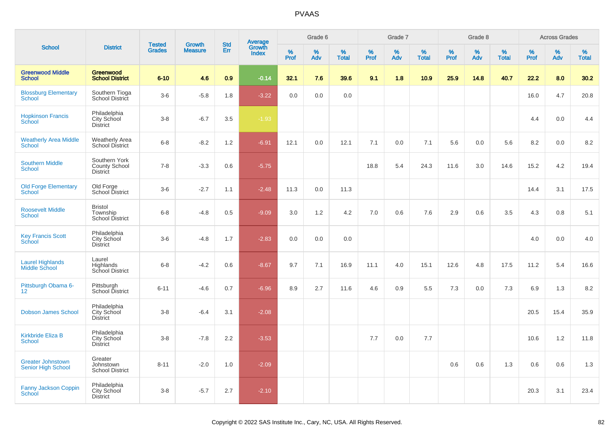| <b>School</b>                                         |                                                       | <b>Tested</b> | <b>Growth</b>  | <b>Std</b> |                                   |              | Grade 6     |                   |              | Grade 7  |                      |              | Grade 8  |                   |              | <b>Across Grades</b> |                   |
|-------------------------------------------------------|-------------------------------------------------------|---------------|----------------|------------|-----------------------------------|--------------|-------------|-------------------|--------------|----------|----------------------|--------------|----------|-------------------|--------------|----------------------|-------------------|
|                                                       | <b>District</b>                                       | <b>Grades</b> | <b>Measure</b> | Err        | Average<br>Growth<br><b>Index</b> | $\%$<br>Prof | $\%$<br>Adv | %<br><b>Total</b> | $\%$<br>Prof | %<br>Adv | $\%$<br><b>Total</b> | $\%$<br>Prof | %<br>Adv | %<br><b>Total</b> | $\%$<br>Prof | %<br>Adv             | %<br><b>Total</b> |
| <b>Greenwood Middle</b><br><b>School</b>              | Greenwood<br><b>School District</b>                   | $6 - 10$      | 4.6            | 0.9        | $-0.14$                           | 32.1         | 7.6         | 39.6              | 9.1          | 1.8      | 10.9                 | 25.9         | 14.8     | 40.7              | 22.2         | 8.0                  | 30.2              |
| <b>Blossburg Elementary</b><br>School                 | Southern Tioga<br>School District                     | $3-6$         | $-5.8$         | 1.8        | $-3.22$                           | 0.0          | 0.0         | 0.0               |              |          |                      |              |          |                   | 16.0         | 4.7                  | 20.8              |
| <b>Hopkinson Francis</b><br>School                    | Philadelphia<br>City School<br><b>District</b>        | $3 - 8$       | $-6.7$         | 3.5        | $-1.93$                           |              |             |                   |              |          |                      |              |          |                   | 4.4          | 0.0                  | 4.4               |
| <b>Weatherly Area Middle</b><br><b>School</b>         | <b>Weatherly Area</b><br>School District              | $6 - 8$       | $-8.2$         | 1.2        | $-6.91$                           | 12.1         | 0.0         | 12.1              | 7.1          | 0.0      | 7.1                  | 5.6          | 0.0      | 5.6               | 8.2          | $0.0\,$              | 8.2               |
| <b>Southern Middle</b><br><b>School</b>               | Southern York<br><b>County School</b><br>District     | $7 - 8$       | $-3.3$         | 0.6        | $-5.75$                           |              |             |                   | 18.8         | 5.4      | 24.3                 | 11.6         | 3.0      | 14.6              | 15.2         | 4.2                  | 19.4              |
| <b>Old Forge Elementary</b><br><b>School</b>          | Old Forge<br>School District                          | $3-6$         | $-2.7$         | 1.1        | $-2.48$                           | 11.3         | 0.0         | 11.3              |              |          |                      |              |          |                   | 14.4         | 3.1                  | 17.5              |
| <b>Roosevelt Middle</b><br><b>School</b>              | <b>Bristol</b><br>Township<br>School District         | $6 - 8$       | $-4.8$         | 0.5        | $-9.09$                           | 3.0          | 1.2         | 4.2               | 7.0          | 0.6      | 7.6                  | 2.9          | 0.6      | 3.5               | 4.3          | 0.8                  | 5.1               |
| <b>Key Francis Scott</b><br>School                    | Philadelphia<br>City School<br><b>District</b>        | $3-6$         | $-4.8$         | 1.7        | $-2.83$                           | 0.0          | 0.0         | 0.0               |              |          |                      |              |          |                   | 4.0          | 0.0                  | 4.0               |
| <b>Laurel Highlands</b><br><b>Middle School</b>       | Laurel<br>Highlands<br>School District                | $6 - 8$       | $-4.2$         | 0.6        | $-8.67$                           | 9.7          | 7.1         | 16.9              | 11.1         | 4.0      | 15.1                 | 12.6         | 4.8      | 17.5              | 11.2         | 5.4                  | 16.6              |
| Pittsburgh Obama 6-<br>12 <sup>2</sup>                | Pittsburgh<br>School District                         | $6 - 11$      | $-4.6$         | 0.7        | $-6.96$                           | 8.9          | 2.7         | 11.6              | 4.6          | 0.9      | 5.5                  | 7.3          | 0.0      | 7.3               | 6.9          | 1.3                  | 8.2               |
| <b>Dobson James School</b>                            | Philadelphia<br>City School<br><b>District</b>        | $3 - 8$       | $-6.4$         | 3.1        | $-2.08$                           |              |             |                   |              |          |                      |              |          |                   | 20.5         | 15.4                 | 35.9              |
| <b>Kirkbride Eliza B</b><br><b>School</b>             | Philadelphia<br><b>City School</b><br><b>District</b> | $3 - 8$       | $-7.8$         | 2.2        | $-3.53$                           |              |             |                   | 7.7          | 0.0      | 7.7                  |              |          |                   | 10.6         | 1.2                  | 11.8              |
| <b>Greater Johnstown</b><br><b>Senior High School</b> | Greater<br>Johnstown<br><b>School District</b>        | $8 - 11$      | $-2.0$         | 1.0        | $-2.09$                           |              |             |                   |              |          |                      | 0.6          | 0.6      | 1.3               | 0.6          | 0.6                  | 1.3               |
| Fanny Jackson Coppin<br>School                        | Philadelphia<br><b>City School</b><br><b>District</b> | $3 - 8$       | $-5.7$         | 2.7        | $-2.10$                           |              |             |                   |              |          |                      |              |          |                   | 20.3         | 3.1                  | 23.4              |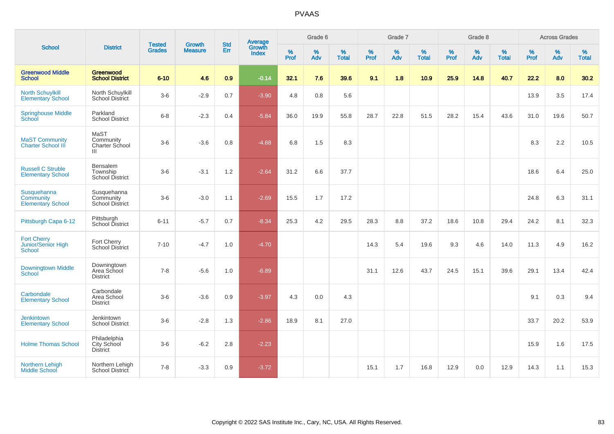| <b>School</b>                                                      |                                                       | <b>Tested</b> | <b>Growth</b>  | <b>Std</b> |                                          |              | Grade 6     |                   |           | Grade 7  |                   |              | Grade 8  |                   |              | <b>Across Grades</b> |                   |
|--------------------------------------------------------------------|-------------------------------------------------------|---------------|----------------|------------|------------------------------------------|--------------|-------------|-------------------|-----------|----------|-------------------|--------------|----------|-------------------|--------------|----------------------|-------------------|
|                                                                    | <b>District</b>                                       | <b>Grades</b> | <b>Measure</b> | Err        | <b>Average</b><br>Growth<br><b>Index</b> | $\%$<br>Prof | $\%$<br>Adv | %<br><b>Total</b> | %<br>Prof | %<br>Adv | %<br><b>Total</b> | $\%$<br>Prof | %<br>Adv | %<br><b>Total</b> | $\%$<br>Prof | $\%$<br>Adv          | %<br><b>Total</b> |
| <b>Greenwood Middle</b><br><b>School</b>                           | Greenwood<br><b>School District</b>                   | $6 - 10$      | 4.6            | 0.9        | $-0.14$                                  | 32.1         | 7.6         | 39.6              | 9.1       | 1.8      | 10.9              | 25.9         | 14.8     | 40.7              | 22.2         | 8.0                  | 30.2              |
| <b>North Schuylkill</b><br><b>Elementary School</b>                | North Schuylkill<br><b>School District</b>            | $3-6$         | $-2.9$         | 0.7        | $-3.90$                                  | 4.8          | 0.8         | 5.6               |           |          |                   |              |          |                   | 13.9         | 3.5                  | 17.4              |
| <b>Springhouse Middle</b><br>School                                | Parkland<br><b>School District</b>                    | $6 - 8$       | $-2.3$         | 0.4        | $-5.84$                                  | 36.0         | 19.9        | 55.8              | 28.7      | 22.8     | 51.5              | 28.2         | 15.4     | 43.6              | 31.0         | 19.6                 | 50.7              |
| <b>MaST Community</b><br><b>Charter School III</b>                 | MaST<br>Community<br>Charter School<br>$\mathbf{III}$ | $3-6$         | $-3.6$         | 0.8        | $-4.68$                                  | 6.8          | 1.5         | 8.3               |           |          |                   |              |          |                   | 8.3          | 2.2                  | 10.5              |
| <b>Russell C Struble</b><br><b>Elementary School</b>               | Bensalem<br>Township<br>School District               | $3-6$         | $-3.1$         | $1.2\,$    | $-2.64$                                  | 31.2         | 6.6         | 37.7              |           |          |                   |              |          |                   | 18.6         | 6.4                  | 25.0              |
| <b>Susquehanna</b><br><b>Community</b><br><b>Elementary School</b> | Susquehanna<br>Community<br><b>School District</b>    | $3-6$         | $-3.0$         | 1.1        | $-2.69$                                  | 15.5         | 1.7         | 17.2              |           |          |                   |              |          |                   | 24.8         | 6.3                  | 31.1              |
| Pittsburgh Capa 6-12                                               | Pittsburgh<br>School District                         | $6 - 11$      | $-5.7$         | 0.7        | $-8.34$                                  | 25.3         | 4.2         | 29.5              | 28.3      | 8.8      | 37.2              | 18.6         | 10.8     | 29.4              | 24.2         | 8.1                  | 32.3              |
| <b>Fort Cherry</b><br>Junior/Senior High<br><b>School</b>          | Fort Cherry<br><b>School District</b>                 | $7 - 10$      | $-4.7$         | 1.0        | $-4.70$                                  |              |             |                   | 14.3      | 5.4      | 19.6              | 9.3          | 4.6      | 14.0              | 11.3         | 4.9                  | 16.2              |
| <b>Downingtown Middle</b><br><b>School</b>                         | Downingtown<br>Area School<br><b>District</b>         | $7 - 8$       | $-5.6$         | 1.0        | $-6.89$                                  |              |             |                   | 31.1      | 12.6     | 43.7              | 24.5         | 15.1     | 39.6              | 29.1         | 13.4                 | 42.4              |
| Carbondale<br><b>Elementary School</b>                             | Carbondale<br>Area School<br><b>District</b>          | $3-6$         | $-3.6$         | 0.9        | $-3.97$                                  | 4.3          | 0.0         | 4.3               |           |          |                   |              |          |                   | 9.1          | 0.3                  | 9.4               |
| <b>Jenkintown</b><br><b>Elementary School</b>                      | Jenkintown<br><b>School District</b>                  | $3-6$         | $-2.8$         | 1.3        | $-2.86$                                  | 18.9         | 8.1         | 27.0              |           |          |                   |              |          |                   | 33.7         | 20.2                 | 53.9              |
| <b>Holme Thomas School</b>                                         | Philadelphia<br>City School<br><b>District</b>        | $3-6$         | $-6.2$         | 2.8        | $-2.23$                                  |              |             |                   |           |          |                   |              |          |                   | 15.9         | 1.6                  | 17.5              |
| Northern Lehigh<br>Middle School                                   | Northern Lehigh<br>School District                    | $7 - 8$       | $-3.3$         | 0.9        | $-3.72$                                  |              |             |                   | 15.1      | 1.7      | 16.8              | 12.9         | 0.0      | 12.9              | 14.3         | 1.1                  | 15.3              |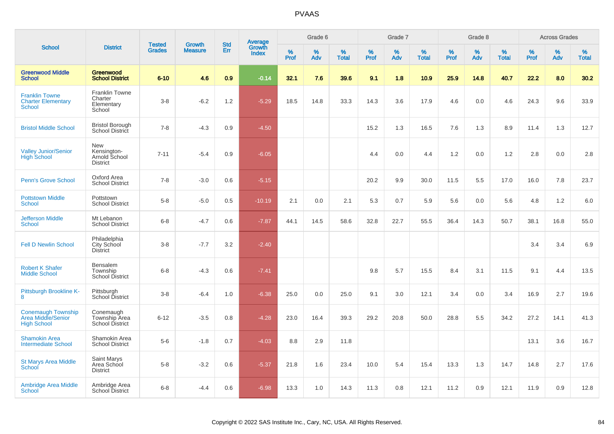|                                                                       |                                                        | <b>Tested</b> | <b>Growth</b>  | <b>Std</b> |                                          |                  | Grade 6  |                   |              | Grade 7  |                   |              | Grade 8  |                   |              | <b>Across Grades</b> |                   |
|-----------------------------------------------------------------------|--------------------------------------------------------|---------------|----------------|------------|------------------------------------------|------------------|----------|-------------------|--------------|----------|-------------------|--------------|----------|-------------------|--------------|----------------------|-------------------|
| <b>School</b>                                                         | <b>District</b>                                        | <b>Grades</b> | <b>Measure</b> | Err        | <b>Average</b><br>Growth<br><b>Index</b> | %<br><b>Prof</b> | %<br>Adv | %<br><b>Total</b> | $\%$<br>Prof | %<br>Adv | %<br><b>Total</b> | $\%$<br>Prof | %<br>Adv | %<br><b>Total</b> | $\%$<br>Prof | $\%$<br>Adv          | %<br><b>Total</b> |
| <b>Greenwood Middle</b><br><b>School</b>                              | <b>Greenwood</b><br><b>School District</b>             | $6 - 10$      | 4.6            | 0.9        | $-0.14$                                  | 32.1             | 7.6      | 39.6              | 9.1          | 1.8      | 10.9              | 25.9         | 14.8     | 40.7              | 22.2         | 8.0                  | 30.2              |
| <b>Franklin Towne</b><br><b>Charter Elementary</b><br>School          | Franklin Towne<br>Charter<br>Elementary<br>School      | $3-8$         | $-6.2$         | 1.2        | $-5.29$                                  | 18.5             | 14.8     | 33.3              | 14.3         | 3.6      | 17.9              | 4.6          | 0.0      | 4.6               | 24.3         | 9.6                  | 33.9              |
| <b>Bristol Middle School</b>                                          | <b>Bristol Borough</b><br>School District              | $7 - 8$       | $-4.3$         | 0.9        | $-4.50$                                  |                  |          |                   | 15.2         | 1.3      | 16.5              | 7.6          | 1.3      | 8.9               | 11.4         | 1.3                  | 12.7              |
| <b>Valley Junior/Senior</b><br><b>High School</b>                     | New<br>Kensington-<br>Arnold School<br><b>District</b> | $7 - 11$      | $-5.4$         | 0.9        | $-6.05$                                  |                  |          |                   | 4.4          | 0.0      | 4.4               | 1.2          | 0.0      | 1.2               | 2.8          | 0.0                  | 2.8               |
| <b>Penn's Grove School</b>                                            | Oxford Area<br><b>School District</b>                  | $7 - 8$       | $-3.0$         | 0.6        | $-5.15$                                  |                  |          |                   | 20.2         | 9.9      | 30.0              | 11.5         | 5.5      | 17.0              | 16.0         | 7.8                  | 23.7              |
| <b>Pottstown Middle</b><br>School                                     | Pottstown<br><b>School District</b>                    | $5-8$         | $-5.0$         | 0.5        | $-10.19$                                 | 2.1              | 0.0      | 2.1               | 5.3          | 0.7      | 5.9               | 5.6          | 0.0      | 5.6               | 4.8          | $1.2$                | 6.0               |
| <b>Jefferson Middle</b><br><b>School</b>                              | Mt Lebanon<br><b>School District</b>                   | $6 - 8$       | $-4.7$         | 0.6        | $-7.87$                                  | 44.1             | 14.5     | 58.6              | 32.8         | 22.7     | 55.5              | 36.4         | 14.3     | 50.7              | 38.1         | 16.8                 | 55.0              |
| <b>Fell D Newlin School</b>                                           | Philadelphia<br>City School<br><b>District</b>         | $3-8$         | $-7.7$         | 3.2        | $-2.40$                                  |                  |          |                   |              |          |                   |              |          |                   | 3.4          | 3.4                  | 6.9               |
| <b>Robert K Shafer</b><br><b>Middle School</b>                        | Bensalem<br>Township<br>School District                | $6 - 8$       | $-4.3$         | 0.6        | $-7.41$                                  |                  |          |                   | 9.8          | 5.7      | 15.5              | 8.4          | 3.1      | 11.5              | 9.1          | 4.4                  | 13.5              |
| Pittsburgh Brookline K-<br>8                                          | Pittsburgh<br>School District                          | $3 - 8$       | $-6.4$         | 1.0        | $-6.38$                                  | 25.0             | 0.0      | 25.0              | 9.1          | 3.0      | 12.1              | 3.4          | 0.0      | 3.4               | 16.9         | 2.7                  | 19.6              |
| <b>Conemaugh Township</b><br>Area Middle/Senior<br><b>High School</b> | Conemaugh<br>Township Area<br>School District          | $6 - 12$      | $-3.5$         | 0.8        | $-4.28$                                  | 23.0             | 16.4     | 39.3              | 29.2         | 20.8     | 50.0              | 28.8         | 5.5      | 34.2              | 27.2         | 14.1                 | 41.3              |
| <b>Shamokin Area</b><br><b>Intermediate School</b>                    | Shamokin Area<br><b>School District</b>                | $5-6$         | $-1.8$         | 0.7        | $-4.03$                                  | 8.8              | 2.9      | 11.8              |              |          |                   |              |          |                   | 13.1         | 3.6                  | 16.7              |
| <b>St Marys Area Middle</b><br>School                                 | <b>Saint Marys</b><br>Area School<br><b>District</b>   | $5-8$         | $-3.2$         | 0.6        | $-5.37$                                  | 21.8             | 1.6      | 23.4              | 10.0         | 5.4      | 15.4              | 13.3         | 1.3      | 14.7              | 14.8         | 2.7                  | 17.6              |
| <b>Ambridge Area Middle</b><br>School                                 | Ambridge Area<br><b>School District</b>                | $6 - 8$       | $-4.4$         | 0.6        | $-6.98$                                  | 13.3             | 1.0      | 14.3              | 11.3         | 0.8      | 12.1              | 11.2         | 0.9      | 12.1              | 11.9         | 0.9                  | 12.8              |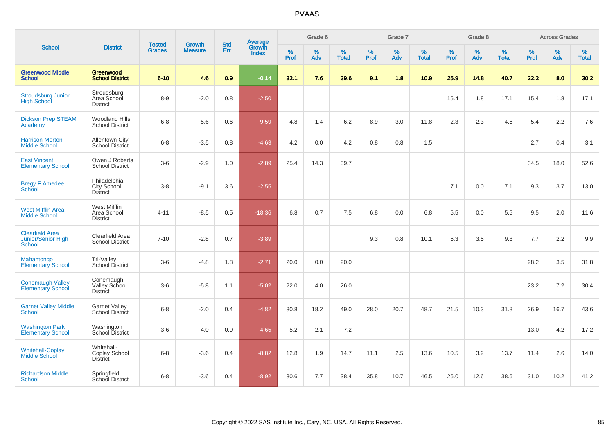| <b>School</b>                                                        | <b>District</b>                                 | <b>Tested</b> |                                 | <b>Std</b> |                                          |           | Grade 6  |                   |           | Grade 7  |                   |           | Grade 8  |                   |              | <b>Across Grades</b> |                   |
|----------------------------------------------------------------------|-------------------------------------------------|---------------|---------------------------------|------------|------------------------------------------|-----------|----------|-------------------|-----------|----------|-------------------|-----------|----------|-------------------|--------------|----------------------|-------------------|
|                                                                      |                                                 | <b>Grades</b> | <b>Growth</b><br><b>Measure</b> | Err        | <b>Average</b><br>Growth<br><b>Index</b> | %<br>Prof | %<br>Adv | %<br><b>Total</b> | %<br>Prof | %<br>Adv | %<br><b>Total</b> | %<br>Prof | %<br>Adv | %<br><b>Total</b> | $\%$<br>Prof | $\%$<br>Adv          | %<br><b>Total</b> |
| <b>Greenwood Middle</b><br><b>School</b>                             | Greenwood<br><b>School District</b>             | $6 - 10$      | 4.6                             | 0.9        | $-0.14$                                  | 32.1      | 7.6      | 39.6              | 9.1       | 1.8      | 10.9              | 25.9      | 14.8     | 40.7              | 22.2         | 8.0                  | 30.2              |
| <b>Stroudsburg Junior</b><br><b>High School</b>                      | Stroudsburg<br>Area School<br><b>District</b>   | $8-9$         | $-2.0$                          | 0.8        | $-2.50$                                  |           |          |                   |           |          |                   | 15.4      | 1.8      | 17.1              | 15.4         | 1.8                  | 17.1              |
| <b>Dickson Prep STEAM</b><br>Academy                                 | <b>Woodland Hills</b><br><b>School District</b> | $6 - 8$       | $-5.6$                          | 0.6        | $-9.59$                                  | 4.8       | 1.4      | 6.2               | 8.9       | 3.0      | 11.8              | 2.3       | 2.3      | 4.6               | 5.4          | 2.2                  | 7.6               |
| <b>Harrison-Morton</b><br><b>Middle School</b>                       | <b>Allentown City</b><br>School District        | $6 - 8$       | $-3.5$                          | 0.8        | $-4.63$                                  | 4.2       | 0.0      | 4.2               | 0.8       | 0.8      | 1.5               |           |          |                   | 2.7          | 0.4                  | 3.1               |
| <b>East Vincent</b><br><b>Elementary School</b>                      | Owen J Roberts<br>School District               | $3-6$         | $-2.9$                          | 1.0        | $-2.89$                                  | 25.4      | 14.3     | 39.7              |           |          |                   |           |          |                   | 34.5         | 18.0                 | 52.6              |
| <b>Bregy F Amedee</b><br><b>School</b>                               | Philadelphia<br>City School<br><b>District</b>  | $3-8$         | $-9.1$                          | 3.6        | $-2.55$                                  |           |          |                   |           |          |                   | 7.1       | 0.0      | 7.1               | 9.3          | 3.7                  | 13.0              |
| <b>West Mifflin Area</b><br><b>Middle School</b>                     | West Mifflin<br>Area School<br><b>District</b>  | $4 - 11$      | $-8.5$                          | 0.5        | $-18.36$                                 | 6.8       | 0.7      | 7.5               | 6.8       | 0.0      | 6.8               | 5.5       | 0.0      | 5.5               | 9.5          | 2.0                  | 11.6              |
| <b>Clearfield Area</b><br><b>Junior/Senior High</b><br><b>School</b> | Clearfield Area<br><b>School District</b>       | $7 - 10$      | $-2.8$                          | 0.7        | $-3.89$                                  |           |          |                   | 9.3       | 0.8      | 10.1              | 6.3       | 3.5      | 9.8               | 7.7          | 2.2                  | 9.9               |
| Mahantongo<br><b>Elementary School</b>                               | Tri-Valley<br>School District                   | $3-6$         | $-4.8$                          | 1.8        | $-2.71$                                  | 20.0      | 0.0      | 20.0              |           |          |                   |           |          |                   | 28.2         | 3.5                  | 31.8              |
| <b>Conemaugh Valley</b><br><b>Elementary School</b>                  | Conemaugh<br>Valley School<br>District          | $3-6$         | $-5.8$                          | 1.1        | $-5.02$                                  | 22.0      | 4.0      | 26.0              |           |          |                   |           |          |                   | 23.2         | 7.2                  | 30.4              |
| <b>Garnet Valley Middle</b><br>School                                | <b>Garnet Valley</b><br>School District         | $6 - 8$       | $-2.0$                          | 0.4        | $-4.82$                                  | 30.8      | 18.2     | 49.0              | 28.0      | 20.7     | 48.7              | 21.5      | 10.3     | 31.8              | 26.9         | 16.7                 | 43.6              |
| <b>Washington Park</b><br><b>Elementary School</b>                   | Washington<br>School District                   | $3-6$         | $-4.0$                          | 0.9        | $-4.65$                                  | 5.2       | 2.1      | 7.2               |           |          |                   |           |          |                   | 13.0         | 4.2                  | 17.2              |
| <b>Whitehall-Coplay</b><br><b>Middle School</b>                      | Whitehall-<br>Coplay School<br><b>District</b>  | $6 - 8$       | $-3.6$                          | 0.4        | $-8.82$                                  | 12.8      | 1.9      | 14.7              | 11.1      | 2.5      | 13.6              | 10.5      | 3.2      | 13.7              | 11.4         | 2.6                  | 14.0              |
| <b>Richardson Middle</b><br>School                                   | Springfield<br>School District                  | $6 - 8$       | $-3.6$                          | 0.4        | $-8.92$                                  | 30.6      | 7.7      | 38.4              | 35.8      | 10.7     | 46.5              | 26.0      | 12.6     | 38.6              | 31.0         | 10.2                 | 41.2              |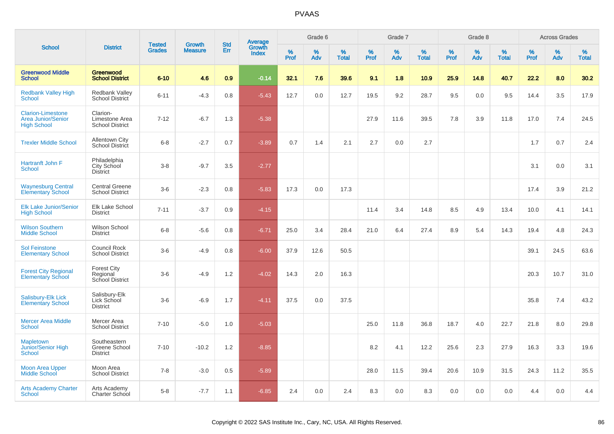| <b>School</b>                                                               | <b>District</b>                                      | <b>Tested</b> | <b>Growth</b>  | <b>Std</b> | <b>Average</b><br>Growth |                  | Grade 6  |                   |           | Grade 7  |                   |           | Grade 8  |                   |           | <b>Across Grades</b> |                   |
|-----------------------------------------------------------------------------|------------------------------------------------------|---------------|----------------|------------|--------------------------|------------------|----------|-------------------|-----------|----------|-------------------|-----------|----------|-------------------|-----------|----------------------|-------------------|
|                                                                             |                                                      | <b>Grades</b> | <b>Measure</b> | Err        | <b>Index</b>             | %<br><b>Prof</b> | %<br>Adv | %<br><b>Total</b> | %<br>Prof | %<br>Adv | %<br><b>Total</b> | %<br>Prof | %<br>Adv | %<br><b>Total</b> | %<br>Prof | %<br>Adv             | %<br><b>Total</b> |
| <b>Greenwood Middle</b><br><b>School</b>                                    | Greenwood<br><b>School District</b>                  | $6 - 10$      | 4.6            | 0.9        | $-0.14$                  | 32.1             | 7.6      | 39.6              | 9.1       | 1.8      | 10.9              | 25.9      | 14.8     | 40.7              | 22.2      | 8.0                  | 30.2              |
| <b>Redbank Valley High</b><br><b>School</b>                                 | <b>Redbank Valley</b><br><b>School District</b>      | $6 - 11$      | $-4.3$         | 0.8        | $-5.43$                  | 12.7             | 0.0      | 12.7              | 19.5      | 9.2      | 28.7              | 9.5       | 0.0      | 9.5               | 14.4      | 3.5                  | 17.9              |
| <b>Clarion-Limestone</b><br><b>Area Junior/Senior</b><br><b>High School</b> | Clarion-<br>Limestone Area<br><b>School District</b> | $7 - 12$      | $-6.7$         | 1.3        | $-5.38$                  |                  |          |                   | 27.9      | 11.6     | 39.5              | 7.8       | 3.9      | 11.8              | 17.0      | 7.4                  | 24.5              |
| <b>Trexler Middle School</b>                                                | <b>Allentown City</b><br><b>School District</b>      | $6 - 8$       | $-2.7$         | 0.7        | $-3.89$                  | 0.7              | 1.4      | 2.1               | 2.7       | 0.0      | 2.7               |           |          |                   | 1.7       | 0.7                  | 2.4               |
| Hartranft John F<br>School                                                  | Philadelphia<br>City School<br><b>District</b>       | $3 - 8$       | $-9.7$         | 3.5        | $-2.77$                  |                  |          |                   |           |          |                   |           |          |                   | 3.1       | 0.0                  | 3.1               |
| <b>Waynesburg Central</b><br><b>Elementary School</b>                       | <b>Central Greene</b><br><b>School District</b>      | $3-6$         | $-2.3$         | 0.8        | $-5.83$                  | 17.3             | 0.0      | 17.3              |           |          |                   |           |          |                   | 17.4      | 3.9                  | 21.2              |
| <b>Elk Lake Junior/Senior</b><br><b>High School</b>                         | Elk Lake School<br><b>District</b>                   | $7 - 11$      | $-3.7$         | 0.9        | $-4.15$                  |                  |          |                   | 11.4      | 3.4      | 14.8              | 8.5       | 4.9      | 13.4              | 10.0      | 4.1                  | 14.1              |
| <b>Wilson Southern</b><br><b>Middle School</b>                              | Wilson School<br><b>District</b>                     | $6 - 8$       | $-5.6$         | 0.8        | $-6.71$                  | 25.0             | 3.4      | 28.4              | 21.0      | 6.4      | 27.4              | 8.9       | 5.4      | 14.3              | 19.4      | 4.8                  | 24.3              |
| <b>Sol Feinstone</b><br><b>Elementary School</b>                            | <b>Council Rock</b><br><b>School District</b>        | $3-6$         | $-4.9$         | 0.8        | $-6.00$                  | 37.9             | 12.6     | 50.5              |           |          |                   |           |          |                   | 39.1      | 24.5                 | 63.6              |
| <b>Forest City Regional</b><br><b>Elementary School</b>                     | <b>Forest City</b><br>Regional<br>School District    | $3-6$         | $-4.9$         | 1.2        | $-4.02$                  | 14.3             | 2.0      | 16.3              |           |          |                   |           |          |                   | 20.3      | 10.7                 | 31.0              |
| <b>Salisbury-Elk Lick</b><br><b>Elementary School</b>                       | Salisbury-Elk<br>Lick School<br><b>District</b>      | $3-6$         | $-6.9$         | 1.7        | $-4.11$                  | 37.5             | 0.0      | 37.5              |           |          |                   |           |          |                   | 35.8      | 7.4                  | 43.2              |
| <b>Mercer Area Middle</b><br>School                                         | Mercer Area<br><b>School District</b>                | $7 - 10$      | $-5.0$         | 1.0        | $-5.03$                  |                  |          |                   | 25.0      | 11.8     | 36.8              | 18.7      | 4.0      | 22.7              | 21.8      | 8.0                  | 29.8              |
| <b>Mapletown</b><br>Junior/Senior High<br><b>School</b>                     | Southeastern<br>Greene School<br><b>District</b>     | $7 - 10$      | $-10.2$        | 1.2        | $-8.85$                  |                  |          |                   | 8.2       | 4.1      | 12.2              | 25.6      | 2.3      | 27.9              | 16.3      | 3.3                  | 19.6              |
| <b>Moon Area Upper</b><br><b>Middle School</b>                              | Moon Area<br><b>School District</b>                  | $7 - 8$       | $-3.0$         | 0.5        | $-5.89$                  |                  |          |                   | 28.0      | 11.5     | 39.4              | 20.6      | 10.9     | 31.5              | 24.3      | 11.2                 | 35.5              |
| <b>Arts Academy Charter</b><br>School                                       | Arts Academy<br>Charter School                       | $5-8$         | $-7.7$         | 1.1        | $-6.85$                  | 2.4              | 0.0      | 2.4               | 8.3       | 0.0      | 8.3               | 0.0       | 0.0      | 0.0               | 4.4       | 0.0                  | 4.4               |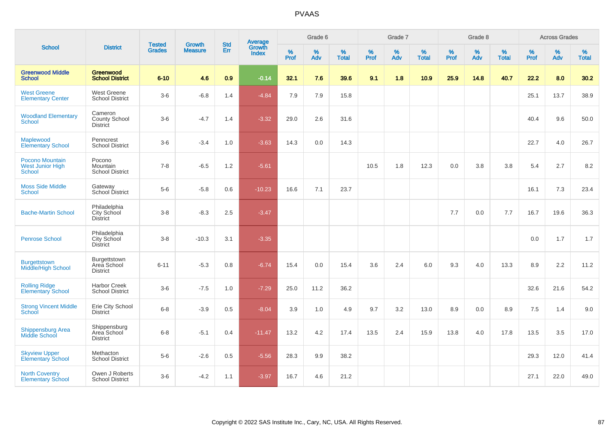| <b>School</b>                                               | <b>District</b>                                       | <b>Tested</b> | <b>Growth</b>  | <b>Std</b> |                                          |                  | Grade 6     |                   |              | Grade 7     |                   |                     | Grade 8  |                   |           | <b>Across Grades</b> |                   |
|-------------------------------------------------------------|-------------------------------------------------------|---------------|----------------|------------|------------------------------------------|------------------|-------------|-------------------|--------------|-------------|-------------------|---------------------|----------|-------------------|-----------|----------------------|-------------------|
|                                                             |                                                       | <b>Grades</b> | <b>Measure</b> | Err        | <b>Average</b><br>Growth<br><b>Index</b> | %<br><b>Prof</b> | $\%$<br>Adv | %<br><b>Total</b> | $\%$<br>Prof | $\%$<br>Adv | %<br><b>Total</b> | $\%$<br><b>Prof</b> | %<br>Adv | %<br><b>Total</b> | %<br>Prof | %<br>Adv             | %<br><b>Total</b> |
| <b>Greenwood Middle</b><br><b>School</b>                    | Greenwood<br><b>School District</b>                   | $6 - 10$      | 4.6            | 0.9        | $-0.14$                                  | 32.1             | 7.6         | 39.6              | 9.1          | 1.8         | 10.9              | 25.9                | 14.8     | 40.7              | 22.2      | 8.0                  | 30.2              |
| <b>West Greene</b><br><b>Elementary Center</b>              | West Greene<br><b>School District</b>                 | $3-6$         | $-6.8$         | 1.4        | $-4.84$                                  | 7.9              | 7.9         | 15.8              |              |             |                   |                     |          |                   | 25.1      | 13.7                 | 38.9              |
| <b>Woodland Elementary</b><br><b>School</b>                 | Cameron<br>County School<br><b>District</b>           | $3-6$         | $-4.7$         | 1.4        | $-3.32$                                  | 29.0             | 2.6         | 31.6              |              |             |                   |                     |          |                   | 40.4      | 9.6                  | 50.0              |
| Maplewood<br><b>Elementary School</b>                       | Penncrest<br><b>School District</b>                   | $3-6$         | $-3.4$         | 1.0        | $-3.63$                                  | 14.3             | 0.0         | 14.3              |              |             |                   |                     |          |                   | 22.7      | 4.0                  | 26.7              |
| Pocono Mountain<br><b>West Junior High</b><br><b>School</b> | Pocono<br>Mountain<br><b>School District</b>          | $7 - 8$       | $-6.5$         | 1.2        | $-5.61$                                  |                  |             |                   | 10.5         | 1.8         | 12.3              | 0.0                 | 3.8      | 3.8               | 5.4       | 2.7                  | 8.2               |
| <b>Moss Side Middle</b><br><b>School</b>                    | Gateway<br>School District                            | $5-6$         | $-5.8$         | 0.6        | $-10.23$                                 | 16.6             | 7.1         | 23.7              |              |             |                   |                     |          |                   | 16.1      | 7.3                  | 23.4              |
| <b>Bache-Martin School</b>                                  | Philadelphia<br>City School<br><b>District</b>        | $3 - 8$       | $-8.3$         | 2.5        | $-3.47$                                  |                  |             |                   |              |             |                   | 7.7                 | 0.0      | 7.7               | 16.7      | 19.6                 | 36.3              |
| <b>Penrose School</b>                                       | Philadelphia<br><b>City School</b><br><b>District</b> | $3-8$         | $-10.3$        | 3.1        | $-3.35$                                  |                  |             |                   |              |             |                   |                     |          |                   | 0.0       | 1.7                  | 1.7               |
| <b>Burgettstown</b><br>Middle/High School                   | Burgettstown<br>Area School<br><b>District</b>        | $6 - 11$      | $-5.3$         | 0.8        | $-6.74$                                  | 15.4             | 0.0         | 15.4              | 3.6          | 2.4         | 6.0               | 9.3                 | 4.0      | 13.3              | 8.9       | 2.2                  | 11.2              |
| <b>Rolling Ridge</b><br><b>Elementary School</b>            | <b>Harbor Creek</b><br><b>School District</b>         | $3-6$         | $-7.5$         | 1.0        | $-7.29$                                  | 25.0             | 11.2        | 36.2              |              |             |                   |                     |          |                   | 32.6      | 21.6                 | 54.2              |
| <b>Strong Vincent Middle</b><br>School                      | Erie City School<br><b>District</b>                   | $6 - 8$       | $-3.9$         | 0.5        | $-8.04$                                  | 3.9              | 1.0         | 4.9               | 9.7          | 3.2         | 13.0              | 8.9                 | 0.0      | 8.9               | 7.5       | 1.4                  | 9.0               |
| <b>Shippensburg Area</b><br><b>Middle School</b>            | Shippensburg<br>Area School<br><b>District</b>        | $6 - 8$       | $-5.1$         | 0.4        | $-11.47$                                 | 13.2             | 4.2         | 17.4              | 13.5         | 2.4         | 15.9              | 13.8                | 4.0      | 17.8              | 13.5      | 3.5                  | 17.0              |
| <b>Skyview Upper</b><br>Elementary School                   | Methacton<br><b>School District</b>                   | $5-6$         | $-2.6$         | 0.5        | $-5.56$                                  | 28.3             | 9.9         | 38.2              |              |             |                   |                     |          |                   | 29.3      | 12.0                 | 41.4              |
| <b>North Coventry</b><br><b>Elementary School</b>           | Owen J Roberts<br><b>School District</b>              | $3-6$         | $-4.2$         | 1.1        | $-3.97$                                  | 16.7             | 4.6         | 21.2              |              |             |                   |                     |          |                   | 27.1      | 22.0                 | 49.0              |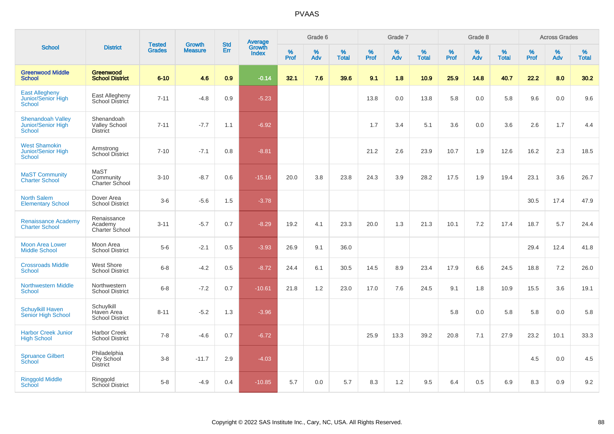| <b>School</b>                                                   | <b>Tested</b><br><b>District</b>                      |               | <b>Growth</b>  | <b>Std</b> |                                          |                  | Grade 6     |                   |              | Grade 7     |                      |              | Grade 8  |                   |              | <b>Across Grades</b> |                      |
|-----------------------------------------------------------------|-------------------------------------------------------|---------------|----------------|------------|------------------------------------------|------------------|-------------|-------------------|--------------|-------------|----------------------|--------------|----------|-------------------|--------------|----------------------|----------------------|
|                                                                 |                                                       | <b>Grades</b> | <b>Measure</b> | Err        | <b>Average</b><br>Growth<br><b>Index</b> | %<br><b>Prof</b> | $\%$<br>Adv | %<br><b>Total</b> | $\%$<br>Prof | $\%$<br>Adv | $\%$<br><b>Total</b> | $\%$<br>Prof | %<br>Adv | %<br><b>Total</b> | $\%$<br>Prof | $\%$<br>Adv          | $\%$<br><b>Total</b> |
| <b>Greenwood Middle</b><br><b>School</b>                        | Greenwood<br><b>School District</b>                   | $6 - 10$      | 4.6            | 0.9        | $-0.14$                                  | 32.1             | 7.6         | 39.6              | 9.1          | 1.8         | 10.9                 | 25.9         | 14.8     | 40.7              | 22.2         | 8.0                  | 30.2                 |
| <b>East Allegheny</b><br>Junior/Senior High<br>School           | East Allegheny<br>School District                     | $7 - 11$      | $-4.8$         | 0.9        | $-5.23$                                  |                  |             |                   | 13.8         | 0.0         | 13.8                 | 5.8          | 0.0      | 5.8               | 9.6          | 0.0                  | 9.6                  |
| <b>Shenandoah Valley</b><br>Junior/Senior High<br><b>School</b> | Shenandoah<br><b>Valley School</b><br><b>District</b> | $7 - 11$      | $-7.7$         | 1.1        | $-6.92$                                  |                  |             |                   | 1.7          | 3.4         | 5.1                  | 3.6          | 0.0      | 3.6               | 2.6          | 1.7                  | 4.4                  |
| <b>West Shamokin</b><br>Junior/Senior High<br>School            | Armstrong<br><b>School District</b>                   | $7 - 10$      | $-7.1$         | 0.8        | $-8.81$                                  |                  |             |                   | 21.2         | 2.6         | 23.9                 | 10.7         | 1.9      | 12.6              | 16.2         | 2.3                  | 18.5                 |
| <b>MaST Community</b><br><b>Charter School</b>                  | MaST<br>Community<br>Charter School                   | $3 - 10$      | $-8.7$         | 0.6        | $-15.16$                                 | 20.0             | 3.8         | 23.8              | 24.3         | 3.9         | 28.2                 | 17.5         | 1.9      | 19.4              | 23.1         | 3.6                  | 26.7                 |
| <b>North Salem</b><br><b>Elementary School</b>                  | Dover Area<br><b>School District</b>                  | $3-6$         | $-5.6$         | 1.5        | $-3.78$                                  |                  |             |                   |              |             |                      |              |          |                   | 30.5         | 17.4                 | 47.9                 |
| <b>Renaissance Academy</b><br><b>Charter School</b>             | Renaissance<br>Academy<br>Charter School              | $3 - 11$      | $-5.7$         | 0.7        | $-8.29$                                  | 19.2             | 4.1         | 23.3              | 20.0         | 1.3         | 21.3                 | 10.1         | 7.2      | 17.4              | 18.7         | 5.7                  | 24.4                 |
| <b>Moon Area Lower</b><br><b>Middle School</b>                  | Moon Area<br><b>School District</b>                   | $5-6$         | $-2.1$         | 0.5        | $-3.93$                                  | 26.9             | 9.1         | 36.0              |              |             |                      |              |          |                   | 29.4         | 12.4                 | 41.8                 |
| <b>Crossroads Middle</b><br><b>School</b>                       | West Shore<br><b>School District</b>                  | $6 - 8$       | $-4.2$         | 0.5        | $-8.72$                                  | 24.4             | 6.1         | 30.5              | 14.5         | 8.9         | 23.4                 | 17.9         | 6.6      | 24.5              | 18.8         | 7.2                  | 26.0                 |
| <b>Northwestern Middle</b><br><b>School</b>                     | Northwestern<br><b>School District</b>                | $6 - 8$       | $-7.2$         | 0.7        | $-10.61$                                 | 21.8             | 1.2         | 23.0              | 17.0         | 7.6         | 24.5                 | 9.1          | 1.8      | 10.9              | 15.5         | 3.6                  | 19.1                 |
| <b>Schuylkill Haven</b><br>Senior High School                   | Schuylkill<br>Haven Area<br><b>School District</b>    | $8 - 11$      | $-5.2$         | 1.3        | $-3.96$                                  |                  |             |                   |              |             |                      | 5.8          | 0.0      | 5.8               | 5.8          | 0.0                  | 5.8                  |
| <b>Harbor Creek Junior</b><br><b>High School</b>                | <b>Harbor Creek</b><br><b>School District</b>         | $7 - 8$       | $-4.6$         | 0.7        | $-6.72$                                  |                  |             |                   | 25.9         | 13.3        | 39.2                 | 20.8         | 7.1      | 27.9              | 23.2         | 10.1                 | 33.3                 |
| <b>Spruance Gilbert</b><br>School                               | Philadelphia<br>City School<br><b>District</b>        | $3-8$         | $-11.7$        | 2.9        | $-4.03$                                  |                  |             |                   |              |             |                      |              |          |                   | 4.5          | 0.0                  | 4.5                  |
| <b>Ringgold Middle</b><br>School                                | Ringgold<br>School District                           | $5-8$         | $-4.9$         | 0.4        | $-10.85$                                 | 5.7              | 0.0         | 5.7               | 8.3          | 1.2         | 9.5                  | 6.4          | 0.5      | 6.9               | 8.3          | 0.9                  | 9.2                  |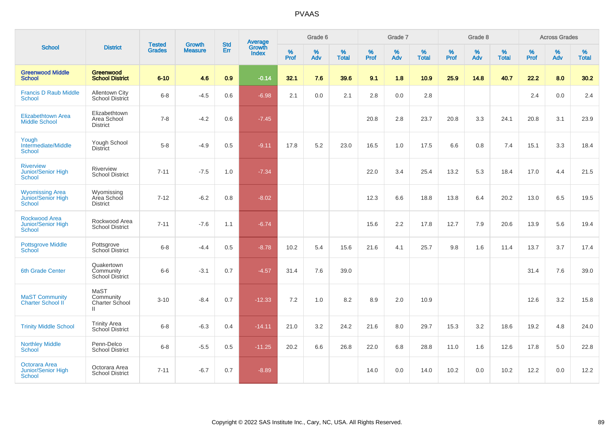| <b>School</b>                                                        | <b>District</b>                                     | <b>Tested</b> | <b>Growth</b>  | <b>Std</b> | <b>Average</b><br>Growth |                  | Grade 6  |                   |                  | Grade 7  |                   |           | Grade 8  |                   |           | <b>Across Grades</b> |                   |
|----------------------------------------------------------------------|-----------------------------------------------------|---------------|----------------|------------|--------------------------|------------------|----------|-------------------|------------------|----------|-------------------|-----------|----------|-------------------|-----------|----------------------|-------------------|
|                                                                      |                                                     | <b>Grades</b> | <b>Measure</b> | Err        | <b>Index</b>             | %<br><b>Prof</b> | %<br>Adv | %<br><b>Total</b> | %<br><b>Prof</b> | %<br>Adv | %<br><b>Total</b> | %<br>Prof | %<br>Adv | %<br><b>Total</b> | %<br>Prof | %<br>Adv             | %<br><b>Total</b> |
| <b>Greenwood Middle</b><br><b>School</b>                             | Greenwood<br><b>School District</b>                 | $6 - 10$      | 4.6            | 0.9        | $-0.14$                  | 32.1             | 7.6      | 39.6              | 9.1              | 1.8      | 10.9              | 25.9      | 14.8     | 40.7              | 22.2      | 8.0                  | 30.2              |
| <b>Francis D Raub Middle</b><br><b>School</b>                        | <b>Allentown City</b><br>School District            | $6 - 8$       | $-4.5$         | 0.6        | $-6.98$                  | 2.1              | 0.0      | 2.1               | 2.8              | 0.0      | 2.8               |           |          |                   | 2.4       | 0.0                  | 2.4               |
| Elizabethtown Area<br><b>Middle School</b>                           | Elizabethtown<br>Area School<br><b>District</b>     | $7 - 8$       | $-4.2$         | 0.6        | $-7.45$                  |                  |          |                   | 20.8             | 2.8      | 23.7              | 20.8      | 3.3      | 24.1              | 20.8      | 3.1                  | 23.9              |
| Yough<br>Intermediate/Middle<br><b>School</b>                        | Yough School<br><b>District</b>                     | $5-8$         | $-4.9$         | 0.5        | $-9.11$                  | 17.8             | 5.2      | 23.0              | 16.5             | 1.0      | 17.5              | 6.6       | 0.8      | 7.4               | 15.1      | 3.3                  | 18.4              |
| <b>Riverview</b><br><b>Junior/Senior High</b><br><b>School</b>       | Riverview<br><b>School District</b>                 | $7 - 11$      | $-7.5$         | 1.0        | $-7.34$                  |                  |          |                   | 22.0             | 3.4      | 25.4              | 13.2      | 5.3      | 18.4              | 17.0      | 4.4                  | 21.5              |
| <b>Wyomissing Area</b><br><b>Junior/Senior High</b><br><b>School</b> | Wyomissing<br>Area School<br><b>District</b>        | $7 - 12$      | $-6.2$         | 0.8        | $-8.02$                  |                  |          |                   | 12.3             | 6.6      | 18.8              | 13.8      | 6.4      | 20.2              | 13.0      | 6.5                  | 19.5              |
| <b>Rockwood Area</b><br><b>Junior/Senior High</b><br><b>School</b>   | Rockwood Area<br><b>School District</b>             | $7 - 11$      | $-7.6$         | 1.1        | $-6.74$                  |                  |          |                   | 15.6             | 2.2      | 17.8              | 12.7      | 7.9      | 20.6              | 13.9      | 5.6                  | 19.4              |
| <b>Pottsgrove Middle</b><br>School                                   | Pottsgrove<br>School District                       | $6-8$         | $-4.4$         | 0.5        | $-8.78$                  | 10.2             | 5.4      | 15.6              | 21.6             | 4.1      | 25.7              | 9.8       | 1.6      | 11.4              | 13.7      | 3.7                  | 17.4              |
| <b>6th Grade Center</b>                                              | Quakertown<br>Community<br>School District          | $6-6$         | $-3.1$         | 0.7        | $-4.57$                  | 31.4             | 7.6      | 39.0              |                  |          |                   |           |          |                   | 31.4      | 7.6                  | 39.0              |
| <b>MaST Community</b><br><b>Charter School II</b>                    | MaST<br>Community<br>Charter School<br>$\mathbf{H}$ | $3 - 10$      | $-8.4$         | 0.7        | $-12.33$                 | 7.2              | 1.0      | 8.2               | 8.9              | 2.0      | 10.9              |           |          |                   | 12.6      | 3.2                  | 15.8              |
| <b>Trinity Middle School</b>                                         | <b>Trinity Area</b><br><b>School District</b>       | $6 - 8$       | $-6.3$         | 0.4        | $-14.11$                 | 21.0             | 3.2      | 24.2              | 21.6             | 8.0      | 29.7              | 15.3      | 3.2      | 18.6              | 19.2      | 4.8                  | 24.0              |
| <b>Northley Middle</b><br><b>School</b>                              | Penn-Delco<br><b>School District</b>                | $6-8$         | $-5.5$         | 0.5        | $-11.25$                 | 20.2             | 6.6      | 26.8              | 22.0             | 6.8      | 28.8              | 11.0      | 1.6      | 12.6              | 17.8      | 5.0                  | 22.8              |
| Octorara Area<br>Junior/Senior High<br><b>School</b>                 | Octorara Area<br><b>School District</b>             | $7 - 11$      | $-6.7$         | 0.7        | $-8.89$                  |                  |          |                   | 14.0             | 0.0      | 14.0              | 10.2      | 0.0      | 10.2              | 12.2      | 0.0                  | 12.2              |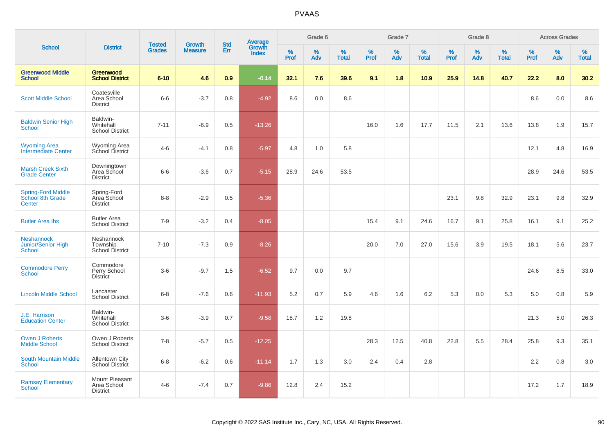| <b>School</b>                                            | <b>District</b>                                  |                                | <b>Growth</b>  | <b>Std</b> |                                          |                     | Grade 6     |                   |              | Grade 7     |                      |              | Grade 8  |                   |                     | <b>Across Grades</b> |                   |
|----------------------------------------------------------|--------------------------------------------------|--------------------------------|----------------|------------|------------------------------------------|---------------------|-------------|-------------------|--------------|-------------|----------------------|--------------|----------|-------------------|---------------------|----------------------|-------------------|
|                                                          |                                                  | <b>Tested</b><br><b>Grades</b> | <b>Measure</b> | Err        | <b>Average</b><br>Growth<br><b>Index</b> | $\%$<br><b>Prof</b> | $\%$<br>Adv | %<br><b>Total</b> | $\%$<br>Prof | $\%$<br>Adv | $\%$<br><b>Total</b> | $\%$<br>Prof | %<br>Adv | %<br><b>Total</b> | $\%$<br><b>Prof</b> | $\%$<br>Adv          | %<br><b>Total</b> |
| <b>Greenwood Middle</b><br><b>School</b>                 | <b>Greenwood</b><br><b>School District</b>       | $6 - 10$                       | 4.6            | 0.9        | $-0.14$                                  | 32.1                | 7.6         | 39.6              | 9.1          | 1.8         | 10.9                 | 25.9         | 14.8     | 40.7              | 22.2                | 8.0                  | 30.2              |
| <b>Scott Middle School</b>                               | Coatesville<br>Area School<br><b>District</b>    | $6-6$                          | $-3.7$         | 0.8        | $-4.92$                                  | 8.6                 | 0.0         | 8.6               |              |             |                      |              |          |                   | 8.6                 | 0.0                  | 8.6               |
| <b>Baldwin Senior High</b><br>School                     | Baldwin-<br>Whitehall<br><b>School District</b>  | $7 - 11$                       | $-6.9$         | 0.5        | $-13.26$                                 |                     |             |                   | 16.0         | 1.6         | 17.7                 | 11.5         | 2.1      | 13.6              | 13.8                | 1.9                  | 15.7              |
| <b>Wyoming Area</b><br>Intermediate Center               | Wyoming Area<br>School District                  | $4 - 6$                        | $-4.1$         | 0.8        | $-5.97$                                  | 4.8                 | 1.0         | 5.8               |              |             |                      |              |          |                   | 12.1                | 4.8                  | 16.9              |
| <b>Marsh Creek Sixth</b><br><b>Grade Center</b>          | Downingtown<br>Area School<br><b>District</b>    | $6-6$                          | $-3.6$         | 0.7        | $-5.15$                                  | 28.9                | 24.6        | 53.5              |              |             |                      |              |          |                   | 28.9                | 24.6                 | 53.5              |
| <b>Spring-Ford Middle</b><br>School 8th Grade<br>Center  | Spring-Ford<br>Area School<br><b>District</b>    | $8 - 8$                        | $-2.9$         | 0.5        | $-5.36$                                  |                     |             |                   |              |             |                      | 23.1         | 9.8      | 32.9              | 23.1                | 9.8                  | 32.9              |
| <b>Butler Area Ihs</b>                                   | <b>Butler Area</b><br><b>School District</b>     | $7 - 9$                        | $-3.2$         | 0.4        | $-8.05$                                  |                     |             |                   | 15.4         | 9.1         | 24.6                 | 16.7         | 9.1      | 25.8              | 16.1                | 9.1                  | 25.2              |
| <b>Neshannock</b><br>Junior/Senior High<br><b>School</b> | Neshannock<br>Township<br><b>School District</b> | $7 - 10$                       | $-7.3$         | 0.9        | $-8.26$                                  |                     |             |                   | 20.0         | 7.0         | 27.0                 | 15.6         | 3.9      | 19.5              | 18.1                | 5.6                  | 23.7              |
| <b>Commodore Perry</b><br><b>School</b>                  | Commodore<br>Perry School<br><b>District</b>     | $3-6$                          | $-9.7$         | 1.5        | $-6.52$                                  | 9.7                 | 0.0         | 9.7               |              |             |                      |              |          |                   | 24.6                | 8.5                  | 33.0              |
| <b>Lincoln Middle School</b>                             | Lancaster<br><b>School District</b>              | $6 - 8$                        | $-7.6$         | 0.6        | $-11.93$                                 | 5.2                 | 0.7         | 5.9               | 4.6          | 1.6         | 6.2                  | 5.3          | 0.0      | 5.3               | 5.0                 | 0.8                  | 5.9               |
| J.E. Harrison<br><b>Education Center</b>                 | Baldwin-<br>Whitehall<br><b>School District</b>  | $3-6$                          | $-3.9$         | 0.7        | $-9.58$                                  | 18.7                | 1.2         | 19.8              |              |             |                      |              |          |                   | 21.3                | 5.0                  | 26.3              |
| <b>Owen J Roberts</b><br><b>Middle School</b>            | Owen J Roberts<br><b>School District</b>         | $7 - 8$                        | $-5.7$         | 0.5        | $-12.25$                                 |                     |             |                   | 28.3         | 12.5        | 40.8                 | 22.8         | 5.5      | 28.4              | 25.8                | 9.3                  | 35.1              |
| <b>South Mountain Middle</b><br>School                   | <b>Allentown City</b><br><b>School District</b>  | $6 - 8$                        | $-6.2$         | 0.6        | $-11.14$                                 | 1.7                 | 1.3         | 3.0               | 2.4          | 0.4         | 2.8                  |              |          |                   | 2.2                 | 0.8                  | 3.0               |
| <b>Ramsay Elementary</b><br>School                       | Mount Pleasant<br>Area School<br><b>District</b> | $4 - 6$                        | $-7.4$         | 0.7        | $-9.86$                                  | 12.8                | 2.4         | 15.2              |              |             |                      |              |          |                   | 17.2                | 1.7                  | 18.9              |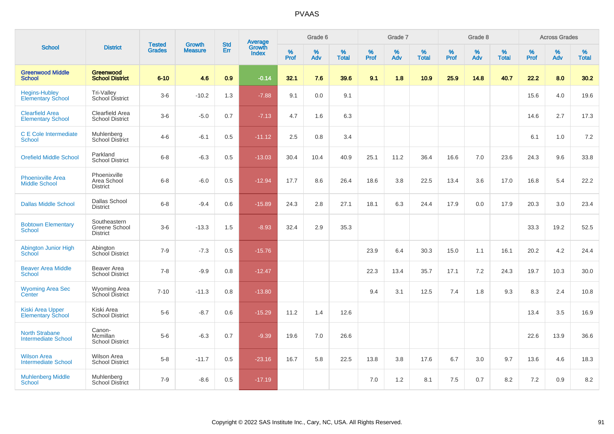| <b>School</b>                                       | <b>District</b>                                  | <b>Tested</b> | <b>Growth</b>  | <b>Std</b> |                                          |                  | Grade 6     |                   |           | Grade 7     |                      |           | Grade 8  |                   |              | <b>Across Grades</b> |                   |
|-----------------------------------------------------|--------------------------------------------------|---------------|----------------|------------|------------------------------------------|------------------|-------------|-------------------|-----------|-------------|----------------------|-----------|----------|-------------------|--------------|----------------------|-------------------|
|                                                     |                                                  | <b>Grades</b> | <b>Measure</b> | Err        | <b>Average</b><br>Growth<br><b>Index</b> | %<br><b>Prof</b> | $\%$<br>Adv | %<br><b>Total</b> | %<br>Prof | $\%$<br>Adv | $\%$<br><b>Total</b> | %<br>Prof | %<br>Adv | %<br><b>Total</b> | $\%$<br>Prof | $\%$<br>Adv          | %<br><b>Total</b> |
| <b>Greenwood Middle</b><br><b>School</b>            | Greenwood<br><b>School District</b>              | $6 - 10$      | 4.6            | 0.9        | $-0.14$                                  | 32.1             | 7.6         | 39.6              | 9.1       | 1.8         | 10.9                 | 25.9      | 14.8     | 40.7              | 22.2         | 8.0                  | 30.2              |
| <b>Hegins-Hubley</b><br><b>Elementary School</b>    | Tri-Valley<br>School District                    | $3-6$         | $-10.2$        | 1.3        | $-7.88$                                  | 9.1              | 0.0         | 9.1               |           |             |                      |           |          |                   | 15.6         | 4.0                  | 19.6              |
| <b>Clearfield Area</b><br><b>Elementary School</b>  | Clearfield Area<br><b>School District</b>        | $3-6$         | $-5.0$         | 0.7        | $-7.13$                                  | 4.7              | 1.6         | 6.3               |           |             |                      |           |          |                   | 14.6         | 2.7                  | 17.3              |
| C E Cole Intermediate<br>School                     | Muhlenberg<br><b>School District</b>             | $4 - 6$       | $-6.1$         | 0.5        | $-11.12$                                 | 2.5              | 0.8         | 3.4               |           |             |                      |           |          |                   | 6.1          | 1.0                  | 7.2               |
| <b>Orefield Middle School</b>                       | Parkland<br><b>School District</b>               | $6 - 8$       | $-6.3$         | 0.5        | $-13.03$                                 | 30.4             | 10.4        | 40.9              | 25.1      | 11.2        | 36.4                 | 16.6      | 7.0      | 23.6              | 24.3         | 9.6                  | 33.8              |
| <b>Phoenixville Area</b><br><b>Middle School</b>    | Phoenixville<br>Area School<br><b>District</b>   | $6 - 8$       | $-6.0$         | 0.5        | $-12.94$                                 | 17.7             | 8.6         | 26.4              | 18.6      | 3.8         | 22.5                 | 13.4      | 3.6      | 17.0              | 16.8         | 5.4                  | 22.2              |
| <b>Dallas Middle School</b>                         | <b>Dallas School</b><br><b>District</b>          | $6 - 8$       | $-9.4$         | 0.6        | $-15.89$                                 | 24.3             | 2.8         | 27.1              | 18.1      | 6.3         | 24.4                 | 17.9      | 0.0      | 17.9              | 20.3         | 3.0                  | 23.4              |
| <b>Bobtown Elementary</b><br><b>School</b>          | Southeastern<br>Greene School<br><b>District</b> | $3-6$         | $-13.3$        | 1.5        | $-8.93$                                  | 32.4             | 2.9         | 35.3              |           |             |                      |           |          |                   | 33.3         | 19.2                 | 52.5              |
| Abington Junior High<br><b>School</b>               | Abington<br>School District                      | $7 - 9$       | $-7.3$         | 0.5        | $-15.76$                                 |                  |             |                   | 23.9      | 6.4         | 30.3                 | 15.0      | 1.1      | 16.1              | 20.2         | 4.2                  | 24.4              |
| <b>Beaver Area Middle</b><br><b>School</b>          | Beaver Area<br><b>School District</b>            | $7 - 8$       | $-9.9$         | 0.8        | $-12.47$                                 |                  |             |                   | 22.3      | 13.4        | 35.7                 | 17.1      | 7.2      | 24.3              | 19.7         | 10.3                 | 30.0              |
| <b>Wyoming Area Sec</b><br>Center                   | Wyoming Area<br>School District                  | $7 - 10$      | $-11.3$        | 0.8        | $-13.80$                                 |                  |             |                   | 9.4       | 3.1         | 12.5                 | 7.4       | 1.8      | 9.3               | 8.3          | 2.4                  | 10.8              |
| <b>Kiski Area Upper</b><br><b>Elementary School</b> | Kiski Area<br><b>School District</b>             | $5-6$         | $-8.7$         | 0.6        | $-15.29$                                 | 11.2             | 1.4         | 12.6              |           |             |                      |           |          |                   | 13.4         | 3.5                  | 16.9              |
| <b>North Strabane</b><br><b>Intermediate School</b> | Canon-<br>Mcmillan<br><b>School District</b>     | $5-6$         | $-6.3$         | 0.7        | $-9.39$                                  | 19.6             | 7.0         | 26.6              |           |             |                      |           |          |                   | 22.6         | 13.9                 | 36.6              |
| <b>Wilson Area</b><br><b>Intermediate School</b>    | <b>Wilson Area</b><br><b>School District</b>     | $5 - 8$       | $-11.7$        | 0.5        | $-23.16$                                 | 16.7             | 5.8         | 22.5              | 13.8      | 3.8         | 17.6                 | 6.7       | 3.0      | 9.7               | 13.6         | 4.6                  | 18.3              |
| <b>Muhlenberg Middle</b><br>School                  | Muhlenberg<br><b>School District</b>             | $7 - 9$       | $-8.6$         | 0.5        | $-17.19$                                 |                  |             |                   | 7.0       | 1.2         | 8.1                  | 7.5       | 0.7      | 8.2               | 7.2          | 0.9                  | 8.2               |